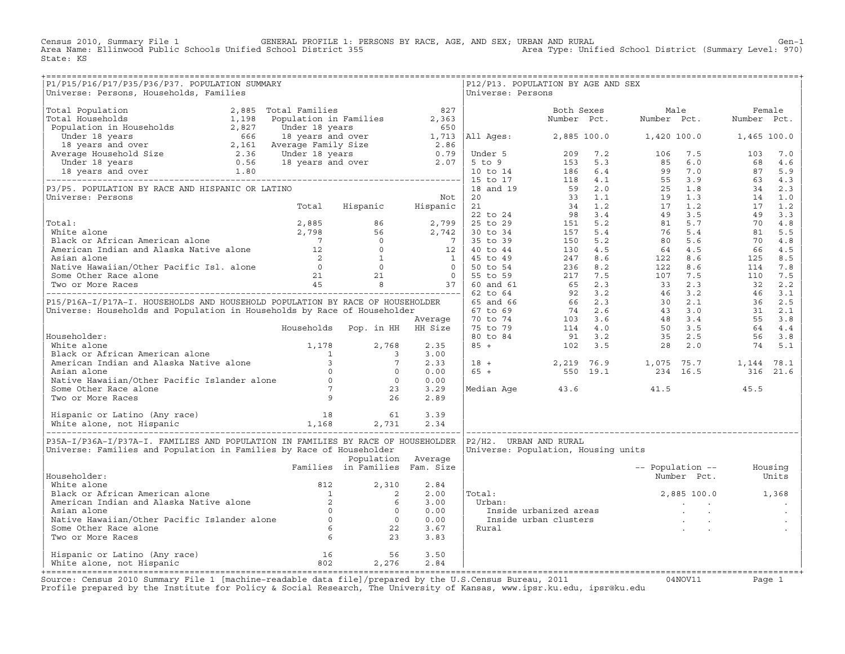Census 2010, Summary File 1 GENERAL PROFILE 1: PERSONS BY RACE, AGE, AND SEX; URBAN AND RURAL Gen−1 Area Name: Ellinwood Public Schools Unified School District 355 Area Type: Unified School District (Summary Level: 970) State: KS

| P1/P15/P16/P17/P35/P36/P37. POPULATION SUMMARY                                                                                                                                                                                                   |                                |                    |      | P12/P13. POPULATION BY AGE AND SEX                                                                                                                                                  |                                                                                                |  |                          |  |
|--------------------------------------------------------------------------------------------------------------------------------------------------------------------------------------------------------------------------------------------------|--------------------------------|--------------------|------|-------------------------------------------------------------------------------------------------------------------------------------------------------------------------------------|------------------------------------------------------------------------------------------------|--|--------------------------|--|
| Universe: Persons, Households, Families                                                                                                                                                                                                          |                                |                    |      | Universe: Persons                                                                                                                                                                   |                                                                                                |  |                          |  |
|                                                                                                                                                                                                                                                  |                                |                    |      |                                                                                                                                                                                     |                                                                                                |  |                          |  |
|                                                                                                                                                                                                                                                  |                                |                    |      |                                                                                                                                                                                     |                                                                                                |  |                          |  |
|                                                                                                                                                                                                                                                  |                                |                    |      |                                                                                                                                                                                     |                                                                                                |  |                          |  |
|                                                                                                                                                                                                                                                  |                                |                    |      |                                                                                                                                                                                     |                                                                                                |  |                          |  |
|                                                                                                                                                                                                                                                  |                                |                    |      |                                                                                                                                                                                     |                                                                                                |  |                          |  |
|                                                                                                                                                                                                                                                  |                                |                    |      |                                                                                                                                                                                     |                                                                                                |  |                          |  |
|                                                                                                                                                                                                                                                  |                                |                    |      |                                                                                                                                                                                     |                                                                                                |  |                          |  |
|                                                                                                                                                                                                                                                  |                                |                    |      |                                                                                                                                                                                     |                                                                                                |  |                          |  |
|                                                                                                                                                                                                                                                  |                                |                    |      |                                                                                                                                                                                     |                                                                                                |  |                          |  |
|                                                                                                                                                                                                                                                  |                                |                    |      |                                                                                                                                                                                     |                                                                                                |  |                          |  |
|                                                                                                                                                                                                                                                  |                                |                    |      |                                                                                                                                                                                     |                                                                                                |  |                          |  |
|                                                                                                                                                                                                                                                  |                                |                    |      |                                                                                                                                                                                     |                                                                                                |  |                          |  |
|                                                                                                                                                                                                                                                  |                                |                    |      |                                                                                                                                                                                     |                                                                                                |  |                          |  |
|                                                                                                                                                                                                                                                  |                                |                    |      |                                                                                                                                                                                     |                                                                                                |  |                          |  |
|                                                                                                                                                                                                                                                  |                                |                    |      |                                                                                                                                                                                     |                                                                                                |  |                          |  |
|                                                                                                                                                                                                                                                  |                                |                    |      |                                                                                                                                                                                     |                                                                                                |  |                          |  |
|                                                                                                                                                                                                                                                  |                                |                    |      |                                                                                                                                                                                     |                                                                                                |  |                          |  |
|                                                                                                                                                                                                                                                  |                                |                    |      |                                                                                                                                                                                     |                                                                                                |  |                          |  |
|                                                                                                                                                                                                                                                  |                                |                    |      |                                                                                                                                                                                     |                                                                                                |  |                          |  |
|                                                                                                                                                                                                                                                  |                                |                    |      |                                                                                                                                                                                     |                                                                                                |  |                          |  |
|                                                                                                                                                                                                                                                  |                                |                    |      |                                                                                                                                                                                     |                                                                                                |  |                          |  |
|                                                                                                                                                                                                                                                  |                                |                    |      |                                                                                                                                                                                     |                                                                                                |  |                          |  |
|                                                                                                                                                                                                                                                  |                                |                    |      |                                                                                                                                                                                     |                                                                                                |  |                          |  |
|                                                                                                                                                                                                                                                  |                                |                    |      |                                                                                                                                                                                     |                                                                                                |  |                          |  |
|                                                                                                                                                                                                                                                  |                                |                    |      |                                                                                                                                                                                     |                                                                                                |  |                          |  |
|                                                                                                                                                                                                                                                  |                                |                    |      |                                                                                                                                                                                     |                                                                                                |  |                          |  |
|                                                                                                                                                                                                                                                  |                                |                    |      |                                                                                                                                                                                     |                                                                                                |  |                          |  |
|                                                                                                                                                                                                                                                  |                                |                    |      |                                                                                                                                                                                     |                                                                                                |  |                          |  |
|                                                                                                                                                                                                                                                  |                                |                    |      |                                                                                                                                                                                     |                                                                                                |  |                          |  |
|                                                                                                                                                                                                                                                  |                                |                    |      |                                                                                                                                                                                     |                                                                                                |  |                          |  |
|                                                                                                                                                                                                                                                  |                                |                    |      |                                                                                                                                                                                     |                                                                                                |  |                          |  |
|                                                                                                                                                                                                                                                  |                                |                    |      | $\begin{array}{cccccccc} 18 & + & & & 2\,219 & 76\,.9 & & & 1\,,075 & 75\,.7 & & & 1\,,144 & 78\,.1 \\ 65 & + & & & 550 & 19\,.1 & & & 234 & 16\,.5 & & & 316 & 21\,.6 \end{array}$ |                                                                                                |  |                          |  |
|                                                                                                                                                                                                                                                  |                                |                    |      |                                                                                                                                                                                     |                                                                                                |  |                          |  |
|                                                                                                                                                                                                                                                  |                                |                    |      |                                                                                                                                                                                     |                                                                                                |  |                          |  |
|                                                                                                                                                                                                                                                  |                                |                    |      | Median Age $43.6$ $41.5$ $45.5$                                                                                                                                                     |                                                                                                |  |                          |  |
| Householder:<br>White alone<br>Black or African American alone<br>American Indian and Alaska Native alone<br>Asian alone<br>Native Hawaiian/Other Pacific Islander alone<br>Some Other Race alone<br>Two or More Races<br>Two or More Races<br>2 |                                |                    |      |                                                                                                                                                                                     |                                                                                                |  |                          |  |
|                                                                                                                                                                                                                                                  |                                |                    |      |                                                                                                                                                                                     |                                                                                                |  |                          |  |
|                                                                                                                                                                                                                                                  |                                |                    |      |                                                                                                                                                                                     |                                                                                                |  |                          |  |
|                                                                                                                                                                                                                                                  |                                |                    |      |                                                                                                                                                                                     |                                                                                                |  |                          |  |
|                                                                                                                                                                                                                                                  |                                |                    |      |                                                                                                                                                                                     |                                                                                                |  |                          |  |
| P35A-I/P36A-I/P37A-I. FAMILIES AND POPULATION IN FAMILIES BY RACE OF HOUSEHOLDER                                                                                                                                                                 |                                |                    |      | P2/H2. URBAN AND RURAL                                                                                                                                                              |                                                                                                |  |                          |  |
| Universe: Families and Population in Families by Race of Householder                                                                                                                                                                             |                                |                    |      | Universe: Population, Housing units                                                                                                                                                 |                                                                                                |  |                          |  |
|                                                                                                                                                                                                                                                  |                                | Population Average |      |                                                                                                                                                                                     |                                                                                                |  |                          |  |
|                                                                                                                                                                                                                                                  | Families in Families Fam. Size |                    |      |                                                                                                                                                                                     |                                                                                                |  | -- Population -- Housing |  |
| Householder:                                                                                                                                                                                                                                     |                                |                    |      |                                                                                                                                                                                     |                                                                                                |  | Number Pct. Units        |  |
|                                                                                                                                                                                                                                                  |                                |                    | 2.84 |                                                                                                                                                                                     |                                                                                                |  |                          |  |
|                                                                                                                                                                                                                                                  |                                |                    | 2.00 | Total:                                                                                                                                                                              |                                                                                                |  |                          |  |
|                                                                                                                                                                                                                                                  |                                |                    |      |                                                                                                                                                                                     |                                                                                                |  |                          |  |
|                                                                                                                                                                                                                                                  |                                |                    | 3.00 | Urban:                                                                                                                                                                              | $2,885$ 100.0 1,368<br>al:<br>rban:<br>Inside urbanized areas<br>Inside urban clusters<br>ural |  |                          |  |
|                                                                                                                                                                                                                                                  |                                |                    | 0.00 |                                                                                                                                                                                     |                                                                                                |  |                          |  |
|                                                                                                                                                                                                                                                  |                                |                    | 0.00 |                                                                                                                                                                                     |                                                                                                |  |                          |  |
|                                                                                                                                                                                                                                                  |                                |                    | 3.67 | Rural                                                                                                                                                                               |                                                                                                |  |                          |  |
| Mousehouter:<br>White alone<br>Black or African American alone<br>American Indian and Alaska Native alone<br>Asian alone<br>Native Hawaiian/Other Pacific Islander alone<br>Some Other Race alone<br>Two or More Races<br>6<br>22<br>23          |                                |                    | 3.83 |                                                                                                                                                                                     |                                                                                                |  |                          |  |
|                                                                                                                                                                                                                                                  |                                |                    |      |                                                                                                                                                                                     |                                                                                                |  |                          |  |
| Hispanic or Latino (Any race) 16 56<br>White alone, not Hispanic 16 802 2,276                                                                                                                                                                    |                                |                    | 3.50 |                                                                                                                                                                                     |                                                                                                |  |                          |  |
|                                                                                                                                                                                                                                                  |                                |                    | 2.84 |                                                                                                                                                                                     |                                                                                                |  |                          |  |
|                                                                                                                                                                                                                                                  |                                |                    |      |                                                                                                                                                                                     |                                                                                                |  |                          |  |

+===================================================================================================================================================+Source: Census 2010 Summary File 1 [machine−readable data file]/prepared by the U.S.Census Bureau, 2011 04NOV11 Page 1 Profile prepared by the Institute for Policy & Social Research, The University of Kansas, www.ipsr.ku.edu, ipsr@ku.edu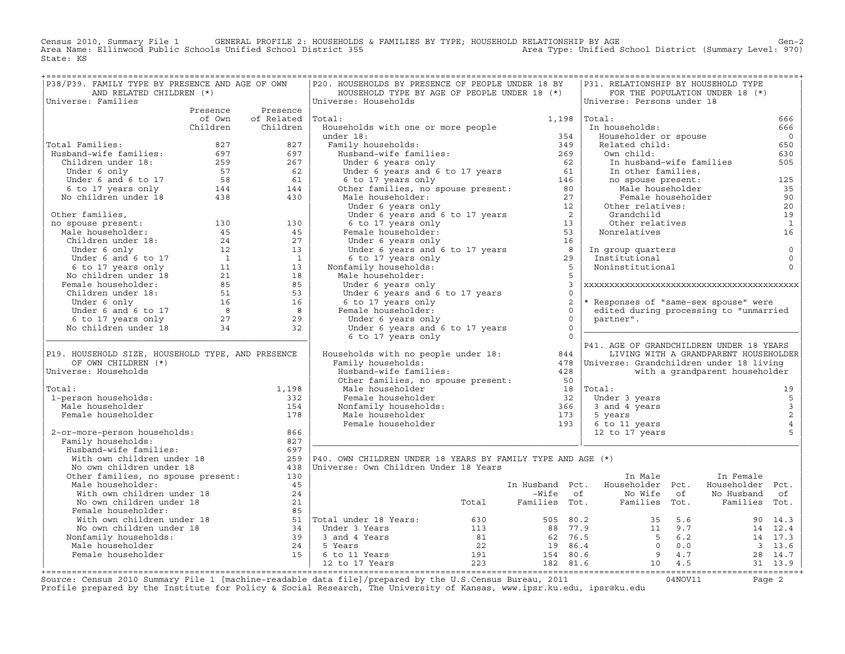Census 2010, Summary File 1 GENERAL PROFILE 2: HOUSEHOLDS & FAMILIES BY TYPE; HOUSEHOLD RELATIONSHIP BY AGE<br>Area Name: Ellinwood Public Schools Unified School District 355 Area Type: Unified Sch State: KS

| P38/P39. FAMILY TYPE BY PRESENCE AND AGE OF OWN                                                                                                                                                                                                          |                                         | P20. HOUSEHOLDS BY PRESENCE OF PEOPLE UNDER 18 BY                                                                                                                                                                                                                                          |                   |                | P31. RELATIONSHIP BY HOUSEHOLD TYPE                                                                                                                              |                                       |                         |
|----------------------------------------------------------------------------------------------------------------------------------------------------------------------------------------------------------------------------------------------------------|-----------------------------------------|--------------------------------------------------------------------------------------------------------------------------------------------------------------------------------------------------------------------------------------------------------------------------------------------|-------------------|----------------|------------------------------------------------------------------------------------------------------------------------------------------------------------------|---------------------------------------|-------------------------|
| AND RELATED CHILDREN (*)                                                                                                                                                                                                                                 |                                         | HOUSEHOLD TYPE BY AGE OF PEOPLE UNDER 18 (*)                                                                                                                                                                                                                                               |                   |                |                                                                                                                                                                  | FOR THE POPULATION UNDER 18 (*)       |                         |
| Universe: Families                                                                                                                                                                                                                                       |                                         | Universe: Households                                                                                                                                                                                                                                                                       |                   |                | Universe: Persons under 18                                                                                                                                       |                                       |                         |
|                                                                                                                                                                                                                                                          | Presence Presence                       |                                                                                                                                                                                                                                                                                            |                   |                |                                                                                                                                                                  |                                       |                         |
|                                                                                                                                                                                                                                                          | of Own of Related Total:                |                                                                                                                                                                                                                                                                                            | $1,198$ $ Total:$ |                |                                                                                                                                                                  |                                       | 666                     |
|                                                                                                                                                                                                                                                          | Children Children                       | Households with one or more people<br>Households with one or more people<br>under 18:<br>Family households:<br>Husband-wife families:<br>Under 6 years and 6 to 17 years<br>Under 6 years and 6 to 17 years<br>6 to 17 years<br>6 to 17 years<br>6 to 17 years<br>6 to 17 years<br>146<br> |                   |                | In households:                                                                                                                                                   |                                       | 666                     |
|                                                                                                                                                                                                                                                          |                                         |                                                                                                                                                                                                                                                                                            |                   |                | Householder or spouse                                                                                                                                            |                                       | $\overline{0}$          |
| Total Families:                                                                                                                                                                                                                                          |                                         |                                                                                                                                                                                                                                                                                            |                   |                | Related child:                                                                                                                                                   |                                       | 650                     |
|                                                                                                                                                                                                                                                          |                                         |                                                                                                                                                                                                                                                                                            |                   |                | Own child:                                                                                                                                                       |                                       | 630                     |
|                                                                                                                                                                                                                                                          |                                         |                                                                                                                                                                                                                                                                                            |                   |                |                                                                                                                                                                  |                                       | 505                     |
|                                                                                                                                                                                                                                                          |                                         |                                                                                                                                                                                                                                                                                            |                   |                |                                                                                                                                                                  |                                       |                         |
|                                                                                                                                                                                                                                                          |                                         |                                                                                                                                                                                                                                                                                            |                   |                |                                                                                                                                                                  |                                       | 125                     |
| Total Families: 827<br>Husband-wife families: 697<br>Children under 18: 259<br>Under 6 only<br>Under 6 and 6 to 17<br>62<br>57<br>62<br>57<br>62<br>58<br>61<br>6 to 17 years only<br>8 144<br>No children under 18<br>438<br>430                        |                                         |                                                                                                                                                                                                                                                                                            |                   |                | UWIN CILIO :<br>In husband-wife families<br>In other families,<br>no spouse present:<br>Male householder<br>Female householder<br>Other relatives:<br>Grandchild |                                       | 35                      |
|                                                                                                                                                                                                                                                          |                                         |                                                                                                                                                                                                                                                                                            |                   |                |                                                                                                                                                                  |                                       | 90                      |
|                                                                                                                                                                                                                                                          |                                         |                                                                                                                                                                                                                                                                                            |                   |                |                                                                                                                                                                  |                                       | 20                      |
|                                                                                                                                                                                                                                                          |                                         |                                                                                                                                                                                                                                                                                            |                   |                | Grandchild<br>Other relatives                                                                                                                                    |                                       | 19                      |
|                                                                                                                                                                                                                                                          |                                         |                                                                                                                                                                                                                                                                                            |                   |                |                                                                                                                                                                  |                                       | $\mathbf{1}$            |
|                                                                                                                                                                                                                                                          |                                         |                                                                                                                                                                                                                                                                                            |                   |                | Nonrelatives                                                                                                                                                     |                                       | 16                      |
|                                                                                                                                                                                                                                                          |                                         |                                                                                                                                                                                                                                                                                            |                   |                |                                                                                                                                                                  |                                       |                         |
|                                                                                                                                                                                                                                                          |                                         |                                                                                                                                                                                                                                                                                            |                   |                | In group quarters<br>Institutional<br>Noninstitutional                                                                                                           |                                       | $\mathbf 0$             |
|                                                                                                                                                                                                                                                          |                                         |                                                                                                                                                                                                                                                                                            |                   |                |                                                                                                                                                                  |                                       | $\mathbf 0$<br>$\Omega$ |
|                                                                                                                                                                                                                                                          |                                         |                                                                                                                                                                                                                                                                                            |                   |                |                                                                                                                                                                  |                                       |                         |
|                                                                                                                                                                                                                                                          |                                         |                                                                                                                                                                                                                                                                                            |                   |                |                                                                                                                                                                  |                                       |                         |
|                                                                                                                                                                                                                                                          |                                         |                                                                                                                                                                                                                                                                                            | $\overline{0}$    |                |                                                                                                                                                                  |                                       |                         |
|                                                                                                                                                                                                                                                          |                                         |                                                                                                                                                                                                                                                                                            |                   | 2              | * Responses of "same-sex spouse" were                                                                                                                            |                                       |                         |
|                                                                                                                                                                                                                                                          |                                         |                                                                                                                                                                                                                                                                                            | $\overline{0}$    |                | edited during processing to "unmarried                                                                                                                           |                                       |                         |
|                                                                                                                                                                                                                                                          |                                         |                                                                                                                                                                                                                                                                                            |                   | $\overline{0}$ | partner".                                                                                                                                                        |                                       |                         |
|                                                                                                                                                                                                                                                          |                                         |                                                                                                                                                                                                                                                                                            | $\overline{0}$    |                |                                                                                                                                                                  |                                       |                         |
|                                                                                                                                                                                                                                                          |                                         | onder 6 years and 6 to 17 years<br>6 to 17 years only<br>Female householder:<br>Under 6 years only<br>Under 6 years and 6 to 17<br>6 to 17<br>6 to 17 years only                                                                                                                           | $\overline{0}$    |                |                                                                                                                                                                  |                                       |                         |
|                                                                                                                                                                                                                                                          |                                         | Households with no people under 18:<br>Households with no people under 18:<br>$478$<br>Universe: Grandchildren under 18 living<br>$478$<br>Universe: Grandchildren under 18 living                                                                                                         |                   |                | P41. AGE OF GRANDCHILDREN UNDER 18 YEARS                                                                                                                         |                                       |                         |
| P19. HOUSEHOLD SIZE, HOUSEHOLD TYPE, AND PRESENCE                                                                                                                                                                                                        |                                         |                                                                                                                                                                                                                                                                                            |                   |                |                                                                                                                                                                  | LIVING WITH A GRANDPARENT HOUSEHOLDER |                         |
| OF OWN CHILDREN (*)                                                                                                                                                                                                                                      |                                         |                                                                                                                                                                                                                                                                                            |                   |                |                                                                                                                                                                  |                                       |                         |
| Universe: Households                                                                                                                                                                                                                                     |                                         | Pamily households:<br>Husband-wife families: 428<br>Other families, no spouse present: 50<br>All and the spouse present: 50<br>13                                                                                                                                                          |                   |                |                                                                                                                                                                  | with a grandparent householder        |                         |
|                                                                                                                                                                                                                                                          |                                         |                                                                                                                                                                                                                                                                                            |                   |                |                                                                                                                                                                  |                                       |                         |
| Total:                                                                                                                                                                                                                                                   | 1,198                                   |                                                                                                                                                                                                                                                                                            |                   |                | $18$  Total:                                                                                                                                                     |                                       | 19                      |
| 1-person households:                                                                                                                                                                                                                                     | 332                                     |                                                                                                                                                                                                                                                                                            |                   |                | Under 3 years                                                                                                                                                    |                                       | 5                       |
| Male householder                                                                                                                                                                                                                                         | 154                                     |                                                                                                                                                                                                                                                                                            |                   |                | 3 and 4 years                                                                                                                                                    |                                       |                         |
| Female householder                                                                                                                                                                                                                                       | 178                                     |                                                                                                                                                                                                                                                                                            |                   |                | 5 years                                                                                                                                                          |                                       | $\frac{3}{2}$           |
|                                                                                                                                                                                                                                                          |                                         |                                                                                                                                                                                                                                                                                            |                   |                | 6 to 11 years                                                                                                                                                    |                                       | $\sqrt{4}$              |
| 2-or-more-person households:                                                                                                                                                                                                                             | 866                                     | mare nousenoider<br>Female householder<br>Nonfamily households:<br>Male householder<br>Female householder<br>193                                                                                                                                                                           |                   |                | 12 to 17 years                                                                                                                                                   |                                       | 5                       |
| Family households:                                                                                                                                                                                                                                       | 827                                     |                                                                                                                                                                                                                                                                                            |                   |                |                                                                                                                                                                  |                                       |                         |
| Husband-wife families:                                                                                                                                                                                                                                   | 697                                     |                                                                                                                                                                                                                                                                                            |                   |                |                                                                                                                                                                  |                                       |                         |
|                                                                                                                                                                                                                                                          |                                         | 259   P40. OWN CHILDREN UNDER 18 YEARS BY FAMILY TYPE AND AGE $(*)$                                                                                                                                                                                                                        |                   |                |                                                                                                                                                                  |                                       |                         |
| Husband-wite tamilles:<br>With own children under 18<br>No own children under 18<br>Other families, no spouse present:                                                                                                                                   |                                         | 438   Universe: Own Children Under 18 Years                                                                                                                                                                                                                                                |                   |                |                                                                                                                                                                  |                                       |                         |
|                                                                                                                                                                                                                                                          | 130                                     |                                                                                                                                                                                                                                                                                            |                   |                | In Male                                                                                                                                                          | In Female                             |                         |
| Male householder:                                                                                                                                                                                                                                        | 45                                      |                                                                                                                                                                                                                                                                                            |                   |                | In Husband Pct. Householder Pct. Householder Pct.                                                                                                                |                                       |                         |
| With own children under 18<br>No own children under 18                                                                                                                                                                                                   | 24                                      |                                                                                                                                                                                                                                                                                            |                   |                | -Wife of Mo Wife of No Husband of Total Families Tot. Families Tot. Families Tot.                                                                                |                                       |                         |
|                                                                                                                                                                                                                                                          |                                         |                                                                                                                                                                                                                                                                                            |                   |                |                                                                                                                                                                  |                                       |                         |
| Female householder:                                                                                                                                                                                                                                      | $\begin{array}{c} 21 \\ 85 \end{array}$ |                                                                                                                                                                                                                                                                                            |                   |                |                                                                                                                                                                  |                                       |                         |
|                                                                                                                                                                                                                                                          |                                         |                                                                                                                                                                                                                                                                                            |                   |                |                                                                                                                                                                  |                                       |                         |
|                                                                                                                                                                                                                                                          |                                         |                                                                                                                                                                                                                                                                                            |                   |                |                                                                                                                                                                  |                                       |                         |
|                                                                                                                                                                                                                                                          |                                         |                                                                                                                                                                                                                                                                                            |                   |                |                                                                                                                                                                  |                                       |                         |
|                                                                                                                                                                                                                                                          |                                         |                                                                                                                                                                                                                                                                                            |                   |                |                                                                                                                                                                  |                                       |                         |
|                                                                                                                                                                                                                                                          |                                         |                                                                                                                                                                                                                                                                                            |                   |                |                                                                                                                                                                  |                                       |                         |
| Female householder:<br>With own children under 18<br>Moown children under 18<br>Moown children under 18<br>Moown children under 18<br>18<br>Moorfamily households:<br>24<br>Male householder<br>24<br>Female householder<br>24<br>Female householder<br> |                                         |                                                                                                                                                                                                                                                                                            |                   |                |                                                                                                                                                                  |                                       |                         |
|                                                                                                                                                                                                                                                          |                                         |                                                                                                                                                                                                                                                                                            |                   |                |                                                                                                                                                                  |                                       |                         |

+===================================================================================================================================================+Source: Census 2010 Summary File 1 [machine−readable data file]/prepared by the U.S.Census Bureau, 2011 04NOV11 Page 2 Profile prepared by the Institute for Policy & Social Research, The University of Kansas, www.ipsr.ku.edu, ipsr@ku.edu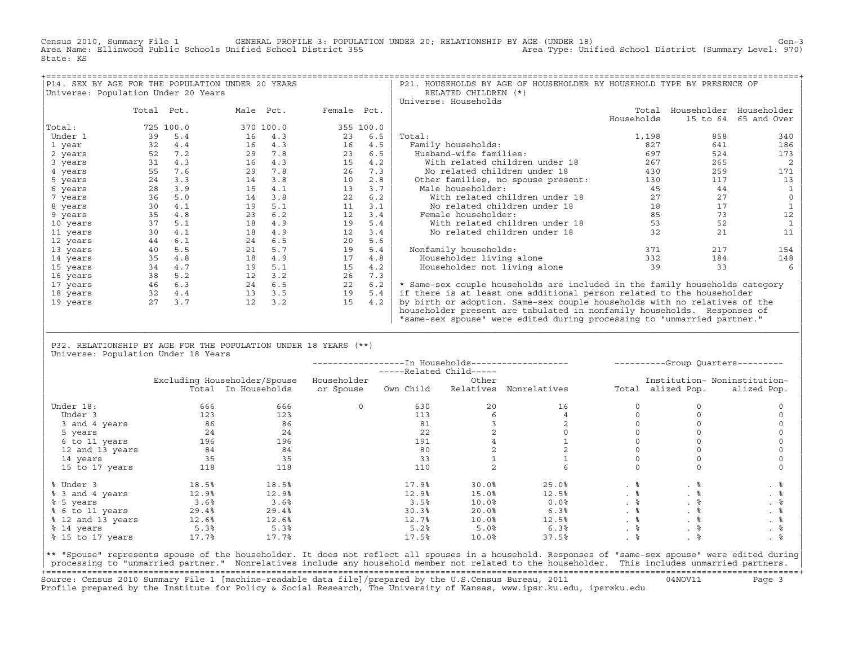Census 2010, Summary File 1 GENERAL PROFILE 3: POPULATION UNDER 20; RELATIONSHIP BY AGE (UNDER 18) Gen−3<br>Area Name: Ellinwood Public Schools Unified School District 355 area Type: Unified School District (Summary Level: 9 Area Name: Ellinwood Public Schools Unified School District 355 State: KS

| P14. SEX BY AGE FOR THE POPULATION UNDER 20 YEARS |            |           |    |           |             |           | P21. HOUSEHOLDS BY AGE OF HOUSEHOLDER BY HOUSEHOLD TYPE BY PRESENCE OF      |            |                         |             |
|---------------------------------------------------|------------|-----------|----|-----------|-------------|-----------|-----------------------------------------------------------------------------|------------|-------------------------|-------------|
| Universe: Population Under 20 Years               |            |           |    |           |             |           | RELATED CHILDREN (*)                                                        |            |                         |             |
|                                                   |            |           |    |           |             |           | Universe: Households                                                        |            |                         |             |
|                                                   | Total Pct. |           |    | Male Pct. | Female Pct. |           |                                                                             | Total      | Householder Householder |             |
|                                                   |            |           |    |           |             |           |                                                                             | Households | 15 to 64                | 65 and Over |
| Total:                                            |            | 725 100.0 |    | 370 100.0 |             | 355 100.0 |                                                                             |            |                         |             |
| Under 1                                           | 39         | 5.4       | 16 | 4.3       | 23          | 6.5       | Total:                                                                      | 1,198      | 858                     | 340         |
| 1 year                                            | 32         | 4.4       | 16 | 4.3       | 16          | 4.5       | Family households:                                                          | 827        | 641                     | 186         |
| 2 years                                           | 52         | 7.2       | 29 | 7.8       | 23          | 6.5       | Husband-wife families:                                                      | 697        | 524                     | 173         |
| 3 years                                           | 31         | 4.3       | 16 | 4.3       | 15          | 4.2       | With related children under 18                                              | 267        | 265                     |             |
| 4 years                                           | 55         | 7.6       | 29 | 7.8       | 26          | 7.3       | No related children under 18                                                | 430        | 259                     | 171         |
| 5 years                                           | 24         | 3.3       | 14 | 3.8       | 10          | 2.8       | Other families, no spouse present:                                          | 130        | 117                     | 13          |
| 6 years                                           | 28         | 3.9       | 15 | 4.1       | 13          | 3.7       | Male householder:                                                           | 45         | 44                      |             |
| 7 years                                           | 36         | 5.0       | 14 | 3.8       | 22          | 6.2       | With related children under 18                                              | 27         | 27                      |             |
| 8 years                                           | 30         | 4.1       | 19 | 5.1       | 11          | 3.1       | No related children under 18                                                | 18         | 17                      |             |
| 9 years                                           | 35         | 4.8       | 23 | 6.2       | 12          | 3.4       | Female householder:                                                         | 85         | 73                      | 12          |
| 10 years                                          | 37         | 5.1       | 18 | 4.9       | 19          | 5.4       | With related children under 18                                              | 53         | 52                      |             |
| 11 years                                          | 30         | 4.1       | 18 | 4.9       | 12          | 3.4       | No related children under 18                                                | 32         | 21                      | 11          |
| 12 years                                          | 44         | 6.1       | 24 | 6.5       | 20          | 5.6       |                                                                             |            |                         |             |
| 13 years                                          | 40         | 5.5       | 21 | 5.7       | 19          | 5.4       | Nonfamily households:                                                       | 371        | 217                     | 154         |
| 14 years                                          | 35         | 4.8       | 18 | 4.9       | 17          | 4.8       | Householder living alone                                                    | 332        | 184                     | 148         |
| 15 years                                          | 34         | 4.7       | 19 | 5.1       | 15          | 4.2       | Householder not living alone                                                | 39         | 33                      |             |
| 16 years                                          | 38         | 5.2       | 12 | 3.2       | 26          | 7.3       |                                                                             |            |                         |             |
| 17 years                                          | 46         | 6.3       | 24 | 6.5       | 22          | 6.2       | * Same-sex couple households are included in the family households category |            |                         |             |
| 18 years                                          | 32         | 4.4       | 13 | 3.5       | 19          | 5.4       | if there is at least one additional person related to the householder       |            |                         |             |
| 19 years                                          | 2.7        | 3.7       | 12 | 3.2       | 15          | 4.2       | by birth or adoption. Same-sex couple households with no relatives of the   |            |                         |             |
|                                                   |            |           |    |           |             |           | householder present are tabulated in nonfamily households. Responses of     |            |                         |             |
|                                                   |            |           |    |           |             |           | "same-sex spouse" were edited during processing to "unmarried partner."     |            |                         |             |

| P32. RELATIONSHIP BY AGE FOR THE POPULATION UNDER 18 YEARS (\*\*) | Universe: Population Under 18 Years

|                   |       |                              |             | -----Related Child----- |           | ---------------In Households------------------- |           |                   | ----------Group Quarters--------- |
|-------------------|-------|------------------------------|-------------|-------------------------|-----------|-------------------------------------------------|-----------|-------------------|-----------------------------------|
|                   |       | Excluding Householder/Spouse | Householder |                         | Other     |                                                 |           |                   | Institution- Noninstitution-      |
|                   |       | Total In Households          | or Spouse   | Own Child               | Relatives | Nonrelatives                                    |           | Total alized Pop. | alized Pop.                       |
| Under 18:         | 666   | 666                          | 0           | 630                     | 20        | 16                                              |           |                   |                                   |
| Under 3           | 123   | 123                          |             | 113                     |           |                                                 |           |                   |                                   |
| 3 and 4 years     | 86    | 86                           |             | 81                      |           |                                                 |           |                   |                                   |
| 5 years           | 24    | 24                           |             | 22                      |           |                                                 |           |                   |                                   |
| 6 to 11 years     | 196   | 196                          |             | 191                     |           |                                                 |           |                   |                                   |
| 12 and 13 years   | 84    | 84                           |             | 80                      |           |                                                 |           |                   |                                   |
| 14 years          | 35    | 35                           |             | 33                      |           |                                                 |           |                   |                                   |
| 15 to 17 years    | 118   | 118                          |             | 110                     |           |                                                 |           |                   |                                   |
| % Under 3         | 18.5% | 18.5%                        |             | 17.9%                   | 30.0%     | 25.0%                                           |           | . 응               | . そ                               |
| % 3 and 4 years   | 12.9% | 12.9%                        |             | 12.9%                   | 15.0%     | 12.5%                                           | $. \circ$ |                   | . 응                               |
| % 5 years         | 3.6%  | 3.6%                         |             | 3.5%                    | 10.0%     | 0.0%                                            |           | . 응               |                                   |
| % 6 to 11 years   | 29.4% | 29.4%                        |             | 30.3%                   | 20.0%     | 6.3%                                            | . 응       | . 응               |                                   |
| % 12 and 13 years | 12.6% | 12.6%                        |             | 12.7%                   | 10.0%     | 12.5%                                           |           |                   | . 응                               |
| % 14 years        | 5.3%  | 5.3%                         |             | 5.2%                    | 5.0%      | 6.3%                                            | . 응       |                   | . 응                               |
| % 15 to 17 years  | 17.7% | 17.7%                        |             | 17.5%                   | 10.0%     | 37.5%                                           |           |                   |                                   |

|\_\_\_\_\_\_\_\_\_\_\_\_\_\_\_\_\_\_\_\_\_\_\_\_\_\_\_\_\_\_\_\_\_\_\_\_\_\_\_\_\_\_\_\_\_\_\_\_\_\_\_\_\_\_\_\_\_\_\_\_\_\_\_\_\_\_\_\_\_\_\_\_\_\_\_\_\_\_\_\_\_\_\_\_\_\_\_\_\_\_\_\_\_\_\_\_\_\_\_\_\_\_\_\_\_\_\_\_\_\_\_\_\_\_\_\_\_\_\_\_\_\_\_\_\_\_\_\_\_\_\_\_\_\_\_\_\_\_\_\_\_\_\_\_\_\_\_| | |

|\*\* "Spouse" represents spouse of the householder. It does not reflect all spouses in a household. Responses of "same−sex spouse" were edited during| processing to "unmarried partner." Nonrelatives include any household member not related to the householder. This includes unmarried partners. +===================================================================================================================================================+ Source: Census 2010 Summary File 1 [machine−readable data file]/prepared by the U.S.Census Bureau, 2011 04NOV11 Page 3 Profile prepared by the Institute for Policy & Social Research, The University of Kansas, www.ipsr.ku.edu, ipsr@ku.edu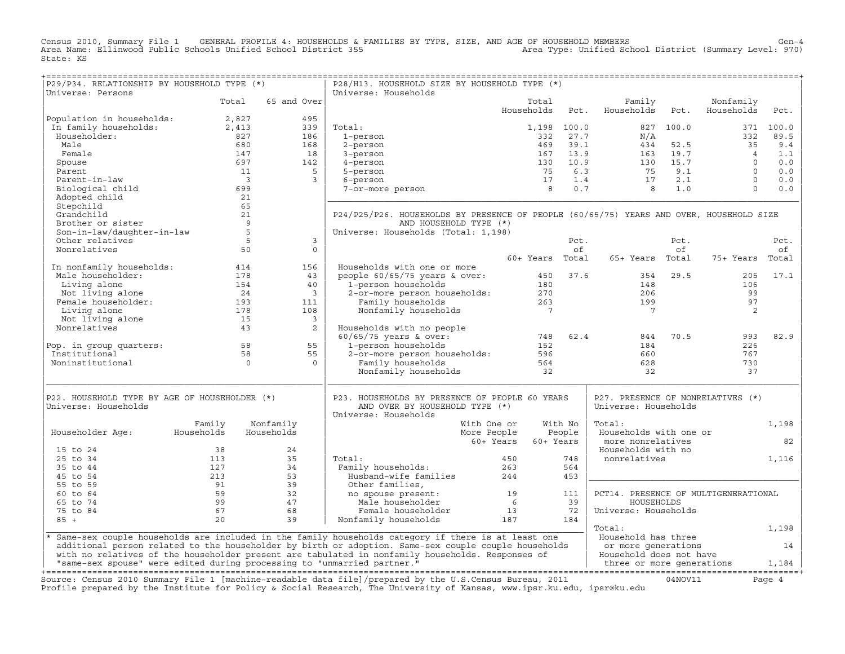Census 2010, Summary File 1 GENERAL PROFILE 4: HOUSEHOLDS & FAMILIES BY TYPE, SIZE, AND AGE OF HOUSEHOLD MEMBERS<br>Area Name: Ellinwood Public Schools Unified School District 355 Area Type: Unif State: KS

| P29/P34. RELATIONSHIP BY HOUSEHOLD TYPE (*)<br>Universe: Persons                                                                                                                                                           |                                               |                                                                                                                                      | P28/H13. HOUSEHOLD SIZE BY HOUSEHOLD TYPE (*)<br>Universe: Households                                                                                                                                                                                                                                                                                                                                                                                                                            |                     |         |                                                           |      |                 |        |
|----------------------------------------------------------------------------------------------------------------------------------------------------------------------------------------------------------------------------|-----------------------------------------------|--------------------------------------------------------------------------------------------------------------------------------------|--------------------------------------------------------------------------------------------------------------------------------------------------------------------------------------------------------------------------------------------------------------------------------------------------------------------------------------------------------------------------------------------------------------------------------------------------------------------------------------------------|---------------------|---------|-----------------------------------------------------------|------|-----------------|--------|
|                                                                                                                                                                                                                            |                                               | Total 65 and Over                                                                                                                    |                                                                                                                                                                                                                                                                                                                                                                                                                                                                                                  | Total               |         | Family                                                    |      | Nonfamily       |        |
|                                                                                                                                                                                                                            |                                               | a<br>$\begin{bmatrix}\n 1.27 \\  1.3 \\  1.8 \\  168 \\  168 \\  142 \\  5\n\end{bmatrix}$                                           |                                                                                                                                                                                                                                                                                                                                                                                                                                                                                                  | Households          | Pct.    | Households                                                | Pct. | Households      | Pct.   |
| Population in households:<br>1.927 In family households:<br>Householder: 827<br>Male 680                                                                                                                                   |                                               |                                                                                                                                      |                                                                                                                                                                                                                                                                                                                                                                                                                                                                                                  |                     |         |                                                           |      |                 |        |
|                                                                                                                                                                                                                            |                                               |                                                                                                                                      | Total:<br>$\begin{array}{cccccc} \text{total}: & & & & 1,198 & 100.0 & & & 827 & 100.0 & & & 371 & 100.0 \\ 1-person & & & & & 332 & 27.7 & & N/A & & & 332 & 89.5 \\ 2-person & & & & 469 & 39.1 & & 434 & 52.5 & & 35 & 9.4 \\ 3-person & & & & 167 & 13.9 & & 163 & 19.7 & & 4 & 1.1 \\ 4-person & & & & & 130 & 10.9 & & 130 & 15.7 & & 0 & 0.0 \\ 5-person & & &$                                                                                                                           |                     |         |                                                           |      |                 |        |
|                                                                                                                                                                                                                            |                                               |                                                                                                                                      | 1-person                                                                                                                                                                                                                                                                                                                                                                                                                                                                                         |                     |         |                                                           |      |                 |        |
|                                                                                                                                                                                                                            |                                               |                                                                                                                                      |                                                                                                                                                                                                                                                                                                                                                                                                                                                                                                  |                     |         |                                                           |      |                 |        |
| Female                                                                                                                                                                                                                     | 147<br>697                                    |                                                                                                                                      | $3$ -person                                                                                                                                                                                                                                                                                                                                                                                                                                                                                      |                     |         |                                                           |      |                 |        |
| Spouse                                                                                                                                                                                                                     |                                               |                                                                                                                                      | 4-person                                                                                                                                                                                                                                                                                                                                                                                                                                                                                         |                     |         |                                                           |      |                 |        |
| Parent                                                                                                                                                                                                                     |                                               | $\begin{array}{c} 11 \\ 3 \end{array}$                                                                                               |                                                                                                                                                                                                                                                                                                                                                                                                                                                                                                  |                     |         |                                                           |      |                 |        |
| Parent-in-law                                                                                                                                                                                                              |                                               | $\overline{\mathbf{3}}$                                                                                                              |                                                                                                                                                                                                                                                                                                                                                                                                                                                                                                  |                     |         |                                                           |      |                 |        |
| Biological child                                                                                                                                                                                                           | 699                                           |                                                                                                                                      |                                                                                                                                                                                                                                                                                                                                                                                                                                                                                                  |                     |         |                                                           |      |                 |        |
| Adopted child                                                                                                                                                                                                              | $\begin{array}{c} 21 \\ 65 \\ 21 \end{array}$ |                                                                                                                                      |                                                                                                                                                                                                                                                                                                                                                                                                                                                                                                  |                     |         |                                                           |      |                 |        |
| Stepchild                                                                                                                                                                                                                  |                                               |                                                                                                                                      |                                                                                                                                                                                                                                                                                                                                                                                                                                                                                                  |                     |         |                                                           |      |                 |        |
| Grandchild                                                                                                                                                                                                                 |                                               |                                                                                                                                      | P24/P25/P26. HOUSEHOLDS BY PRESENCE OF PEOPLE (60/65/75) YEARS AND OVER, HOUSEHOLD SIZE                                                                                                                                                                                                                                                                                                                                                                                                          |                     |         |                                                           |      |                 |        |
| Son-in-law/daughter-in-law<br>Son-in-law/daughter-in-law<br>5<br>Nonrelatives<br>5                                                                                                                                         |                                               |                                                                                                                                      | AND HOUSEHOLD TYPE (*)                                                                                                                                                                                                                                                                                                                                                                                                                                                                           |                     |         |                                                           |      |                 |        |
|                                                                                                                                                                                                                            |                                               |                                                                                                                                      | Universe: Households (Total: 1,198)                                                                                                                                                                                                                                                                                                                                                                                                                                                              |                     |         |                                                           |      |                 |        |
|                                                                                                                                                                                                                            |                                               | $\overline{3}$                                                                                                                       |                                                                                                                                                                                                                                                                                                                                                                                                                                                                                                  |                     | Pct.    |                                                           | Pct. |                 | Pct.   |
|                                                                                                                                                                                                                            | 50                                            | $\circ$                                                                                                                              |                                                                                                                                                                                                                                                                                                                                                                                                                                                                                                  |                     | of      |                                                           | of   |                 | of     |
|                                                                                                                                                                                                                            |                                               |                                                                                                                                      |                                                                                                                                                                                                                                                                                                                                                                                                                                                                                                  |                     |         | 60+ Years Total 65+ Years Total                           |      | 75+ Years Total |        |
| In nonfamily households: $414$ 156<br>Male householder: 178 13                                                                                                                                                             |                                               |                                                                                                                                      | Households with one or more                                                                                                                                                                                                                                                                                                                                                                                                                                                                      |                     |         |                                                           |      |                 |        |
|                                                                                                                                                                                                                            |                                               |                                                                                                                                      |                                                                                                                                                                                                                                                                                                                                                                                                                                                                                                  |                     |         |                                                           |      | 205             | 17.1   |
|                                                                                                                                                                                                                            |                                               | 40                                                                                                                                   |                                                                                                                                                                                                                                                                                                                                                                                                                                                                                                  |                     |         |                                                           |      | 106             |        |
| Male householder:<br>Male householder:<br>Living alone 178<br>Not living alone 154<br>Not living alone 24<br>Female householder: 193<br>Living alone 178<br>Not living alone 178<br>Not living alone 15<br>Nonrelatives 43 |                                               | $\overline{\phantom{a}}$                                                                                                             |                                                                                                                                                                                                                                                                                                                                                                                                                                                                                                  |                     |         |                                                           |      | 99              |        |
|                                                                                                                                                                                                                            |                                               | 111                                                                                                                                  |                                                                                                                                                                                                                                                                                                                                                                                                                                                                                                  |                     |         |                                                           |      | 97              |        |
|                                                                                                                                                                                                                            |                                               | 108                                                                                                                                  |                                                                                                                                                                                                                                                                                                                                                                                                                                                                                                  |                     |         |                                                           |      | 2               |        |
|                                                                                                                                                                                                                            |                                               | $\overline{\mathbf{3}}$                                                                                                              |                                                                                                                                                                                                                                                                                                                                                                                                                                                                                                  |                     |         |                                                           |      |                 |        |
|                                                                                                                                                                                                                            |                                               | $\overline{\mathbf{2}}$                                                                                                              |                                                                                                                                                                                                                                                                                                                                                                                                                                                                                                  |                     |         |                                                           |      |                 |        |
|                                                                                                                                                                                                                            |                                               |                                                                                                                                      |                                                                                                                                                                                                                                                                                                                                                                                                                                                                                                  |                     |         | 844                                                       | 70.5 | 993             | 82.9   |
|                                                                                                                                                                                                                            |                                               |                                                                                                                                      |                                                                                                                                                                                                                                                                                                                                                                                                                                                                                                  |                     |         | 184                                                       |      | 226             |        |
| Pop. in group quarters: 58 55<br>Institutional 58 55                                                                                                                                                                       |                                               |                                                                                                                                      |                                                                                                                                                                                                                                                                                                                                                                                                                                                                                                  |                     |         |                                                           |      | 767             |        |
|                                                                                                                                                                                                                            | $\overline{a}$                                | $\overline{0}$                                                                                                                       |                                                                                                                                                                                                                                                                                                                                                                                                                                                                                                  |                     |         |                                                           |      |                 |        |
| Noninstitutional                                                                                                                                                                                                           |                                               |                                                                                                                                      | Households with no people<br>60/65/75 years & over: 748<br>1-person households 152<br>2-or-more person households: 596<br>Family households 564<br>Nonfamily households 32                                                                                                                                                                                                                                                                                                                       |                     |         | $660$<br>$628$<br>32                                      |      | 730<br>37       |        |
| P22. HOUSEHOLD TYPE BY AGE OF HOUSEHOLDER (*)<br>Universe: Households                                                                                                                                                      |                                               |                                                                                                                                      | P23. HOUSEHOLDS BY PRESENCE OF PEOPLE 60 YEARS<br>AND OVER BY HOUSEHOLD TYPE (*)                                                                                                                                                                                                                                                                                                                                                                                                                 |                     |         | P27. PRESENCE OF NONRELATIVES (*)<br>Universe: Households |      |                 |        |
|                                                                                                                                                                                                                            |                                               |                                                                                                                                      | Universe: Households                                                                                                                                                                                                                                                                                                                                                                                                                                                                             |                     |         |                                                           |      |                 |        |
| Householder Age: Households                                                                                                                                                                                                | Family                                        | Nonfamily                                                                                                                            | With One or                                                                                                                                                                                                                                                                                                                                                                                                                                                                                      |                     | With No | Total:                                                    |      |                 | 1,198  |
|                                                                                                                                                                                                                            |                                               | Households                                                                                                                           | More People                                                                                                                                                                                                                                                                                                                                                                                                                                                                                      | People              |         | Households with one or                                    |      |                 |        |
|                                                                                                                                                                                                                            |                                               |                                                                                                                                      |                                                                                                                                                                                                                                                                                                                                                                                                                                                                                                  | 60+ Years 60+ Years |         | more nonrelatives                                         |      |                 | 82     |
| 15 to 24                                                                                                                                                                                                                   |                                               |                                                                                                                                      |                                                                                                                                                                                                                                                                                                                                                                                                                                                                                                  |                     |         | Households with no                                        |      |                 |        |
| 25 to 34                                                                                                                                                                                                                   |                                               | $\begin{array}{c cc} 38 & 24 \\ 113 & 35 \\ 127 & 34 \\ 213 & 53 \\ 91 & 39 \\ 59 & 32 \\ 99 & 47 \\ 67 & 68 \\ 20 & 39 \end{array}$ | $\begin{tabular}{ l c c c c } \hline \texttt{Total:} & \texttt{450} & \texttt{748} \\ \hline \texttt{Family households:} & \texttt{263} & \texttt{564} \\ \texttt{Hushand-wife families,} & \texttt{244} & \texttt{453} \\ \texttt{Other families,} & \texttt{no space present:} & \texttt{19} & \texttt{111} \\ \texttt{Male householder} & \texttt{6} & \texttt{39} \\ \texttt{Female householder} & \texttt{13} & \texttt{72} \\ \texttt{Nonfamily households} & \texttt{187} & \texttt{184}$ |                     |         | nonrelatives                                              |      |                 | 1,116  |
| 35 to 44                                                                                                                                                                                                                   |                                               |                                                                                                                                      |                                                                                                                                                                                                                                                                                                                                                                                                                                                                                                  |                     |         |                                                           |      |                 |        |
| 45 to 54                                                                                                                                                                                                                   |                                               |                                                                                                                                      |                                                                                                                                                                                                                                                                                                                                                                                                                                                                                                  |                     |         |                                                           |      |                 |        |
| 55 to 59                                                                                                                                                                                                                   |                                               |                                                                                                                                      |                                                                                                                                                                                                                                                                                                                                                                                                                                                                                                  |                     |         |                                                           |      |                 |        |
| 60 to 64                                                                                                                                                                                                                   |                                               |                                                                                                                                      |                                                                                                                                                                                                                                                                                                                                                                                                                                                                                                  |                     |         | PCT14. PRESENCE OF MULTIGENERATIONAL                      |      |                 |        |
| 65 to 74                                                                                                                                                                                                                   |                                               |                                                                                                                                      |                                                                                                                                                                                                                                                                                                                                                                                                                                                                                                  |                     |         | HOUSEHOLDS                                                |      |                 |        |
| 75 to 84                                                                                                                                                                                                                   |                                               |                                                                                                                                      |                                                                                                                                                                                                                                                                                                                                                                                                                                                                                                  |                     |         | Universe: Households                                      |      |                 |        |
| $85 +$                                                                                                                                                                                                                     |                                               |                                                                                                                                      |                                                                                                                                                                                                                                                                                                                                                                                                                                                                                                  |                     |         |                                                           |      |                 |        |
|                                                                                                                                                                                                                            |                                               |                                                                                                                                      |                                                                                                                                                                                                                                                                                                                                                                                                                                                                                                  |                     |         | Total:                                                    |      |                 | 1,198  |
|                                                                                                                                                                                                                            |                                               |                                                                                                                                      | * Same-sex couple households are included in the family households category if there is at least one                                                                                                                                                                                                                                                                                                                                                                                             |                     |         | Household has three                                       |      |                 |        |
|                                                                                                                                                                                                                            |                                               |                                                                                                                                      | additional person related to the householder by birth or adoption. Same-sex couple couple households                                                                                                                                                                                                                                                                                                                                                                                             |                     |         | or more generations<br>Household does not have            |      |                 | 14     |
|                                                                                                                                                                                                                            |                                               |                                                                                                                                      | with no relatives of the householder present are tabulated in nonfamily households. Responses of                                                                                                                                                                                                                                                                                                                                                                                                 |                     |         |                                                           |      |                 |        |
|                                                                                                                                                                                                                            |                                               |                                                                                                                                      |                                                                                                                                                                                                                                                                                                                                                                                                                                                                                                  |                     |         |                                                           |      |                 |        |
|                                                                                                                                                                                                                            |                                               |                                                                                                                                      | Source: Census 2010 Summary File 1 [machine-readable data file]/prepared by the U.S.Census Bureau, 2011 04NOV11<br>Profile prepared by the Institute for Policy & Social Research, The University of Kansas, www.ipsr.ku.edu, ipsr@ku.edu                                                                                                                                                                                                                                                        |                     |         |                                                           |      |                 | Page 4 |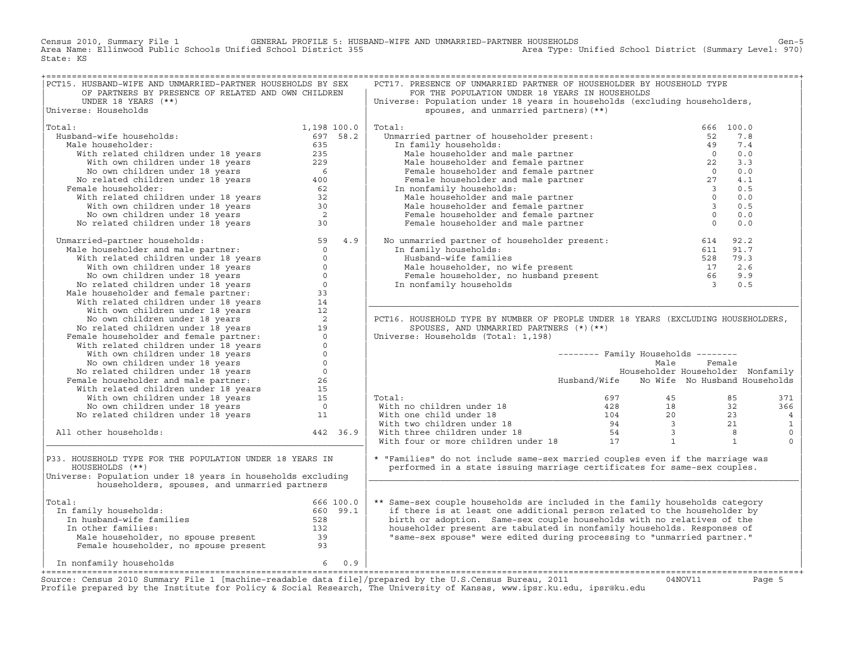Census 2010, Summary File 1 GENERAL PROFILE 5: HUSBAND−WIFE AND UNMARRIED−PARTNER HOUSEHOLDS Gen−5 Area Name: Ellinwood Public Schools Unified School District 355 Area Type: Unified School District (Summary Level: 970) State: KS

| PCT15. HUSBAND-WIFE AND UNMARRIED-PARTNER HOUSEHOLDS BY SEX                                                                                                                                                                                     |             |          | PCT17. PRESENCE OF UNMARRIED PARTNER OF HOUSEHOLDER BY HOUSEHOLD TYPE                                                                                                                                                                      |                                            |        |           |                |
|-------------------------------------------------------------------------------------------------------------------------------------------------------------------------------------------------------------------------------------------------|-------------|----------|--------------------------------------------------------------------------------------------------------------------------------------------------------------------------------------------------------------------------------------------|--------------------------------------------|--------|-----------|----------------|
| OF PARTNERS BY PRESENCE OF RELATED AND OWN CHILDREN                                                                                                                                                                                             |             |          | FOR THE POPULATION UNDER 18 YEARS IN HOUSEHOLDS                                                                                                                                                                                            |                                            |        |           |                |
| UNDER 18 YEARS (**)                                                                                                                                                                                                                             |             |          | Universe: Population under 18 years in households (excluding householders,                                                                                                                                                                 |                                            |        |           |                |
| Universe: Households                                                                                                                                                                                                                            |             |          | spouses, and unmarried partners) (**)                                                                                                                                                                                                      |                                            |        |           |                |
|                                                                                                                                                                                                                                                 |             |          |                                                                                                                                                                                                                                            |                                            |        |           |                |
| Total:                                                                                                                                                                                                                                          | 1,198 100.0 |          | Total:                                                                                                                                                                                                                                     |                                            |        | 666 100.0 |                |
| Husband-wife households:                                                                                                                                                                                                                        | 697 58.2    |          | Jual:<br>Unmarried partner of householder present:                                                                                                                                                                                         |                                            | 52     | 7.8       |                |
| Male householder:                                                                                                                                                                                                                               |             |          | In family households:                                                                                                                                                                                                                      |                                            |        | 7.4       |                |
|                                                                                                                                                                                                                                                 |             |          |                                                                                                                                                                                                                                            |                                            |        | 0.0       |                |
| band-wife households: 697 58.<br>(ale households: 697 58.<br>With related children under 18 years 635<br>With own children under 18 years 229<br>No own children under 18 years 6<br>(all ouseholder: 18 years 60<br>(all ouseholder: 18 y      |             |          | arried partner of householder present:<br>n family households:<br>Male householder and male partner<br>Male householder and female partner<br>Pemale householder and female partner<br>Female householder and male partner<br>The monfamil |                                            |        | 3.3       |                |
|                                                                                                                                                                                                                                                 |             |          |                                                                                                                                                                                                                                            |                                            |        |           |                |
|                                                                                                                                                                                                                                                 |             |          |                                                                                                                                                                                                                                            |                                            |        | 0.0       |                |
|                                                                                                                                                                                                                                                 |             |          |                                                                                                                                                                                                                                            |                                            |        | 4.1       |                |
| Female householder:                                                                                                                                                                                                                             |             |          | In nonfamily households:                                                                                                                                                                                                                   |                                            |        | 0.5       |                |
|                                                                                                                                                                                                                                                 |             |          |                                                                                                                                                                                                                                            |                                            |        | 0.0       |                |
|                                                                                                                                                                                                                                                 |             |          |                                                                                                                                                                                                                                            |                                            |        | 0.5       |                |
|                                                                                                                                                                                                                                                 |             |          |                                                                                                                                                                                                                                            |                                            |        | 0.0       |                |
|                                                                                                                                                                                                                                                 |             |          |                                                                                                                                                                                                                                            |                                            |        | 0.0       |                |
|                                                                                                                                                                                                                                                 |             |          |                                                                                                                                                                                                                                            |                                            |        |           |                |
| Unmarried-partner households:                                                                                                                                                                                                                   |             |          | No unmarried partner of householder present: 614 92.2<br>In family households: 611 91.7<br>Husband-wife families 528 79.3<br>Male householder, no wife present 528 79.3<br>Female householder, no husband present 66 9.9<br>In nonfamily   |                                            |        |           |                |
|                                                                                                                                                                                                                                                 |             |          |                                                                                                                                                                                                                                            |                                            |        |           |                |
|                                                                                                                                                                                                                                                 |             |          |                                                                                                                                                                                                                                            |                                            |        |           |                |
|                                                                                                                                                                                                                                                 |             |          |                                                                                                                                                                                                                                            |                                            |        |           |                |
|                                                                                                                                                                                                                                                 |             |          |                                                                                                                                                                                                                                            |                                            |        |           |                |
|                                                                                                                                                                                                                                                 |             |          |                                                                                                                                                                                                                                            |                                            |        |           |                |
|                                                                                                                                                                                                                                                 |             |          |                                                                                                                                                                                                                                            |                                            |        |           |                |
|                                                                                                                                                                                                                                                 |             |          |                                                                                                                                                                                                                                            |                                            |        |           |                |
|                                                                                                                                                                                                                                                 |             |          |                                                                                                                                                                                                                                            |                                            |        |           |                |
|                                                                                                                                                                                                                                                 |             |          |                                                                                                                                                                                                                                            |                                            |        |           |                |
|                                                                                                                                                                                                                                                 |             |          | PCT16. HOUSEHOLD TYPE BY NUMBER OF PEOPLE UNDER 18 YEARS (EXCLUDING HOUSEHOLDERS,                                                                                                                                                          |                                            |        |           |                |
|                                                                                                                                                                                                                                                 |             |          |                                                                                                                                                                                                                                            |                                            |        |           |                |
|                                                                                                                                                                                                                                                 |             |          | SPOUSES, AND UNMARRIED PARTNERS (*) (**)                                                                                                                                                                                                   |                                            |        |           |                |
|                                                                                                                                                                                                                                                 |             |          | Universe: Households (Total: 1,198)                                                                                                                                                                                                        |                                            |        |           |                |
|                                                                                                                                                                                                                                                 |             |          |                                                                                                                                                                                                                                            |                                            |        |           |                |
|                                                                                                                                                                                                                                                 |             |          |                                                                                                                                                                                                                                            |                                            |        |           |                |
|                                                                                                                                                                                                                                                 |             |          |                                                                                                                                                                                                                                            | -------- Family Households --------        |        |           |                |
| Manuscript and the pair of the buseholds:<br>Male householder and male partner:<br>With related children under 18 years<br>With own children under 18 years<br>No own children under 18 years<br>No we children under 18 years<br>No relat      |             |          |                                                                                                                                                                                                                                            | Male                                       | Female |           |                |
|                                                                                                                                                                                                                                                 |             |          |                                                                                                                                                                                                                                            | Householder Householder Nonfamily          |        |           |                |
|                                                                                                                                                                                                                                                 |             |          |                                                                                                                                                                                                                                            | Husband/Wife No Wife No Husband Households |        |           |                |
|                                                                                                                                                                                                                                                 |             |          |                                                                                                                                                                                                                                            |                                            |        |           |                |
|                                                                                                                                                                                                                                                 |             |          | Total:                                                                                                                                                                                                                                     |                                            |        |           | 371            |
|                                                                                                                                                                                                                                                 |             |          |                                                                                                                                                                                                                                            |                                            |        |           | 366            |
|                                                                                                                                                                                                                                                 |             |          |                                                                                                                                                                                                                                            |                                            |        |           | $\overline{4}$ |
| No own children under 18 years 0<br>No related children under 18 years 0<br>Female householder and male partner: 26<br>With related children under 18 years 15<br>With own children under 18 years 15<br>No own children under 18 years 0<br>No |             |          |                                                                                                                                                                                                                                            |                                            |        |           | $\mathbf{1}$   |
| All other households:                                                                                                                                                                                                                           |             | 442 36.9 |                                                                                                                                                                                                                                            |                                            |        |           | $\mathbf{0}$   |
|                                                                                                                                                                                                                                                 |             |          |                                                                                                                                                                                                                                            |                                            |        |           | $\Omega$       |
|                                                                                                                                                                                                                                                 |             |          | Total:<br>597 45 85<br>With no children under 18 428 18 32<br>With one child under 18 104 20 23<br>With two children under 18 54 3 8<br>With four or more children under 18 17 1<br>1 1                                                    |                                            |        |           |                |
| P33. HOUSEHOLD TYPE FOR THE POPULATION UNDER 18 YEARS IN                                                                                                                                                                                        |             |          |                                                                                                                                                                                                                                            |                                            |        |           |                |
|                                                                                                                                                                                                                                                 |             |          | * "Families" do not include same-sex married couples even if the marriage was                                                                                                                                                              |                                            |        |           |                |
| HOUSEHOLDS (**)                                                                                                                                                                                                                                 |             |          | performed in a state issuing marriage certificates for same-sex couples.                                                                                                                                                                   |                                            |        |           |                |
| Universe: Population under 18 years in households excluding                                                                                                                                                                                     |             |          |                                                                                                                                                                                                                                            |                                            |        |           |                |
| householders, spouses, and unmarried partners                                                                                                                                                                                                   |             |          |                                                                                                                                                                                                                                            |                                            |        |           |                |
|                                                                                                                                                                                                                                                 |             |          |                                                                                                                                                                                                                                            |                                            |        |           |                |
| Total:                                                                                                                                                                                                                                          |             |          | ** Same-sex couple households are included in the family households category                                                                                                                                                               |                                            |        |           |                |
| In family households:                                                                                                                                                                                                                           |             |          | if there is at least one additional person related to the householder by                                                                                                                                                                   |                                            |        |           |                |
|                                                                                                                                                                                                                                                 |             |          | birth or adoption. Same-sex couple households with no relatives of the                                                                                                                                                                     |                                            |        |           |                |
|                                                                                                                                                                                                                                                 |             |          | householder present are tabulated in nonfamily households. Responses of                                                                                                                                                                    |                                            |        |           |                |
|                                                                                                                                                                                                                                                 |             |          | "same-sex spouse" were edited during processing to "unmarried partner."                                                                                                                                                                    |                                            |        |           |                |
|                                                                                                                                                                                                                                                 |             |          |                                                                                                                                                                                                                                            |                                            |        |           |                |
| al:<br>n family households:<br>In husband-wife families<br>In other families:<br>Male householder, no spouse present<br>Temale householder, no spouse present<br>Temale householder, no spouse present<br>93                                    |             |          |                                                                                                                                                                                                                                            |                                            |        |           |                |
|                                                                                                                                                                                                                                                 |             |          |                                                                                                                                                                                                                                            |                                            |        |           |                |

+===================================================================================================================================================+Source: Census 2010 Summary File 1 [machine−readable data file]/prepared by the U.S.Census Bureau, 2011 04NOV11 Page 5 Profile prepared by the Institute for Policy & Social Research, The University of Kansas, www.ipsr.ku.edu, ipsr@ku.edu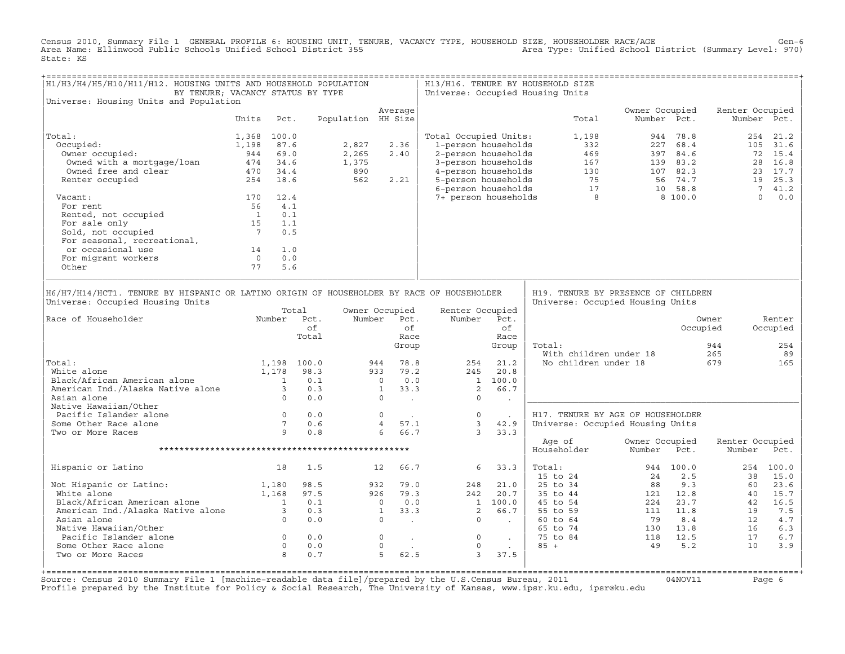Census 2010, Summary File 1 GENERAL PROFILE 6: HOUSING UNIT, TENURE, VACANCY TYPE, HOUSEHOLD SIZE, HOUSEHOLDER RACE/AGE Gen−6 Area Name: Ellinwood Public Schools Unified School District 355 Area Type: Unified School District (Summary Level: 970) State: KS

| H1/H3/H4/H5/H10/H11/H12. HOUSING UNITS AND HOUSEHOLD POPULATION<br>BY TENURE; VACANCY STATUS BY TYPE                                                                                                                                   |                                              |                |             |                                                                                                               |                         |      |                                                                      |                             | H13/H16. TENURE BY HOUSEHOLD SIZE<br>Universe: Occupied Housing Units                                                                                                                                                                                                                                                      |                                         |             |                 |                           |
|----------------------------------------------------------------------------------------------------------------------------------------------------------------------------------------------------------------------------------------|----------------------------------------------|----------------|-------------|---------------------------------------------------------------------------------------------------------------|-------------------------|------|----------------------------------------------------------------------|-----------------------------|----------------------------------------------------------------------------------------------------------------------------------------------------------------------------------------------------------------------------------------------------------------------------------------------------------------------------|-----------------------------------------|-------------|-----------------|---------------------------|
| Universe: Housing Units and Population                                                                                                                                                                                                 |                                              |                |             |                                                                                                               | Average                 |      |                                                                      |                             |                                                                                                                                                                                                                                                                                                                            | Owner Occupied                          |             | Renter Occupied |                           |
|                                                                                                                                                                                                                                        | Units                                        | Pct.           |             | Population HH Size                                                                                            |                         |      |                                                                      |                             | Total                                                                                                                                                                                                                                                                                                                      |                                         | Number Pct. |                 | Number Pct.               |
| Total:                                                                                                                                                                                                                                 | 1,368 100.0                                  |                |             |                                                                                                               |                         |      | Total Occupied Units:                                                |                             | 1,198                                                                                                                                                                                                                                                                                                                      |                                         | 944 78.8    |                 | 254 21.2                  |
| Occupied:                                                                                                                                                                                                                              | 1,198                                        | 87.6           |             | 2,827                                                                                                         | 2.36                    |      | 1-person households                                                  |                             | 332                                                                                                                                                                                                                                                                                                                        |                                         | 227 68.4    |                 | 105 31.6                  |
| )ccupied:<br>Owner occupied:                                                                                                                                                                                                           | 944 69.0                                     |                |             | 2,265                                                                                                         | 2.40                    |      |                                                                      |                             |                                                                                                                                                                                                                                                                                                                            |                                         |             |                 | 72 15.4                   |
| Owned with a mortgage/loan $\frac{271}{126}$ 34.6                                                                                                                                                                                      |                                              |                |             | 1,375                                                                                                         |                         |      |                                                                      |                             |                                                                                                                                                                                                                                                                                                                            |                                         |             |                 | 28 16.8                   |
|                                                                                                                                                                                                                                        | 470 34.4                                     |                |             | 890                                                                                                           |                         |      |                                                                      |                             |                                                                                                                                                                                                                                                                                                                            |                                         |             |                 | 23 17.7                   |
| Owned free and clear<br>Renter occupied<br>Renter occupied                                                                                                                                                                             | 254 18.6                                     |                |             | 562                                                                                                           | 2.21                    |      |                                                                      |                             |                                                                                                                                                                                                                                                                                                                            |                                         |             |                 | 19 25.3                   |
| Vacant:                                                                                                                                                                                                                                | 170 12.4                                     |                |             |                                                                                                               |                         |      |                                                                      |                             | 1-person households<br>2-person households<br>3-person households<br>469<br>47 339 84.6<br>4-person households<br>5-person households<br>6-person households<br>75 56 74.7<br>6-person households<br>77 10 58.8<br>74 person households<br>8 8 100.0                                                                       |                                         |             |                 | 7 41.2<br>$\Omega$<br>0.0 |
| For rent                                                                                                                                                                                                                               | 56 4.1                                       |                |             |                                                                                                               |                         |      |                                                                      |                             |                                                                                                                                                                                                                                                                                                                            |                                         |             |                 |                           |
| For rent<br>Rented, not occupied<br>For sale only<br>Sold, not occupied<br>The Contract of the Contract of the Contract of the Contract of the Contract of the Contract of the Contract of the Contract of the Contract of the Contrac |                                              |                |             |                                                                                                               |                         |      |                                                                      |                             |                                                                                                                                                                                                                                                                                                                            |                                         |             |                 |                           |
|                                                                                                                                                                                                                                        |                                              |                |             |                                                                                                               |                         |      |                                                                      |                             |                                                                                                                                                                                                                                                                                                                            |                                         |             |                 |                           |
|                                                                                                                                                                                                                                        |                                              |                |             |                                                                                                               |                         |      |                                                                      |                             |                                                                                                                                                                                                                                                                                                                            |                                         |             |                 |                           |
| For seasonal, recreational,                                                                                                                                                                                                            |                                              |                |             |                                                                                                               |                         |      |                                                                      |                             |                                                                                                                                                                                                                                                                                                                            |                                         |             |                 |                           |
| or occasional use                                                                                                                                                                                                                      |                                              | 1.0            |             |                                                                                                               |                         |      |                                                                      |                             |                                                                                                                                                                                                                                                                                                                            |                                         |             |                 |                           |
|                                                                                                                                                                                                                                        |                                              | 0.0            |             |                                                                                                               |                         |      |                                                                      |                             |                                                                                                                                                                                                                                                                                                                            |                                         |             |                 |                           |
| For migrant workers<br>Other                                                                                                                                                                                                           | $\begin{array}{c} 14 \\ 0 \\ 77 \end{array}$ | 5.6            |             |                                                                                                               |                         |      |                                                                      |                             |                                                                                                                                                                                                                                                                                                                            |                                         |             |                 |                           |
|                                                                                                                                                                                                                                        |                                              |                |             |                                                                                                               |                         |      |                                                                      |                             |                                                                                                                                                                                                                                                                                                                            |                                         |             |                 |                           |
| H6/H7/H14/HCT1. TENURE BY HISPANIC OR LATINO ORIGIN OF HOUSEHOLDER BY RACE OF HOUSEHOLDER<br>Universe: Occupied Housing Units                                                                                                          |                                              |                | Total       |                                                                                                               | Owner Occupied          |      | Renter Occupied                                                      |                             | H19. TENURE BY PRESENCE OF CHILDREN<br>Universe: Occupied Housing Units                                                                                                                                                                                                                                                    |                                         |             |                 |                           |
| Number Pct.<br>Race of Householder                                                                                                                                                                                                     |                                              |                |             |                                                                                                               | Number Pct.             |      | Number Pct.                                                          |                             |                                                                                                                                                                                                                                                                                                                            |                                         |             | Owner           | Renter                    |
|                                                                                                                                                                                                                                        |                                              |                | of          |                                                                                                               |                         | of   |                                                                      | of                          |                                                                                                                                                                                                                                                                                                                            |                                         |             | Occupied        | Occupied                  |
|                                                                                                                                                                                                                                        |                                              |                | Total       |                                                                                                               |                         | Race |                                                                      | Race                        |                                                                                                                                                                                                                                                                                                                            |                                         |             |                 |                           |
|                                                                                                                                                                                                                                        |                                              |                |             |                                                                                                               | Group                   |      |                                                                      | Group                       | Total:                                                                                                                                                                                                                                                                                                                     |                                         |             | 944             | 254                       |
|                                                                                                                                                                                                                                        |                                              |                |             |                                                                                                               |                         |      |                                                                      |                             |                                                                                                                                                                                                                                                                                                                            | With children under 18                  |             | 265             | 89                        |
| Total:                                                                                                                                                                                                                                 |                                              |                | 1,198 100.0 |                                                                                                               | 944                     | 78.8 | 254                                                                  | 21.2                        |                                                                                                                                                                                                                                                                                                                            | No children under 18                    |             | 679             | 165                       |
| White alone                                                                                                                                                                                                                            |                                              |                | 1,178 98.3  |                                                                                                               | 933 79.2                |      | 245                                                                  | 20.8                        |                                                                                                                                                                                                                                                                                                                            |                                         |             |                 |                           |
|                                                                                                                                                                                                                                        |                                              |                | 0.1         |                                                                                                               |                         |      |                                                                      | 1 100.0                     |                                                                                                                                                                                                                                                                                                                            |                                         |             |                 |                           |
| White alone $-$<br>Black/African American alone $-$ 1<br>American Ind./Alaska Native alone 3                                                                                                                                           |                                              |                | 0.3         |                                                                                                               |                         |      | 2                                                                    | 66.7                        |                                                                                                                                                                                                                                                                                                                            |                                         |             |                 |                           |
| Asian alone                                                                                                                                                                                                                            |                                              | $\overline{0}$ | 0.0         | $\begin{bmatrix} 0 & 0 & 0 \\ 1 & 3 & 3 \\ 0 & 0 & 0 \end{bmatrix}$                                           |                         |      | $\Omega$                                                             | <b>Contract</b>             |                                                                                                                                                                                                                                                                                                                            |                                         |             |                 |                           |
| Native Hawaiian/Other                                                                                                                                                                                                                  |                                              |                |             |                                                                                                               |                         |      |                                                                      |                             |                                                                                                                                                                                                                                                                                                                            |                                         |             |                 |                           |
| Pacific Islander alone                                                                                                                                                                                                                 |                                              |                |             |                                                                                                               |                         |      | $\overline{0}$<br>$\begin{array}{ccc} 0 & . \\ 4 & 57.1 \end{array}$ | $\sim 100$ km s $^{-1}$     | H17. TENURE BY AGE OF HOUSEHOLDER                                                                                                                                                                                                                                                                                          |                                         |             |                 |                           |
| Some Other Race alone                                                                                                                                                                                                                  |                                              |                |             |                                                                                                               |                         |      | $\overline{\mathbf{3}}$                                              | 42.9                        | Universe: Occupied Housing Units                                                                                                                                                                                                                                                                                           |                                         |             |                 |                           |
| Two or More Races                                                                                                                                                                                                                      |                                              |                |             |                                                                                                               | 6 66.7                  |      | $\overline{\phantom{a}}$ 3                                           | 33.3                        |                                                                                                                                                                                                                                                                                                                            |                                         |             |                 |                           |
|                                                                                                                                                                                                                                        |                                              |                |             |                                                                                                               |                         |      |                                                                      |                             | Age of                                                                                                                                                                                                                                                                                                                     | Owner Occupied                          |             | Renter Occupied |                           |
|                                                                                                                                                                                                                                        |                                              |                |             |                                                                                                               |                         |      |                                                                      |                             | Householder                                                                                                                                                                                                                                                                                                                | Number                                  | Pct.        | Number          | Pct.                      |
| Hispanic or Latino                                                                                                                                                                                                                     |                                              | 18             | 1.5         |                                                                                                               | 12 66.7                 |      | $\overline{6}$                                                       | 33.3                        | Total:                                                                                                                                                                                                                                                                                                                     |                                         | 944 100.0   |                 | 254 100.0                 |
|                                                                                                                                                                                                                                        |                                              |                |             |                                                                                                               |                         |      |                                                                      |                             | 15 to 24                                                                                                                                                                                                                                                                                                                   |                                         | 2.5         | 38              | 15.0                      |
|                                                                                                                                                                                                                                        |                                              |                | 98.5        |                                                                                                               | 932 79.0                |      | 248                                                                  | 21.0                        | 25 to 34                                                                                                                                                                                                                                                                                                                   | $\begin{array}{c} 24 \\ 88 \end{array}$ | 9.3         | 60              | 23.6                      |
|                                                                                                                                                                                                                                        |                                              |                |             |                                                                                                               | 926 79.3                |      |                                                                      |                             |                                                                                                                                                                                                                                                                                                                            |                                         |             |                 | 15.7                      |
|                                                                                                                                                                                                                                        |                                              |                |             |                                                                                                               |                         |      |                                                                      |                             |                                                                                                                                                                                                                                                                                                                            |                                         |             |                 | 16.5                      |
| Not Hispanic or Latino: 1,180<br>White alone 1,168<br>Black/African American alone 1<br>American Ind./Alaska Native alone 3<br>Asian alone 0                                                                                           |                                              |                |             | $\begin{array}{cccc} 97.5 & & 926 & 79.3 \\ 0.1 & & 0 & 0.0 \\ 0.3 & & 1 & 33.3 \\ 0.0 & & 0 & . \end{array}$ |                         |      | $79.3$ $242$ $20.7$<br>$0.0$ $1 100.0$<br>$33.3$ $2 66.7$            |                             | 25 to 44<br>45 to 54<br>45 to 54<br>55 to 59<br>11 11.8<br>60 to 64<br>79<br>8.4<br>12<br>79<br>8.4<br>12<br>13<br>13<br>13<br>13<br>13<br>13<br>13<br>14<br>12<br>11<br>11<br>13<br>14<br>12<br>14<br>12<br>14<br>12<br>15<br>16<br>16<br>16<br>16<br>16<br>16<br>16<br>17<br>16<br>17<br>16<br>17<br>17<br>17<br>17<br>1 |                                         |             |                 | 7.5                       |
|                                                                                                                                                                                                                                        |                                              |                |             |                                                                                                               |                         |      | $\overline{\phantom{0}}$                                             | $\sim 100$ km s $^{-1}$     |                                                                                                                                                                                                                                                                                                                            |                                         |             |                 | 4.7                       |
| Native Hawaiian/Other                                                                                                                                                                                                                  |                                              |                |             |                                                                                                               |                         |      |                                                                      |                             |                                                                                                                                                                                                                                                                                                                            |                                         |             |                 | 6.3                       |
|                                                                                                                                                                                                                                        |                                              |                | 0.0         |                                                                                                               | $\sim 100$ km s $^{-1}$ |      | $\overline{0}$                                                       | $\sim 10^{11}$ km s $^{-1}$ |                                                                                                                                                                                                                                                                                                                            |                                         |             |                 | 6.7                       |
| Some Other Race alone                                                                                                                                                                                                                  |                                              |                | 0.0         | $\begin{matrix} 0 \\ 0 \end{matrix}$                                                                          | $\circ$                 |      | $\circ$                                                              |                             |                                                                                                                                                                                                                                                                                                                            |                                         |             |                 | 3.9                       |
| Pacific Islander alone 0<br>Some Other Race alone 0<br>Two or More Races 8<br>Two or More Races                                                                                                                                        |                                              |                | 0.7         |                                                                                                               | $\overline{5}$          | 62.5 | $\overline{3}$                                                       | 37.5                        |                                                                                                                                                                                                                                                                                                                            |                                         |             |                 |                           |
|                                                                                                                                                                                                                                        |                                              |                |             |                                                                                                               |                         |      |                                                                      |                             |                                                                                                                                                                                                                                                                                                                            |                                         |             |                 |                           |

+===================================================================================================================================================+Source: Census 2010 Summary File 1 [machine−readable data file]/prepared by the U.S.Census Bureau, 2011 04NOV11 Page 6 Profile prepared by the Institute for Policy & Social Research, The University of Kansas, www.ipsr.ku.edu, ipsr@ku.edu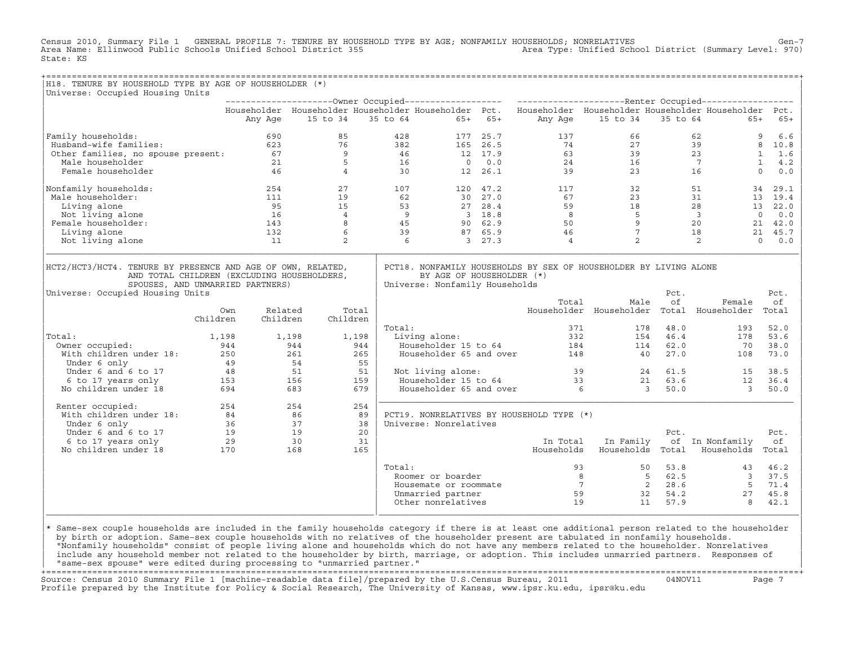Census 2010, Summary File 1 GENERAL PROFILE 7: TENURE BY HOUSEHOLD TYPE BY AGE; NONFAMILY HOUSEHOLDS; NONRELATIVES Gen−7<br>Area Name: Ellinwood Public Schools Unified School District 355 Area Name: Ellinwood Public Schools Unified School District 355 State: KS

| H18. TENURE BY HOUSEHOLD TYPE BY AGE OF HOUSEHOLDER (*)                                                                                                                                                  |          |                                          |                 |       |                                                     |                                                                                  |         |                                                                                                           |                                                  |          |                                                                                                                    |                     |
|----------------------------------------------------------------------------------------------------------------------------------------------------------------------------------------------------------|----------|------------------------------------------|-----------------|-------|-----------------------------------------------------|----------------------------------------------------------------------------------|---------|-----------------------------------------------------------------------------------------------------------|--------------------------------------------------|----------|--------------------------------------------------------------------------------------------------------------------|---------------------|
| Universe: Occupied Housing Units                                                                                                                                                                         |          |                                          |                 |       |                                                     |                                                                                  |         |                                                                                                           |                                                  |          |                                                                                                                    |                     |
|                                                                                                                                                                                                          |          |                                          |                 |       |                                                     |                                                                                  |         |                                                                                                           |                                                  |          |                                                                                                                    |                     |
|                                                                                                                                                                                                          |          |                                          |                 |       |                                                     |                                                                                  |         | Householder Householder Householder Householder Pct. Householder Householder Householder Householder Pct. |                                                  |          |                                                                                                                    |                     |
|                                                                                                                                                                                                          |          | Any Age                                  | 15 to 34        |       |                                                     | 35 to 64 65+ 65+                                                                 |         |                                                                                                           | Any Age 15 to 34 35 to 64                        |          | $65+$                                                                                                              | $65+$               |
| Family households:<br>%" immly households:<br>Husband-wife families: 623<br>Other families, no spouse present: 67<br>Male householder 21<br>46                                                           |          |                                          | 85              |       |                                                     | 428                                                                              |         |                                                                                                           |                                                  |          |                                                                                                                    | $6.6$<br>9          |
|                                                                                                                                                                                                          |          |                                          | 76              |       |                                                     |                                                                                  |         |                                                                                                           |                                                  |          |                                                                                                                    | 8 10.8              |
|                                                                                                                                                                                                          |          |                                          | 9               |       |                                                     |                                                                                  |         |                                                                                                           |                                                  |          |                                                                                                                    | $1 \quad 1.6$       |
|                                                                                                                                                                                                          |          |                                          | $5^{\circ}$     |       |                                                     |                                                                                  |         |                                                                                                           |                                                  |          |                                                                                                                    | $\mathbf{1}$<br>4.2 |
|                                                                                                                                                                                                          |          |                                          | $\overline{4}$  |       | $382$<br>$46$<br>$16$<br>$30$                       |                                                                                  |         |                                                                                                           |                                                  |          |                                                                                                                    | $\Omega$<br>0.0     |
| Nonfamily households:                                                                                                                                                                                    |          | 254                                      | 27              |       | $\begin{array}{c} 1 \cup . \\ 62 \end{array}$       |                                                                                  |         |                                                                                                           |                                                  |          | $\begin{array}{cccc} 32 & & & 51 \\ 23 & & & 31 \\ 18 & & & 28 \\ 5 & & 3 \\ 9 & & & 20 \\ 7 & & & 18 \end{array}$ | 29.1<br>34          |
| Male householder:                                                                                                                                                                                        |          | 111                                      | 19              |       |                                                     | $\begin{array}{cc} 120 & 47.2 \\ 30 & 27.0 \end{array}$                          |         | 67                                                                                                        |                                                  |          |                                                                                                                    | 13 19.4             |
| Living alone                                                                                                                                                                                             |          | 95                                       | 15              |       |                                                     |                                                                                  |         |                                                                                                           |                                                  |          |                                                                                                                    | 13 22.0             |
| Not living alone                                                                                                                                                                                         |          |                                          | $\overline{4}$  |       |                                                     |                                                                                  |         |                                                                                                           |                                                  |          | $\overline{0}$                                                                                                     | 0.0                 |
| Female householder:                                                                                                                                                                                      |          | $\begin{array}{c} 16 \\ 143 \end{array}$ | 8               |       | $\begin{bmatrix} 53 \\ 9 \\ 45 \\ 39 \end{bmatrix}$ | $\begin{array}{ccc} 27 & 28.4 \\ 3 & 18.8 \\ 90 & 62.9 \\ 87 & 65.9 \end{array}$ |         | $59$<br>$8$<br>$50$<br>$46$                                                                               |                                                  |          |                                                                                                                    | 21 42.0             |
| Living alone                                                                                                                                                                                             |          | 132                                      | 6               |       |                                                     |                                                                                  |         |                                                                                                           |                                                  |          |                                                                                                                    | 21 45.7             |
| Not living alone                                                                                                                                                                                         |          | 11                                       | 2               |       | 6                                                   |                                                                                  | 3, 27.3 | $\overline{4}$                                                                                            | $\overline{a}$                                   |          | 2                                                                                                                  | $\Omega$<br>0.0     |
|                                                                                                                                                                                                          |          |                                          |                 |       |                                                     |                                                                                  |         |                                                                                                           |                                                  |          |                                                                                                                    |                     |
| HCT2/HCT3/HCT4. TENURE BY PRESENCE AND AGE OF OWN, RELATED,<br>AND TOTAL CHILDREN (EXCLUDING HOUSEHOLDERS,<br>SPOUSES, AND UNMARRIED PARTNERS)                                                           |          |                                          |                 |       |                                                     | BY AGE OF HOUSEHOLDER (*)<br>Universe: Nonfamily Households                      |         | PCT18. NONFAMILY HOUSEHOLDS BY SEX OF HOUSEHOLDER BY LIVING ALONE                                         |                                                  |          |                                                                                                                    |                     |
| Universe: Occupied Housing Units                                                                                                                                                                         |          |                                          |                 |       |                                                     |                                                                                  |         |                                                                                                           |                                                  | Pct.     |                                                                                                                    | Pct.                |
|                                                                                                                                                                                                          |          |                                          |                 |       |                                                     |                                                                                  |         | Total                                                                                                     | Male                                             | оf       | Female                                                                                                             | оf                  |
|                                                                                                                                                                                                          | Own      | Related                                  |                 | Total |                                                     |                                                                                  |         |                                                                                                           | Householder Householder Total Householder        |          |                                                                                                                    | Total               |
|                                                                                                                                                                                                          | Children | Children                                 | Children        |       |                                                     |                                                                                  |         |                                                                                                           |                                                  |          |                                                                                                                    |                     |
|                                                                                                                                                                                                          |          |                                          |                 |       | Total:                                              |                                                                                  |         |                                                                                                           | 371<br>178                                       | 48.0     | 193                                                                                                                | 52.0                |
| Total:                                                                                                                                                                                                   | 1,198    |                                          | 1,198           | 1,198 |                                                     | otai:<br>Living alone:<br>Householder 15 to 64                                   |         |                                                                                                           | 332 33                                           | 154 46.4 | 178                                                                                                                | 53.6                |
| Owner occupied:                                                                                                                                                                                          | 944      |                                          | 944             | 944   |                                                     | Householder 15 to 64                                                             |         |                                                                                                           | $\begin{array}{c} 184 \\ 148 \end{array}$<br>114 | 62.0     | 70                                                                                                                 | 38.0                |
| With children under 18:                                                                                                                                                                                  |          | 250                                      | 261             | 265   |                                                     | Householder 65 and over                                                          |         |                                                                                                           | 40                                               | 27.0     | 108                                                                                                                | 73.0                |
|                                                                                                                                                                                                          |          |                                          |                 | 55    |                                                     |                                                                                  |         |                                                                                                           |                                                  |          |                                                                                                                    |                     |
|                                                                                                                                                                                                          |          |                                          | $\frac{55}{51}$ |       |                                                     |                                                                                  |         | Not living alone:<br>Householder 15 to 64 33 21 63.6 12<br>Householder 65 and over 6 3 50.0 3             |                                                  |          |                                                                                                                    | 38.5                |
|                                                                                                                                                                                                          |          |                                          |                 | 159   |                                                     |                                                                                  |         |                                                                                                           |                                                  |          | 12                                                                                                                 | 36.4                |
| No children under 18                                                                                                                                                                                     |          |                                          |                 | 679   |                                                     |                                                                                  |         |                                                                                                           |                                                  |          | $\overline{\mathbf{3}}$                                                                                            | 50.0                |
| Renter occupied:<br>Renter occupied:<br>Renter occupied:<br>With children under 18: 84 86<br>Under 6 only 36 37<br>Under 6 and 6 to 17 19 19<br>6 to 17 years only 29 30<br>No children under 18 170 168 |          |                                          |                 | 254   |                                                     |                                                                                  |         |                                                                                                           |                                                  |          |                                                                                                                    |                     |
|                                                                                                                                                                                                          |          |                                          |                 | 89    |                                                     |                                                                                  |         | PCT19. NONRELATIVES BY HOUSEHOLD TYPE (*)                                                                 |                                                  |          |                                                                                                                    |                     |
|                                                                                                                                                                                                          |          |                                          |                 | 38    |                                                     | Universe: Nonrelatives                                                           |         |                                                                                                           |                                                  |          |                                                                                                                    |                     |
|                                                                                                                                                                                                          |          |                                          |                 | 20    |                                                     |                                                                                  |         |                                                                                                           |                                                  | Pct.     |                                                                                                                    | Pct.                |
|                                                                                                                                                                                                          |          |                                          |                 | 31    |                                                     |                                                                                  |         |                                                                                                           | In Total In Family                               |          | of In Nonfamily                                                                                                    | оf                  |
|                                                                                                                                                                                                          |          |                                          |                 | 165   |                                                     |                                                                                  |         |                                                                                                           |                                                  |          | Households Households Total Households Total                                                                       |                     |
|                                                                                                                                                                                                          |          |                                          |                 |       | Total:                                              |                                                                                  |         |                                                                                                           | 93                                               |          | 50 53.8 43 46.2                                                                                                    |                     |
|                                                                                                                                                                                                          |          |                                          |                 |       |                                                     | Roomer or boarder                                                                |         |                                                                                                           |                                                  |          |                                                                                                                    | 37.5                |
|                                                                                                                                                                                                          |          |                                          |                 |       |                                                     |                                                                                  |         |                                                                                                           |                                                  |          | 8 5 62.5 3<br>7 2 28.6 5                                                                                           | 71.4                |
|                                                                                                                                                                                                          |          |                                          |                 |       |                                                     | Housemate or roommate                                                            |         |                                                                                                           | 59                                               | 32 54.2  | 27                                                                                                                 | 45.8                |
|                                                                                                                                                                                                          |          |                                          |                 |       |                                                     | Unmarried partner<br>Other nonrelatives                                          |         | 19                                                                                                        |                                                  | 11 57.9  | 8                                                                                                                  | 42.1                |
|                                                                                                                                                                                                          |          |                                          |                 |       |                                                     |                                                                                  |         |                                                                                                           |                                                  |          |                                                                                                                    |                     |

design to the control of the control of the control of the control of the control of the control of the control of the control of the control of the control of the control of the control of the control of the control of th |\* Same−sex couple households are included in the family households category if there is at least one additional person related to the householder | | by birth or adoption. Same−sex couple households with no relatives of the householder present are tabulated in nonfamily households. | | "Nonfamily households" consist of people living alone and households which do not have any members related to the householder. Nonrelatives | include any household member not related to the householder by birth, marriage, or adoption. This includes unmarried partners. Responses of | "same−sex spouse" were edited during processing to "unmarried partner." |

+===================================================================================================================================================+ Source: Census 2010 Summary File 1 [machine−readable data file]/prepared by the U.S.Census Bureau, 2011 04NOV11 Page 7 Profile prepared by the Institute for Policy & Social Research, The University of Kansas, www.ipsr.ku.edu, ipsr@ku.edu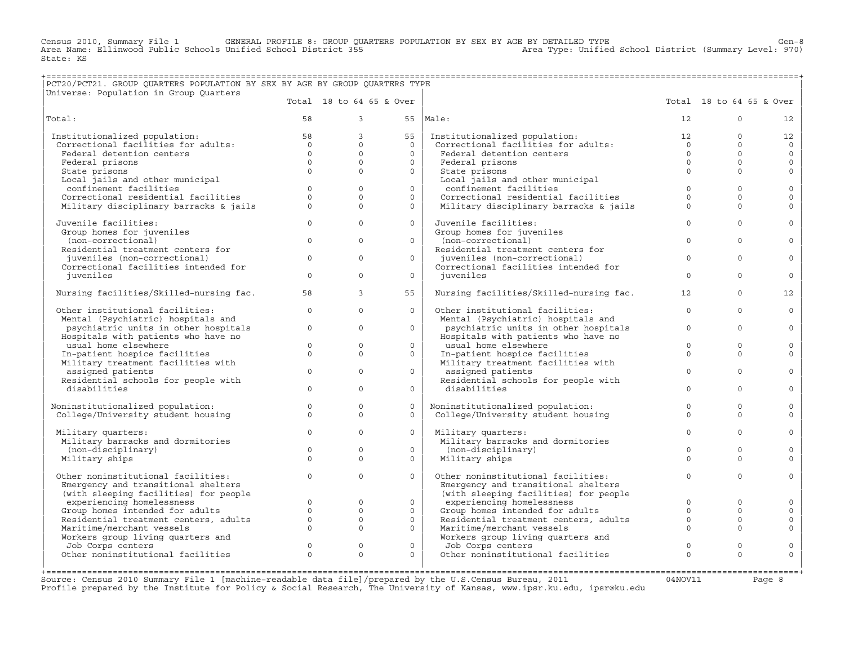Census 2010, Summary File 1 GENERAL PROFILE 8: GROUP QUARTERS POPULATION BY SEX BY AGE BY DETAILED TYPE Genou<br>Area Name: Ellinwood Public Schools Unified School District 355 area Type: Unified School District (Summary Lev Area Name: Ellinwood Public Schools Unified School District 355 State: KS

## +===================================================================================================================================================+ |PCT20/PCT21. GROUP QUARTERS POPULATION BY SEX BY AGE BY GROUP QUARTERS TYPE |

| Universe: Population in Group Quarters                   |              |                |                          |                                                                      |                |                          |                   |
|----------------------------------------------------------|--------------|----------------|--------------------------|----------------------------------------------------------------------|----------------|--------------------------|-------------------|
|                                                          |              |                | Total 18 to 64 65 & Over |                                                                      |                | Total 18 to 64 65 & Over |                   |
| Total:                                                   | 58           | $\mathcal{E}$  |                          | $55$  Male:                                                          | 12             | $\Omega$                 | $12 \overline{ }$ |
| Institutionalized population:                            | 58           | $\overline{3}$ | 55                       | Institutionalized population:                                        | 12             | $\Omega$                 | 12                |
| Correctional facilities for adults:                      | $\Omega$     | $\Omega$       | $\Omega$                 | Institutionalized population:<br>Correctional facilities for adults: | $\overline{0}$ | $\Omega$                 | $\Omega$          |
| Federal detention centers                                | $\Omega$     | $\Omega$       | $\Omega$                 | Federal detention centers                                            | $\Omega$       | $\Omega$                 | $\circ$           |
| Federal prisons                                          | $\Omega$     | $\Omega$       | $\circ$                  | Federal prisons                                                      | $\Omega$       | $\Omega$                 | $\circ$           |
| State prisons                                            | $\Omega$     | $\Omega$       | $\circ$                  | State prisons                                                        | $\Omega$       | $\Omega$                 | $\mathbf{0}$      |
| Local jails and other municipal                          |              |                |                          | Local jails and other municipal                                      |                |                          |                   |
| confinement facilities                                   | $\Omega$     | $\Omega$       | $\circ$                  | confinement facilities                                               | $\Omega$       | $\Omega$                 | $\circ$           |
| Correctional residential facilities                      | $\Omega$     | $\Omega$       | $\Omega$                 | Correctional residential facilities                                  | $\Omega$       | $\Omega$                 | $\mathbf{0}$      |
| Military disciplinary barracks & jails                   | $\Omega$     | $\Omega$       | $\Omega$                 | Military disciplinary barracks & jails                               | $\Omega$       | $\Omega$                 | $\Omega$          |
| Juvenile facilities:                                     | $\Omega$     | $\Omega$       | $\circ$                  | Juvenile facilities:                                                 | $\Omega$       | $\Omega$                 | $\mathbf{0}$      |
| Group homes for juveniles                                |              |                |                          | Group homes for juveniles                                            |                |                          |                   |
| (non-correctional)                                       | $\Omega$     | $\Omega$       | $\Omega$                 | (non-correctional)                                                   | $\Omega$       | $\Omega$                 | $\circ$           |
| Residential treatment centers for                        |              |                |                          | Residential treatment centers for                                    |                |                          |                   |
| juveniles (non-correctional)                             | $\Omega$     | $\Omega$       | $\circ$                  | juveniles (non-correctional)                                         | $\Omega$       | $\Omega$                 | $\Omega$          |
| Correctional facilities intended for                     |              |                |                          | Correctional facilities intended for                                 |                |                          |                   |
| juveniles                                                | $\circ$      | $\Omega$       | $\circ$                  | juveniles                                                            | $\Omega$       | $\Omega$                 | $\circ$           |
| Nursing facilities/Skilled-nursing fac.                  | 58           | $\overline{3}$ | 55                       | Nursing facilities/Skilled-nursing fac.                              | 12             | $\Omega$                 | 12 <sup>°</sup>   |
| Other institutional facilities:                          | $\circ$      | $\Omega$       | $\Omega$                 | Other institutional facilities:                                      | $\Omega$       | $\Omega$                 | $\circ$           |
| Mental (Psychiatric) hospitals and                       |              |                |                          | Mental (Psychiatric) hospitals and                                   |                |                          |                   |
| psychiatric units in other hospitals                     | $\circ$      | $\Omega$       | $\Omega$                 | psychiatric units in other hospitals                                 | $\mathbf{0}$   | $\Omega$                 | $\circ$           |
| Hospitals with patients who have no                      |              |                |                          | Hospitals with patients who have no                                  |                |                          |                   |
| usual home elsewhere                                     | $\circ$      | $\Omega$       | $\circ$                  | usual home elsewhere                                                 | $\Omega$       | $\Omega$                 | $\circ$           |
| In-patient hospice facilities                            | $\Omega$     | $\Omega$       | $\Omega$                 | In-patient hospice facilities                                        | $\Omega$       | $\Omega$                 | $\Omega$          |
| Military treatment facilities with                       | $\Omega$     | $\Omega$       |                          | Military treatment facilities with                                   | $\Omega$       | $\Omega$                 |                   |
| assigned patients<br>Residential schools for people with |              |                | $\circ$                  | assigned patients<br>Residential schools for people with             |                |                          | $\mathbf{0}$      |
| disabilities                                             | $\Omega$     | $\Omega$       | $\circ$                  | disabilities                                                         | $\Omega$       | $\Omega$                 | $\circ$           |
|                                                          |              |                |                          |                                                                      |                |                          |                   |
| Noninstitutionalized population:                         | $\circ$      | $\mathbf{0}$   | $\circ$                  | Noninstitutionalized population:                                     | $\circ$        | $\mathbf{0}$             | $\circ$           |
| College/University student housing                       | $\Omega$     | $\Omega$       | $\Omega$                 | College/University student housing                                   | $\Omega$       | $\Omega$                 | $\Omega$          |
|                                                          |              |                |                          |                                                                      |                |                          |                   |
| Military quarters:                                       | $\Omega$     | $\Omega$       | $\Omega$                 | Military quarters:                                                   | $\mathbf{0}$   | $\Omega$                 | $\circ$           |
| Military barracks and dormitories                        |              |                |                          | Military barracks and dormitories                                    |                |                          |                   |
| (non-disciplinary)                                       | $\mathbf{0}$ | $\circ$        | $\circ$                  | (non-disciplinary)                                                   | $\mathbf{0}$   | $\mathbf{0}$             | $\circ$           |
| Military ships                                           | $\Omega$     | $\Omega$       | $\circ$                  | Military ships                                                       | $\Omega$       | $\Omega$                 | $\circ$           |
| Other noninstitutional facilities:                       | $\Omega$     | $\Omega$       | $\Omega$                 | Other noninstitutional facilities:                                   | $\mathbf{0}$   | $\Omega$                 | $\Omega$          |
| Emergency and transitional shelters                      |              |                |                          | Emergency and transitional shelters                                  |                |                          |                   |
| (with sleeping facilities) for people                    |              |                |                          | (with sleeping facilities) for people                                |                |                          |                   |
| experiencing homelessness                                | $\Omega$     | $\Omega$       | $\Omega$                 | experiencing homelessness                                            | $\Omega$       | $\Omega$                 | $\circ$           |
| Group homes intended for adults                          | $\circ$      | $\circ$        | $\circ$                  | Group homes intended for adults                                      | $\Omega$       | $\Omega$                 | $\circ$           |
| Residential treatment centers, adults                    | $\mathbf{0}$ | $\Omega$       | $\circ$                  | Residential treatment centers, adults                                | $\mathbf{0}$   | $\Omega$                 | $\mathbb O$       |
| Maritime/merchant vessels                                | $\circ$      | $\mathbf{0}$   | $\circ$                  | Maritime/merchant vessels                                            | $\mathbf{0}$   | $\Omega$                 | $\circ$           |
| Workers group living quarters and                        |              |                |                          | Workers group living quarters and                                    |                |                          |                   |
| Job Corps centers                                        | $\circ$      | $\mathbf 0$    | $\mathbf{0}$             | Job Corps centers                                                    | $\mathbf{0}$   | $\Omega$                 | $\circ$           |
| Other noninstitutional facilities                        | $\Omega$     | $\Omega$       | $\Omega$                 | Other noninstitutional facilities                                    | $\Omega$       | $\Omega$                 | $\Omega$          |
|                                                          |              |                |                          |                                                                      |                |                          |                   |

+===================================================================================================================================================+Source: Census 2010 Summary File 1 [machine−readable data file]/prepared by the U.S.Census Bureau, 2011 04NOV11 Page 8 Profile prepared by the Institute for Policy & Social Research, The University of Kansas, www.ipsr.ku.edu, ipsr@ku.edu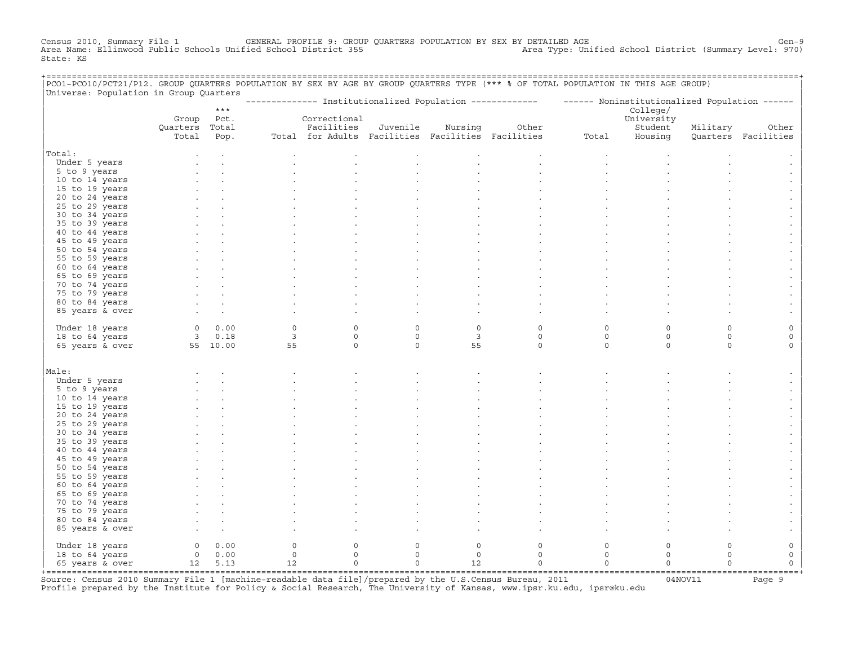Census 2010, Summary File 1 GENERAL PROFILE 9: GROUP QUARTERS POPULATION BY SEX BY DETAILED AGE Gen−9 Area Name: Ellinwood Public Schools Unified School District 355 Area Type: Unified School District (Summary Level: 970) State: KS

| PCO1-PCO10/PCT21/P12. GROUP QUARTERS POPULATION BY SEX BY AGE BY GROUP QUARTERS TYPE (*** % OF TOTAL POPULATION IN THIS AGE GROUP) |                |            | ------------------------ |                                                   |              |                |             |                                                                                                           |             |          | ==================== |
|------------------------------------------------------------------------------------------------------------------------------------|----------------|------------|--------------------------|---------------------------------------------------|--------------|----------------|-------------|-----------------------------------------------------------------------------------------------------------|-------------|----------|----------------------|
| Universe: Population in Group Quarters                                                                                             |                |            |                          |                                                   |              |                |             |                                                                                                           |             |          |                      |
|                                                                                                                                    |                | $***$      |                          |                                                   |              |                |             | -------------- Institutionalized Population ------------- - ------ Noninstitutionalized Population ------ | College/    |          |                      |
|                                                                                                                                    |                | Group Pct. |                          | Correctional                                      |              |                |             |                                                                                                           | University  |          |                      |
|                                                                                                                                    | Quarters Total |            |                          | Facilities                                        | Juvenile     | Nursing        | Other       |                                                                                                           | Student     | Military | Other                |
|                                                                                                                                    | Total          | Pop.       |                          | Total for Adults Facilities Facilities Facilities |              |                |             | Total                                                                                                     | Housing     |          | Quarters Facilities  |
| Total:                                                                                                                             |                |            |                          |                                                   |              |                |             |                                                                                                           |             |          |                      |
| Under 5 years                                                                                                                      |                |            |                          |                                                   |              |                |             |                                                                                                           |             |          |                      |
| 5 to 9 years                                                                                                                       |                |            |                          |                                                   |              |                |             |                                                                                                           |             |          |                      |
| 10 to 14 years                                                                                                                     |                |            |                          |                                                   |              |                |             |                                                                                                           |             |          |                      |
| 15 to 19 years                                                                                                                     |                |            |                          |                                                   |              |                |             |                                                                                                           |             |          |                      |
| 20 to 24 years                                                                                                                     |                |            |                          |                                                   |              |                |             |                                                                                                           |             |          |                      |
| 25 to 29 years                                                                                                                     |                |            |                          |                                                   |              |                |             |                                                                                                           |             |          |                      |
| 30 to 34 years                                                                                                                     |                |            |                          |                                                   |              |                |             |                                                                                                           |             |          |                      |
| 35 to 39 years                                                                                                                     |                |            |                          |                                                   |              |                |             |                                                                                                           |             |          |                      |
| 40 to 44 years                                                                                                                     |                |            |                          |                                                   |              |                |             |                                                                                                           |             |          |                      |
| 45 to 49 years                                                                                                                     |                |            |                          |                                                   |              |                |             |                                                                                                           |             |          |                      |
| 50 to 54 years                                                                                                                     |                |            |                          |                                                   |              |                |             |                                                                                                           |             |          |                      |
| 55 to 59 years                                                                                                                     |                |            |                          |                                                   |              |                |             |                                                                                                           |             |          |                      |
| 60 to 64 years                                                                                                                     |                |            |                          |                                                   |              |                |             |                                                                                                           |             |          |                      |
| 65 to 69 years                                                                                                                     |                |            |                          |                                                   |              |                |             |                                                                                                           |             |          |                      |
| 70 to 74 years                                                                                                                     |                |            |                          |                                                   |              |                |             |                                                                                                           |             |          |                      |
| 75 to 79 years                                                                                                                     |                |            |                          |                                                   |              |                |             |                                                                                                           |             |          |                      |
| 80 to 84 years                                                                                                                     |                |            |                          |                                                   |              |                |             |                                                                                                           |             |          |                      |
| 85 years & over                                                                                                                    |                |            |                          |                                                   |              |                |             |                                                                                                           |             |          |                      |
|                                                                                                                                    |                |            |                          |                                                   |              |                |             |                                                                                                           |             |          |                      |
| Under 18 years                                                                                                                     | $\circ$        | 0.00       | $\circ$                  | $\mathbf{0}$                                      | $\Omega$     | $\circ$        | $\circ$     | $\mathbf 0$                                                                                               | $\mathbf 0$ | $\Omega$ | $\circ$              |
| 18 to 64 years                                                                                                                     |                | 30.18      | $\overline{3}$           | $\mathbf{0}$                                      | $\circ$      | $\overline{3}$ | $\circ$     | $\circ$                                                                                                   | $\circ$     | $\circ$  | $\circ$              |
| 65 years & over                                                                                                                    |                | 55 10.00   | 55                       | $\circ$                                           | $\Omega$     | 55             | $\circ$     | $\Omega$                                                                                                  | $\Omega$    | $\Omega$ | $\Omega$             |
|                                                                                                                                    |                |            |                          |                                                   |              |                |             |                                                                                                           |             |          |                      |
| Male:                                                                                                                              |                |            |                          |                                                   |              |                |             |                                                                                                           |             |          |                      |
| Under 5 years                                                                                                                      |                |            |                          |                                                   |              |                |             |                                                                                                           |             |          |                      |
| 5 to 9 years                                                                                                                       |                |            |                          |                                                   |              |                |             |                                                                                                           |             |          |                      |
| 10 to 14 years                                                                                                                     |                |            |                          |                                                   |              |                |             |                                                                                                           |             |          |                      |
| 15 to 19 years                                                                                                                     |                |            |                          |                                                   |              |                |             |                                                                                                           |             |          |                      |
| 20 to 24 years                                                                                                                     |                |            |                          |                                                   |              |                |             |                                                                                                           |             |          |                      |
| 25 to 29 years                                                                                                                     |                |            |                          |                                                   |              |                |             |                                                                                                           |             |          |                      |
| 30 to 34 years                                                                                                                     |                |            |                          |                                                   |              |                |             |                                                                                                           |             |          |                      |
| 35 to 39 years                                                                                                                     |                |            |                          |                                                   |              |                |             |                                                                                                           |             |          |                      |
| 40 to 44 years                                                                                                                     |                |            |                          |                                                   |              |                |             |                                                                                                           |             |          |                      |
| 45 to 49 years                                                                                                                     |                |            |                          |                                                   |              |                |             |                                                                                                           |             |          |                      |
| 50 to 54 years                                                                                                                     |                |            |                          |                                                   |              |                |             |                                                                                                           |             |          |                      |
| 55 to 59 years                                                                                                                     |                |            |                          |                                                   |              |                |             |                                                                                                           |             |          |                      |
| 60 to 64 years                                                                                                                     |                |            |                          |                                                   |              |                |             |                                                                                                           |             |          |                      |
| 65 to 69 years                                                                                                                     |                |            |                          |                                                   |              |                |             |                                                                                                           |             |          |                      |
| 70 to 74 years                                                                                                                     |                |            |                          |                                                   |              |                |             |                                                                                                           |             |          |                      |
| 75 to 79 years                                                                                                                     |                |            |                          |                                                   |              |                |             |                                                                                                           |             |          |                      |
| 80 to 84 years                                                                                                                     |                |            |                          |                                                   |              |                |             |                                                                                                           |             |          |                      |
| 85 years & over                                                                                                                    |                |            |                          |                                                   |              |                |             |                                                                                                           |             |          |                      |
| Under 18 years                                                                                                                     |                | 0 0.00     | $\circ$                  | $\mathbf{0}$                                      | $\mathbf 0$  | $\mathsf O$    | $\circ$     | $\mathsf O$                                                                                               | $\circ$     | $\circ$  | $\mathsf O$          |
| 18 to 64 years                                                                                                                     |                | 0 0.00     | $\mathbb O$              | $\mathbb O$                                       | $\mathsf{O}$ | $\mathsf{O}$   | $\circ$     | $\mathsf O$                                                                                               | $\circ$     | 0        | $\mathsf O$          |
| 65 years & over                                                                                                                    |                | 12 5.13    | 12                       | $\mathsf{O}\xspace$                               | $\mathsf O$  | 12             | $\mathsf O$ | $\mathsf O$                                                                                               | $\mathsf O$ | $\Omega$ | $\mathsf{O}\xspace$  |
| +=====================================                                                                                             |                |            |                          |                                                   |              |                |             |                                                                                                           |             |          |                      |

+===================================================================================================================================================+Source: Census 2010 Summary File 1 [machine−readable data file]/prepared by the U.S.Census Bureau, 2011 04NOV11 Page 9 Profile prepared by the Institute for Policy & Social Research, The University of Kansas, www.ipsr.ku.edu, ipsr@ku.edu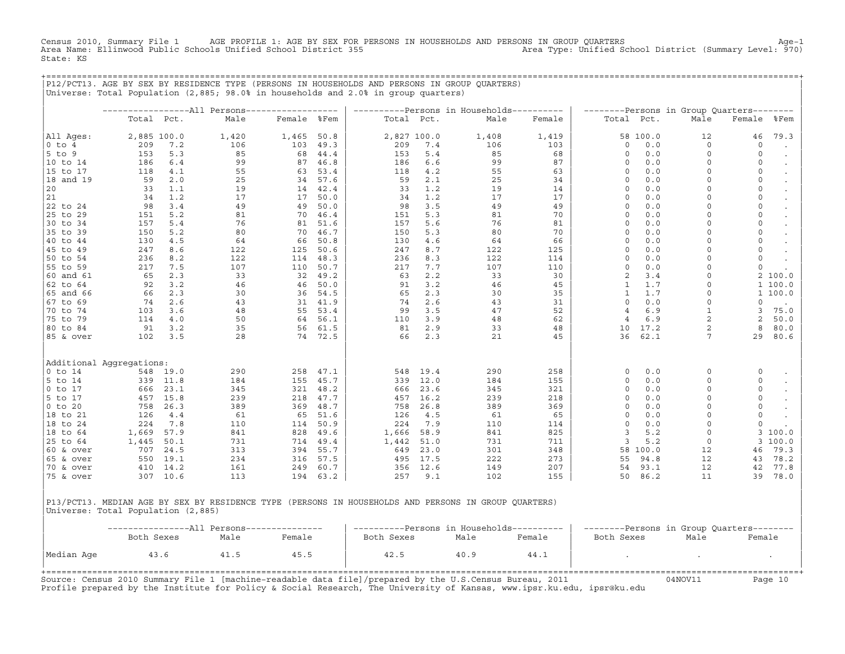Census 2010, Summary File 1 AGE PROFILE 1: AGE BY SEX FOR PERSONS IN HOUSEHOLDS AND PERSONS IN GROUP QUARTERS Age−1<br>Area Name: Ellinwood Public Schools Unified School District 355 Area Name: Ellinwood Public Schools Unified School District 355 State: KS

+===================================================================================================================================================+

|P12/PCT13. AGE BY SEX BY RESIDENCE TYPE (PERSONS IN HOUSEHOLDS AND PERSONS IN GROUP QUARTERS) | |Universe: Total Population (2,885; 98.0% in households and 2.0% in group quarters) | | | | −−−−−−−−−−−−−−−−−All Persons−−−−−−−−−−−−−−−−−− | −−−−−−−−−−Persons in Households−−−−−−−−−− | −−−−−−−−Persons in Group Quarters−−−−−−−− | | Total Pct. Male Female %Fem | Total Pct. Male Female | Total Pct. Male Female %Fem | | | | | |All Ages: 2,885 100.0 1,420 1,465 50.8 | 2,827 100.0 1,408 1,419 | 58 100.0 12 46 79.3<br>|0 to 4 209 7.2 106 103 49.3 | 209 7.4 106 103 | 0 0.0 0 0 0 . |0 to 4 209 7.2 106 103 49.3 | 209 7.4 106 103 | 0 0.0 0 0 . | |5 to 9 153 5.3 85 68 44.4 | 153 5.4 85 68 | 0 0.0 0 0 . | |10 to 14 186 6.4 99 87 46.8 | 186 6.6 99 87 | 0 0.0 0 0 . | |15 to 17 118 4.1 55 63 53.4 | 118 4.2 55 63 | 0 0.0 0 0 . | |18 and 19 59 2.0 25 34 57.6 | 59 2.1 25 34 | 0 0.0 0 0 . | |20 33 1.1 19 14 42.4 | 33 1.2 19 14 | 0 0.0 0 0 . |  $|21$  34 1.2 17 17 50.0 34 1.2 17 17 17 0 0.0 0 0 0 0 |22 to 24 98 3.4 49 49 50.0 | 98 3.5 49 49 | 0 0.0 0 0 . | |25 to 29 151 5.2 81 70 46.4 | 151 5.3 81 70 | 0 0.0 0 0 . | |30 to 34 157 5.4 76 81 51.6 | 157 5.6 76 81 | 0 0.0 0 0 . | |35 to 39 150 5.2 80 70 46.7 | 150 5.3 80 70 | 0 0.0 0 0 . | |40 to 44 130 4.5 64 66 50.8 | 130 4.6 64 66 | 0 0.0 0 0 0 0 . |45 to 49 247 8.6 122 125 50.6 | 247 8.7 122 125 | 0 0.0 0 0 . | |50 to 54 236 8.2 122 114 48.3 | 236 8.3 122 114 | 0 0.0 0 0 . | |55 to 59 217 7.5 107 110 50.7 | 217 7.7 107 110 | 0 0.0 0 0 . | |60 and 61 65 2.3 33 32 49.2 | 63 2.2 33 30 | 2 3.4 0 2 100.0 | |62 to 64 92 3.2 46 46 50.0 | 91 3.2 46 45 | 1 1.7 0 1 100.0 | |65 and 66 66 2.3 30 36 54.5 | 65 2.3 30 35 | 1 1.7 0 1 100.0 | |67 to 69 74 2.6 43 31 41.9 | 74 2.6 43 31 | 0 0.0 0 0 . | |70 to 74 103 3.6 48 55 53.4 | 99 3.5 47 52 | 4 6.9 1 3 75.0 | |75 to 79 114 4.0 50 64 56.1 | 110 3.9 48 62 | 4 6.9 2 2 50.0 | |80 to 84 91 3.2 35 56 61.5 | 81 2.9 33 48 | 10 17.2 2 8 80.0 | |85 & over 102 3.5 28 74 72.5 | 66 2.3 21 45 | 36 62.1 7 29 80.6 | | | | | | | | | |Additional Aggregations: | | | |0 to 14 548 19.0 290 258 47.1 | 548 19.4 290 258 | 0 0.0 0 0 . | |5 to 14 339 11.8 184 155 45.7 | 339 12.0 184 155 | 0 0.0 0 0 . | |0 to 17 666 23.1 345 321 48.2 | 666 23.6 345 321 | 0 0.0 0 0 . | |5 to 17 457 15.8 239 218 47.7 | 457 16.2 239 218 | 0 0.0 0 0 . | |0 to 20 758 26.3 389 369 48.7 | 758 26.8 389 369 | 0 0.0 0 0 . | |18 to 21 126 4.4 61 65 51.6 | 126 4.5 61 65 | 0 0.0 0 0 . | |18 to 24 224 7.8 110 114 50.9 | 224 7.9 110 114 | 0 0.0 0 0 . | |18 to 64 1,669 57.9 841 828 49.6 | 1,666 58.9 841 825 | 3 5.2 0 3 100.0 | |25 to 64 1,445 50.1 731 714 49.4 | 1,442 51.0 731 711 | 3 5.2 0 3 100.0 | |60 & over 707 24.5 313 394 55.7 | 649 23.0 301 348 | 58 100.0 12 46 79.3 | |65 & over 550 19.1 234 316 57.5 | 495 17.5 222 273 | 55 94.8 12 43 78.2 | |70 & over 410 14.2 161 249 60.7 | 356 12.6 149 207 | 54 93.1 12 42 77.8 | |75 & over 307 10.6 113 194 63.2 | 257 9.1 102 155 | 50 86.2 11 39 78.0 | | | | |

|P13/PCT13. MEDIAN AGE BY SEX BY RESIDENCE TYPE (PERSONS IN HOUSEHOLDS AND PERSONS IN GROUP QUARTERS) | |Universe: Total Population (2,885) |

|            | ---------------All Persons--- |      |        | ----------Persons in Households---------- |      |        | --------Persons in Group Quarters-------- |      |        |
|------------|-------------------------------|------|--------|-------------------------------------------|------|--------|-------------------------------------------|------|--------|
|            | Both Sexes                    | Male | Female | Both Sexes                                | Male | Female | Both Sexes                                | Male | Female |
| Median Age | 43.6                          | 41.5 | 45.5   | 42.5                                      | 40.9 | 44.1   |                                           |      |        |

Source: Census 2010 Summary File 1 [machine−readable data file]/prepared by the U.S.Census Bureau, 2011 04NOV11 Page 10 Profile prepared by the Institute for Policy & Social Research, The University of Kansas, www.ipsr.ku.edu, ipsr@ku.edu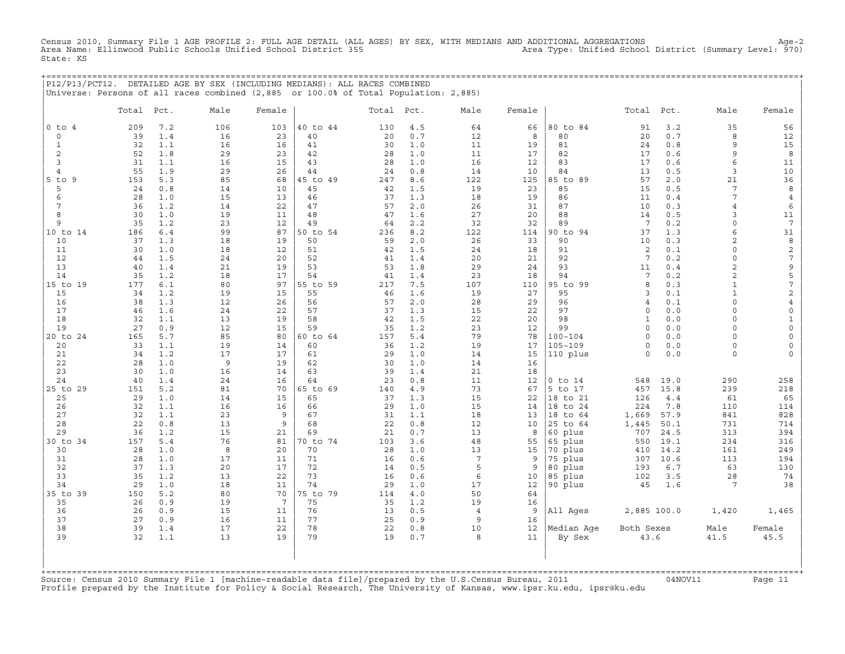Census 2010, Summary File 1 AGE PROFILE 2: FULL AGE DETAIL (ALL AGES) BY SEX, WITH MEDIANS AND ADDITIONAL AGGREGATIONS<br>Area Name: Ellinwood Public Schools Unified School District 355 Area Type: Unif State: KS

|                     |            |            |          |          | P12/P13/PCT12. DETAILED AGE BY SEX (INCLUDING MEDIANS): ALL RACES COMBINED           |            |            |                       |                         |                        |                         |              |                      |                         |
|---------------------|------------|------------|----------|----------|--------------------------------------------------------------------------------------|------------|------------|-----------------------|-------------------------|------------------------|-------------------------|--------------|----------------------|-------------------------|
|                     |            |            |          |          | Universe: Persons of all races combined (2,885 or 100.0% of Total Population: 2,885) |            |            |                       |                         |                        |                         |              |                      |                         |
|                     | Total Pct. |            | Male     | Female   |                                                                                      | Total Pct. |            | Male                  | Female                  |                        | Total                   | Pct.         | Male                 | Female                  |
| $0$ to $4$          | 209        | 7.2        | 106      | 103      | 40 to 44                                                                             | 130        | 4.5        | 64                    | 66                      | 80 to 84               | 91                      | 3.2          | 35                   | 56                      |
| $\circ$             | 39         | 1.4        | 16       | 23       | 40                                                                                   | 20         | 0.7        | 12                    | 8                       | 80                     | 20                      | 0.7          | 8                    | 12                      |
| $\mathbf{1}$        | 32         | 1.1        | 16       | 16       | 41                                                                                   | 30         | 1.0        | 11                    | 19                      | 81                     | 24                      | 0.8          | $\mathbf{Q}$         | 15                      |
| 2                   | 52         | 1.8        | 29       | 23       | 42                                                                                   | 28         | 1.0        | 11                    | 17                      | 82                     | 17                      | 0.6          | 9                    | 8                       |
| 3<br>$\overline{4}$ | 31<br>55   | 1.1<br>1.9 | 16<br>29 | 15<br>26 | 43<br>44                                                                             | 28<br>24   | 1.0<br>0.8 | 16<br>14              | $12 \overline{ }$<br>10 | 83<br>84               | 17<br>13                | 0.6<br>0.5   | 6<br>3               | 11<br>10                |
| $5$ to $9$          | 153        | 5.3        | 85       | 68       | 45 to 49                                                                             | 247        | 8.6        | 122                   | 125                     | 85 to 89               | 57                      | 2.0          | 21                   | 36                      |
| 5                   | 24         | 0.8        | 14       | 10       | 45                                                                                   | 42         | 1.5        | 19                    | 23                      | 85                     | 15                      | 0.5          | 7                    | 8                       |
| 6                   | 28         | 1.0        | 15       | 13       | 46                                                                                   | 37         | 1.3        | 18                    | 19                      | 86                     | 11                      | 0.4          | 7                    | 4                       |
| 7                   | 36         | 1.2        | 14       | 22       | 47                                                                                   | 57         | 2.0        | 26                    | 31                      | 87                     | 10                      | 0.3          | $\overline{4}$       | 6                       |
| 8                   | 30         | 1.0        | 19       | 11       | 48                                                                                   | 47         | 1.6        | 27                    | 20                      | 88                     | 14                      | 0.5          | 3                    | 11                      |
| 9                   | 35         | 1.2        | 23       | 12       | 49                                                                                   | 64         | 2.2        | 32                    | 32                      | 89                     | 7                       | 0.2          | $\Omega$             | $7\phantom{.0}$         |
| 10 to 14<br>10      | 186<br>37  | 6.4<br>1.3 | 99<br>18 | 87<br>19 | 50 to 54<br>50                                                                       | 236<br>59  | 8.2<br>2.0 | 122<br>26             | 114<br>33               | 90 to 94<br>90         | 37<br>10                | 1.3<br>0.3   | 6<br>2               | 31<br>8                 |
| 11                  | 30         | 1.0        | 18       | 12       | 51                                                                                   | 42         | 1.5        | 24                    | 18                      | 91                     | 2                       | 0.1          | $\cap$               | $\overline{\mathbf{c}}$ |
| 12                  | 44         | 1.5        | 24       | 20       | 52                                                                                   | 41         | 1.4        | 20                    | 21                      | 92                     | $7\phantom{.0}$         | 0.2          | $\cap$               | $\sqrt{ }$              |
| 13                  | 40         | 1.4        | 21       | 19       | 53                                                                                   | 53         | 1.8        | 29                    | 24                      | 93                     | 11                      | $0.4$        | 2                    | $\mathsf 9$             |
| 14                  | 35         | 1.2        | 18       | 17       | 54                                                                                   | 41         | 1.4        | 23                    | 18                      | 94                     | 7                       | 0.2          | $\overline{2}$       | 5                       |
| 15 to 19            | 177        | 6.1        | 80       | 97       | 55 to 59                                                                             | 217        | 7.5        | 107                   | 110                     | 95 to 99               | 8                       | 0.3          | $\mathbf{1}$         | 7                       |
| 15                  | 34         | 1.2        | 19       | 15       | 55                                                                                   | 46         | 1.6        | 19                    | 27                      | 95                     | 3                       | 0.1          | $\mathbf{1}$         | $\sqrt{2}$              |
| 16                  | 38         | 1.3        | 12       | 26       | 56                                                                                   | 57         | 2.0        | 28                    | 29                      | 96                     | 4                       | 0.1          | $\Omega$<br>$\Omega$ | $\overline{4}$          |
| 17<br>18            | 46<br>32   | 1.6<br>1.1 | 24<br>13 | 22<br>19 | 57<br>58                                                                             | 37<br>42   | 1.3<br>1.5 | 15<br>22              | 22<br>20                | 97<br>98               | $\circ$<br>$\mathbf{1}$ | 0.0<br>0.0   | $\Omega$             | $\circ$<br>$\mathbf{1}$ |
| 19                  | 27         | 0.9        | 12       | 15       | 59                                                                                   | 35         | 1.2        | 23                    | 12                      | 99                     | $\circ$                 | 0.0          | $\Omega$             | $\mathbf 0$             |
| 20 to 24            | 165        | 5.7        | 85       | 80       | 60 to 64                                                                             | 157        | 5.4        | 79                    | 78                      | 100-104                | $\Omega$                | 0.0          | $\cap$               | $\Omega$                |
| 20                  | 33         | 1.1        | 19       | 14       | 60                                                                                   | 36         | 1.2        | 19                    | 17                      | $105 - 109$            | $\Omega$                | 0.0          | $\Omega$             |                         |
| 21                  | 34         | 1.2        | 17       | 17       | 61                                                                                   | 29         | 1.0        | 14                    | 15                      | 110 plus               | $\Omega$                | 0.0          | $\Omega$             |                         |
| 22                  | 28         | 1.0        | 9        | 19       | 62                                                                                   | 30         | 1.0        | 14                    | 16                      |                        |                         |              |                      |                         |
| 23                  | 30         | 1.0        | 16       | 14       | 63                                                                                   | 39         | 1.4        | 21                    | 18                      |                        |                         |              |                      |                         |
| 24<br>25 to 29      | 40<br>151  | 1.4<br>5.2 | 24<br>81 | 16<br>70 | 64<br>65 to 69                                                                       | 23<br>140  | 0.8<br>4.9 | 11<br>73              | 12<br>67                | $0$ to $14$<br>5 to 17 | 548<br>457              | 19.0<br>15.8 | 290<br>239           | 258<br>218              |
| 25                  | 29         | 1.0        | 14       | 15       | 65                                                                                   | 37         | 1.3        | 15                    | 22                      | 18 to 21               | 126                     | 4.4          | 61                   | 65                      |
| 26                  | 32         | 1.1        | 16       | 16       | 66                                                                                   | 29         | 1.0        | 15                    | 14                      | 18 to 24               | 224                     | 7.8          | 110                  | 114                     |
| 27                  | 32         | 1.1        | 23       | 9        | 67                                                                                   | 31         | 1.1        | 18                    | 13                      | 18 to 64               | 1,669                   | 57.9         | 841                  | 828                     |
| 28                  | 22         | 0.8        | 13       | 9        | 68                                                                                   | 22         | 0.8        | 12                    | 10                      | 25 to 64               | 1,445                   | 50.1         | 731                  | 714                     |
| 29                  | 36         | 1.2        | 15       | 21       | 69                                                                                   | 21         | 0.7        | 13                    | 8                       | 60 plus                | 707                     | 24.5         | 313                  | 394                     |
| 30 to 34            | 157        | 5.4        | 76       | 81       | 70 to 74                                                                             | 103        | 3.6        | 48                    | 55                      | 65 plus                | 550                     | 19.1         | 234                  | 316                     |
| 30<br>31            | 28<br>28   | 1.0<br>1.0 | 8<br>17  | 20<br>11 | 70<br>71                                                                             | 28<br>16   | 1.0<br>0.6 | 13<br>$7\phantom{.0}$ | 15<br>9                 | 70 plus<br>75 plus     | 410<br>307              | 14.2<br>10.6 | 161<br>113           | 249<br>194              |
| 32                  | 37         | 1.3        | 20       | 17       | 72                                                                                   | 14         | 0.5        | 5                     | 9                       | 80 plus                | 193                     | 6.7          | 63                   | 130                     |
| 33                  | 35         | 1.2        | 13       | 22       | 73                                                                                   | 16         | 0.6        | 6                     | 10                      | 85 plus                | 102                     | 3.5          | 28                   | 74                      |
| 34                  | 29         | 1.0        | 18       | 11       | 74                                                                                   | 29         | 1.0        | 17                    | 12                      | 90 plus                | 45                      | 1.6          | 7                    | 38                      |
| 35 to 39            | 150        | 5.2        | 80       | 70       | 75 to 79                                                                             | 114        | 4.0        | 50                    | 64                      |                        |                         |              |                      |                         |
| 35                  | 26         | 0.9        | 19       | 7        | 75                                                                                   | 35         | 1.2        | 19                    | 16                      |                        |                         |              |                      |                         |
| 36                  | 26         | 0.9        | 15       | 11       | 76                                                                                   | 13         | 0.5        | 4                     | 9                       | All Ages               | 2,885 100.0             |              | 1,420                | 1,465                   |
| 37<br>38            | 27<br>39   | 0.9        | 16<br>17 | 11<br>22 | 77<br>78                                                                             | 25         | 0.9<br>0.8 | 9<br>10               | 16<br>12                |                        |                         |              | Male                 |                         |
| 39                  | 32         | 1.4<br>1.1 | 13       | 19       | 79                                                                                   | 22<br>19   | 0.7        | 8                     | 11                      | Median Aqe<br>By Sex   | Both Sexes<br>43.6      |              | 41.5                 | Female<br>45.5          |
|                     |            |            |          |          |                                                                                      |            |            |                       |                         |                        |                         |              |                      |                         |
|                     |            |            |          |          |                                                                                      |            |            |                       |                         |                        |                         |              |                      |                         |
|                     |            |            |          |          |                                                                                      |            |            |                       |                         |                        |                         |              |                      |                         |
|                     |            |            |          |          |                                                                                      |            |            |                       |                         |                        |                         |              |                      |                         |

Source: Census 2010 Summary File 1 [machine−readable data file]/prepared by the U.S.Census Bureau, 2011 04NOV11 Page 11 Profile prepared by the Institute for Policy & Social Research, The University of Kansas, www.ipsr.ku.edu, ipsr@ku.edu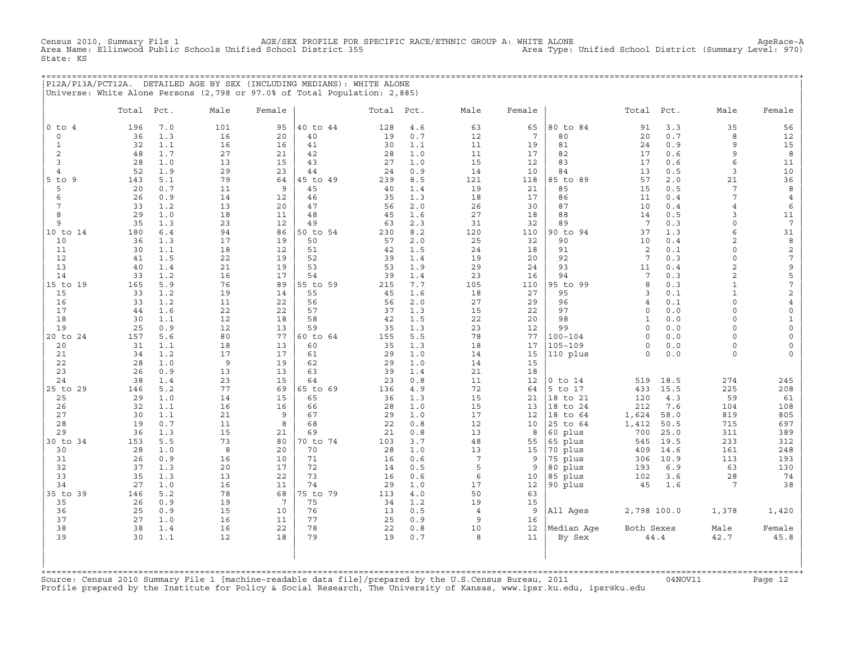Census 2010, Summary File 1 AGE/SEX PROFILE FOR SPECIFIC RACE/ETHNIC GROUP A: WHITE ALONE AgeRace−A Area Name: Ellinwood Public Schools Unified School District 355 State: KS

+===================================================================================================================================================+ |P12A/P13A/PCT12A. DETAILED AGE BY SEX (INCLUDING MEDIANS): WHITE ALONE | |Universe: White Alone Persons (2,798 or 97.0% of Total Population: 2,885) |

|                      | Total    | Pct.       | Male           | Female          |          | Total Pct. |            | Male            | Female   |                         | Total              | Pct.       | Male                  | Female                  |
|----------------------|----------|------------|----------------|-----------------|----------|------------|------------|-----------------|----------|-------------------------|--------------------|------------|-----------------------|-------------------------|
| $0$ to $4$           | 196      | 7.0        | 101            | 95              | 40 to 44 | 128        | 4.6        | 63              | 65       | 80 to 84                | 91                 | 3.3        | 35                    | 56                      |
| $\circ$              | 36       | 1.3        | 16             | 20              | 40       | 19         | 0.7        | 12              | 7        | 80                      | 20                 | $0.7$      | 8                     | 12                      |
| $\mathbf{1}$         | 32       | 1.1        | 16             | 16              | 41       | 30         | 1.1        | 11              | 19       | 81                      | 24                 | 0.9        | 9                     | 15                      |
| 2                    | 48       | 1.7        | 27             | 21              | 42       | 28         | 1.0        | 11              | 17       | 82                      | 17                 | 0.6        | 9                     | 8                       |
| 3                    | 28       | 1.0        | 13             | 15              | 43       | 27         | 1.0        | 15              | 12       | 83                      | 17                 | 0.6        | 6                     | 11                      |
| $\overline{4}$       | 52       | 1.9        | 29             | 23              | 44       | 24         | 0.9        | 14              | 10       | 84                      | 13                 | 0.5        | 3                     | 10                      |
| $5$ to<br>9          | 143      | 5.1        | 79             | 64              | 45 to 49 | 239        | 8.5        | 121             | 118      | 85 to 89                | 57                 | 2.0        | 21                    | 36                      |
| 5                    | 20       | 0.7        | 11             | 9               | 45       | 40         | 1.4        | 19              | 21       | 85                      | 15                 | 0.5        | $\overline{7}$        | 8                       |
| 6                    | 26       | 0.9        | 14             | 12              | 46       | 35         | 1.3        | 18              | 17       | 86                      | 11                 | 0.4        | 7<br>$\overline{4}$   | $\overline{4}$          |
| $7\phantom{.0}$<br>8 | 33<br>29 | 1.2<br>1.0 | 13<br>18       | 20<br>11        | 47<br>48 | 56<br>45   | 2.0<br>1.6 | 26<br>27        | 30<br>18 | 87<br>88                | 10<br>14           | 0.4<br>0.5 | 3                     | 6<br>11                 |
| 9                    | 35       | 1.3        | 23             | 12              | 49       | 63         | 2.3        | 31              | 32       | 89                      | 7                  | 0.3        | $\circ$               | $7\phantom{.0}$         |
| 10 to 14             | 180      | $6.4$      | 94             | 86              | 50 to 54 | 230        | 8.2        | 120             | 110      | 90 to 94                | 37                 | 1.3        | 6                     | 31                      |
| 10                   | 36       | 1.3        | 17             | 19              | 50       | 57         | 2.0        | 25              | 32       | 90                      | 10                 | 0.4        | $\overline{c}$        | 8                       |
| 11                   | 30       | 1.1        | 18             | 12              | 51       | 42         | 1.5        | 24              | 18       | 91                      | 2                  | 0.1        | $\circ$               | $\sqrt{2}$              |
| 12                   | 41       | 1.5        | 22             | 19              | 52       | 39         | 1.4        | 19              | 20       | 92                      | $7\phantom{.0}$    | 0.3        | $\circ$               | $\overline{7}$          |
| 13                   | 40       | 1.4        | 21             | 19              | 53       | 53         | 1.9        | 29              | 24       | 93                      | 11                 | 0.4        | $\overline{a}$        | 9                       |
| 14                   | 33       | 1.2        | 16             | 17              | 54       | 39         | 1.4        | 23              | 16       | 94                      | $7\phantom{.0}$    | 0.3        | $\overline{c}$        | 5                       |
| 15 to 19             | 165      | 5.9        | 76             | 89              | 55 to 59 | 215        | 7.7        | 105             | 110      | 95 to 99                | 8                  | 0.3        | $\mathbf{1}$          | $\overline{7}$          |
| 15                   | 33       | 1.2        | 19             | 14              | 55       | 45         | 1.6        | 18              | 27       | 95                      | 3                  | 0.1        | $\mathbf{1}$          | $\overline{c}$          |
| 16                   | 33       | 1.2        | 11             | 22              | 56       | 56         | 2.0        | 27              | 29       | 96                      | $\overline{4}$     | 0.1        | $\circ$               | $\overline{4}$          |
| 17                   | 44       | 1.6        | 22             | 22              | 57       | 37         | 1.3        | 15              | 22       | 97                      | $\circ$            | 0.0        | $\circ$               | $\mathsf O$             |
| 18                   | 30       | 1.1        | 12             | 18              | 58       | 42         | 1.5        | 22              | 20       | 98                      | $\mathbf{1}$       | 0.0        | $\circ$               | $\mathbf{1}$            |
| 19                   | 25       | 0.9        | 12             | 13              | 59       | 35         | 1.3        | 23              | 12       | 99                      | $\Omega$           | 0.0        | $\circ$               | $\mathsf{O}$            |
| 20 to 24             | 157      | 5.6        | 80             | 77              | 60 to 64 | 155        | 5.5        | 78              | 77       | $100 - 104$             | $\Omega$           | 0.0        | $\Omega$              | $\circ$                 |
| 20<br>21             | 31<br>34 | 1.1<br>1.2 | 18<br>17       | 13<br>17        | 60<br>61 | 35<br>29   | 1.3<br>1.0 | 18<br>14        | 17<br>15 | $105 - 109$<br>110 plus | $\circ$<br>$\circ$ | 0.0<br>0.0 | 0<br>$\circ$          | $\circ$<br>$\mathsf{O}$ |
| 22                   | 28       | 1.0        | $\overline{9}$ | 19              | 62       | 29         | 1.0        | 14              | 15       |                         |                    |            |                       |                         |
| 23                   | 26       | 0.9        | 13             | 13              | 63       | 39         | 1.4        | 21              | 18       |                         |                    |            |                       |                         |
| 24                   | 38       | 1.4        | 23             | 15              | 64       | 23         | 0.8        | 11              | 12       | $0$ to $14$             | 519                | 18.5       | 274                   | 245                     |
| 25 to 29             | 146      | 5.2        | 77             | 69              | 65 to 69 | 136        | 4.9        | 72              | 64       | 5 to 17                 | 433                | 15.5       | 225                   | 208                     |
| 25                   | 29       | 1.0        | 14             | 15              | 65       | 36         | 1.3        | 15              | 21       | 18 to 21                | 120                | 4.3        | 59                    | 61                      |
| 26                   | 32       | 1.1        | 16             | 16              | 66       | 28         | 1.0        | 15              | 13       | 18 to 24                | 212                | 7.6        | 104                   | 108                     |
| 27                   | 30       | 1.1        | 21             | 9               | 67       | 29         | 1.0        | 17              | 12       | 18 to 64                | 1,624              | 58.0       | 819                   | 805                     |
| 28                   | 19       | 0.7        | 11             | 8               | 68       | 22         | 0.8        | 12              | 10       | 25 to 64                | 1,412              | 50.5       | 715                   | 697                     |
| 29                   | 36       | 1.3        | 15             | 21              | 69       | 21         | 0.8        | 13              | 8        | 60 plus                 | 700                | 25.0       | 311                   | 389                     |
| 30 to 34             | 153      | 5.5        | 73             | 80              | 70 to 74 | 103        | 3.7        | 48              | 55       | 65 plus                 | 545                | 19.5       | 233                   | 312                     |
| 30                   | 28       | 1.0        | 8              | 20              | 70       | 28         | 1.0        | 13              | 15       | 70 plus                 | 409                | 14.6       | 161                   | 248                     |
| 31                   | 26       | 0.9        | 16             | 10              | 71       | 16         | 0.6        | $7\phantom{.0}$ | 9        | 75 plus                 | 306                | 10.9       | 113                   | 193                     |
| 32                   | 37       | 1.3        | 20             | 17              | 72       | 14         | 0.5        | 5               | 9        | 80 plus                 | 193                | 6.9        | 63                    | 130                     |
| 33<br>34             | 35<br>27 | 1.3<br>1.0 | 13<br>16       | 22<br>11        | 73<br>74 | 16<br>29   | 0.6<br>1.0 | 6<br>17         | 10<br>12 | 85 plus<br>90 plus      | 102<br>45          | 3.6<br>1.6 | 28<br>$7\phantom{.0}$ | 74<br>38                |
| 35 to 39             | 146      | 5.2        | 78             | 68              | 75 to 79 | 113        | 4.0        | 50              | 63       |                         |                    |            |                       |                         |
| 35                   | 26       | 0.9        | 19             | $7\phantom{.0}$ | 75       | 34         | 1.2        | 19              | 15       |                         |                    |            |                       |                         |
| 36                   | 25       | 0.9        | 15             | 10              | 76       | 13         | 0.5        | $\overline{4}$  | 9        | All Ages                | 2,798 100.0        |            | 1,378                 | 1,420                   |
| 37                   | 27       | 1.0        | 16             | 11              | 77       | 25         | 0.9        | 9               | 16       |                         |                    |            |                       |                         |
| 38                   | 38       | 1.4        | 16             | 22              | 78       | 22         | 0.8        | 10              | 12       | Median Age              | Both Sexes         |            | Male                  | Female                  |
| 39                   | 30       | 1.1        | 12             | 18              | 79       | 19         | 0.7        | 8               | 11       | By Sex                  |                    | 44.4       | 42.7                  | 45.8                    |
| +=======             |          |            |                |                 |          |            |            |                 |          |                         |                    |            |                       |                         |

+===================================================================================================================================================+Source: Census 2010 Summary File 1 [machine−readable data file]/prepared by the U.S.Census Bureau, 2011 04NOV11 Page 12 Profile prepared by the Institute for Policy & Social Research, The University of Kansas, www.ipsr.ku.edu, ipsr@ku.edu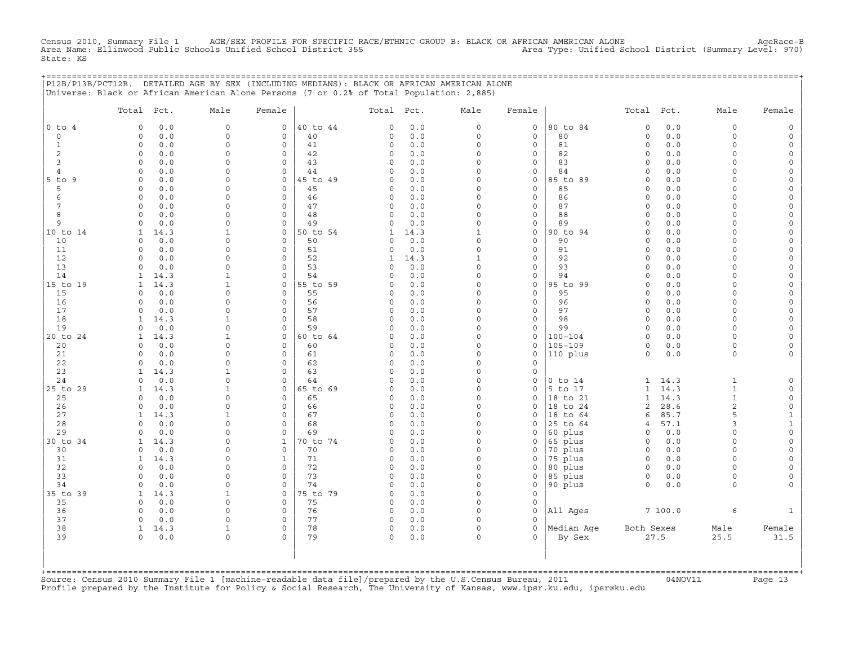Census 2010, Summary File 1 AGE/SEX PROFILE FOR SPECIFIC RACE/ETHNIC GROUP B: BLACK OR AFRICAN AMERICAN ALONE<br>Area Name: Ellinwood Public Schools Unified School District 355 Area Type: U State: KS

+===================================================================================================================================================+

|                 | Total Pct.           | Male                 | Female              |          | Total Pct.   |            | Male                 | Female                   |             | Total Pct.         |            | Male                 | Female                              |
|-----------------|----------------------|----------------------|---------------------|----------|--------------|------------|----------------------|--------------------------|-------------|--------------------|------------|----------------------|-------------------------------------|
| $0$ to $4$      | 0.0<br>$\Omega$      | $\Omega$             | 0                   | 40 to 44 | $\Omega$     | 0.0        | 0                    | 0                        | 80 to 84    | $\circ$            | 0.0        | 0                    | $\mathsf{O}\xspace$                 |
| $\circ$         | $0.0$<br>$\circ$     | $\Omega$             | $\mathbf 0$         | 40       | 0            | $0.0$      | $\circ$              | $\mathsf{O}\xspace$      | 80          | $\circ$            | 0.0        | $\circ$              | $\mathsf O$                         |
| $\mathbf{1}$    | $\circ$<br>0.0       | $\Omega$             | $\mathbf 0$         | 41       | 0            | 0.0        | $\mathsf{O}\xspace$  | $\mathsf{O}\xspace$      | 81          | $\circ$            | 0.0        | $\Omega$             | $\mathsf{O}$                        |
| $\overline{c}$  | $\circ$<br>0.0       | $\Omega$             | $\mathsf O$         | 42       | 0            | 0.0        | 0                    | $\mathsf{O}\xspace$      | 82          | $\circ$            | 0.0        | $\Omega$             | $\mathsf O$                         |
| 3               | 0.0<br>$\Omega$      | $\Omega$             | $\Omega$            | 43       | $\Omega$     | 0.0        | $\Omega$             | $\mathbf 0$              | 83          | $\Omega$           | 0.0        | $\Omega$             | $\mathsf O$                         |
| 4               | 0.0<br>$\Omega$      | $\Omega$             | $\circ$             | 44       | 0            | 0.0        | 0                    | 0                        | 84          | $\circ$            | 0.0        | $\Omega$             | 0                                   |
| $5$ to<br>9     | 0.0<br>$\Omega$      | $\Omega$             | 0                   | 45 to 49 | 0            | 0.0        | 0                    | $\mathsf{O}\xspace$      | 85 to 89    | $\circ$            | 0.0        | $\Omega$             | $\mathsf{O}\xspace$                 |
| 5               | 0.0<br>0             | $\Omega$             | $\mathbf 0$         | 45       | 0            | 0.0        | $\Omega$             | $\mathbf 0$              | 85          | $\mathbf 0$        | 0.0        | $\Omega$             | $\mathsf O$                         |
| 6               | $\circ$<br>0.0       | $\mathbf 0$          | $\mathsf{O}\xspace$ | 46       | 0            | 0.0        | $\Omega$             | $\mathbb O$              | 86          | $\circ$            | 0.0        | $\Omega$             | $\mathsf{O}\xspace$                 |
| $7\phantom{.0}$ | $\circ$<br>0.0       | $\Omega$             | $\circ$             | 47       | $\circ$      | 0.0        | $\Omega$             | $\mathsf{O}\xspace$      | 87          | $\circ$            | 0.0        | $\Omega$             | $\mathsf{O}\xspace$                 |
| 8               | 0.0<br>$\Omega$      | $\Omega$             | $\mathbf 0$         | 48       | $\Omega$     | 0.0        | $\Omega$             | $\mathsf{O}\xspace$      | 88          | $\circ$            | 0.0        | $\Omega$             | $\mathsf O$                         |
| 9               | 0.0<br>$\mathbf 0$   | $\mathbf 0$          | $\mathsf O$         | 49       | 0            | 0.0        | 0                    | $\mathsf{O}\xspace$      | 89          | $\circ$            | 0.0        | $\Omega$             | $\mathsf{O}\xspace$                 |
| 10 to 14        | 14.3<br>1            | $\mathbf{1}$         | $\circ$             | 50 to 54 | 1            | 14.3       | $\mathbf{1}$         | $\mathsf{O}\xspace$      | 90 to 94    | $\circ$            | 0.0        | $\Omega$             | 0                                   |
| 10              | 0.0<br>$\circ$       | $\Omega$             | $\mathbf 0$         | 50       | 0            | 0.0        | $\Omega$             | $\mathsf{O}\xspace$      | 90          | $\circ$            | 0.0        | $\Omega$             | $\mathsf{O}$                        |
| 11              | 0.0<br>$\Omega$      | $\Omega$             | $\circ$             | 51       | $\Omega$     | 0.0        | $\Omega$             | $\mathsf{O}\xspace$      | 91          | $\circ$            | 0.0        | $\Omega$             | $\mathsf{O}\xspace$                 |
| 12              | 0.0<br>$\circ$       | $\Omega$             | $\circ$             | 52       | $\mathbf{1}$ | 14.3       | $\mathbf{1}$         | 0                        | 92          | $\circ$            | 0.0        | $\Omega$             | 0                                   |
| 13              | $\circ$<br>0.0       | $\mathbf 0$          | 0                   | 53       | 0            | 0.0        | $\mathsf{O}\xspace$  | $\mathsf{O}\xspace$      | 93          | $\circ$            | 0.0        | $\Omega$             | $\mathsf{O}\xspace$                 |
| 14              | 14.3<br>1            | $\mathbf{1}$         | $\Omega$            | 54       | $\Omega$     | 0.0        | $\Omega$             | $\mathsf{O}\xspace$      | 94          | $\circ$            | 0.0        | $\Omega$             | $\mathsf{O}\xspace$                 |
| 15 to 19        | 14.3<br>$\mathbf{1}$ | $\mathbf{1}$         | $\circ$             | 55 to 59 | 0            | 0.0        | $\Omega$             | $\mathsf{O}\xspace$      | 95 to 99    | $\circ$            | 0.0        | $\Omega$             | $\mathsf{O}\xspace$                 |
| 15              | $\circ$<br>0.0       | $\Omega$<br>$\Omega$ | $\mathbf 0$         | 55       | $\Omega$     | 0.0        | $\Omega$<br>$\Omega$ | $\mathbf 0$              | 95          | $\circ$            | 0.0        | $\Omega$<br>$\Omega$ | $\mathsf{O}\xspace$                 |
| 16<br>17        | 0.0<br>0             | $\mathbf 0$          | $\circ$<br>$\circ$  | 56       | 0            | 0.0        | $\mathsf{O}\xspace$  | 0<br>$\mathsf{O}\xspace$ | 96          | $\circ$            | 0.0        | $\mathbf 0$          | 0                                   |
|                 | 0.0<br>0<br>14.3     | $\mathbf{1}$         | $\Omega$            | 57<br>58 | 0<br>$\circ$ | 0.0        | $\Omega$             |                          | 97<br>98    | $\circ$<br>$\circ$ | 0.0        | $\Omega$             | $\mathsf{O}$<br>$\mathsf{O}\xspace$ |
| 18<br>19        | 1<br>$\circ$<br>0.0  | $\Omega$             | $\Omega$            | 59       | $\Omega$     | 0.0<br>0.0 | $\Omega$             | 0<br>$\mathsf{O}\xspace$ | 99          | $\circ$            | 0.0<br>0.0 | $\circ$              | $\mathsf{O}\xspace$                 |
| 20 to 24        | 14.3<br>1            | $\mathbf{1}$         | $\mathbf 0$         | 60 to 64 | 0            | 0.0        | $\circ$              | 0                        | $100 - 104$ | $\circ$            | 0.0        | $\circ$              | $\mathsf O$                         |
| 20              | 0.0<br>$\Omega$      | 0                    | 0                   | 60       | 0            | 0.0        | $\Omega$             | 0                        | $105 - 109$ | $\circ$            | 0.0        | $\Omega$             | 0                                   |
| 21              | 0.0<br>$\circ$       | $\Omega$             | $\circ$             | 61       | 0            | 0.0        | $\Omega$             | $\mathsf{O}\xspace$      | 110 plus    | $\circ$            | 0.0        | 0                    | $\mathsf{O}\xspace$                 |
| 22              | 0.0<br>$\circ$       | $\Omega$             | $\circ$             | 62       | $\circ$      | 0.0        | $\circ$              | $\mathsf{O}\xspace$      |             |                    |            |                      |                                     |
| 23              | 14.3<br>1            | $\mathbf{1}$         | $\mathbf 0$         | 63       | $\circ$      | 0.0        | 0                    | $\mathsf{O}\xspace$      |             |                    |            |                      |                                     |
| 24              | $\Omega$<br>0.0      | $\Omega$             | $\Omega$            | 64       | $\Omega$     | 0.0        | $\Omega$             | $\mathbf 0$              | $0$ to $14$ | 1                  | 14.3       | $\mathbf{1}$         | $\mathsf{O}$                        |
| 25 to 29        | 14.3<br>1            | $\mathbf{1}$         | 0                   | 65 to 69 | 0            | 0.0        | $\Omega$             | 0                        | 5 to 17     | $\mathbf{1}$       | 14.3       | $\mathbf{1}$         | $\mathsf{O}$                        |
| 25              | 0.0<br>$\Omega$      | $\mathbf 0$          | $\mathbf 0$         | 65       | 0            | 0.0        | $\Omega$             | $\mathsf{O}\xspace$      | 18 to 21    | $\mathbf{1}$       | 14.3       | $\mathbf{1}$         | $\mathbb O$                         |
| 26              | 0.0<br>0             | $\Omega$             | $\circ$             | 66       | $\Omega$     | 0.0        | $\Omega$             | $\mathbf 0$              | 18 to 24    | $\overline{c}$     | 28.6       | $\overline{c}$       | $\mathsf{O}$                        |
| 27              | $\mathbf{1}$<br>14.3 | $\mathbf{1}$         | $\mathsf{O}\xspace$ | 67       | 0            | 0.0        | 0                    | 0                        | 18<br>to 64 | 6                  | 85.7       | 5                    | $\mathbf 1$                         |
| 28              | 0.0<br>$\Omega$      | $\Omega$             | $\Omega$            | 68       | $\circ$      | 0.0        | $\Omega$             | $\Omega$                 | 25 to 64    | $\overline{4}$     | 57.1       | 3                    | $\mathbf 1$                         |
| 29              | 0.0<br>$\Omega$      | $\Omega$             | $\circ$             | 69       | $\Omega$     | 0.0        | $\Omega$             | $\mathbf 0$              | 60 plus     | $\Omega$           | 0.0        | $\Omega$             | $\mathsf{O}\xspace$                 |
| 30 to 34        | 14.3<br>1            | $\mathbf 0$          | $1\,$               | 70 to 74 | 0            | 0.0        | 0                    | 0                        | 65 plus     | $\circ$            | 0.0        | $\mathbf 0$          | $\mathsf{O}\xspace$                 |
| 30              | 0.0<br>$\circ$       | $\Omega$             | $\mathbf 0$         | 70       | $\circ$      | 0.0        | $\Omega$             | 0                        | 70 plus     | $\circ$            | 0.0        | $\Omega$             | $\mathsf{O}\xspace$                 |
| 31              | 14.3<br>$\mathbf{1}$ | $\Omega$             | $\mathbf{1}$        | 71       | 0            | 0.0        | $\Omega$             | $\mathbf 0$              | 75 plus     | $\circ$            | 0.0        | $\Omega$             | $\mathbb O$                         |
| 32              | $\circ$<br>0.0       | $\Omega$             | $\Omega$            | 72       | 0            | 0.0        | $\Omega$             | 0                        | 80 plus     | $\circ$            | 0.0        | $\Omega$             | $\mathsf{O}\xspace$                 |
| 33              | 0.0<br>0             | $\Omega$             | $\circ$             | 73       | $\circ$      | 0.0        | $\Omega$             | 0                        | 85 plus     | $\circ$            | 0.0        | $\circ$              | 0                                   |
| 34              | 0<br>0.0             | $\mathbf 0$          | $\circ$             | 74       | 0            | 0.0        | 0                    | $\mathsf{O}\xspace$      | 90 plus     | $\circ$            | 0.0        | 0                    | $\mathsf{O}\xspace$                 |
| 35 to 39        | 14.3<br>1            | $\mathbf{1}$         | $\Omega$            | 75 to 79 | 0            | 0.0        | $\Omega$             | $\mathsf{O}\xspace$      |             |                    |            |                      |                                     |
| 35              | $0.0$<br>$\circ$     | $\mathbf 0$          | $\mathbf 0$         | 75       | 0            | 0.0        | $\mathsf{O}\xspace$  | $\mathsf{O}\xspace$      |             |                    |            |                      |                                     |
| 36              | 0.0<br>$\circ$       | $\Omega$             | $\circ$             | 76       | $\circ$      | 0.0        | $\circ$              | $\circ$                  | All Ages    |                    | 7 100.0    | 6                    | $\mathbf{1}$                        |
| 37              | $\circ$<br>0.0       | $\Omega$             | $\circ$             | 77       | 0            | 0.0        | $\circ$              | $\mathbf 0$              |             |                    |            |                      |                                     |
| 38              | $\mathbf{1}$<br>14.3 | $\mathbf{1}$         | $\circ$             | 78       | 0            | 0.0        | $\mathsf{O}\xspace$  | $\mathbf 0$              | Median Age  | Both Sexes         |            | Male                 | Female                              |
| 39              | $\circ$<br>0.0       | $\Omega$             | $\Omega$            | 79       | 0            | 0.0        | $\circ$              | $\Omega$                 | By Sex      |                    | 27.5       | 25.5                 | 31.5                                |

+===================================================================================================================================================+Source: Census 2010 Summary File 1 [machine−readable data file]/prepared by the U.S.Census Bureau, 2011 04NOV11 Page 13 Profile prepared by the Institute for Policy & Social Research, The University of Kansas, www.ipsr.ku.edu, ipsr@ku.edu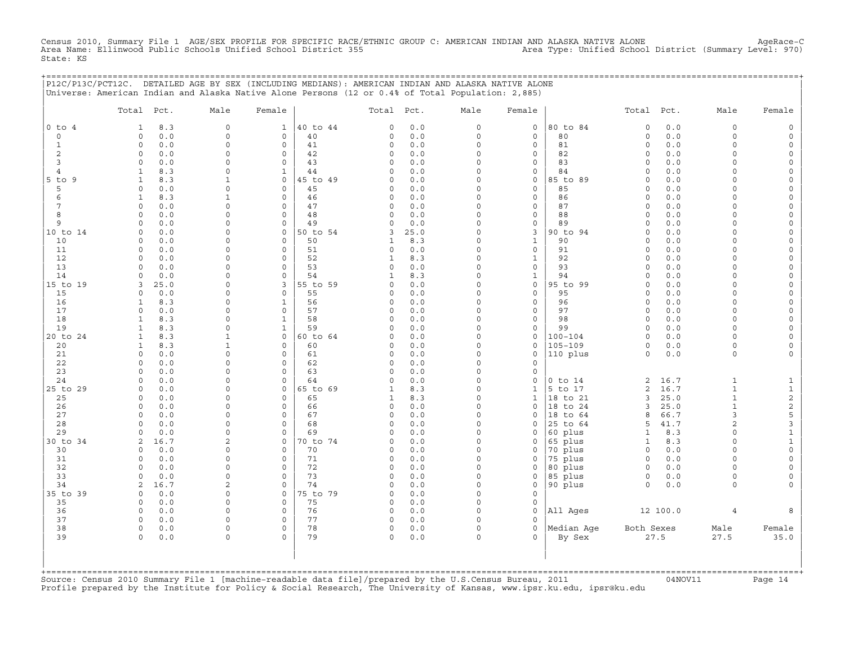Census 2010, Summary File 1 AGE/SEX PROFILE FOR SPECIFIC RACE/ETHNIC GROUP C: AMERICAN INDIAN AND ALASKA NATIVE ALONE AgeRace-C<br>Area Name: Ellinwood Public Schools Unified School District State: KS

|                | P12C/P13C/PCT12C. DETAILED AGE BY SEX (INCLUDING MEDIANS): AMERICAN INDIAN AND ALASKA NATIVE ALONE<br>Universe: American Indian and Alaska Native Alone Persons (12 or 0.4% of Total Population: 2,885) |                      |                                         |                           |            |                      |                  | =============================== |                              |              |                          |                   |
|----------------|---------------------------------------------------------------------------------------------------------------------------------------------------------------------------------------------------------|----------------------|-----------------------------------------|---------------------------|------------|----------------------|------------------|---------------------------------|------------------------------|--------------|--------------------------|-------------------|
|                | Total Pct.                                                                                                                                                                                              | Male                 | Female                                  | Total Pct.                |            | Male                 | Female           |                                 | Total Pct.                   |              | Male                     | Female            |
| $0$ to $4$     | 8.3<br>$\mathbf{1}$                                                                                                                                                                                     | $\mathbf 0$          | $\mathbf{1}$                            | 40 to 44<br>0             | 0.0        | $\circ$              | 0                | 80 to 84                        | $\mathsf{O}\xspace$          | 0.0          | $\circ$                  |                   |
| $\mathbf 0$    | 0.0<br>$\circ$                                                                                                                                                                                          | $\mathbf 0$          | 0<br>40                                 | 0                         | 0.0        | $\circ$              | $\mathbf 0$      | 80                              | $\circ$                      | 0.0          | $\circ$                  | $\Omega$          |
| 1<br>2         | $\Omega$<br>0.0<br>$\Omega$<br>0.0                                                                                                                                                                      | $\Omega$<br>$\Omega$ | $\mathbf 0$<br>41<br>$\mathsf{O}$<br>42 | $\circ$<br>0              | 0.0<br>0.0 | $\Omega$<br>$\Omega$ | 0<br>0           | 81<br>82                        | $\circ$<br>0                 | 0.0<br>0.0   | $\Omega$<br>$\cap$       | $\Omega$          |
| 3              | $\Omega$<br>0.0                                                                                                                                                                                         | $\Omega$             | $\Omega$<br>43                          | 0                         | 0.0        | $\Omega$             | 0                | 83                              | $\Omega$                     | 0.0          | $\cap$                   |                   |
| $\overline{4}$ | 8.3<br>$\mathbf{1}$                                                                                                                                                                                     | $\Omega$             | $\mathbf{1}$<br>44                      | $\Omega$                  | 0.0        | $\Omega$             | 0                | 84                              | $\Omega$                     | 0.0          | $\cap$                   |                   |
| 5 to 9         | 8.3<br>1                                                                                                                                                                                                | -1                   | $\mathbf 0$                             | 45 to 49<br>0             | 0.0        | $\Omega$             | 0                | 85 to 89                        | $\Omega$                     | 0.0          |                          |                   |
| 5              | $\Omega$<br>0.0                                                                                                                                                                                         | $\Omega$             | $\mathbf 0$<br>45                       | 0                         | 0.0        | $\Omega$             | $\mathbf 0$      | 85                              | $\circ$                      | 0.0          | $\Omega$                 |                   |
| 6              | 8.3<br>$\mathbf{1}$                                                                                                                                                                                     | $\mathbf{1}$         | $\mathbf 0$<br>46                       | 0                         | 0.0        | $\Omega$             | 0                | 86                              | $\circ$                      | 0.0          | $\cap$                   | $\Omega$          |
| 7              | 0.0<br>$\circ$                                                                                                                                                                                          | $\Omega$             | $\mathbf 0$<br>47                       | $\mathsf{O}$              | 0.0        | $\Omega$<br>$\Omega$ | 0                | 87                              | $\circ$                      | 0.0          | $\cap$                   |                   |
| 8<br>9         | $\Omega$<br>0.0<br>0.0<br>$\Omega$                                                                                                                                                                      | $\Omega$<br>$\Omega$ | $\Omega$<br>48<br>49<br>0               | $\Omega$<br>$\Omega$      | 0.0<br>0.0 | $\Omega$             | 0<br>0           | 88<br>89                        | $\Omega$<br>$\Omega$         | 0.0<br>$0.0$ | $\Omega$<br>$\Omega$     |                   |
| 10 to 14       | 0.0<br>$\Omega$                                                                                                                                                                                         | $\Omega$             | $\mathbf 0$                             | 50 to 54<br>3             | 25.0       | $\Omega$             | 3                | 90 to 94                        | $\Omega$                     | 0.0          | $\cap$                   | $\Omega$          |
| 10             | 0<br>0.0                                                                                                                                                                                                | $\Omega$             | $\mathbf 0$<br>50                       | 1                         | 8.3        | $\Omega$             | $\mathbf{1}$     | 90                              | $\circ$                      | 0.0          | $\Omega$                 |                   |
| 11             | 0.0<br>$\circ$                                                                                                                                                                                          | $\Omega$             | $\mathbf 0$<br>51                       | $\circ$                   | 0.0        | $\Omega$             | 0                | 91                              | $\circ$                      | 0.0          | $\Omega$                 |                   |
| 12             | $\Omega$<br>0.0                                                                                                                                                                                         | $\Omega$             | $\mathbf 0$<br>52                       | 1                         | 8.3        | $\Omega$             | $\mathbf{1}$     | 92                              | $\Omega$                     | 0.0          | $\Omega$                 | $\Omega$          |
| 13             | 0.0<br>$\circ$                                                                                                                                                                                          | $\Omega$             | $\mathbf 0$<br>53                       | $\circ$                   | 0.0        | $\mathbf 0$          | 0                | 93                              | $\circ$                      | 0.0          | $\cap$                   | $\cap$            |
| 14             | 0.0<br>$\Omega$                                                                                                                                                                                         | $\Omega$             | $\Omega$<br>54                          | 1                         | 8.3        | $\Omega$             | $\mathbf{1}$     | 94                              | $\Omega$                     | 0.0          | $\cap$                   |                   |
| 15 to 19<br>15 | 25.0<br>3<br>0.0<br>$\Omega$                                                                                                                                                                            | $\Omega$<br>$\Omega$ | 3<br>$\Omega$<br>55                     | 55 to 59<br>$\Omega$<br>0 | 0.0<br>0.0 | $\Omega$<br>$\Omega$ | $\mathbf 0$<br>0 | 95 to 99<br>95                  | $\Omega$<br>$\Omega$         | 0.0<br>0.0   | $\Omega$<br>$\cap$       |                   |
| 16             | $\mathbf{1}$<br>8.3                                                                                                                                                                                     | $\Omega$             | $\mathbf{1}$<br>56                      | $\circ$                   | 0.0        | $\Omega$             | $\mathbf 0$      | 96                              | $\circ$                      | 0.0          | $\Omega$                 | $\Omega$          |
| 17             | $\Omega$<br>0.0                                                                                                                                                                                         | $\Omega$             | $\mathbf 0$<br>57                       | $\circ$                   | 0.0        | $\Omega$             | 0                | 97                              | $\circ$                      | 0.0          | $\Omega$                 | $\Omega$          |
| 18             | 8.3<br>$\mathbf{1}$                                                                                                                                                                                     | $\Omega$             | 58<br>$\mathbf{1}$                      | 0                         | 0.0        | $\Omega$             | $\mathbf 0$      | 98                              | $\circ$                      | 0.0          | $\Omega$                 |                   |
| 19             | 8.3<br>$\mathbf{1}$                                                                                                                                                                                     | $\Omega$             | $\mathbf{1}$<br>59                      | 0                         | 0.0        | $\Omega$             | 0                | 99                              | $\circ$                      | 0.0          | $\Omega$                 |                   |
| 20 to 24       | 8.3<br>1                                                                                                                                                                                                | 1                    | $\mathbf{0}$                            | 60 to 64<br>$\Omega$      | 0.0        | $\Omega$             | 0                | 100-104                         | $\Omega$                     | 0.0          | $\Omega$                 |                   |
| 20             | $\mathbf{1}$<br>8.3                                                                                                                                                                                     | 1                    | $\Omega$<br>60                          | $\Omega$                  | 0.0        | $\Omega$             | 0                | $105 - 109$                     | $\Omega$                     | 0.0          | $\Omega$                 |                   |
| 21<br>22       | $\circ$<br>0.0<br>0.0<br>$\Omega$                                                                                                                                                                       | $\Omega$<br>$\Omega$ | $\mathbf 0$<br>61<br>62<br>$\mathbf 0$  | $\circ$<br>$\circ$        | 0.0        | $\Omega$<br>$\Omega$ | $\mathbf 0$      | 110 plus                        | $\circ$                      | 0.0          | $\circ$                  |                   |
| 23             | $\Omega$<br>0.0                                                                                                                                                                                         | $\Omega$             | $\mathbf 0$<br>63                       | 0                         | 0.0<br>0.0 | $\Omega$             | 0<br>0           |                                 |                              |              |                          |                   |
| 24             | $\Omega$<br>0.0                                                                                                                                                                                         | $\Omega$             | $\mathbf 0$<br>64                       | $\circ$                   | 0.0        | $\mathbf 0$          | 0                | $0$ to $14$                     | 2                            | 16.7         | $\mathbf{1}$             | 1                 |
| 25 to 29       | $\circ$<br>0.0                                                                                                                                                                                          | $\Omega$             | $\mathsf{O}$                            | 65 to 69<br>1             | 8.3        | $\Omega$             | 1                | 5 to 17                         | 2                            | 16.7         | $\mathbf{1}$             | $\mathbf{1}$      |
| 25             | 0.0<br>$\Omega$                                                                                                                                                                                         | $\Omega$             | $\Omega$<br>65                          | 1                         | 8.3        | $\Omega$             | $\mathbf{1}$     | 18 to 21                        | 3                            | 25.0         | $\mathbf{1}$             | $\sqrt{2}$        |
| 26             | 0.0<br>$\Omega$                                                                                                                                                                                         | $\Omega$             | $\mathbf 0$<br>66                       | $\circ$                   | 0.0        | 0                    | 0                | 18 to 24                        | 3                            | 25.0         | 1                        | $\sqrt{2}$        |
| 27             | 0.0<br>$\Omega$                                                                                                                                                                                         | $\Omega$             | $\mathbf 0$<br>67                       | $\circ$                   | 0.0        | $\Omega$             | 0                | 18 to 64                        | 8                            | 66.7         | 3                        | 5                 |
| 28<br>29       | 0.0<br>$\Omega$<br>0.0<br>$\Omega$                                                                                                                                                                      | $\Omega$<br>$\Omega$ | 68<br>$\mathbf 0$<br>$\mathbf 0$        | $\circ$<br>$\circ$        | 0.0<br>0.0 | $\Omega$<br>$\Omega$ | 0<br>$\mathbf 0$ | 25 to 64                        | 5                            | 41.7<br>8.3  | $\mathbf{2}$<br>$\Omega$ | 3<br>$\mathbf{1}$ |
| 30 to 34       | 2<br>16.7                                                                                                                                                                                               | 2                    | 69<br>$\mathsf{O}$                      | 70 to 74<br>0             | 0.0        | 0                    | 0                | 60 plus<br>65 plus              | $\mathbf{1}$<br>$\mathbf{1}$ | 8.3          | $\Omega$                 | $\mathbf{1}$      |
| 30             | 0.0<br>$\Omega$                                                                                                                                                                                         | $\Omega$             | 70<br>0                                 | $\Omega$                  | 0.0        | $\Omega$             | 0                | 70 plus                         | $\Omega$                     | 0.0          | $\Omega$                 |                   |
| 31             | 0.0<br>$\Omega$                                                                                                                                                                                         | $\Omega$             | $\Omega$<br>71                          | $\Omega$                  | 0.0        | $\Omega$             | 0                | 75 plus                         | $\Omega$                     | 0.0          | $\cap$                   | $\Omega$          |
| 32             | $\circ$<br>0.0                                                                                                                                                                                          | $\Omega$             | $\mathbf 0$<br>72                       | $\circ$                   | 0.0        | 0                    | 0                | 80 plus                         | $\circ$                      | 0.0          | $\Omega$                 |                   |
| 33             | 0.0<br>$\Omega$                                                                                                                                                                                         | $\Omega$             | 73<br>$\mathbf 0$                       | 0                         | 0.0        | 0                    | 0                | 85 plus                         | $\circ$                      | 0.0          | $\Omega$                 |                   |
| 34             | 16.7<br>2                                                                                                                                                                                               | $\overline{2}$       | $\mathbf 0$<br>74                       | 0                         | 0.0        | $\Omega$             | $\mathbf 0$      | 90 plus                         | $\Omega$                     | 0.0          | $\Omega$                 |                   |
| 35 to 39       | $\circ$<br>0.0                                                                                                                                                                                          | $\mathbf 0$          | 0                                       | 75 to 79<br>0             | 0.0        | $\Omega$             | $\mathbf 0$      |                                 |                              |              |                          |                   |
| 35<br>36       | $\circ$<br>0.0<br>0.0<br>$\Omega$                                                                                                                                                                       | 0<br>$\Omega$        | 75<br>$\mathbf 0$<br>$\mathsf{O}$<br>76 | $\circ$<br>0              | 0.0<br>0.0 | $\Omega$<br>$\Omega$ | 0<br>$\Omega$    | All Ages                        |                              | 12 100.0     | $\overline{4}$           |                   |
| 37             | 0.0<br>$\Omega$                                                                                                                                                                                         | $\Omega$             | $\mathbf 0$<br>77                       | $\circ$                   | 0.0        | $\Omega$             | $\Omega$         |                                 |                              |              |                          |                   |
| 38             | 0<br>0.0                                                                                                                                                                                                | $\Omega$             | $\Omega$<br>78                          | $\circ$                   | 0.0        | $\circ$              | $\mathbf 0$      | Median Age                      | Both Sexes                   |              | Male                     | Female            |
| 39             | $\Omega$<br>0.0                                                                                                                                                                                         | $\Omega$             | 79<br>$\Omega$                          | $\Omega$                  | 0.0        | $\Omega$             | $\Omega$         | By Sex                          |                              | 27.5         | 27.5                     | 35.0              |
|                |                                                                                                                                                                                                         |                      |                                         |                           |            |                      |                  |                                 |                              |              |                          |                   |

+===================================================================================================================================================+Source: Census 2010 Summary File 1 [machine−readable data file]/prepared by the U.S.Census Bureau, 2011 04NOV11 Page 14 Profile prepared by the Institute for Policy & Social Research, The University of Kansas, www.ipsr.ku.edu, ipsr@ku.edu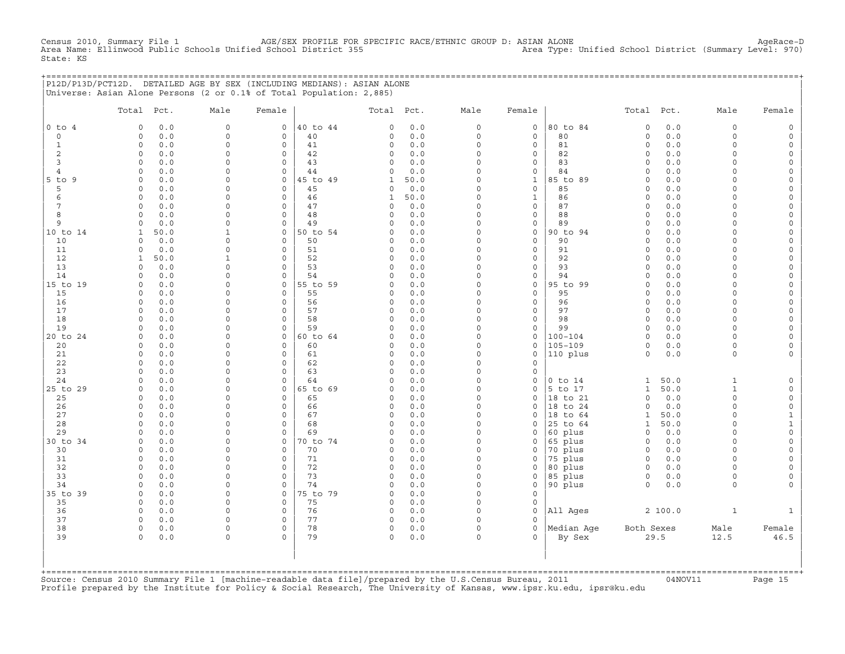Census 2010, Summary File 1 AGE/SEX PROFILE FOR SPECIFIC RACE/ETHNIC GROUP D: ASIAN ALONE AgeRace−D Area Name: Ellinwood Public Schools Unified School District 355 Area Type: Unified School District (Summary Level: 970) State: KS

| P12D/P13D/PCT12D. | . DETAILED AGE BY SEX (INCLUDING MEDIANS): ASIAN ALONE               |  |  |
|-------------------|----------------------------------------------------------------------|--|--|
|                   | Universe: Asian Alone Persons (2 or 0.1% of Total Population: 2,885) |  |  |

|                | Total Pct.              |             | Male                        | Female                  |                | Total Pct.              |            | Male                | Female                     |                     | Total                   | Pct.        | Male                    | Female                                     |
|----------------|-------------------------|-------------|-----------------------------|-------------------------|----------------|-------------------------|------------|---------------------|----------------------------|---------------------|-------------------------|-------------|-------------------------|--------------------------------------------|
| $0$ to $4$     | $\circ$                 | 0.0         | $\mathbf 0$                 | $\circ$                 | 40 to 44       | $\circ$                 | 0.0        | $\circ$             | $\mathbf 0$                | 80 to 84            | $\circ$                 | 0.0         | $\circ$                 | $\mathbb O$                                |
| $\mathbf 0$    | $\circ$                 | 0.0         | $\mathbf 0$                 | $\circ$                 | 40             | $\Omega$                | 0.0        | $\circ$             | $\mathbf 0$                | 80                  | $\circ$                 | 0.0         | $\circ$                 | $\mathsf{O}\xspace$                        |
| $\mathbf{1}$   | $\circ$                 | 0.0         | $\mathbf 0$                 | $\circ$                 | 41             | $\circ$                 | 0.0        | $\circ$             | $\mathbf{0}$               | 81                  | $\circ$                 | 0.0         | $\circ$                 | $\mathsf{O}\xspace$                        |
| 2              | $\circ$                 | 0.0         | $\mathbf 0$                 | $\circ$                 | 42             | $\circ$                 | 0.0        | $\circ$             | $\mathbf 0$                | 82                  | $\mathbf 0$             | 0.0         | $\circ$                 | $\mathsf{O}\xspace$                        |
| $\overline{3}$ | $\circ$                 | 0.0         | $\mathbf 0$                 | $\mathbf 0$             | 43             | $\circ$                 | 0.0        | $\circ$             | $\mathsf{O}\xspace$        | 83                  | $\mathbf 0$             | 0.0         | $\circ$                 | $\mathsf{O}\xspace$                        |
| $\overline{4}$ | $\circ$                 | 0.0         | $\Omega$                    | $\mathbf 0$             | 44             | $\Omega$                | 0.0        | $\Omega$            | $\mathbf 0$                | 84                  | $\Omega$                | 0.0         | $\Omega$                | $\mathsf{O}\xspace$                        |
| $5$ to $9$     | $\circ$                 | 0.0         | $\Omega$                    | $\Omega$                | 45 to 49       | $\mathbf{1}$            | 50.0       | $\Omega$            | $\mathbf{1}$               | 85 to 89            | $\Omega$                | 0.0         | $\Omega$                | $\mathsf{O}\xspace$                        |
| 5              | $\circ$                 | 0.0         | $\Omega$                    | $\Omega$                | 45             | $\circ$                 | 0.0        | $\Omega$            | $\mathbf 0$                | 85                  | $\Omega$                | 0.0         | $\Omega$                | $\mathsf{O}\xspace$                        |
| 6              | $\Omega$                | 0.0         | $\Omega$                    | $\Omega$                | 46             | $\mathbf{1}$            | 50.0       | $\Omega$            | $\mathbf{1}$               | 86                  | $\Omega$                | 0.0         | $\Omega$                | $\mathsf{O}\xspace$                        |
| 7              | $\mathbf{0}$            | 0.0         | $\Omega$                    | $\Omega$                | 47             | $\circ$                 | 0.0        | $\circ$             | $\mathbf{0}$               | 87                  | $\Omega$                | 0.0         | $\Omega$                | $\mathsf{O}\xspace$                        |
| 8              | $\circ$                 | 0.0         | $\mathbf 0$                 | $\circ$                 | 48             | $\Omega$                | 0.0        | $\Omega$            | $\mathsf{O}\xspace$        | 88                  | $\Omega$                | 0.0         | $\circ$                 | $\mathsf{O}\xspace$                        |
| 9              | $\Omega$                | 0.0         | $\Omega$                    | $\Omega$                | 49             | $\Omega$                | 0.0        | $\circ$<br>$\circ$  | $\mathsf{O}\xspace$        | 89                  | $\Omega$<br>$\Omega$    | 0.0         | $\circ$                 | $\mathsf{O}$                               |
| 10 to 14<br>10 | $\mathbf{1}$<br>$\circ$ | 50.0<br>0.0 | $\mathbf{1}$<br>$\mathbf 0$ | $\mathbf{0}$<br>$\circ$ | 50 to 54<br>50 | $\circ$<br>$\Omega$     | 0.0<br>0.0 | $\circ$             | $\mathsf O$<br>$\mathbf 0$ | 90 to 94<br>90      | $\circ$                 | 0.0<br>0.0  | $\circ$<br>$\circ$      | $\mathsf{O}\xspace$                        |
| 11             | 0                       | 0.0         | $\mathbf 0$                 | $\circ$                 | 51             | $\circ$                 | 0.0        | $\Omega$            | $\mathsf{O}\xspace$        | 91                  | $\circ$                 | 0.0         | $\circ$                 | $\mathsf{O}\xspace$<br>$\mathsf{O}$        |
| 12             | $\mathbf{1}$            | 50.0        | 1                           | $\Omega$                | 52             | $\Omega$                | 0.0        | $\Omega$            | $\mathbf 0$                | 92                  | $\Omega$                | 0.0         | $\Omega$                | $\mathsf{O}\xspace$                        |
| 13             | $\Omega$                | 0.0         | $\Omega$                    | $\Omega$                | 53             | $\Omega$                | 0.0        | $\Omega$            | $\Omega$                   | 93                  | $\Omega$                | 0.0         | $\Omega$                | $\mathsf{O}\xspace$                        |
| 14             | $\circ$                 | 0.0         | $\Omega$                    | $\circ$                 | 54             | $\circ$                 | 0.0        | $\Omega$            | $\circ$                    | 94                  | $\Omega$                | 0.0         | $\Omega$                | $\mathsf{O}\xspace$                        |
| 15 to 19       | $\circ$                 | 0.0         | $\mathbf 0$                 | $\circ$                 | 55 to 59       | $\circ$                 | 0.0        | $\Omega$            | $\mathbf 0$                | 95 to 99            | $\Omega$                | 0.0         | $\Omega$                | $\mathsf{O}\xspace$                        |
| 15             | $\Omega$                | 0.0         | $\Omega$                    | $\Omega$                | 55             | $\circ$                 | 0.0        | $\Omega$            | $\mathbf{0}$               | 95                  | $\Omega$                | 0.0         | $\Omega$                | $\mathsf{O}\xspace$                        |
| 16             | $\circ$                 | 0.0         | $\Omega$                    | $\Omega$                | 56             | $\circ$                 | 0.0        | $\Omega$            | $\mathbf{0}$               | 96                  | $\Omega$                | 0.0         | $\Omega$                | $\mathsf{O}\xspace$                        |
| 17             | $\circ$                 | 0.0         | $\mathbf 0$                 | $\mathbf 0$             | 57             | $\mathbf 0$             | 0.0        | $\Omega$            | $\mathsf{O}\xspace$        | 97                  | $\circ$                 | 0.0         | $\circ$                 | $\mathsf{O}\xspace$                        |
| 18             | $\circ$                 | 0.0         | $\Omega$                    | $\mathbf 0$             | 58             | $\Omega$                | 0.0        | $\Omega$            | $\mathsf{O}\xspace$        | 98                  | $\mathbf 0$             | 0.0         | $\circ$                 | $\mathsf{O}\xspace$                        |
| 19             | $\circ$                 | 0.0         | $\mathbf 0$                 | $\mathbf 0$             | 59             | $\circ$                 | 0.0        | $\circ$             | $\mathsf{O}$               | 99                  | $\Omega$                | 0.0         | $\circ$                 | $\mathsf{O}\xspace$                        |
| 20 to 24       | $\Omega$                | 0.0         | $\Omega$                    | $\Omega$                | 60 to 64       | $\Omega$                | 0.0        | $\Omega$            | $\mathbf 0$                | $100 - 104$         | $\Omega$                | 0.0         | $\Omega$                | $\mathsf{O}\xspace$                        |
| 20             | $\circ$                 | 0.0         | $\Omega$                    | $\circ$                 | 60             | $\mathbf 0$             | 0.0        | $\Omega$            | $\mathbf 0$                | $105 - 109$         | $\Omega$                | 0.0         | $\circ$                 | $\mathsf{O}$                               |
| 21             | $\circ$                 | 0.0         | $\Omega$                    | $\Omega$                | 61             | $\mathbf 0$             | 0.0        | $\Omega$            | $\mathsf O$                | 110 plus            | $\circ$                 | 0.0         | $\circ$                 | $\mathsf{O}$                               |
| 22             | $\Omega$                | 0.0         | $\Omega$                    | $\Omega$                | 62             | $\Omega$                | 0.0        | $\Omega$            | $\mathbf 0$                |                     |                         |             |                         |                                            |
| 23             | $\circ$                 | 0.0         | $\Omega$                    | $\circ$                 | 63             | $\mathbf 0$             | 0.0        | $\circ$             | $\mathbf{0}$               |                     |                         |             |                         |                                            |
| 24             | $\Omega$                | 0.0         | $\mathbf 0$                 | $\mathbf 0$             | 64             | $\Omega$                | 0.0        | $\Omega$            | $\mathsf O$                | $0$ to $14$         | $\mathbf{1}$            | 50.0        | $\mathbf{1}$            | $\mathsf{O}\xspace$                        |
| 25 to 29       | $\circ$<br>$\circ$      | 0.0         | $\Omega$<br>$\mathbf 0$     | $\circ$<br>$\mathbf{0}$ | 65 to 69       | $\circ$<br>$\circ$      | 0.0<br>0.0 | $\circ$<br>$\circ$  | $\mathbf 0$<br>$\mathsf O$ | 5 to 17<br>18 to 21 | $\mathbf{1}$<br>$\circ$ | 50.0<br>0.0 | $\mathbf{1}$<br>$\circ$ | $\mathsf{O}\xspace$                        |
| 25<br>26       | $\circ$                 | 0.0<br>0.0  | $\mathbf 0$                 | $\mathbf 0$             | 65<br>66       | $\circ$                 | 0.0        | $\circ$             | $\mathbf 0$                | 18 to 24            | $\circ$                 | 0.0         | $\circ$                 | $\mathsf{O}\xspace$<br>$\mathsf{O}\xspace$ |
| 27             | $\circ$                 | 0.0         | $\Omega$                    | $\Omega$                | 67             | $\circ$                 | 0.0        | $\Omega$            | $\Omega$                   | 18<br>to 64         | 1                       | 50.0        | $\Omega$                | $\mathbf{1}$                               |
| 28             | $\Omega$                | 0.0         | $\Omega$                    | $\Omega$                | 68             | $\circ$                 | 0.0        | $\Omega$            | $\mathbf 0$                | 25 to 64            | $\mathbf{1}$            | 50.0        | $\Omega$                | $\mathbf{1}$                               |
| 29             | $\Omega$                | 0.0         | $\Omega$                    | $\Omega$                | 69             | $\Omega$                | 0.0        | $\Omega$            | $\Omega$                   | 60 plus             | $\Omega$                | 0.0         | $\Omega$                | $\mathsf{O}\xspace$                        |
| 30 to 34       | $\circ$                 | 0.0         | $\mathbf 0$                 | $\circ$                 | 70 to 74       | $\circ$                 | 0.0        | $\circ$             | $\mathsf{O}$               | 65 plus             | $\circ$                 | 0.0         | $\circ$                 | $\mathsf{O}\xspace$                        |
| 30             | $\circ$                 | 0.0         | $\Omega$                    | $\mathbf 0$             | 70             | $\Omega$                | 0.0        | $\Omega$            | $\mathsf{O}$               | 70 plus             | $\mathbf 0$             | 0.0         | $\circ$                 | $\mathsf{O}\xspace$                        |
| 31             | $\circ$                 | 0.0         | $\Omega$                    | $\circ$                 | 71             | $\circ$                 | 0.0        | $\Omega$            | $\mathsf O$                | 75 plus             | $\Omega$                | 0.0         | $\Omega$                | $\mathsf{O}\xspace$                        |
| 32             | $\circ$                 | 0.0         | $\Omega$                    | $\Omega$                | 72             | $\circ$                 | 0.0        | $\Omega$            | $\mathsf{O}$               | 80 plus             | $\Omega$                | 0.0         | $\Omega$                | $\mathbf 0$                                |
| 33             | $\circ$                 | 0.0         | $\mathbf 0$                 | $\mathbf 0$             | 73             | $\circ$                 | 0.0        | $\Omega$            | $\circ$                    | 85 plus             | $\mathbf 0$             | 0.0         | $\circ$                 | $\mathsf{O}$                               |
| 34             | $\circ$                 | 0.0         | $\mathbf 0$                 | $\circ$                 | 74             | $\circ$                 | 0.0        | $\circ$             | $\mathsf{O}\xspace$        | 90 plus             | $\Omega$                | 0.0         | $\Omega$                | $\mathbf 0$                                |
| 35 to 39       | $\circ$                 | 0.0         | $\mathbf 0$                 | $\mathbf{0}$            | 75 to 79       | $\circ$                 | 0.0        | $\circ$             | $\circ$                    |                     |                         |             |                         |                                            |
| 35             | $\Omega$                | 0.0         | $\Omega$                    | $\Omega$                | 75             | $\Omega$                | 0.0        | $\Omega$            | $\mathbf 0$                |                     |                         |             |                         |                                            |
| 36             | $\mathbf{0}$            | 0.0         | $\mathbf 0$                 | $\circ$<br>$\Omega$     | 76             | $\mathbf 0$             | 0.0        | $\circ$<br>$\Omega$ | $\circ$                    | All Ages            |                         | 2 100.0     | $\mathbf{1}$            | $\mathbf{1}$                               |
| 37<br>38       | $\circ$<br>$\Omega$     | 0.0<br>0.0  | $\Omega$<br>$\mathbf 0$     | $\Omega$                | 77<br>78       | $\mathbf 0$<br>$\Omega$ | 0.0<br>0.0 | $\Omega$            | $\circ$<br>$\Omega$        | Median Aqe          | Both Sexes              |             | Male                    | Female                                     |
| 39             | $\mathbf 0$             | 0.0         | $\mathbf 0$                 | $\Omega$                | 79             | $\mathbf 0$             | 0.0        | $\circ$             | $\Omega$                   | By Sex              |                         | 29.5        | 12.5                    | 46.5                                       |
|                |                         |             |                             |                         |                |                         |            |                     |                            |                     |                         |             |                         |                                            |

+===================================================================================================================================================+Source: Census 2010 Summary File 1 [machine−readable data file]/prepared by the U.S.Census Bureau, 2011 04NOV11 Page 15 Profile prepared by the Institute for Policy & Social Research, The University of Kansas, www.ipsr.ku.edu, ipsr@ku.edu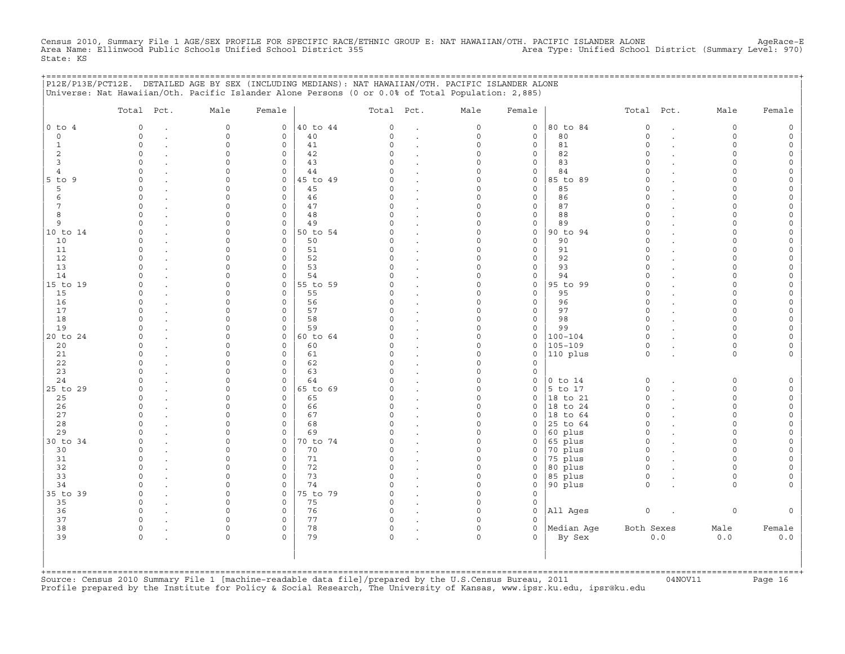Census 2010, Summary File 1 AGE/SEX PROFILE FOR SPECIFIC RACE/ETHNIC GROUP E: NAT HAWAIIAN/OTH. PACIFIC ISLANDER ALONE AgeRace-E<br>Area Name: Ellinwood Public Schools Unified School District 355 State: KS

|                | P12E/P13E/PCT12E. DETAILED AGE BY SEX (INCLUDING MEDIANS): NAT HAWAIIAN/OTH. PACIFIC ISLANDER ALONE<br>Universe: Nat Hawaiian/Oth. Pacific Islander Alone Persons (0 or 0.0% of Total Population: 2,885) |                    |                             |          |                |                      |                      |                            | ========================= |                      |        |                         |          |
|----------------|----------------------------------------------------------------------------------------------------------------------------------------------------------------------------------------------------------|--------------------|-----------------------------|----------|----------------|----------------------|----------------------|----------------------------|---------------------------|----------------------|--------|-------------------------|----------|
|                | Total Pct.                                                                                                                                                                                               | Male               | Female                      |          | Total Pct.     |                      | Male                 | Female                     |                           | Total Pct.           |        | Male                    | Female   |
| $0$ to $4$     | $\circ$                                                                                                                                                                                                  | $\mathbf 0$        | $\circ$                     | 40 to 44 | $\circ$        | $\ddot{\phantom{a}}$ | 0                    | $\mathsf{O}$               | 80 to 84                  | $\circ$              |        | $\circ$                 |          |
| $\mathbf 0$    | $\Omega$                                                                                                                                                                                                 | $\mathbf 0$        | $\mathbf{0}$                | 40       | $\mathsf{O}$   | $\bullet$            | 0                    | 0                          | 80                        | $\circ$              | $\sim$ | $\circ$                 | $\Omega$ |
| 1              | $\Omega$                                                                                                                                                                                                 | $\Omega$           | $\mathbf 0$                 | 41       | $\Omega$       |                      | $\Omega$             | 0                          | 81                        | $\Omega$             |        | $\Omega$                |          |
| 2              | $\Omega$                                                                                                                                                                                                 | $\Omega$           | $\mathbf 0$                 | 42       | 0              |                      | $\Omega$             | 0                          | 82                        | $\Omega$             |        | $\Omega$                |          |
| 3              | $\Omega$                                                                                                                                                                                                 | $\Omega$           | $\mathbf 0$                 | 43       | $\cap$         |                      | $\Omega$             | $\mathbf 0$                | 83                        | $\Omega$             |        | $\cap$                  |          |
| $\overline{4}$ | $\Omega$                                                                                                                                                                                                 | $\Omega$           | $\mathsf{O}$                | 44       | O              | $\cdot$              | $\Omega$             | $\mathbf 0$                | 84                        | $\Omega$             |        | $\Omega$                |          |
| $5$ to $9$     | $\Omega$<br>$\cap$                                                                                                                                                                                       |                    | $\mathbf 0$<br>$\mathbf 0$  | 45 to 49 | $\Omega$<br>0  | $\cdot$              | $\Omega$<br>$\Omega$ | $\mathbf 0$<br>$\mathbf 0$ | 85 to 89                  | $\Omega$<br>$\Omega$ |        | $\Omega$                |          |
| 5<br>6         | $\Omega$                                                                                                                                                                                                 |                    | $\mathbf 0$                 | 45<br>46 | $\Omega$       | $\bullet$            | $\Omega$             | 0                          | 85<br>86                  | $\Omega$             |        | $\cap$                  |          |
| 7              | $\Omega$                                                                                                                                                                                                 | $\Omega$           | $\Omega$                    | 47       | $\Omega$       | $\cdot$<br>$\cdot$   | $\Omega$             | $\mathbf 0$                | 87                        | $\cap$               |        | $\cap$                  |          |
| 8              | $\Omega$                                                                                                                                                                                                 | $\Omega$           | $\mathbf 0$                 | 48       | $\Omega$       | $\cdot$              | $\Omega$             | $\mathbf 0$                | 88                        | $\circ$              |        | $\Omega$                |          |
| 9              | $\Omega$                                                                                                                                                                                                 | $\Omega$           | 0                           | 49       | $\Omega$       | $\cdot$              | $\Omega$             | 0                          | 89                        | $\Omega$             |        | $\Omega$                |          |
| 10 to 14       | $\Omega$                                                                                                                                                                                                 | $\Omega$           | 0                           | 50 to 54 | <sup>o</sup>   | $\cdot$              | $\Omega$             | 0                          | 90 to 94                  | $\Omega$             |        | $\Omega$                |          |
| 10             | $\Omega$                                                                                                                                                                                                 | $\Omega$           | $\mathbf 0$                 | 50       | 0              |                      | $\Omega$             | 0                          | 90                        | $\Omega$             |        | $\Omega$                |          |
| 11             | $\circ$                                                                                                                                                                                                  |                    | $\mathbf 0$                 | 51       | 0              | $\ddot{\phantom{a}}$ | $\Omega$             | 0                          | 91                        | $\Omega$             |        | $\Omega$                |          |
| 12             | $\Omega$                                                                                                                                                                                                 |                    | $\mathbf 0$                 | 52       | $\Omega$       | $\ddot{\phantom{a}}$ | $\Omega$             | $\mathbf 0$                | 92                        | $\Omega$             |        | $\Omega$                |          |
| 13             | $\Omega$                                                                                                                                                                                                 |                    | $\mathbf 0$                 | 53       | $\Omega$       | $\bullet$            | $\Omega$             | $\mathbf 0$                | 93                        | $\Omega$             |        | $\Omega$                |          |
| 14             | $\Omega$                                                                                                                                                                                                 | $\Omega$           | $\mathbf 0$                 | 54       | <sup>o</sup>   |                      | $\Omega$             | 0                          | 94                        | $\Omega$             |        | $\cap$                  |          |
| 15 to 19       | $\cap$                                                                                                                                                                                                   | $\cap$             | $\mathsf{O}$                | 55 to 59 | O              | $\ddot{\phantom{a}}$ | $\Omega$             | 0                          | 95 to 99                  | $\Omega$             |        | $\cap$                  |          |
| 15             | $\Omega$                                                                                                                                                                                                 | $\Omega$           | $\Omega$                    | 55       | $\Omega$       | $\sim$               | $\Omega$             | $\Omega$                   | 95                        | $\Omega$             |        | $\cap$                  |          |
| 16             | $\Omega$                                                                                                                                                                                                 | $\Omega$           | $\mathbf 0$                 | 56       | $\Omega$       | $\sim$               | $\Omega$             | $\mathbf 0$                | 96                        | $\Omega$             |        | $\cap$                  |          |
| 17             | $\cap$                                                                                                                                                                                                   | $\Omega$           | 0                           | 57       | O              | $\cdot$              | $\Omega$             | 0                          | 97                        | $\Omega$             |        | $\Omega$                |          |
| 18             | $\cap$                                                                                                                                                                                                   | $\Omega$           | $\Omega$                    | 58       | U              |                      | $\Omega$             | $\mathbf 0$                | 98                        | $\Omega$             |        | $\cap$                  |          |
| 19             | $\Omega$                                                                                                                                                                                                 | $\Omega$           | $\mathbf 0$                 | 59       | 0              |                      | $\Omega$             | 0                          | 99                        | $\circ$              |        | $\Omega$                |          |
| 20 to 24       | $\Omega$                                                                                                                                                                                                 | $\Omega$           | $\mathsf{O}$                | 60 to 64 | $\Omega$       | $\cdot$              | $\Omega$             | 0                          | $100 - 104$               | $\circ$              |        | $\Omega$                |          |
| 20             | $\Omega$                                                                                                                                                                                                 | $\Omega$           | $\mathbf 0$                 | 60       | $\Omega$       | $\cdot$              | $\Omega$             | $\mathbf 0$                | 105-109                   | $\Omega$             |        | $\Omega$                |          |
| 21             | $\Omega$                                                                                                                                                                                                 | $\Omega$           | $\mathbf 0$                 | 61       | 0              |                      | $\Omega$             | 0                          | 110 plus                  | 0                    |        | $\Omega$                |          |
| 22<br>23       | $\Omega$<br>$\cap$                                                                                                                                                                                       | $\Omega$<br>$\cap$ | $\mathbf 0$<br>$\mathsf{O}$ | 62<br>63 | $\Omega$<br>C) | $\bullet$            | $\Omega$<br>$\Omega$ | 0                          |                           |                      |        |                         |          |
| 24             | $\cap$                                                                                                                                                                                                   |                    | $\mathbf 0$                 | 64       | $\cap$         | $\ddot{\phantom{a}}$ | $\Omega$             | 0<br>0                     | $0$ to $14$               | $\circ$              |        | $\Omega$                |          |
| 25 to 29       | $\Omega$                                                                                                                                                                                                 | $\cap$             | $\mathbf 0$                 | 65 to 69 | C)             | $\ddot{\phantom{a}}$ | $\Omega$             | 0                          | 5 to 17                   | $\Omega$             |        | $\Omega$                |          |
| 25             | $\cap$                                                                                                                                                                                                   | $\cap$             | $\mathbf 0$                 | 65       | $\Omega$       | $\cdot$              | $\Omega$             | 0                          | 18 to 21                  | $\Omega$             |        | $\cap$                  |          |
| 26             | $\cap$                                                                                                                                                                                                   | $\cap$             | $\Omega$                    | 66       | U              |                      | $\Omega$             | $\Omega$                   | 18 to 24                  | $\Omega$             |        | $\cap$                  |          |
| 27             | $\Omega$                                                                                                                                                                                                 | $\Omega$           | $\mathbf 0$                 | 67       | $\circ$        | $\ddot{\phantom{a}}$ | $\Omega$             | 0                          | $ 18$ to 64               | $\circ$              |        | $\cap$                  |          |
| 28             | $\Omega$                                                                                                                                                                                                 | $\Omega$           | $\mathbf 0$                 | 68       | $\Omega$       | $\cdot$              | $\Omega$             | 0                          | 25 to 64                  | $\circ$              |        | $\Omega$                |          |
| 29             | $\Omega$                                                                                                                                                                                                 | $\Omega$           | $\mathbf 0$                 | 69       | $\Omega$       |                      | $\Omega$             | $\mathbf 0$                | 60 plus                   | $\circ$              |        | $\Omega$                |          |
| 30 to 34       | $\Omega$                                                                                                                                                                                                 | $\Omega$           | $\mathsf{O}$                | 70 to 74 | 0              |                      | $\Omega$             | 0                          | 65 plus                   | $\circ$              |        | $\Omega$                |          |
| 30             | $\circ$                                                                                                                                                                                                  | $\Omega$           | $\mathbf 0$                 | 70       | 0              | $\ddot{\phantom{a}}$ | $\Omega$             | 0                          | 70 plus                   | $\circ$              |        | $\Omega$                |          |
| 31             | $\circ$                                                                                                                                                                                                  | $\Omega$           | $\mathsf{O}$                | 71       | 0              | $\bullet$            | $\Omega$             | 0                          | 75 plus                   | $\mathsf O$          |        | $\Omega$                |          |
| 32             | $\Omega$                                                                                                                                                                                                 |                    | 0                           | 72       | $\Omega$       | $\blacksquare$       | $\Omega$             | 0                          | 80 plus                   | $\mathsf O$          |        | $\Omega$                |          |
| 33             | $\cap$                                                                                                                                                                                                   | $\cap$             | $\Omega$                    | 73       | $\Omega$       |                      | $\Omega$             | $\mathbf 0$                | 85 plus                   | $\circ$              |        | $\Omega$                |          |
| 34             | $\cap$                                                                                                                                                                                                   | $\Omega$           | $\mathbf 0$                 | 74       | U              | $\bullet$            | $\Omega$             | 0                          | 90 plus                   | $\Omega$             |        | $\cap$                  |          |
| 35 to 39       | $\Omega$                                                                                                                                                                                                 | $\Omega$           | $\mathbf 0$                 | 75 to 79 | $\Omega$       | $\cdot$              | $\Omega$             | $\mathbf 0$                |                           |                      |        |                         |          |
| 35             | $\Omega$                                                                                                                                                                                                 | $\Omega$           | $\mathbf 0$                 | 75       | $\Omega$       | $\ddot{\phantom{a}}$ | $\Omega$             | 0                          |                           |                      |        |                         |          |
| 36             | $\Omega$                                                                                                                                                                                                 |                    | 0                           | 76       | $\Omega$       | $\cdot$              | $\Omega$             | $\mathbf 0$                | All Ages                  | $\mathsf O$          |        | $\circ$                 |          |
| 37             | $\Omega$                                                                                                                                                                                                 |                    | $\mathbf 0$                 | 77       | $\Omega$       |                      | $\Omega$             | 0                          |                           |                      |        |                         |          |
| 38             | $\circ$                                                                                                                                                                                                  | $\Omega$           | $\mathbf 0$                 | 78       | 0              | $\ddot{\phantom{a}}$ | $\Omega$             | 0                          | Median Aqe                | Both Sexes           |        | Male                    | Female   |
| 39             | $\circ$                                                                                                                                                                                                  | $\mathbf 0$        | $\Omega$                    | 79       | $\mathsf{O}$   |                      | 0                    | $\Omega$                   | By Sex                    |                      | $0.0$  | 0.0                     | 0.0      |
|                |                                                                                                                                                                                                          |                    |                             |          |                |                      |                      |                            |                           |                      |        |                         |          |
|                |                                                                                                                                                                                                          |                    |                             |          |                |                      |                      |                            |                           |                      |        |                         |          |
|                |                                                                                                                                                                                                          |                    |                             |          |                |                      |                      |                            |                           |                      |        | ======================= |          |

+===================================================================================================================================================+Source: Census 2010 Summary File 1 [machine−readable data file]/prepared by the U.S.Census Bureau, 2011 04NOV11 Page 16 Profile prepared by the Institute for Policy & Social Research, The University of Kansas, www.ipsr.ku.edu, ipsr@ku.edu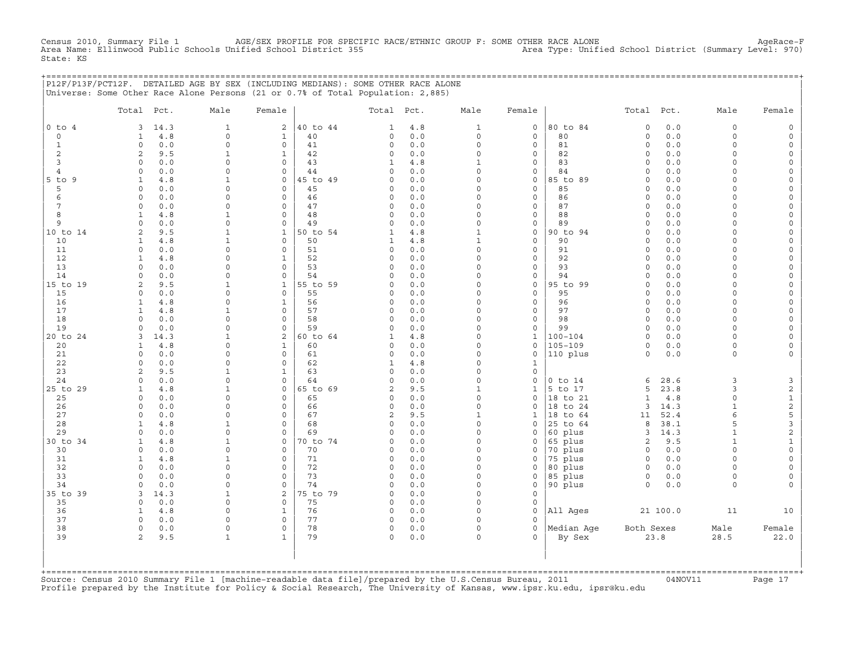CHE 1 AGE/SEX PROFILE FOR SPECIFIC RACE/ETHNIC GROUP F: SOME OTHER RACE ALONE<br>Onified School District 1555 Area Type: Unified School District (Summary Level: 970) Census 2010, Summary File 1 AGE/SEX PROFILE FOR SPECIE<br>Area Name: Ellinwood Public Schools Unified School District 355 State: KS

|                | P12F/P13F/PCT12F. DETAILED AGE BY SEX (INCLUDING MEDIANS): SOME OTHER RACE ALONE |            |                             |                            |          |                         |              |                          |                              |                    |                            |              |                    |                |
|----------------|----------------------------------------------------------------------------------|------------|-----------------------------|----------------------------|----------|-------------------------|--------------|--------------------------|------------------------------|--------------------|----------------------------|--------------|--------------------|----------------|
|                | Universe: Some Other Race Alone Persons (21 or 0.7% of Total Population: 2,885)  |            |                             |                            |          |                         |              |                          |                              |                    |                            |              |                    |                |
|                |                                                                                  |            |                             |                            |          |                         |              |                          |                              |                    |                            |              |                    |                |
|                | Total Pct.                                                                       |            | Male                        | Female                     |          | Total Pct.              |              | Male                     | Female                       |                    | Total Pct.                 |              | Male               | Female         |
|                |                                                                                  |            |                             |                            |          |                         |              |                          |                              |                    |                            |              |                    |                |
| $0$ to $4$     | 3                                                                                | 14.3       | $\mathbf{1}$<br>$\mathbf 0$ | 2                          | 40 to 44 | 1                       | 4.8          | $\mathbf{1}$<br>$\circ$  | $\mathsf{O}$<br>$\mathbf{0}$ | 80 to 84<br>80     | $\circ$                    | 0.0          | $\circ$<br>$\circ$ | $\circ$        |
| $\circ$        | 1<br>$\circ$                                                                     | 4.8        | $\Omega$                    | $\mathbf{1}$<br>$\circ$    | 40       | $\mathbf 0$             | 0.0          |                          |                              |                    | $\mathbf 0$<br>$\mathbf 0$ | 0.0          | $\Omega$           | $\circ$        |
| 1<br>2         | 2                                                                                | 0.0<br>9.5 | 1                           | $\mathbf{1}$               | 41<br>42 | $\mathbf 0$<br>$\Omega$ | 0.0<br>$0.0$ | 0<br>$\Omega$            | 0<br>0                       | 81<br>82           | $\Omega$                   | 0.0<br>0.0   | $\Omega$           |                |
| 3              | $\Omega$                                                                         | 0.0        | $\Omega$                    | $\mathbf{0}$               | 43       | 1                       | 4.8          | $\mathbf{1}$             | $\mathbf{0}$                 | 83                 | $\Omega$                   | 0.0          | $\Omega$           |                |
| $\overline{4}$ | $\Omega$                                                                         | 0.0        | $\Omega$                    | $\Omega$                   | 44       | $\Omega$                | 0.0          | $\Omega$                 | 0                            | 84                 | $\Omega$                   | 0.0          | $\Omega$           |                |
| $5$ to $9$     | 1                                                                                | 4.8        | $\mathbf{1}$                | $\Omega$                   | 45 to 49 | $\Omega$                | 0.0          | $\Omega$                 | 0                            | 85 to 89           | $\cap$                     | 0.0          | $\Omega$           |                |
| 5              | $\mathbf 0$                                                                      | 0.0        | $\Omega$                    | $\mathbf 0$                | 45       | 0                       | 0.0          | 0                        | $\mathbf{0}$                 | 85                 | $\circ$                    | 0.0          | $\Omega$           |                |
| 6              | $\Omega$                                                                         | 0.0        | $\Omega$                    | $\Omega$                   | 46       | $\Omega$                | 0.0          | $\Omega$                 | $\mathbf{0}$                 | 86                 | $\Omega$                   | 0.0          | $\Omega$           |                |
| 7              | $\Omega$                                                                         | 0.0        | $\Omega$                    | $\Omega$                   | 47       | $\circ$                 | 0.0          | $\Omega$                 | $\mathbf{0}$                 | 87                 | $\Omega$                   | 0.0          | $\Omega$           |                |
| 8              | $\mathbf{1}$                                                                     | 4.8        | $\mathbf{1}$                | $\Omega$                   | 48       | $\Omega$                | 0.0          | $\Omega$                 | 0                            | 88                 | $\Omega$                   | 0.0          | $\Omega$           | $\Omega$       |
| 9              | 0                                                                                | 0.0        | $\Omega$                    | $\mathbf 0$                | 49       | 0                       | 0.0          | $\Omega$                 | 0                            | 89                 | $\Omega$                   | 0.0          | $\Omega$           |                |
| 10 to 14       | 2                                                                                | 9.5        | 1                           | $\mathbf{1}$               | 50 to 54 | 1                       | 4.8          | $\mathbf{1}$             | 0                            | 90 to 94           | $\Omega$                   | 0.0          | $\Omega$           |                |
| 10             | $\mathbf{1}$                                                                     | 4.8        | $\mathbf{1}$                | $\mathbf 0$                | 50       | 1                       | 4.8          | $\mathbf{1}$             | $\mathbf{0}$                 | 90                 | $\Omega$                   | 0.0          | $\Omega$           |                |
| 11             | $\Omega$                                                                         | 0.0        | $\Omega$                    | $\Omega$                   | 51       | $\Omega$                | $0.0$        | $\Omega$                 | $\mathbf{0}$                 | 91                 | $\cap$                     | 0.0          | $\Omega$           |                |
| 12             | $\mathbf{1}$                                                                     | 4.8        | $\Omega$                    | $\mathbf{1}$               | 52       | $\mathbf 0$             | 0.0          | $\Omega$                 | 0                            | 92                 | $\circ$                    | 0.0          | $\Omega$           |                |
| 13             | 0                                                                                | 0.0        | $\Omega$                    | $\mathbf 0$                | 53       | $\Omega$                | 0.0          | 0                        | 0                            | 93                 | $\Omega$                   | 0.0          | $\Omega$           |                |
| 14             | $\Omega$                                                                         | 0.0        | $\Omega$                    | $\Omega$                   | 54       | $\Omega$                | 0.0          | $\Omega$                 | 0                            | 94                 | $\Omega$                   | 0.0          | $\Omega$           |                |
| 15 to 19       | 2                                                                                | 9.5        | $\mathbf{1}$                | $\mathbf{1}$               | 55 to 59 | $\Omega$                | 0.0          | $\Omega$                 | 0                            | 95 to 99           | $\Omega$                   | 0.0          | $\Omega$           |                |
| 15             | $\Omega$                                                                         | 0.0        | $\Omega$                    | $\Omega$                   | 55       | $\Omega$                | 0.0          | $\Omega$                 | $\mathbf{0}$                 | 95                 | $\Omega$                   | 0.0          | $\Omega$           |                |
| 16             | 1                                                                                | 4.8        | $\Omega$                    | $\mathbf{1}$               | 56       | $\circ$                 | 0.0          | 0                        | 0                            | 96                 | $\Omega$                   | 0.0          | $\Omega$           |                |
| 17             | -1                                                                               | 4.8        | $\mathbf{1}$                | $\Omega$                   | 57       | $\Omega$                | 0.0          | $\Omega$                 | 0                            | 97                 | $\Omega$                   | 0.0          | $\Omega$           |                |
| 18             | $\Omega$                                                                         | 0.0        | $\Omega$                    | $\Omega$                   | 58       | $\Omega$                | 0.0          | $\Omega$                 | $\Omega$                     | 98                 | $\cap$                     | 0.0          | $\Omega$           |                |
| 19             | $\circ$                                                                          | 0.0        | $\Omega$                    | $\mathbf 0$                | 59       | $\circ$                 | 0.0          | $\Omega$                 | 0                            | 99                 | $\Omega$                   | 0.0          | $\Omega$           |                |
| 20 to 24       | 3                                                                                | 14.3       | $\mathbf{1}$                | 2                          | 60 to 64 | 1                       | 4.8          | $\Omega$                 | 1                            | $100 - 104$        | $\Omega$                   | 0.0          | $\Omega$           |                |
| 20             | 1                                                                                | 4.8        | $\Omega$                    | $\mathbf{1}$               | 60       | 0                       | 0.0          | $\Omega$                 | 0                            | $105 - 109$        | $\circ$                    | 0.0          | $\circ$            |                |
| 21             | $\Omega$                                                                         | 0.0        | $\Omega$                    | $\Omega$                   | 61       | $\Omega$                | 0.0          | $\Omega$                 | 0                            | 110 plus           | $\Omega$                   | 0.0          | $\circ$            | $\Omega$       |
| 22             | $\Omega$                                                                         | 0.0        | $\Omega$                    | $\mathbf 0$                | 62       | 1                       | 4.8          | $\Omega$                 | $\mathbf{1}$                 |                    |                            |              |                    |                |
| 23             | 2                                                                                | 9.5        | 1                           | 1                          | 63       | $\Omega$                | 0.0          | 0                        | 0                            |                    |                            |              |                    |                |
| 24             | 0                                                                                | 0.0        | $\Omega$                    | $\mathbf 0$                | 64       | 0                       | 0.0          | 0                        | 0                            | $0$ to $14$        | 6                          | 28.6         | 3                  | 3              |
| 25 to 29       | 1                                                                                | 4.8        | $\mathbf{1}$                | $\mathbf 0$                | 65 to 69 | 2                       | 9.5          | $\mathbf 1$              | 1                            | 5 to 17            | 5                          | 23.8         | 3                  | $\sqrt{2}$     |
| 25             | $\Omega$                                                                         | 0.0        | $\Omega$                    | $\Omega$                   | 65       | $\circ$                 | 0.0          | $\Omega$                 | 0                            | 18 to 21           | $\mathbf{1}$               | 4.8          | $\Omega$           | $\mathbf 1$    |
| 26             | $\Omega$<br>$\Omega$                                                             | 0.0        | $\Omega$<br>$\Omega$        | $\mathbf 0$                | 66       | 0                       | 0.0          | $\Omega$                 | 0                            | 18 to 24           | 3                          | 14.3         |                    | $\sqrt{2}$     |
| 27             |                                                                                  | 0.0        |                             | $\mathbf 0$<br>$\mathbf 0$ | 67<br>68 | 2<br>$\Omega$           | 9.5          | $\mathbf{1}$<br>$\Omega$ | 1                            | 18 to 64           | 11                         | 52.4         | 5                  | 5<br>3         |
| 28<br>29       | 1<br>$\Omega$                                                                    | 4.8<br>0.0 | $\mathbf{1}$<br>$\Omega$    | $\Omega$                   | 69       | $\Omega$                | 0.0<br>0.0   | $\Omega$                 | 0<br>0                       | 25 to 64           | 8<br>3                     | 38.1<br>14.3 | $\mathbf{1}$       | $\overline{c}$ |
| 30 to 34       | 1                                                                                | 4.8        | $\mathbf{1}$                | $\mathbf 0$                | 70 to 74 | $\Omega$                | 0.0          | $\Omega$                 | 0                            | 60 plus<br>65 plus | 2                          | 9.5          | $\mathbf{1}$       | $\mathbf{1}$   |
| 30             | $\Omega$                                                                         | 0.0        | $\Omega$                    | $\mathbf 0$                | 70       | $\mathbf 0$             | 0.0          | $\Omega$                 | 0                            | 70 plus            | $\mathbf 0$                | 0.0          | $\Omega$           | $\Omega$       |
| 31             | 1                                                                                | 4.8        | $\mathbf{1}$                | $\mathbf 0$                | 71       | $\circ$                 | 0.0          | $\Omega$                 | 0                            | 75 plus            | $\Omega$                   | 0.0          | $\Omega$           |                |
| 32             | $\circ$                                                                          | 0.0        | $\Omega$                    | $\mathbf 0$                | 72       | 0                       | 0.0          | 0                        | 0                            | 80 plus            | $\mathbf 0$                | 0.0          | $\Omega$           |                |
| 33             | $\Omega$                                                                         | 0.0        | $\Omega$                    | $\Omega$                   | 73       | $\Omega$                | 0.0          | $\Omega$                 | 0                            | 85 plus            | $\mathbf 0$                | 0.0          | $\Omega$           | $\Omega$       |
| 34             | $\Omega$                                                                         | 0.0        | $\Omega$                    | $\Omega$                   | 74       | $\Omega$                | 0.0          | $\Omega$                 | 0                            | 90 plus            | $\Omega$                   | 0.0          | $\Omega$           |                |
| 35 to 39       | 3                                                                                | 14.3       | $\mathbf{1}$                | $\mathbf{2}$               | 75 to 79 | $\Omega$                | 0.0          | $\Omega$                 | 0                            |                    |                            |              |                    |                |
| 35             | 0                                                                                | 0.0        | $\Omega$                    | $\mathbf 0$                | 75       | 0                       | 0.0          | $\Omega$                 | 0                            |                    |                            |              |                    |                |
| 36             | 1                                                                                | 4.8        | $\Omega$                    | 1                          | 76       | $\mathbf 0$             | 0.0          | $\Omega$                 | $\Omega$                     | All Ages           |                            | 21 100.0     | 11                 | 10             |
| 37             | $\Omega$                                                                         | 0.0        |                             | $\mathbf 0$                | 77       | $\mathbf 0$             | 0.0          | $\Omega$                 | $\Omega$                     |                    |                            |              |                    |                |
| 38             | 0                                                                                | 0.0        | $\Omega$                    | $\Omega$                   | 78       | $\Omega$                | 0.0          | $\Omega$                 | $\Omega$                     | Median Age         | Both Sexes                 |              | Male               | Female         |
| 39             | 2                                                                                | 9.5        | $\mathbf{1}$                | $\mathbf{1}$               | 79       | $\circ$                 | 0.0          | $\circ$                  | $\mathbf{0}$                 | By Sex             |                            | 23.8         | 28.5               | 22.0           |
|                |                                                                                  |            |                             |                            |          |                         |              |                          |                              |                    |                            |              |                    |                |

| | +===================================================================================================================================================+ Source: Census 2010 Summary File 1 [machine-readable data file]/prepared by the U.S.Census Bureau, 2011 Page 17<br>Profile prepared by the Institute for Policy & Social Research, The University of Kansas, www

| | | |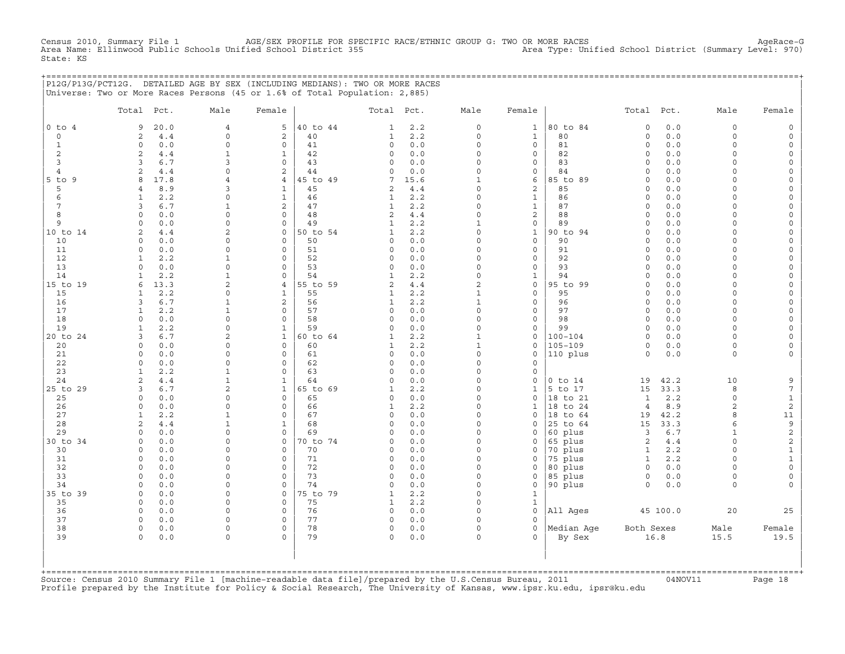CHENSUS 2010, AGE/SEX PROFILE FOR SPECIFIC RACE/ETHNIC GROUP G: TWO OR MORE RACES Area Type: Unified School District (Summary Level: 970)<br>Area Type: Unified School District (Summary Level: 970) Census 2010, Summary File 1 AGE/SEX PROFILE FOR SPEC<br>Area Name: Ellinwood Public Schools Unified School District 355 State: KS

|                   | P12G/P13G/PCT12G. DETAILED AGE BY SEX (INCLUDING MEDIANS): TWO OR MORE RACES<br>Universe: Two or More Races Persons (45 or 1.6% of Total Population: 2,885) |                      |                              |                |                             |            |                      |                                |                     |                              |              |                      |                                 |
|-------------------|-------------------------------------------------------------------------------------------------------------------------------------------------------------|----------------------|------------------------------|----------------|-----------------------------|------------|----------------------|--------------------------------|---------------------|------------------------------|--------------|----------------------|---------------------------------|
|                   | Total Pct.                                                                                                                                                  | Male                 | Female                       |                | Total Pct.                  |            | Male                 | Female                         |                     | Total Pct.                   |              | Male                 | Female                          |
| $0$ to $4$        | 9<br>20.0                                                                                                                                                   | 4                    | 5                            | 40 to 44       | 1                           | 2.2        | $\circ$              | $\mathbf{1}$                   | 80 to 84            | $\mathbf 0$                  | 0.0          | $\mathbf 0$          |                                 |
| $\circ$           | 4.4<br>2                                                                                                                                                    | $\mathbf 0$          | $\mathbf{2}$                 | 40             | 1                           | 2.2        | $\circ$              | $\mathbf{1}$                   | 80                  | $\circ$                      | 0.0          | $\mathbf 0$          | $\Omega$                        |
| $\mathbf{1}$<br>2 | 0.0<br>$\Omega$<br>2<br>4.4                                                                                                                                 | $\Omega$<br>1        | $\circ$<br>$\mathbf{1}$      | 41<br>42       | $\mathbf 0$<br>$\mathbf 0$  | 0.0<br>0.0 | $\Omega$<br>$\circ$  | $\circ$<br>0                   | 81<br>82            | $\Omega$<br>$\circ$          | $0.0$<br>0.0 | $\Omega$<br>$\Omega$ |                                 |
| 3                 | 6.7<br>3                                                                                                                                                    | 3                    | $\Omega$                     | 43             | $\mathbf 0$                 | 0.0        | $\circ$              | 0                              | 83                  | $\circ$                      | 0.0          | $\Omega$             | $\Omega$                        |
| $\overline{4}$    | 2<br>4.4                                                                                                                                                    | $\Omega$             | 2                            | 44             | 0                           | 0.0        | $\circ$              | 0                              | 84                  | $\Omega$                     | 0.0          | $\cap$               |                                 |
| $5$ to $9$        | 17.8<br>8                                                                                                                                                   | $\overline{4}$       | $\overline{4}$               | 45 to 49       | 7                           | 15.6       | $\mathbf{1}$         | 6                              | 85 to 89            | $\Omega$                     | 0.0          | $\cap$               |                                 |
| 5                 | 8.9<br>$\overline{4}$                                                                                                                                       | 3                    | 1                            | 45             | 2                           | 4.4        | $\Omega$             | 2                              | 85                  | $\Omega$                     | 0.0          | $\cap$               |                                 |
| 6                 | 2.2<br>$\mathbf{1}$                                                                                                                                         | $\Omega$             | $\mathbf{1}$                 | 46             | 1                           | 2.2        | $\circ$              | $\mathbf{1}$                   | 86                  | $\Omega$                     | 0.0          | $\cap$<br>$\cap$     | $\cap$                          |
| 7<br>8            | 3<br>6.7<br>$\Omega$<br>0.0                                                                                                                                 | 1<br>$\Omega$        | 2<br>$\mathbf 0$             | 47<br>48       | 1<br>2                      | 2.2<br>4.4 | $\circ$<br>$\circ$   | $\mathbf{1}$<br>$\overline{c}$ | 87<br>88            | $\Omega$<br>$\mathbf 0$      | 0.0<br>0.0   | $\Omega$             |                                 |
| 9                 | 0.0<br>$\Omega$                                                                                                                                             | $\Omega$             | $\mathbf 0$                  | 49             | 1                           | 2.2        | 1                    | 0                              | 89                  | $\Omega$                     | 0.0          | $\Omega$             |                                 |
| 10 to 14          | 2<br>4.4                                                                                                                                                    | $\overline{2}$       | $\mathbf 0$                  | 50 to 54       | 1                           | 2.2        | $\Omega$             | $\mathbf{1}$                   | 90 to 94            | $\Omega$                     | 0.0          | $\cap$               |                                 |
| 10                | $\mathbf 0$<br>0.0                                                                                                                                          | $\Omega$             | $\mathsf{O}\xspace$          | 50             | 0                           | 0.0        | 0                    | $\circ$                        | 90                  | $\mathbf 0$                  | 0.0          | $\Omega$             |                                 |
| 11                | 0.0<br>$\mathbf 0$                                                                                                                                          | $\Omega$             | $\mathbf{0}$                 | 51             | 0                           | 0.0        | $\circ$              | 0                              | 91                  | $\circ$                      | 0.0          | $\cap$               | $\cap$                          |
| 12                | 2.2<br>$\mathbf{1}$                                                                                                                                         | 1<br>$\Omega$        | $\Omega$                     | 52             | $\Omega$                    | 0.0        | $\Omega$             | $\Omega$                       | 92                  | $\Omega$                     | 0.0          | $\cap$<br>$\Omega$   |                                 |
| 13<br>14          | $\Omega$<br>0.0<br>2.2<br>$\mathbf{1}$                                                                                                                      | 1                    | $\Omega$<br>$\Omega$         | 53<br>54       | $\Omega$<br>$\mathbf{1}$    | 0.0<br>2.2 | $\Omega$<br>$\circ$  | $\mathbf{0}$<br>$\mathbf{1}$   | 93<br>94            | $\Omega$<br>$\Omega$         | 0.0<br>0.0   | $\Omega$             | $\Omega$                        |
| 15 to 19          | 13.3<br>6                                                                                                                                                   | $\overline{a}$       | $4\overline{ }$              | 55 to 59       | $\overline{2}$              | 4.4        | 2                    | $\circ$                        | 95 to 99            | $\mathbf 0$                  | 0.0          | $\cap$               |                                 |
| 15                | 2.2<br>1                                                                                                                                                    | $\Omega$             | $\mathbf{1}$                 | 55             | 1                           | 2.2        | $\mathbf{1}$         | $\circ$                        | 95                  | $\Omega$                     | 0.0          | $\Omega$             |                                 |
| 16                | 6.7<br>3                                                                                                                                                    | 1                    | 2                            | 56             | $\mathbf{1}$                | 2.2        | $\mathbf{1}$         | $\mathbf{0}$                   | 96                  | $\circ$                      | $0.0$        | $\Omega$             |                                 |
| 17                | 2.2<br>1                                                                                                                                                    | 1                    | $\mathbf 0$                  | 57             | $\mathbf 0$                 | 0.0        | $\Omega$             | 0                              | 97                  | $\Omega$                     | 0.0          | $\Omega$             |                                 |
| 18                | 0.0<br>$\Omega$                                                                                                                                             | $\Omega$             | $\Omega$                     | 58             | $\Omega$                    | 0.0        | $\circ$              | $\mathbf{0}$                   | 98                  | $\Omega$                     | 0.0          | $\Omega$             |                                 |
| 19<br>20 to 24    | 2.2<br>$\mathbf{1}$<br>6.7<br>3                                                                                                                             | $\circ$<br>2         | $\mathbf{1}$<br>1            | 59<br>60 to 64 | $\circ$<br>$\mathbf{1}$     | 0.0<br>2.2 | 0<br>1               | 0<br>0                         | 99<br>$100 - 104$   | $\circ$<br>$\Omega$          | 0.0<br>0.0   | $\Omega$<br>$\cap$   |                                 |
| 20                | 0.0<br>$\Omega$                                                                                                                                             | $\Omega$             | $\Omega$                     | 60             | 1                           | 2.2        | $\mathbf{1}$         | $\Omega$                       | 105-109             | $\Omega$                     | 0.0          | $\Omega$             |                                 |
| 21                | 0.0<br>$\Omega$                                                                                                                                             | $\Omega$             | $\mathbf 0$                  | 61             | $\mathbf 0$                 | 0.0        | $\circ$              | $\mathbf{0}$                   | $ 110\rangle$ plus  | $\circ$                      | 0.0          | $\Omega$             |                                 |
| 22                | 0.0<br>$\Omega$                                                                                                                                             | $\Omega$             | $\mathbf 0$                  | 62             | 0                           | 0.0        | $\circ$              | 0                              |                     |                              |              |                      |                                 |
| 23                | 2.2<br>$\mathbf{1}$                                                                                                                                         | 1                    | $\circ$                      | 63             | $\mathbf 0$                 | 0.0        | $\circ$              | $\mathbf 0$                    |                     |                              |              |                      |                                 |
| 24                | 2<br>4.4                                                                                                                                                    | 1                    | $\mathbf{1}$                 | 64             | 0                           | 0.0        | $\Omega$             | 0                              | $0$ to $14$         | 19                           | 42.2         | 10                   |                                 |
| 25 to 29          | 6.7<br>3<br>$\Omega$<br>0.0                                                                                                                                 | 2<br>$\Omega$        | $\mathbf{1}$<br>$\mathbf{0}$ | 65 to 69<br>65 | $\mathbf{1}$<br>$\mathbf 0$ | 2.2<br>0.0 | $\Omega$<br>$\circ$  | $\mathbf{1}$<br>0              | 5 to 17<br>18 to 21 | 15<br>$\mathbf{1}$           | 33.3<br>2.2  | 8<br>$\Omega$        | $7\phantom{.0}$<br>$\mathbf{1}$ |
| 25<br>26          | $\Omega$<br>0.0                                                                                                                                             | $\Omega$             | $\mathbf 0$                  | 66             | 1                           | 2.2        | $\circ$              | $\mathbf{1}$                   | 18 to 24            | $\overline{4}$               | 8.9          | $\mathcal{D}$        | $\overline{c}$                  |
| 27                | 2.2<br>$\mathbf{1}$                                                                                                                                         | 1                    | $\mathbf 0$                  | 67             | 0                           | 0.0        | $\Omega$             | $\mathbf{0}$                   | 118 to 64           | 19                           | 42.2         | $\mathsf{R}$         | 11                              |
| 28                | 4.4<br>2                                                                                                                                                    | 1                    | 1                            | 68             | $\Omega$                    | 0.0        | $\Omega$             | $\Omega$                       | 25 to 64            | 15                           | 33.3         | 6                    | 9                               |
| 29                | 0.0<br>$\Omega$                                                                                                                                             | $\Omega$             | $\Omega$                     | 69             | $\Omega$                    | 0.0        | $\Omega$             | $\Omega$                       | 60 plus             | 3                            | 6.7          | $\mathbf{1}$         | $\sqrt{2}$                      |
| 30 to 34          | $\Omega$<br>0.0                                                                                                                                             | $\mathbf 0$          | $\mathbf{0}$                 | 70 to 74       | 0                           | 0.0        | 0                    | 0                              | 65 plus             | 2                            | $4.4$        | $\Omega$             | $\mathbf{2}$                    |
| 30<br>31          | 0.0<br>$\Omega$<br>0.0<br>$\mathbf 0$                                                                                                                       | $\Omega$<br>$\Omega$ | $\mathbf 0$<br>$\mathbf 0$   | 70<br>71       | $\mathbf 0$<br>0            | 0.0<br>0.0 | $\circ$<br>$\Omega$  | $\mathbf{0}$<br>$\mathbf 0$    | 70 plus<br>75 plus  | $\mathbf{1}$<br>$\mathbf{1}$ | 2.2<br>2.2   | $\Omega$<br>$\Omega$ | $\mathbf{1}$                    |
| 32                | $\mathbf 0$<br>0.0                                                                                                                                          | $\Omega$             | $\mathbf 0$                  | 72             | $\circ$                     | 0.0        | $\circ$              | 0                              | 80 plus             | $\circ$                      | 0.0          | $\Omega$             | $\Omega$                        |
| 33                | $\Omega$<br>0.0                                                                                                                                             | $\Omega$             | $\mathbf 0$                  | 73             | $\circ$                     | 0.0        | $\circ$              | 0                              | 85 plus             | $\circ$                      | 0.0          | $\Omega$             | $\Omega$                        |
| 34                | 0.0<br>$\Omega$                                                                                                                                             | $\Omega$             | 0                            | 74             | $\Omega$                    | 0.0        | 0                    | 0                              | 90 plus             | $\Omega$                     | 0.0          | $\Omega$             |                                 |
| 35 to 39          | $\Omega$<br>0.0                                                                                                                                             | $\Omega$             | $\Omega$                     | 75 to 79       | $\mathbf{1}$                | 2.2        | $\Omega$             | $\mathbf{1}$                   |                     |                              |              |                      |                                 |
| 35                | 0.0<br>$\Omega$                                                                                                                                             | $\Omega$             | $\Omega$                     | 75             | 1                           | 2.2        | $\Omega$             | $\mathbf{1}$                   |                     |                              |              |                      |                                 |
| 36<br>37          | 0.0<br>$\Omega$<br>$\Omega$<br>0.0                                                                                                                          | $\Omega$<br>$\Omega$ | $\mathbf 0$<br>$\Omega$      | 76<br>77       | 0<br>$\circ$                | 0.0<br>0.0 | $\Omega$<br>$\Omega$ | $\mathbf{0}$<br>$\Omega$       | All Ages            |                              | 45 100.0     | 20                   | 25                              |
| 38                | $\circ$<br>0.0                                                                                                                                              | $\mathbf 0$          | $\circ$                      | 78             | $\mathbf 0$                 | 0.0        | $\circ$              | $\circ$                        | Median Aqe          | Both Sexes                   |              | Male                 | Female                          |
| 39                | 0.0<br>$\Omega$                                                                                                                                             | $\Omega$             | $\Omega$                     | 79             | 0                           | 0.0        | $\Omega$             | $\Omega$                       | By Sex              |                              | 16.8         | 15.5                 | 19.5                            |
| +============     |                                                                                                                                                             |                      |                              |                |                             |            |                      |                                |                     |                              |              |                      |                                 |

Source: Census 2010 Summary File 1 [machine-readable data file]/prepared by the U.S.Census Bureau, 2011 Page 18<br>Profile prepared by the Institute for Policy & Social Research, The University of Kansas, www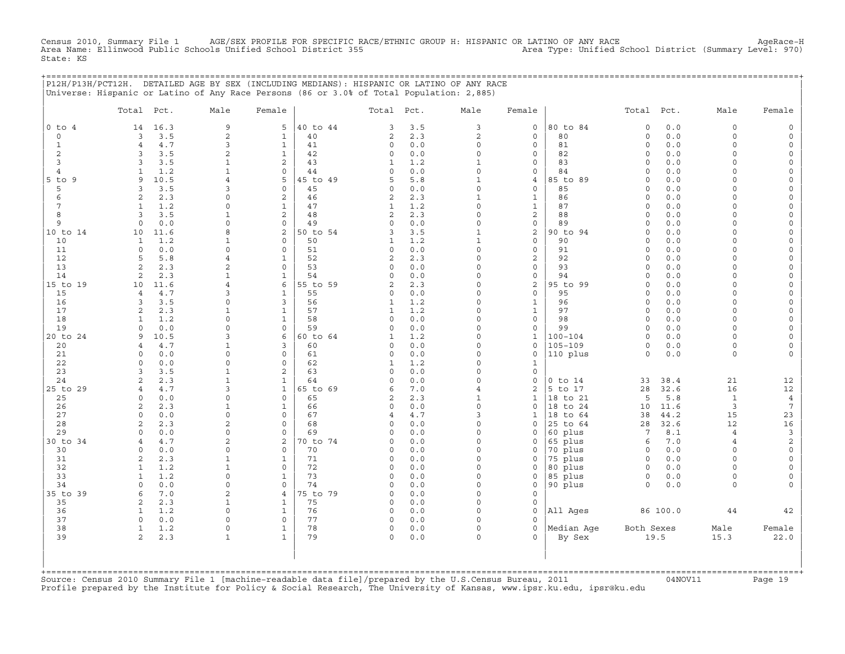Census 2010, Summary File 1 AGE/SEX PROFILE FOR SPECIFIC RACE/ETHNIC GROUP H: HISPANIC OR LATINO OF ANY RACE<br>Area Name: Ellinwood Public Schools Unified School District 355 Area Type: Uni State: KS

+===================================================================================================================================================+

|                | P12H/P13H/PCT12H. DETAILED AGE BY SEX (INCLUDING MEDIANS): HISPANIC OR LATINO OF ANY RACE<br>Universe: Hispanic or Latino of Any Race Persons (86 or 3.0% of Total Population: 2,885) |                             |                              |          |                           |            |                                 |                             |             |                     |            |                    |                                            |
|----------------|---------------------------------------------------------------------------------------------------------------------------------------------------------------------------------------|-----------------------------|------------------------------|----------|---------------------------|------------|---------------------------------|-----------------------------|-------------|---------------------|------------|--------------------|--------------------------------------------|
|                | Total Pct.                                                                                                                                                                            | Male                        | Female                       |          | Total Pct.                |            | Male                            | Female                      |             | Total Pct.          |            | Male               | Female                                     |
| $0$ to $4$     | 14<br>16.3                                                                                                                                                                            | $\mathsf 9$                 | 5                            | 40 to 44 | 3                         | 3.5        | 3                               | $\mathsf{O}\xspace$         | 80 to 84    | $\circ$             | $0.0$      | 0                  | $\mathsf{O}\xspace$                        |
| $\circ$        | 3.5<br>3                                                                                                                                                                              | $\overline{c}$              | $\mathbf{1}$                 | 40       | $\overline{a}$            | 2.3        | $\overline{c}$                  | $\mathbf 0$                 | 80          | $\circ$             | 0.0        | $\circ$            | $\mathsf{O}\xspace$                        |
| $\mathbf{1}$   | $4.7$<br>$\overline{4}$                                                                                                                                                               | $\mathbf{3}$                | $\mathbf{1}$                 | 41       | 0                         | 0.0        | $\circ$                         | $\mathsf{O}\xspace$         | 81          | $\mathsf{O}$        | 0.0        | 0                  | $\mathsf{O}\xspace$                        |
| 2              | 3.5<br>3                                                                                                                                                                              | 2                           | $\mathbf{1}$                 | 42       | 0                         | 0.0        | $\mathbf 0$                     | $\mathbf 0$                 | 82          | $\circ$             | 0.0        | $\circ$            | $\mathsf{O}\xspace$                        |
| 3              | 3.5<br>3                                                                                                                                                                              | $\mathbf 1$                 | $\overline{c}$               | 43       | $\mathbf{1}$              | 1.2        | $\mathbf{1}$                    | $\mathbf 0$                 | 83          | $\circ$             | 0.0        | $\circ$            | $\mathsf{O}\xspace$                        |
| $\overline{4}$ | $\mathbf{1}$<br>1.2                                                                                                                                                                   | $\mathbf{1}$                | $\mathbf 0$                  | 44       | $\circ$                   | 0.0        | $\mathsf{O}\xspace$             | $\mathbf 0$                 | 84          | $\mathsf{O}\xspace$ | $0.0$      | $\circ$            | $\mathsf{O}\xspace$                        |
| $5$ to $9$     | 10.5<br>9                                                                                                                                                                             | $\overline{4}$              | 5                            | 45 to 49 | 5                         | 5.8        | $\mathbf{1}$                    | $\bf{4}$                    | 85 to 89    | $\mathsf{O}\xspace$ | 0.0        | $\circ$            | $\mathsf{O}\xspace$                        |
| 5              | 3<br>3.5                                                                                                                                                                              | 3                           | $\mathbf 0$                  | 45       | $\circ$                   | 0.0        | $\Omega$                        | $\mathbf 0$                 | 85          | $\circ$             | 0.0        | $\Omega$           | $\mathsf{O}\xspace$                        |
| 6              | 2<br>2.3                                                                                                                                                                              | $\mathbf 0$<br>$\Omega$     | 2                            | 46       | $\mathbf{2}$              | 2.3        | $\mathbf{1}$                    | $1\,$                       | 86          | $\mathsf{O}\xspace$ | 0.0        | $\circ$            | $\mathsf{O}\xspace$                        |
| 7              | $\mathbf{1}$<br>1.2                                                                                                                                                                   | $\mathbf{1}$                | $\mathbf{1}$                 | 47<br>48 | $\mathbf{1}$              | 1.2<br>2.3 | $\mathsf{O}\xspace$<br>$\Omega$ | $\mathbf{1}$<br>$\sqrt{2}$  | 87<br>88    | $\circ$             | 0.0        | $\circ$            | $\mathsf{O}\xspace$                        |
| 8<br>9         | 3.5<br>3<br>0.0<br>$\mathbf 0$                                                                                                                                                        | $\Omega$                    | 2<br>$\mathbf 0$             | 49       | $\overline{a}$<br>$\circ$ | 0.0        | $\mathbf 0$                     | $\mathsf{O}\xspace$         | 89          | $\circ$<br>$\circ$  | 0.0<br>0.0 | $\circ$<br>$\circ$ | $\mathsf{O}\xspace$<br>$\mathsf{O}\xspace$ |
| 10 to 14       | 10<br>11.6                                                                                                                                                                            | 8                           | 2                            | 50 to 54 | 3                         | 3.5        | $\mathbf{1}$                    | $\mathbf{2}$                | 90 to 94    | $\circ$             | 0.0        | $\circ$            | 0                                          |
| 10             | $\mathbf{1}$<br>1.2                                                                                                                                                                   | $\mathbf{1}$                | $\Omega$                     | 50       | $\mathbf{1}$              | 1.2        | $\mathbf{1}$                    | $\Omega$                    | 90          | $\circ$             | 0.0        | $\Omega$           | $\mathsf{O}\xspace$                        |
| 11             | $\mathbf 0$<br>0.0                                                                                                                                                                    | $\mathbf 0$                 | $\mathbf 0$                  | 51       | 0                         | 0.0        | $\mathsf{O}\xspace$             | $\mathsf{O}\xspace$         | 91          | $\circ$             | 0.0        | $\circ$            | 0                                          |
| 12             | 5<br>5.8                                                                                                                                                                              | $\overline{4}$              | $\mathbf{1}$                 | 52       | $\mathbf{2}$              | 2.3        | $\mathbf 0$                     | $\sqrt{2}$                  | 92          | $\mathsf{O}\xspace$ | 0.0        | $\circ$            | $\mathsf{O}\xspace$                        |
| 13             | 2<br>2.3                                                                                                                                                                              | $\mathbf{2}$                | $\mathbf 0$                  | 53       | $\circ$                   | 0.0        | $\Omega$                        | $\mathbf 0$                 | 93          | $\circ$             | 0.0        | $\circ$            | $\mathsf{O}$                               |
| 14             | 2<br>2.3                                                                                                                                                                              | $\mathbf{1}$                | $\mathbf{1}$                 | 54       | 0                         | 0.0        | $\mathbf 0$                     | $\mathsf{O}\xspace$         | 94          | $\mathsf{O}\xspace$ | 0.0        | $\circ$            | $\mathsf{O}\xspace$                        |
| 15 to 19       | 11.6<br>10                                                                                                                                                                            | $\overline{4}$              | 6                            | 55 to 59 | 2                         | 2.3        | 0                               | $\sqrt{2}$                  | 95 to 99    | $\circ$             | 0.0        | $\circ$            | $\mathsf{O}\xspace$                        |
| 15             | 4.7<br>$\overline{4}$                                                                                                                                                                 | 3                           | $\mathbf{1}$                 | 55       | $\circ$                   | 0.0        | $\Omega$                        | $\mathbf 0$                 | 95          | $\circ$             | 0.0        | $\circ$            | $\mathbb O$                                |
| 16             | 3.5<br>3                                                                                                                                                                              | $\mathbf 0$                 | 3                            | 56       | $\mathbf{1}$              | 1.2        | $\mathbf 0$                     | $\mathbf{1}$                | 96          | $\circ$             | 0.0        | $\Omega$           | $\mathsf{O}\xspace$                        |
| 17             | 2.3<br>2                                                                                                                                                                              | $\mathbf{1}$                | $\mathbf{1}$                 | 57       | $\mathbf{1}$              | 1.2        | $\mathbf 0$                     | $\mathbf{1}$                | 97          | $\mathsf{O}\xspace$ | 0.0        | $\circ$            | $\mathsf{O}\xspace$                        |
| 18             | $\mathbf{1}$<br>1.2                                                                                                                                                                   | $\Omega$                    | $\mathbf{1}$                 | 58       | $\circ$                   | 0.0        | $\Omega$                        | $\mathbf 0$                 | 98          | $\circ$             | 0.0        | $\circ$            | $\mathsf O$                                |
| 19             | $\Omega$<br>0.0                                                                                                                                                                       | $\Omega$                    | $\mathsf{O}\xspace$          | 59       | $\circ$                   | 0.0        | $\mathbf 0$                     | $\mathsf{O}\xspace$         | 99          | $\mathsf{O}\xspace$ | 0.0        | $\circ$            | $\mathsf{O}\xspace$                        |
| 20 to 24       | 10.5<br>9                                                                                                                                                                             | 3                           | 6                            | 60 to 64 | $\mathbf{1}$              | 1.2        | $\Omega$                        | $\mathbf{1}$                | $100 - 104$ | $\circ$             | 0.0        | $\circ$            | $\circ$                                    |
| 20             | 4.7<br>$\overline{4}$                                                                                                                                                                 | $\mathbf{1}$                | 3                            | 60       | $\circ$                   | 0.0        | $\mathbf 0$                     | $\mathbf 0$                 | $105 - 109$ | $\mathsf{O}\xspace$ | 0.0        | $\circ$            | $\mathsf{O}\xspace$                        |
| 21             | 0.0<br>$\Omega$                                                                                                                                                                       | $\Omega$                    | $\mathbf 0$                  | 61       | 0                         | 0.0        | $\Omega$                        | $\mathbf 0$                 | 110 plus    | $\circ$             | 0.0        | $\circ$            | $\circ$                                    |
| 22<br>23       | $\circ$<br>0.0<br>3.5<br>3                                                                                                                                                            | $\mathsf O$<br>$\mathbf{1}$ | $\mathbf 0$<br>2             | 62<br>63 | $\mathbf{1}$<br>$\circ$   | 1.2<br>0.0 | 0<br>$\Omega$                   | $\mathbf{1}$<br>$\mathbf 0$ |             |                     |            |                    |                                            |
| 24             | 2.3<br>$\overline{2}$                                                                                                                                                                 | $\mathbf{1}$                | $\mathbf{1}$                 | 64       | 0                         | 0.0        | $\Omega$                        | $\mathbf 0$                 | $0$ to $14$ | 33                  | 38.4       | 21                 | 12                                         |
| 25 to 29       | $4.7$<br>$\overline{4}$                                                                                                                                                               | 3                           | $\mathbf{1}$                 | 65 to 69 | 6                         | 7.0        | $\overline{4}$                  | $\sqrt{2}$                  | 5 to 17     | 28                  | 32.6       | 16                 | $12\,$                                     |
| 25             | $\circ$<br>0.0                                                                                                                                                                        | $\mathbf 0$                 | $\circ$                      | 65       | $\overline{c}$            | 2.3        | $\mathbf{1}$                    | $\mathbf{1}$                | 18 to 21    | 5                   | 5.8        | $\mathbf{1}$       | $\overline{4}$                             |
| 26             | $\overline{2}$<br>2.3                                                                                                                                                                 | $\mathbf{1}$                | $\mathbf{1}$                 | 66       | 0                         | 0.0        | $\mathsf{O}\xspace$             | $\mathbf 0$                 | 18 to 24    | 10                  | 11.6       | 3                  | $7\phantom{.0}$                            |
| 27             | 0.0<br>$\mathbf 0$                                                                                                                                                                    | $\Omega$                    | $\mathbf 0$                  | 67       | $\overline{4}$            | 4.7        | 3                               | $\mathbf{1}$                | 18 to 64    | 38                  | 44.2       | 15                 | 23                                         |
| 28             | $\overline{a}$<br>2.3                                                                                                                                                                 | $\overline{2}$              | $\mathsf{O}\xspace$          | 68       | 0                         | 0.0        | $\mathbf 0$                     | $\mathbf 0$                 | 25 to 64    | 28                  | 32.6       | 12                 | $16\,$                                     |
| 29             | 0.0<br>$\Omega$                                                                                                                                                                       | $\Omega$                    | $\mathbf 0$                  | 69       | $\Omega$                  | 0.0        | $\Omega$                        | $\mathbf 0$                 | 60 plus     | $7\phantom{.0}$     | 8.1        | $\overline{4}$     | $\mathsf{3}$                               |
| 30 to 34       | 4.7<br>4                                                                                                                                                                              | $\overline{c}$              | $\overline{c}$               | 70 to 74 | 0                         | 0.0        | $\mathbf 0$                     | $\mathsf{O}$                | 65 plus     | 6                   | 7.0        | $\overline{4}$     | $\sqrt{2}$                                 |
| 30             | 0.0<br>$\Omega$                                                                                                                                                                       | $\mathbf 0$                 | $\mathbf 0$                  | 70       | 0                         | 0.0        | $\Omega$                        | $\mathbf 0$                 | 70 plus     | $\circ$             | 0.0        | $\circ$            | $\mathsf{O}\xspace$                        |
| 31             | 2.3<br>$\overline{a}$                                                                                                                                                                 | $\mathbf{1}$                | $\mathbf 1$                  | 71       | $\circ$                   | 0.0        | $\mathsf{O}\xspace$             | $\mathbf 0$                 | 75 plus     | $\mathsf{O}$        | 0.0        | $\circ$            | $\mathsf{O}\xspace$                        |
| 32             | $\mathbf{1}$<br>1.2                                                                                                                                                                   | $\mathbf{1}$                | $\mathbf 0$                  | 72       | $\circ$                   | 0.0        | $\Omega$                        | $\mathbf 0$                 | 80 plus     | $\circ$             | 0.0        | $\circ$            | $\mathsf{O}\xspace$                        |
| 33             | $\mathbf{1}$<br>1.2                                                                                                                                                                   | $\mathsf{O}\xspace$         | $\mathbf{1}$                 | 73       | 0                         | 0.0        | $\mathbf 0$                     | $\mathsf{O}\xspace$         | 85 plus     | $\mathsf O$         | $0.0$      | 0                  | $\circ$                                    |
| 34             | 0.0<br>$\Omega$                                                                                                                                                                       | $\mathbf 0$                 | $\Omega$                     | 74       | 0                         | 0.0        | $\circ$                         | $\mathbf 0$                 | 90 plus     | $\circ$             | 0.0        | $\circ$            | $\mathbf{0}$                               |
| 35 to 39       | 7.0<br>6                                                                                                                                                                              | $\overline{c}$              | $\overline{4}$               | 75 to 79 | 0                         | 0.0        | $\mathsf{O}\xspace$             | $\mathbf 0$                 |             |                     |            |                    |                                            |
| 35             | 2.3<br>2                                                                                                                                                                              | $\mathbf{1}$                | $\mathbf{1}$                 | 75       | 0                         | 0.0        | $\Omega$                        | $\mathbf 0$                 |             |                     |            |                    |                                            |
| 36<br>37       | 1.2<br>$\mathbf{1}$<br>$\circ$<br>0.0                                                                                                                                                 | $\mathbf 0$<br>$\mathbf 0$  | $\mathbf{1}$<br>$\mathbf{0}$ | 76<br>77 | 0<br>$\circ$              | 0.0<br>0.0 | $\Omega$<br>$\mathbf 0$         | $\mathbf 0$<br>$\Omega$     | All Ages    |                     | 86 100.0   | 44                 | $4\,2$                                     |
| 38             | 1.2<br>$\mathbf{1}$                                                                                                                                                                   | $\mathbf 0$                 | $\mathbf{1}$                 | 78       | 0                         | 0.0        | $\mathbf 0$                     | $\mathbf 0$                 | Median Age  | Both Sexes          |            | Male               | Female                                     |
| 39             | $\overline{c}$<br>2.3                                                                                                                                                                 | $\mathbf 1$                 | $\mathbf{1}$                 | 79       | 0                         | $0.0$      | $\mathbf 0$                     | $\Omega$                    | By Sex      |                     | 19.5       | 15.3               | 22.0                                       |
|                |                                                                                                                                                                                       |                             |                              |          |                           |            |                                 |                             |             |                     |            |                    |                                            |

+===================================================================================================================================================+Source: Census 2010 Summary File 1 [machine−readable data file]/prepared by the U.S.Census Bureau, 2011 04NOV11 Page 19 Profile prepared by the Institute for Policy & Social Research, The University of Kansas, www.ipsr.ku.edu, ipsr@ku.edu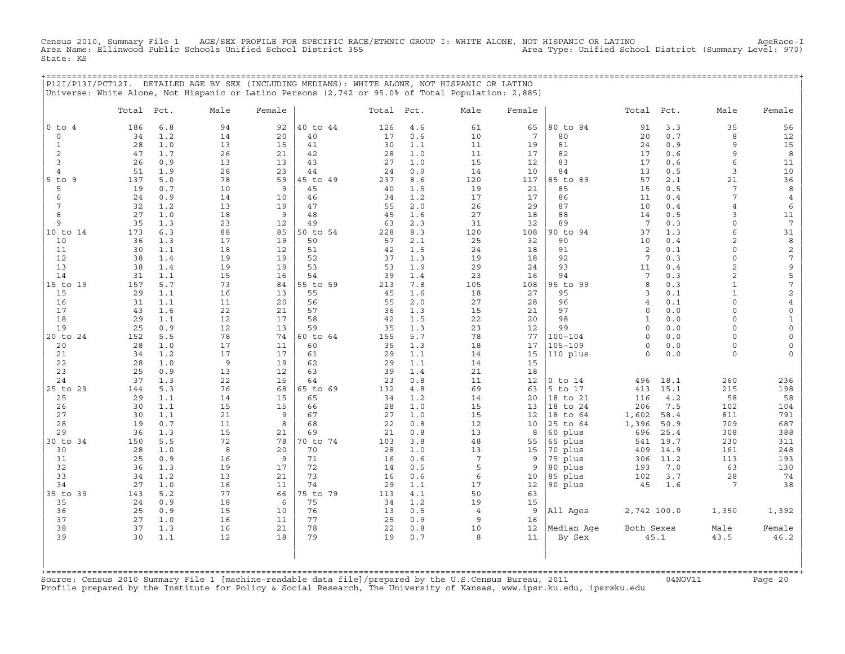Census 2010, Summary File 1 AGE/SEX PROFILE FOR SPECIFIC RACE/ETHNIC GROUP I: WHITE ALONE, NOT HISPANIC OR LATINO AgeRace−I Area Name: Ellinwood Public Schools Unified School District 355 Area Type: Unified School District (Summary Level: 970) State: KS

|                     |            |            | P12I/P13I/PCT12I. DETAILED AGE BY SEX (INCLUDING MEDIANS): WHITE ALONE, NOT HISPANIC OR LATINO    |          |          |            |            |                      |                 |                      |              |             |                      |                           |
|---------------------|------------|------------|---------------------------------------------------------------------------------------------------|----------|----------|------------|------------|----------------------|-----------------|----------------------|--------------|-------------|----------------------|---------------------------|
|                     |            |            | Universe: White Alone, Not Hispanic or Latino Persons (2,742 or 95.0% of Total Population: 2,885) |          |          |            |            |                      |                 |                      |              |             |                      |                           |
|                     | Total Pct. |            | Male                                                                                              | Female   |          | Total Pct. |            | Male                 | Female          |                      | Total Pct.   |             | Male                 | Female                    |
| $0$ to $4$          | 186        | 6.8        | 94                                                                                                | 92       | 40 to 44 | 126        | 4.6        | 61                   | 65              | 80 to 84             | 91           | 3.3         | 35                   | 56                        |
| $\circ$             | 34         | 1.2        | 14                                                                                                | 20       | 40       | 17         | 0.6        | 10                   | $7\phantom{.0}$ | 80                   | 20           | 0.7         | 8                    | 12                        |
| 1<br>$\overline{c}$ | 28<br>47   | 1.0<br>1.7 | 13<br>26                                                                                          | 15<br>21 | 41<br>42 | 30<br>28   | 1.1<br>1.0 | 11<br>11             | 19<br>17        | 81<br>82             | 24<br>17     | 0.9<br>0.6  | $\mathsf{Q}$<br>9    | 15<br>8                   |
| 3                   | 26         | 0.9        | 13                                                                                                | 13       | 43       | 27         | 1.0        | 15                   | 12              | 83                   | 17           | 0.6         | 6                    | 11                        |
| $\overline{4}$      | 51         | 1.9        | 28                                                                                                | 23       | 44       | 24         | 0.9        | 14                   | 10              | 84                   | 13           | 0.5         | 3                    | 10                        |
| $5$ to<br>9         | 137        | 5.0        | 78                                                                                                | 59       | 45 to 49 | 237        | 8.6        | 120                  | 117             | 85 to 89             | 57           | 2.1         | 21                   | 36                        |
| 5                   | 19         | 0.7        | 10                                                                                                | 9        | 45       | 40         | 1.5        | 19                   | 21              | 85                   | 15           | 0.5         | 7                    | 8                         |
| 6<br>7              | 24<br>32   | 0.9<br>1.2 | 14<br>13                                                                                          | 10<br>19 | 46<br>47 | 34<br>55   | 1.2<br>2.0 | 17<br>26             | 17<br>29        | 86<br>87             | 11<br>10     | 0.4<br>0.4  | 7<br>$\overline{4}$  | 4<br>6                    |
| 8                   | 27         | 1.0        | 18                                                                                                | 9        | 48       | 45         | 1.6        | 27                   | 18              | 88                   | 14           | 0.5         | 3                    | 11                        |
| 9                   | 35         | 1.3        | 23                                                                                                | 12       | 49       | 63         | 2.3        | 31                   | 32              | 89                   | 7            | 0.3         | $\Omega$             | $7\phantom{.0}$           |
| 10 to 14            | 173        | 6.3        | 88                                                                                                | 85       | 50 to 54 | 228        | 8.3        | 120                  | 108             | 90 to 94             | 37           | 1.3         | 6                    | 31                        |
| 10                  | 36         | 1.3        | 17                                                                                                | 19       | 50       | 57         | 2.1        | 25                   | 32              | 90                   | 10           | 0.4         | $\overline{2}$       | 8                         |
| 11<br>12            | 30<br>38   | 1.1<br>1.4 | 18<br>19                                                                                          | 12<br>19 | 51<br>52 | 42<br>37   | 1.5<br>1.3 | 24<br>19             | 18<br>18        | 91<br>92             | 2<br>7       | 0.1<br>0.3  | $\Omega$<br>$\Omega$ | 2<br>$\sqrt{ }$           |
| 13                  | 38         | 1.4        | 19                                                                                                | 19       | 53       | 53         | 1.9        | 29                   | 24              | 93                   | 11           | 0.4         | $\overline{2}$       | $\mathsf 9$               |
| 14                  | 31         | 1.1        | 15                                                                                                | 16       | 54       | 39         | 1.4        | 23                   | 16              | 94                   | 7            | 0.3         | $\overline{2}$       | 5                         |
| 15 to 19            | 157        | 5.7        | 73                                                                                                | 84       | 55 to 59 | 213        | 7.8        | 105                  | 108             | 95 to 99             | 8            | 0.3         | $\mathbf{1}$         | 7                         |
| 15                  | 29         | 1.1        | 16                                                                                                | 13       | 55       | 45         | 1.6        | 18                   | 27              | 95                   | 3            | 0.1         |                      | $\sqrt{2}$                |
| 16<br>17            | 31<br>43   | 1.1<br>1.6 | 11<br>22                                                                                          | 20<br>21 | 56<br>57 | 55<br>36   | 2.0<br>1.3 | 27<br>15             | 28<br>21        | 96<br>97             | 4<br>$\circ$ | 0.1<br>0.0  | $\Omega$<br>$\Omega$ | $\overline{4}$<br>$\circ$ |
| 18                  | 29         | 1.1        | 12                                                                                                | 17       | 58       | 42         | 1.5        | 22                   | 20              | 98                   | $\mathbf{1}$ | 0.0         | $\Omega$             |                           |
| 19                  | 25         | 0.9        | 12                                                                                                | 13       | 59       | 35         | 1.3        | 23                   | 12              | 99                   | $\circ$      | 0.0         | $\Omega$             | $\Omega$                  |
| 20 to 24            | 152        | 5.5        | 78                                                                                                | 74       | 60 to 64 | 155        | 5.7        | 78                   | 77              | $100 - 104$          | $\Omega$     | 0.0         | $\cap$               | $\Omega$                  |
| 20                  | 28         | 1.0        | 17                                                                                                | 11       | 60       | 35         | 1.3        | 18                   | 17              | $105 - 109$          | $\Omega$     | 0.0         | $\Omega$             |                           |
| 21<br>22            | 34<br>28   | 1.2<br>1.0 | 17<br>9                                                                                           | 17<br>19 | 61<br>62 | 29<br>29   | 1.1<br>1.1 | 14<br>14             | 15<br>15        | 110 plus             | $\Omega$     | 0.0         | $\Omega$             |                           |
| 23                  | 25         | 0.9        | 13                                                                                                | 12       | 63       | 39         | 1.4        | 21                   | 18              |                      |              |             |                      |                           |
| 24                  | 37         | 1.3        | 22                                                                                                | 15       | 64       | 23         | 0.8        | 11                   | 12              | $0$ to $14$          | 496          | 18.1        | 260                  | 236                       |
| 25 to 29            | 144        | 5.3        | 76                                                                                                | 68       | 65 to 69 | 132        | $4.8$      | 69                   | 63              | 5 to 17              | 413          | 15.1        | 215                  | 198                       |
| 25                  | 29         | 1.1        | 14                                                                                                | 15       | 65       | 34         | 1.2        | 14                   | 20              | 18 to 21             | 116          | 4.2         | 58                   | 58                        |
| 26<br>27            | 30<br>30   | 1.1<br>1.1 | 15<br>21                                                                                          | 15<br>9  | 66<br>67 | 28<br>27   | 1.0<br>1.0 | 15<br>15             | 13<br>12        | 18 to 24<br>18 to 64 | 206<br>1,602 | 7.5<br>58.4 | 102<br>811           | 104<br>791                |
| 28                  | 19         | 0.7        | 11                                                                                                | 8        | 68       | 22         | 0.8        | 12                   | 10              | 25 to 64             | 1,396        | 50.9        | 709                  | 687                       |
| 29                  | 36         | 1.3        | 15                                                                                                | 21       | 69       | 21         | 0.8        | 13                   | 8               | 60 plus              | 696          | 25.4        | 308                  | 388                       |
| 30 to 34            | 150        | 5.5        | 72                                                                                                | 78       | 70 to 74 | 103        | 3.8        | 48                   | 55              | 65 plus              | 541          | 19.7        | 230                  | 311                       |
| 30                  | 28         | 1.0        | 8                                                                                                 | 20       | 70       | 28         | 1.0        | 13                   | 15              | 70 plus              | 409          | 14.9        | 161                  | 248                       |
| 31<br>32            | 25<br>36   | 0.9<br>1.3 | 16<br>19                                                                                          | 9<br>17  | 71<br>72 | 16<br>14   | 0.6<br>0.5 | $7\phantom{.0}$<br>5 | 9<br>9          | 75 plus<br>80 plus   | 306<br>193   | 11.2<br>7.0 | 113<br>63            | 193<br>130                |
| 33                  | 34         | 1.2        | 13                                                                                                | 21       | 73       | 16         | 0.6        | 6                    | 10              | 85 plus              | 102          | 3.7         | 28                   | 74                        |
| 34                  | 27         | 1.0        | 16                                                                                                | 11       | 74       | 29         | 1.1        | 17                   | 12              | 90 plus              | 45           | 1.6         | 7                    | 38                        |
| $35$ to<br>39       | 143        | 5.2        | 77                                                                                                | 66       | 75 to 79 | 113        | 4.1        | 50                   | 63              |                      |              |             |                      |                           |
| 35                  | 24         | 0.9        | 18                                                                                                | 6        | 75       | 34         | 1.2        | 19                   | 15              |                      |              |             |                      |                           |
| 36<br>37            | 25<br>27   | 0.9<br>1.0 | 15<br>16                                                                                          | 10<br>11 | 76<br>77 | 13<br>25   | 0.5<br>0.9 | $\overline{4}$<br>9  | 9<br>16         | All Ages             | 2,742 100.0  |             | 1,350                | 1,392                     |
| 38                  | 37         | 1.3        | 16                                                                                                | 21       | 78       | 22         | 0.8        | 10                   | 12              | Median Aqe           | Both Sexes   |             | Male                 | Female                    |
| 39                  | 30         | 1.1        | 12                                                                                                | 18       | 79       | 19         | 0.7        | 8                    | 11              | By Sex               |              | 45.1        | 43.5                 | 46.2                      |
|                     |            |            |                                                                                                   |          |          |            |            |                      |                 |                      |              |             |                      |                           |
|                     |            |            |                                                                                                   |          |          |            |            |                      |                 |                      |              |             |                      |                           |
|                     |            |            |                                                                                                   |          |          |            |            |                      |                 |                      |              |             |                      |                           |

Source: Census 2010 Summary File 1 [machine-readable data file]/prepared by the U.S.Census Bureau, 2011 Page 20<br>Profile prepared by the Institute for Policy & Social Research, The University of Kansas, www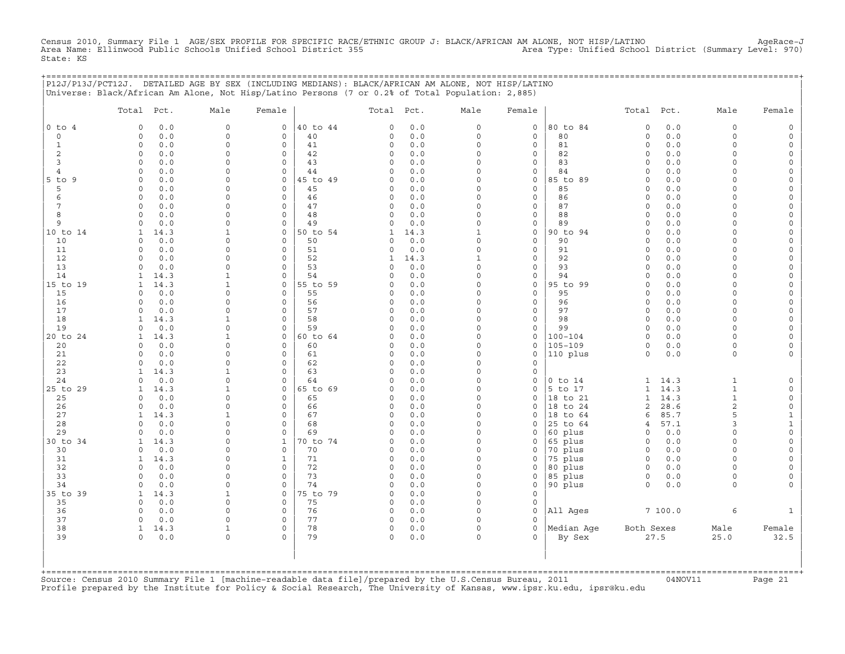Census 2010, Summary File 1 AGE/SEX PROFILE FOR SPECIFIC RACE/ETHNIC GROUP J: BLACK/AFRICAN AM ALONE, NOT HISP/LATINO AgeRace-J<br>Area Name: Ellinwood Public Schools Unified School District 3 State: KS

|                | P12J/P13J/PCT12J. DETAILED AGE BY SEX (INCLUDING MEDIANS): BLACK/AFRICAN AM ALONE, NOT HISP/LATINO<br>Universe: Black/African Am Alone, Not Hisp/Latino Persons (7 or 0.2% of Total Population: 2,885) |                          |                                    |                |                      |             |                      |                     | ,,,,,,,,,,,,,,,,,,,,,,,,,,,,, |                            |              |                      |          |
|----------------|--------------------------------------------------------------------------------------------------------------------------------------------------------------------------------------------------------|--------------------------|------------------------------------|----------------|----------------------|-------------|----------------------|---------------------|-------------------------------|----------------------------|--------------|----------------------|----------|
|                | Total Pct.                                                                                                                                                                                             | Male                     | Female                             |                | Total Pct.           |             | Male                 | Female              |                               | Total Pct.                 |              | Male                 | Female   |
| $0$ to $4$     | 0.0<br>$\mathbf 0$                                                                                                                                                                                     | $\mathsf{O}$             | $\circ$                            | 40 to 44       | 0                    | 0.0         | 0                    | $\circ$             | 80 to 84                      | $\mathsf O$                | 0.0          | $\mathbf 0$          |          |
| $\circ$        | 0.0<br>$\mathbf 0$                                                                                                                                                                                     | $\mathsf O$              | 0                                  | 40             | $\Omega$             | 0.0         | 0                    | 0                   | 80                            | $\circ$                    | 0.0          | $\mathbf 0$          |          |
| 1<br>2         | $\mathbf 0$<br>0.0<br>$\mathbf 0$<br>0.0                                                                                                                                                               | $\Omega$<br>$\Omega$     | $\mathbf 0$<br>0                   | 41<br>42       | $\circ$<br>0         | 0.0<br>0.0  | $\Omega$<br>0        | 0<br>0              | 81<br>82                      | $\Omega$<br>0              | 0.0<br>0.0   | $\Omega$<br>$\Omega$ |          |
| 3              | 0.0<br>$\mathbf 0$                                                                                                                                                                                     | $\Omega$                 | $\mathbf 0$                        | 43             | 0                    | 0.0         | $\Omega$             | 0                   | 83                            | $\Omega$                   | 0.0          | $\cap$               |          |
| 4              | 0.0<br>$\Omega$                                                                                                                                                                                        | $\Omega$                 | $\mathbf 0$                        | 44             | <sup>0</sup>         | 0.0         | $\Omega$             | $\mathbf 0$         | 84                            | $\Omega$                   | 0.0          | $\cap$               |          |
| 5 to 9         | $\Omega$<br>0.0                                                                                                                                                                                        | $\Omega$                 | $\mathbf 0$                        | 45 to 49       | $\Omega$             | 0.0         | $\Omega$             | 0                   | 85 to 89                      | $\Omega$                   | 0.0          |                      |          |
| 5              | $\Omega$<br>0.0                                                                                                                                                                                        | $\Omega$                 | 0                                  | 45             | 0                    | 0.0         | $\Omega$             | 0                   | 85                            | $\Omega$                   | 0.0          |                      |          |
| 6              | 0.0<br>0                                                                                                                                                                                               | $\Omega$                 | $\mathbf 0$                        | 46             | $\circ$              | 0.0         | $\Omega$             | 0                   | 86                            | $\Omega$                   | 0.0          | ∩                    |          |
| 7              | $\mathbf 0$<br>0.0                                                                                                                                                                                     | $\Omega$                 | $\mathbf 0$                        | 47             | 0                    | 0.0         | $\Omega$             | 0                   | 87                            | $\Omega$                   | 0.0          | $\cap$               |          |
| 8              | $\mathbf 0$<br>0.0                                                                                                                                                                                     | $\Omega$                 | $\mathbf 0$                        | 48             | 0                    | 0.0         | $\Omega$             | 0                   | 88                            | $\Omega$                   | 0.0          | $\Omega$<br>$\Omega$ |          |
| 9<br>10 to 14  | $\mathbf 0$<br>0.0<br>14.3<br>1                                                                                                                                                                        | $\Omega$<br>$\mathbf{1}$ | 0<br>0                             | 49<br>50 to 54 | 0<br>1               | 0.0<br>14.3 | $\Omega$<br>1        | 0<br>0              | 89<br>90 to 94                | $\Omega$<br>$\Omega$       | 0.0<br>0.0   | $\cap$               |          |
| 10             | 0.0<br>$\Omega$                                                                                                                                                                                        | $\Omega$                 | $\mathbf 0$                        | 50             | $\Omega$             | 0.0         | $\circ$              | $\mathbf{0}$        | 90                            | $\Omega$                   | 0.0          | $\Omega$             |          |
| 11             | 0.0<br>$\Omega$                                                                                                                                                                                        | $\Omega$                 | $\mathbf 0$                        | 51             | 0                    | 0.0         | $\Omega$             | 0                   | 91                            | $\Omega$                   | 0.0          | $\cap$               |          |
| 12             | 0.0<br>$\Omega$                                                                                                                                                                                        | $\Omega$                 | 0                                  | 52             | 1                    | 14.3        | 1                    | 0                   | 92                            | $\Omega$                   | 0.0          |                      |          |
| 13             | 0.0<br>$\Omega$                                                                                                                                                                                        | $\Omega$                 | $\mathbf 0$                        | 53             | 0                    | 0.0         | $\Omega$             | 0                   | 93                            | $\Omega$                   | 0.0          | $\Omega$             |          |
| 14             | 14.3<br>1                                                                                                                                                                                              | 1                        | $\circ$                            | 54             | $\Omega$             | 0.0         | $\Omega$             | 0                   | 94                            | $\Omega$                   | 0.0          | $\Omega$             |          |
| 15 to 19       | 14.3<br>$\mathbf{1}$                                                                                                                                                                                   | $\mathbf{1}$             | 0                                  | 55 to 59       | $\Omega$             | 0.0         | $\Omega$             | 0                   | 95 to 99                      | $\Omega$                   | 0.0          | $\Omega$             |          |
| 15             | 0.0<br>$\mathbf 0$                                                                                                                                                                                     | $\Omega$                 | $\circ$                            | 55             | 0                    | 0.0         | $\Omega$             | 0                   | 95                            | $\Omega$                   | 0.0          | $\Omega$             |          |
| 16<br>17       | $\Omega$<br>0.0<br>0.0<br>$\Omega$                                                                                                                                                                     | $\Omega$<br>$\Omega$     | $\mathbf 0$<br>$\mathbf 0$         | 56<br>57       | 0<br>$\Omega$        | 0.0<br>0.0  | $\Omega$<br>$\Omega$ | 0<br>0              | 96<br>97                      | $\mathbf 0$<br>$\mathbf 0$ | 0.0<br>0.0   | $\Omega$<br>$\cap$   |          |
| 18             | 14.3<br>1                                                                                                                                                                                              | -1                       | $\circ$                            | 58             | $\Omega$             | 0.0         | $\Omega$             | $\mathbf{0}$        | 98                            | 0                          | 0.0          | $\cap$               |          |
| 19             | 0.0<br>$\Omega$                                                                                                                                                                                        | $\Omega$                 | $\mathbf 0$                        | 59             | $\Omega$             | 0.0         | $\Omega$             | 0                   | 99                            | $\mathbf 0$                | 0.0          | $\Omega$             |          |
| 20 to 24       | 14.3                                                                                                                                                                                                   | 1                        | 0                                  | 60 to 64       | $\Omega$             | 0.0         | $\Omega$             | 0                   | $100 - 104$                   | $\Omega$                   | 0.0          | $\Omega$             |          |
| 20             | 0.0<br>$\Omega$                                                                                                                                                                                        | $\Omega$                 | $\mathbf 0$                        | 60             | $\Omega$             | 0.0         | $\Omega$             | $\mathbf 0$         | $105 - 109$                   | $\circ$                    | 0.0          | $\Omega$             |          |
| 21             | 0.0<br>$\Omega$                                                                                                                                                                                        | $\mathbf 0$              | $\mathsf{O}\xspace$                | 61             | 0                    | 0.0         | 0                    | 0                   | 110 plus                      | 0                          | 0.0          | $\mathbf 0$          |          |
| 22             | 0.0<br>$\Omega$                                                                                                                                                                                        | $\Omega$                 | 0                                  | 62             | $\Omega$             | 0.0         | $\Omega$             | 0                   |                               |                            |              |                      |          |
| 23             | 14.3<br>$\mathbf{1}$                                                                                                                                                                                   |                          | $\mathbf 0$                        | 63             | $\Omega$             | 0.0         | $\Omega$             | 0                   |                               |                            |              |                      |          |
| 24<br>25 to 29 | 0.0<br>$\Omega$<br>$\mathbf{1}$                                                                                                                                                                        | $\Omega$<br>1            | $\circ$<br>$\mathbf 0$             | 64<br>65 to 69 | $\Omega$<br>$\Omega$ | 0.0         | $\Omega$<br>$\Omega$ | 0<br>0              | $0$ to $14$<br>5 to 17        | 1<br>1                     | 14.3<br>14.3 | 1<br>$\mathbf{1}$    |          |
| 25             | 14.3<br>0.0<br>$\Omega$                                                                                                                                                                                | $\Omega$                 | $\circ$                            | 65             | 0                    | 0.0<br>0.0  | $\Omega$             | 0                   | 18 to 21                      | 1                          | 14.3         | 1                    |          |
| 26             | 0.0<br>$\Omega$                                                                                                                                                                                        | $\Omega$                 | $\mathbf 0$                        | 66             | $\Omega$             | 0.0         | $\Omega$             | $\mathbf 0$         | 18 to 24                      | 2                          | 28.6         | $\overline{2}$       | $\Omega$ |
| 27             | 1<br>14.3                                                                                                                                                                                              | 1                        | $\mathbf 0$                        | 67             | 0                    | 0.0         | $\Omega$             | 0                   | 18 to 64                      | 6                          | 85.7         | 5                    | 1        |
| 28             | 0.0<br>$\Omega$                                                                                                                                                                                        | $\Omega$                 | $\mathsf O$                        | 68             | $\Omega$             | 0.0         | $\Omega$             | 0                   | 25 to 64                      | 4                          | 57.1         | 3                    | 1        |
| 29             | 0.0<br>$\cap$                                                                                                                                                                                          | $\Omega$                 | $\circ$                            | 69             | $\Omega$             | 0.0         | $\Omega$             | 0                   | 60 plus                       | $\circ$                    | 0.0          | $\cap$               |          |
| 30 to 34       | $\mathbf{1}$<br>14.3                                                                                                                                                                                   | $\Omega$                 | $\mathbf{1}$                       | 70 to 74       | 0                    | 0.0         | $\Omega$             | 0                   | 65 plus                       | $\mathbf 0$                | 0.0          | $\Omega$             |          |
| 30             | 0.0<br>$\Omega$                                                                                                                                                                                        | $\Omega$                 | $\mathbf 0$                        | 70             | 0                    | 0.0         | $\Omega$             | 0                   | 70 plus                       | $\mathbf 0$                | 0.0          | $\Omega$             |          |
| 31             | 14.3<br>$\mathbf{1}$                                                                                                                                                                                   | $\Omega$                 | 1                                  | 71             | 0                    | 0.0         | $\Omega$             | 0                   | 75 plus                       | $\mathbf 0$                | 0.0          | ∩<br>$\Omega$        |          |
| 32<br>33       | $\Omega$<br>0.0<br>0.0<br>$\Omega$                                                                                                                                                                     | $\Omega$<br>$\Omega$     | $\mathbf 0$<br>$\mathsf{O}\xspace$ | 72<br>73       | $\circ$<br>$\circ$   | 0.0<br>0.0  | $\circ$<br>$\Omega$  | 0<br>0              | 80 plus<br>85 plus            | $\circ$<br>$\circ$         | 0.0<br>0.0   | $\Omega$             |          |
| 34             | 0.0<br>$\mathbf 0$                                                                                                                                                                                     | $\mathbf 0$              | 0                                  | 74             | $\Omega$             | 0.0         | $\Omega$             | $\mathsf{O}\xspace$ | 90 plus                       | $\circ$                    | 0.0          | $\Omega$             |          |
| 35 to 39       | 14.3<br>1                                                                                                                                                                                              | 1                        | 0                                  | 75 to 79       | 0                    | 0.0         | $\Omega$             | 0                   |                               |                            |              |                      |          |
| 35             | 0.0<br>$\Omega$                                                                                                                                                                                        | $\Omega$                 | 0                                  | 75             | $\Omega$             | 0.0         | $\Omega$             | 0                   |                               |                            |              |                      |          |
| 36             | 0.0<br>$\Omega$                                                                                                                                                                                        | $\Omega$                 | 0                                  | 76             | 0                    | 0.0         | $\Omega$             | $\mathbf 0$         | All Ages                      |                            | 7100.0       | 6                    |          |
| 37             | $\Omega$<br>0.0                                                                                                                                                                                        | $\Omega$                 | $\circ$                            | 77             | 0                    | 0.0         | $\Omega$             | $\Omega$            |                               |                            |              |                      |          |
| 38             | 14.3<br>1                                                                                                                                                                                              | 1                        | $\circ$                            | 78             | $\mathbf 0$          | 0.0         | $\Omega$             | $\mathbf{0}$        | Median Aqe                    | Both Sexes                 |              | Male                 | Female   |
| 39             | 0.0<br>$\Omega$                                                                                                                                                                                        | $\Omega$                 | $\Omega$                           | 79             | $\Omega$             | 0.0         | $\Omega$             | $\Omega$            | By Sex                        |                            | 27.5         | 25.0                 | 32.5     |
|                |                                                                                                                                                                                                        |                          |                                    |                |                      |             |                      |                     |                               |                            |              |                      |          |
|                |                                                                                                                                                                                                        |                          |                                    |                |                      |             |                      |                     |                               |                            |              |                      |          |
|                |                                                                                                                                                                                                        |                          |                                    |                |                      |             |                      |                     |                               |                            |              |                      |          |

+===================================================================================================================================================+Source: Census 2010 Summary File 1 [machine−readable data file]/prepared by the U.S.Census Bureau, 2011 04NOV11 Page 21 Profile prepared by the Institute for Policy & Social Research, The University of Kansas, www.ipsr.ku.edu, ipsr@ku.edu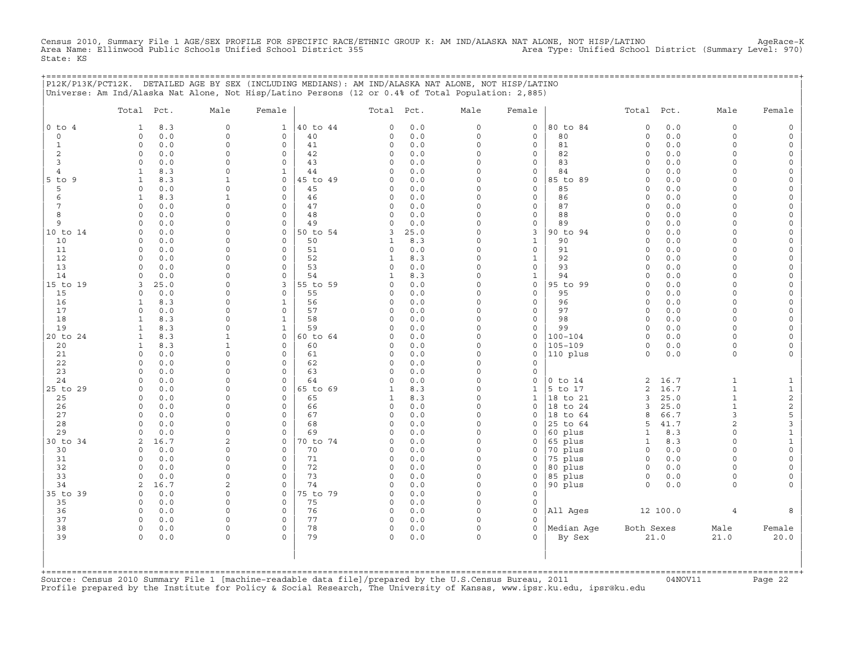Census 2010, Summary File 1 AGE/SEX PROFILE FOR SPECIFIC RACE/ETHNIC GROUP K: AM IND/ALASKA NAT ALONE, NOT HISP/LATINO AgeRace-K<br>Area Name: Ellinwood Public Schools Unified School District 355 State: KS

+===================================================================================================================================================+

|                  | Total Pct.                          | Male                     | Female                      |                | Total Pct.    |              | Male                | Female                             |                            | Total Pct.             |            | Male                    | Female                             |
|------------------|-------------------------------------|--------------------------|-----------------------------|----------------|---------------|--------------|---------------------|------------------------------------|----------------------------|------------------------|------------|-------------------------|------------------------------------|
| $0$ to $4$       | 8.3<br>1                            | $\mathbf 0$              | 1                           | 40 to 44       | 0             | 0.0          | 0                   | 0                                  | 80 to 84                   | $\circ$                | 0.0        | $\mathbf 0$             | $\circ$                            |
| $\circ$          | $0.0$<br>$\circ$                    | $\mathbf 0$              | $\mathbf 0$                 | 40             | 0             | $0.0$        | $\mathsf{O}\xspace$ | $\mathsf{O}\xspace$                | 80                         | $\circ$                | 0.0        | 0                       | $\mathsf{O}$                       |
| $\mathbf{1}$     | 0<br>0.0                            | $\Omega$                 | 0                           | 41             | 0             | 0.0          | $\mathsf{O}\xspace$ | 0                                  | 81                         | $\circ$                | 0.0        | $\mathbf 0$             | $\mathsf{O}$                       |
| $\mathbf{2}$     | 0<br>0.0                            | $\Omega$                 | $\mathbf 0$                 | 42             | 0             | 0.0          | 0                   | 0                                  | 82                         | $\circ$                | 0.0        | $\mathbf 0$             | $\mathsf{O}\xspace$                |
| 3                | 0.0<br>$\mathbf 0$                  | $\Omega$                 | $\circ$                     | 43             | $\Omega$      | 0.0          | $\Omega$            | $\circ$                            | 83                         | $\mathbf 0$            | 0.0        | $\Omega$                | $\mathsf O$                        |
| 4                | $\mathbf{1}$<br>8.3                 | $\mathbf 0$              | $\mathbf{1}$                | 44             | 0             | 0.0          | 0                   | 0                                  | 84                         | $\circ$                | 0.0        | $\mathbf 0$             | 0                                  |
| $5$ to<br>9<br>5 | 8.3<br>$\mathbf{1}$<br>$\circ$      | 1<br>$\Omega$            | 0<br>$\mathbf 0$            | 45 to 49       | 0<br>$\Omega$ | 0.0          | 0<br>$\Omega$       | $\mathsf{O}\xspace$<br>$\mathbf 0$ | 85 to 89<br>85             | $\circ$                | 0.0        | $\mathbf 0$<br>$\Omega$ | $\mathsf{O}\xspace$                |
| 6                | 0.0<br>$\mathbf{1}$<br>8.3          | $\mathbf{1}$             | $\mathsf{O}\xspace$         | 45<br>46       | 0             | 0.0<br>0.0   | $\circ$             | $\mathsf{O}\xspace$                | 86                         | $\mathbf 0$<br>$\circ$ | 0.0<br>0.0 | $\Omega$                | $\mathsf O$<br>$\mathsf{O}\xspace$ |
| 7                | $\circ$<br>0.0                      | $\Omega$                 | $\Omega$                    | 47             | 0             | 0.0          | $\Omega$            | 0                                  | 87                         | $\circ$                | 0.0        | $\Omega$                | 0                                  |
| 8                | 0.0<br>$\Omega$                     | $\Omega$                 | $\mathbf 0$                 | 48             | $\Omega$      | 0.0          | $\Omega$            | $\mathsf{O}\xspace$                | 88                         | $\circ$                | 0.0        | $\Omega$                | $\mathsf{O}$                       |
| 9                | 0.0<br>$\Omega$                     | $\mathbf 0$              | $\mathbf 0$                 | 49             | $\Omega$      | 0.0          | 0                   | $\mathsf{O}\xspace$                | 89                         | $\circ$                | 0.0        | $\Omega$                | $\mathsf{O}\xspace$                |
| 10 to 14         | 0.0<br>0                            | $\Omega$                 | $\mathsf O$                 | 50 to 54       | 3             | 25.0         | $\Omega$            | 3                                  | 90 to 94                   | $\circ$                | 0.0        | $\Omega$                | 0                                  |
| 10               | 0.0<br>$\circ$                      | $\Omega$                 | $\mathsf{O}\xspace$         | 50             | $\mathbf{1}$  | 8.3          | $\Omega$            | $\mathbf{1}$                       | 90                         | $\circ$                | 0.0        | $\Omega$                | $\mathsf{O}\xspace$                |
| 11               | 0.0<br>$\mathbf 0$                  | $\Omega$                 | $\circ$                     | 51             | $\circ$       | 0.0          | $\Omega$            | $\mathsf{O}\xspace$                | 91                         | $\circ$                | 0.0        | $\Omega$                | $\mathsf{O}\xspace$                |
| 12               | 0.0<br>$\circ$                      | $\Omega$                 | $\circ$                     | 52             | $\mathbf{1}$  | 8.3          | $\Omega$            | $\mathbf{1}$                       | 92                         | $\circ$                | 0.0        | $\Omega$                | 0                                  |
| 13               | 0<br>0.0                            | $\mathbf 0$              | $\mathbf 0$                 | 53             | 0             | $0.0$        | 0                   | $\mathsf{O}\xspace$                | 93                         | $\circ$                | 0.0        | $\mathbf 0$             | $\mathsf{O}\xspace$                |
| 14               | $\Omega$<br>0.0                     | $\Omega$                 | $\Omega$                    | 54             | $\mathbf{1}$  | 8.3          | $\Omega$            | $\mathbf{1}$                       | 94                         | $\circ$                | 0.0        | $\Omega$                | $\mathsf{O}\xspace$                |
| 15 to 19         | 3<br>25.0                           | $\mathbf 0$              | 3                           | 55 to 59       | 0             | 0.0          | $\Omega$            | $\mathsf{O}\xspace$                | 95 to 99                   | $\circ$                | 0.0        | $\mathbf 0$             | $\mathsf{O}\xspace$                |
| 15               | 0.0<br>$\circ$                      | $\Omega$                 | $\mathbf 0$                 | 55             | $\Omega$      | 0.0          | $\Omega$            | $\mathbf 0$                        | 95                         | $\circ$                | 0.0        | $\Omega$                | $\mathsf{O}\xspace$                |
| 16               | 8.3<br>1                            | $\Omega$                 | $\mathbf{1}$                | 56             | 0             | 0.0          | $\Omega$            | 0                                  | 96                         | $\circ$                | 0.0        | $\Omega$                | 0                                  |
| 17               | $\circ$<br>0.0                      | $\mathbf 0$              | $\mathbf 0$                 | 57             | 0             | 0.0          | 0                   | $\mathsf{O}\xspace$                | 97                         | $\circ$                | 0.0        | $\mathbf 0$             | $\mathsf{O}$                       |
| 18               | $\mathbf{1}$<br>8.3                 | $\Omega$                 | 1                           | 58             | $\Omega$      | 0.0          | $\Omega$            | 0                                  | 98                         | $\circ$                | 0.0        | $\Omega$                | 0                                  |
| 19               | $\mathbf{1}$<br>8.3<br>$\mathbf{1}$ | $\Omega$<br>$\mathbf{1}$ | $\mathbf{1}$<br>$\mathbf 0$ | 59             | $\Omega$      | 0.0          | 0<br>$\circ$        | $\mathsf{O}\xspace$                | 99                         | $\circ$<br>$\circ$     | 0.0        | $\Omega$<br>$\Omega$    | $\mathsf{O}\xspace$<br>$\mathsf O$ |
| 20 to 24<br>20   | 8.3<br>8.3<br>1                     | 1                        | $\circ$                     | 60 to 64<br>60 | 0<br>0        | 0.0<br>0.0   | $\Omega$            | 0<br>0                             | $100 - 104$<br>$105 - 109$ | 0                      | 0.0<br>0.0 | $\mathbf 0$             | 0                                  |
| 21               | 0.0<br>0                            | $\mathbf 0$              | $\mathsf{O}\xspace$         | 61             | 0             | 0.0          | 0                   | $\mathsf{O}\xspace$                | 110 plus                   | $\circ$                | 0.0        | 0                       | $\mathsf{O}\xspace$                |
| 22               | $\circ$<br>0.0                      | $\Omega$                 | $\circ$                     | 62             | 0             | 0.0          | $\Omega$            | $\mathbf 0$                        |                            |                        |            |                         |                                    |
| 23               | $\Omega$<br>0.0                     | $\mathbf 0$              | $\mathbf 0$                 | 63             | 0             | 0.0          | 0                   | $\mathsf{O}\xspace$                |                            |                        |            |                         |                                    |
| 24               | 0.0<br>$\Omega$                     | $\Omega$                 | $\Omega$                    | 64             | $\Omega$      | 0.0          | $\Omega$            | $\Omega$                           | $0$ to $14$                | $\overline{c}$         | 16.7       | $\mathbf{1}$            | $\mathbf{1}$                       |
| 25 to 29         | 0<br>0.0                            | $\Omega$                 | 0                           | 65 to 69       | 1             | 8.3          | 0                   | $\mathbf{1}$                       | 5 to 17                    | $\overline{c}$         | 16.7       | $\mathbf 1$             | $\mathbf 1$                        |
| 25               | 0.0<br>$\Omega$                     | $\mathbf 0$              | $\mathbf 0$                 | 65             | $\mathbf 1$   | 8.3          | 0                   | $\mathbf{1}$                       | 18 to 21                   | 3                      | 25.0       | $\mathbf{1}$            | $\mathbf{2}$                       |
| 26               | 0.0<br>0                            | $\Omega$                 | $\Omega$                    | 66             | 0             | 0.0          | $\Omega$            | $\mathbf 0$                        | 18 to 24                   | 3                      | 25.0       | $\mathbf{1}$            | $\mathbf{2}$                       |
| 27               | 0<br>0.0                            | $\mathbf 0$              | $\mathsf{O}\xspace$         | 67             | 0             | 0.0          | 0                   | 0                                  | 18 to 64                   | 8                      | 66.7       | 3                       | 5                                  |
| 28               | $\Omega$<br>0.0                     | $\Omega$                 | $\Omega$                    | 68             | $\Omega$      | 0.0          | $\Omega$            | $\Omega$                           | 25 to 64                   | 5                      | 41.7       | $\overline{2}$          | 3                                  |
| 29               | 0.0<br>$\Omega$                     | $\Omega$                 | $\circ$                     | 69             | $\Omega$      | 0.0          | $\Omega$            | 0                                  | 60 plus                    | 1                      | 8.3        | $\Omega$                | $\mathbf 1$                        |
| 30 to 34         | 2<br>16.7                           | 2                        | 0                           | 70 to 74       | 0             | 0.0          | 0                   | 0                                  | 65 plus                    | $\mathbf{1}$           | 8.3        | $\mathbf 0$             | $\mathbf 1$                        |
| 30               | 0.0<br>0                            | $\Omega$                 | $\mathbf 0$                 | 70             | 0             | 0.0          | $\Omega$            | 0                                  | 70 plus                    | $\circ$                | 0.0        | $\Omega$                | $\mathsf{O}\xspace$                |
| 31               | $0.0$<br>$\Omega$                   | $\Omega$                 | $\Omega$                    | 71             | 0             | 0.0          | $\Omega$            | $\Omega$                           | 75 plus                    | $\circ$                | 0.0        | $\Omega$                | $\mathbb O$                        |
| 32               | 0.0<br>0                            | $\Omega$                 | $\Omega$                    | 72             | 0             | 0.0          | $\Omega$            | 0                                  | 80 plus                    | $\circ$                | 0.0        | $\Omega$                | 0                                  |
| 33               | 0.0<br>$\Omega$                     | $\Omega$                 | $\circ$                     | 73             | 0<br>0        | 0.0          | 0<br>0              | 0<br>$\mathsf{O}\xspace$           | 85 plus                    | $\circ$<br>$\circ$     | 0.0        | $\circ$<br>0            | 0                                  |
| 34<br>35 to 39   | 16.7<br>2<br>0.0<br>$\mathbf 0$     | 2<br>$\Omega$            | $\mathsf O$<br>$\circ$      | 74<br>75 to 79 | $\mathbf 0$   | $0.0$<br>0.0 | $\Omega$            | $\mathsf{O}\xspace$                | 90 plus                    |                        | 0.0        |                         | 0                                  |
| 35               | $\circ$<br>0.0                      | $\mathbf 0$              | $\mathsf{O}\xspace$         | 75             | 0             | 0.0          | 0                   | $\mathsf{O}\xspace$                |                            |                        |            |                         |                                    |
| 36               | 0.0<br>0                            | $\Omega$                 | $\Omega$                    | 76             | $\circ$       | $0.0$        | $\Omega$            | $\circ$                            | All Ages                   |                        | 12 100.0   | $\overline{4}$          | 8                                  |
| 37               | 0<br>0.0                            | $\Omega$                 | $\circ$                     | 77             | 0             | 0.0          | $\circ$             | $\circ$                            |                            |                        |            |                         |                                    |
| 38               | 0<br>0.0                            | $\mathbf 0$              | $\circ$                     | 78             | 0             | 0.0          | $\mathsf{O}\xspace$ | $\mathsf{O}\xspace$                | Median Age                 | Both Sexes             |            | Male                    | Female                             |
| 39               | $\circ$<br>0.0                      | $\Omega$                 | $\Omega$                    | 79             | 0             | 0.0          | $\circ$             | $\Omega$                           | By Sex                     |                        | 21.0       | 21.0                    | 20.0                               |
|                  |                                     |                          |                             |                |               |              |                     |                                    |                            |                        |            |                         |                                    |

+===================================================================================================================================================+Source: Census 2010 Summary File 1 [machine−readable data file]/prepared by the U.S.Census Bureau, 2011 04NOV11 Page 22 Profile prepared by the Institute for Policy & Social Research, The University of Kansas, www.ipsr.ku.edu, ipsr@ku.edu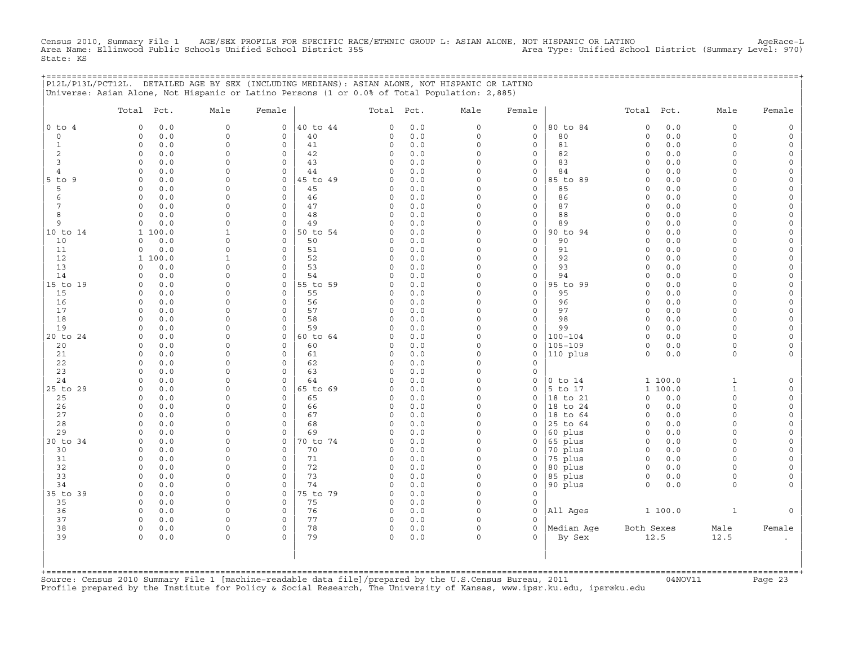Census 2010, Summary File 1 AGE/SEX PROFILE FOR SPECIFIC RACE/ETHNIC GROUP L: ASIAN ALONE, NOT HISPANIC OR LATINO AgeRace−L Area Name: Ellinwood Public Schools Unified School District 355 Area Type: Unified School District (Summary Level: 970) State: KS

|               |            |            |      |        | P12L/P13L/PCT12L. DETAILED AGE BY SEX (INCLUDING MEDIANS): ASIAN ALONE, NOT HISPANIC OR LATINO |            |      |                                                                                                                                                                                                                                                                                                                                    |             |                                                |      |      |        |
|---------------|------------|------------|------|--------|------------------------------------------------------------------------------------------------|------------|------|------------------------------------------------------------------------------------------------------------------------------------------------------------------------------------------------------------------------------------------------------------------------------------------------------------------------------------|-------------|------------------------------------------------|------|------|--------|
|               |            |            |      |        | Universe: Asian Alone, Not Hispanic or Latino Persons (1 or 0.0% of Total Population: 2,885)   |            |      |                                                                                                                                                                                                                                                                                                                                    |             |                                                |      |      |        |
|               | Total Pct. |            | Male | Female |                                                                                                | Total Pct. | Male | Female                                                                                                                                                                                                                                                                                                                             |             | Total                                          | Pct. | Male | Female |
| $ 0 \t{to} 4$ |            | $0 \t 0.0$ |      |        | 0 40 to 44<br>$\begin{array}{ccc} & & 0 & 0 & 0 \end{array}$                                   |            |      | $\overline{0}$ and $\overline{0}$ and $\overline{0}$ and $\overline{0}$ and $\overline{0}$ and $\overline{0}$ and $\overline{0}$ and $\overline{0}$ and $\overline{0}$ and $\overline{0}$ and $\overline{0}$ and $\overline{0}$ and $\overline{0}$ and $\overline{0}$ and $\overline{0}$ and $\overline{0}$ and $\overline{0}$ and | 0 180 to 84 | $\begin{array}{ccc} & & 0 & 0 & 0 \end{array}$ |      |      |        |

| $\Omega$             | 0.0<br>$\Omega$     | 0            | $\Omega$    | 40       | 0.0<br>0           | $\Omega$ | $\mathbf 0$         | 80          | 0.0<br>$\mathbf 0$ | $\Omega$     | 0        |
|----------------------|---------------------|--------------|-------------|----------|--------------------|----------|---------------------|-------------|--------------------|--------------|----------|
| $\mathbf 1$          | 0.0<br>$\Omega$     | $\Omega$     | $\Omega$    | 41       | 0.0<br>$\Omega$    | $\Omega$ | $\mathbf 0$         | 81          | 0.0<br>$\Omega$    | $\Omega$     | 0        |
| 2                    | 0.0<br>0            | $\Omega$     | $\Omega$    | 42       | $0.0$<br>0         | $\Omega$ | $\mathsf{O}\xspace$ | 82          | 0.0<br>$\mathbf 0$ | $\Omega$     | 0        |
| 3                    | 0.0<br>$\Omega$     | $\Omega$     | $\Omega$    | 43       | $\Omega$<br>0.0    | $\Omega$ | $\mathbf 0$         | 83          | 0.0<br>$\mathbf 0$ | $\Omega$     | 0        |
| $\overline{4}$       | $\Omega$<br>0.0     | $\Omega$     | $\Omega$    | 44       | 0.0<br>$\Omega$    | $\Omega$ | $\mathbf 0$         | 84          | 0.0<br>$\Omega$    | $\Omega$     | 0        |
| 5 to 9               | 0.0<br>$\Omega$     | $\Omega$     | $\Omega$    | 45 to 49 | 0.0<br>$\Omega$    | $\Omega$ | $\mathbf 0$         | 85 to 89    | 0.0<br>$\Omega$    | $\Omega$     | 0        |
| 5                    | 0.0<br>$\Omega$     | $\Omega$     | $\Omega$    | 45       | 0.0<br>$\Omega$    | $\Omega$ | $\mathbf 0$         | 85          | 0.0<br>$\cap$      | $\Omega$     | 0        |
| 6                    | 0.0<br>$\Omega$     | 0            | 0           | 46       | 0.0<br>0           | $\Omega$ | $\mathbf 0$         | 86          | 0.0<br>$\mathbf 0$ | $\Omega$     | 0        |
| 7                    | 0.0<br>$\Omega$     | $\Omega$     | $\Omega$    | 47       | $\Omega$<br>0.0    | $\Omega$ | $\Omega$            | 87          | 0.0<br>$\Omega$    | $\Omega$     | 0        |
| 8                    | 0.0<br>$\Omega$     | $\Omega$     | $\Omega$    | 48       | 0.0<br>$\Omega$    | $\Omega$ | $\mathbf 0$         | 88          | 0.0<br>$\Omega$    | $\Omega$     | 0        |
| 9                    | 0.0<br>$\Omega$     | $\Omega$     | $\Omega$    | 49       | 0.0<br>$\Omega$    | $\Omega$ | $\mathsf{O}\xspace$ | 89          | 0.0<br>$\Omega$    | $\Omega$     | 0        |
| $10$ to $14$         | 1 100.0             | 1            | $\Omega$    | 50 to 54 | 0.0<br>$\Omega$    | $\Omega$ | $\mathbf 0$         | 90 to 94    | 0.0<br>$\Omega$    | $\Omega$     | 0        |
| 10                   | 0.0<br>$\Omega$     | $\Omega$     | $\Omega$    | 50       | 0.0<br>$\Omega$    | $\Omega$ | $\Omega$            | 90          | 0.0<br>$\Omega$    | $\Omega$     | 0        |
| 11                   | 0.0<br>0            | $\Omega$     | $\Omega$    | 51       | 0.0<br>0           | $\Omega$ | $\mathbf 0$         | 91          | 0.0<br>$\Omega$    | $\Omega$     | 0        |
| 12                   | 1 100.0             | $\mathbf{1}$ | $\Omega$    | 52       | 0.0<br>$\Omega$    | $\cap$   | $\mathbf 0$         | 92          | 0.0<br>$\Omega$    | $\Omega$     | 0        |
| 13                   | 0.0<br>0            | $\Omega$     | $\Omega$    | 53       | 0.0<br>0           | $\Omega$ | $\mathsf{O}\xspace$ | 93          | 0.0<br>$\mathbf 0$ | $\Omega$     | 0        |
| 14                   | 0.0<br>$\Omega$     | $\Omega$     | $\Omega$    | 54       | 0.0<br>$\Omega$    | $\Omega$ | $\mathbf 0$         | 94          | 0.0<br>$\Omega$    | $\Omega$     | 0        |
| 15 to 19             | $\Omega$<br>0.0     | $\Omega$     | $\Omega$    | 55 to 59 | 0.0<br>$\Omega$    | $\Omega$ | $\mathbf 0$         | 95 to 99    | 0.0<br>$\Omega$    | $\Omega$     | $\circ$  |
| 15                   | 0.0<br><sup>0</sup> | $\Omega$     | $\Omega$    | 55       | 0.0<br>$\Omega$    | $\Omega$ | $\mathbf 0$         | 95          | 0.0<br>$\Omega$    | $\Omega$     | 0        |
| 16                   | 0.0<br>$\Omega$     | $\Omega$     | $\Omega$    | 56       | $\mathbf 0$<br>0.0 | $\Omega$ | $\mathbf 0$         | 96          | 0.0<br>$\Omega$    | $\Omega$     | 0        |
| 17                   | 0.0<br>$\Omega$     | 0            | $\Omega$    | 57       | 0.0<br>0           | $\Omega$ | $\mathbf 0$         | 97          | 0.0<br>$\Omega$    | $\Omega$     | 0        |
| 18                   | 0.0<br>$\Omega$     | $\Omega$     | $\Omega$    | 58       | 0.0<br>$\Omega$    | $\Omega$ | $\mathbf 0$         | 98          | $\Omega$<br>0.0    | $\Omega$     | 0        |
| 19                   | 0.0<br>$\Omega$     | $\Omega$     | $\Omega$    | 59       | $\Omega$<br>0.0    | $\Omega$ | $\mathbf 0$         | 99          | 0.0<br>$\Omega$    | $\Omega$     | 0        |
| 20 to 24             | 0.0<br>$\Omega$     | $\Omega$     | $\Omega$    | 60 to 64 | 0.0<br>$\Omega$    | $\Omega$ | $\mathbf 0$         | $100 - 104$ | 0.0<br>$\mathbf 0$ | $\Omega$     | 0        |
| 20                   | 0.0<br>$\Omega$     | $\Omega$     | $\Omega$    | 60       | $\mathbf 0$<br>0.0 | $\Omega$ | $\mathbf 0$         | $105 - 109$ | $\circ$<br>0.0     | 0            | 0        |
| 21                   | 0.0<br>$\Omega$     | $\Omega$     | $\Omega$    | 61       | 0.0<br>$\Omega$    | $\Omega$ | $\mathbf 0$         | 110 plus    | 0.0<br>$\Omega$    | $\Omega$     | $\Omega$ |
| 22                   | 0.0<br>$\Omega$     | $\Omega$     | $\Omega$    | 62       | 0.0<br>0           | $\Omega$ | $\mathbf 0$         |             |                    |              |          |
| 23                   | 0.0<br>$\Omega$     | $\Omega$     | $\Omega$    | 63       | $\Omega$<br>0.0    | $\Omega$ | $\mathbf 0$         |             |                    |              |          |
| 24                   | 0.0<br>$\Omega$     | $\Omega$     | $\Omega$    | 64       | 0.0<br>$\Omega$    | $\Omega$ | $\mathbf 0$         | $0$ to $14$ | 1 100.0            | $\mathbf{1}$ | 0        |
| 25 to 29             | 0.0<br>$\Omega$     | $\Omega$     | $\Omega$    | 65 to 69 | 0.0<br>$\Omega$    | $\Omega$ | $\mathbf 0$         | 5 to 17     | 1 100.0            | $\mathbf{1}$ | 0        |
| 25                   | $\Omega$<br>0.0     | $\Omega$     | $\Omega$    | 65       | 0.0<br>$\mathbf 0$ | $\Omega$ | $\Omega$            | 18 to 21    | 0.0<br>$\circ$     | $\Omega$     | 0        |
| 26                   | 0.0<br><sup>0</sup> | 0            | $\Omega$    | 66       | 0<br>0.0           | $\Omega$ | $\mathbf 0$         | 18 to 24    | 0.0<br>$\Omega$    | $\Omega$     | 0        |
| 27                   | 0.0<br>$\Omega$     | $\Omega$     | $\Omega$    | 67       | $\Omega$<br>0.0    | $\Omega$ | $\Omega$            | 18 to 64    | 0.0<br>$\Omega$    | $\Omega$     | 0        |
| 28                   | 0.0<br>$\Omega$     | 0            | $\Omega$    | 68       | 0.0<br>$\mathbf 0$ | $\Omega$ | $\Omega$            | 25 to 64    | 0.0<br>$\mathbf 0$ | $\Omega$     | 0        |
| 29                   | 0.0<br>$\Omega$     | $\Omega$     | $\Omega$    | 69       | 0.0<br>$\Omega$    | $\Omega$ | $\Omega$            | 60 plus     | 0.0<br>$\mathbf 0$ | $\Omega$     | 0        |
| 30 to 34             | $\Omega$<br>0.0     | $\Omega$     | $\Omega$    | 70 to 74 | $\Omega$<br>0.0    | $\Omega$ | $\mathbf 0$         | 65 plus     | $\circ$<br>0.0     | $\Omega$     | 0        |
| 30                   | 0.0<br>$\Omega$     | 0            | $\Omega$    | 70       | 0.0<br>0           | $\Omega$ | $\mathbf 0$         | 70 plus     | 0.0<br>$\mathbf 0$ | $\Omega$     | 0        |
| 31                   | 0.0<br>$\Omega$     | 0            | $\Omega$    | 71       | $\mathbf 0$<br>0.0 | $\Omega$ | $\mathbf 0$         | 75 plus     | 0.0<br>$\mathbf 0$ | $\Omega$     | 0        |
| 32                   | 0.0<br>$\Omega$     | $\Omega$     | $\Omega$    | 72       | $\Omega$<br>0.0    | $\Omega$ | $\Omega$            | 80 plus     | 0.0<br>$\Omega$    | $\Omega$     | 0        |
| 33                   | 0.0<br>$\Omega$     | $\Omega$     | $\Omega$    | 73       | 0.0<br>0           | $\Omega$ | $\mathbf 0$         | 85 plus     | 0.0<br>$\circ$     | $\mathbf 0$  | 0        |
| 34                   | 0.0<br>$\cap$       | $\Omega$     | $\Omega$    | 74       | 0.0<br>$\Omega$    | $\Omega$ | $\mathbf 0$         | 90 plus     | 0.0<br>$\Omega$    | $\Omega$     | $\Omega$ |
| 35 to 39             | 0.0<br>$\Omega$     | $\Omega$     | 0           | 75 to 79 | 0.0<br>$\Omega$    | $\Omega$ | $\mathbf 0$         |             |                    |              |          |
| 35                   | 0.0<br>$\Omega$     | $\Omega$     | $\Omega$    | 75       | $\mathbf 0$<br>0.0 | $\Omega$ | $\Omega$            |             |                    |              |          |
| 36                   | $\Omega$<br>0.0     | $\Omega$     | $\Omega$    | 76       | $\mathbf 0$<br>0.0 | $\Omega$ | $\mathbf 0$         | All Ages    | 1 100.0            | $\mathbf{1}$ | $\Omega$ |
| 37                   | 0.0<br><sup>0</sup> | $\Omega$     | $\Omega$    | 77       | 0<br>0.0           | $\Omega$ | $\Omega$            |             |                    |              |          |
| 38                   | 0.0<br>$\mathbf 0$  | $\Omega$     | $\mathbf 0$ | 78       | 0.0<br>0           | $\Omega$ | $\mathbf 0$         | Median Age  | Both Sexes         | Male         | Female   |
| 39                   | $\Omega$<br>0.0     | $\mathbf 0$  | $\Omega$    | 79       | $\Omega$<br>0.0    | $\Omega$ |                     | By Sex      | 12.5               | 12.5         |          |
|                      |                     |              |             |          |                    |          |                     |             |                    |              |          |
|                      |                     |              |             |          |                    |          |                     |             |                    |              |          |
|                      |                     |              |             |          |                    |          |                     |             |                    |              |          |
| +=================== |                     |              |             |          |                    |          |                     |             |                    |              |          |

+===================================================================================================================================================+Source: Census 2010 Summary File 1 [machine−readable data file]/prepared by the U.S.Census Bureau, 2011 04NOV11 Page 23 Profile prepared by the Institute for Policy & Social Research, The University of Kansas, www.ipsr.ku.edu, ipsr@ku.edu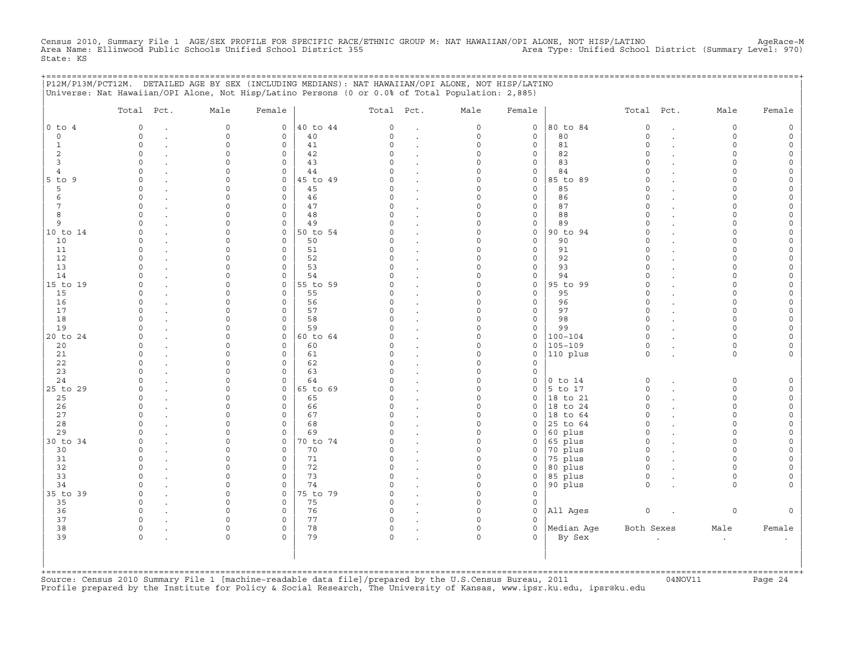Census 2010, Summary File 1 AGE/SEX PROFILE FOR SPECIFIC RACE/ETHNIC GROUP M: NAT HAWAIIAN/OPI ALONE, NOT HISP/LATINO AgeRace-M<br>Area Name: Ellinwood Public Schools Unified School District State: KS

|                     | P12M/P13M/PCT12M. DETAILED AGE BY SEX (INCLUDING MEDIANS): NAT HAWAIIAN/OPI ALONE, NOT HISP/LATINO<br>Universe: Nat Hawaiian/OPI Alone, Not Hisp/Latino Persons (0 or 0.0% of Total Population: 2,885) |                      |                                     |                |                    |                      |                      |                     | ======================= |                         |                      |        |
|---------------------|--------------------------------------------------------------------------------------------------------------------------------------------------------------------------------------------------------|----------------------|-------------------------------------|----------------|--------------------|----------------------|----------------------|---------------------|-------------------------|-------------------------|----------------------|--------|
|                     | Total Pct.                                                                                                                                                                                             | Male                 | Female                              |                | Total Pct.         |                      | Male                 | Female              |                         | Total Pct.              | Male                 | Female |
| $0$ to $4$          | $\mathbf 0$                                                                                                                                                                                            | $\mathbb O$          | $\circ$                             | 40 to 44       | $\circ$            | $\ddot{\phantom{a}}$ | $\circ$              | $\circ$             | 80 to 84                | $\mathbf 0$             | $\mathbf 0$          |        |
| $\circ$             | $\Omega$                                                                                                                                                                                               | $\mathbf 0$          | $\mathbf{0}$                        | 40             | $\Omega$           | $\mathbf{r}$         | $\circ$              | $\mathbf{0}$        | 80                      | $\circ$                 | $\Omega$             |        |
| 1                   | $\Omega$                                                                                                                                                                                               | $\Omega$             | $\mathbf 0$                         | 41             | $\cap$             |                      | $\Omega$             | $\mathbf{0}$        | 81                      | $\Omega$                | $\cap$               |        |
| 2                   | $\Omega$<br>∩                                                                                                                                                                                          | $\Omega$<br>$\cap$   | 0<br>$\Omega$                       | 42             | <sup>0</sup><br>U  |                      | O<br>$\Omega$        | 0                   | 82                      | $\Omega$<br>$\Omega$    |                      |        |
| 3<br>$\overline{4}$ | <sup>0</sup>                                                                                                                                                                                           | $\Omega$             | $\circ$                             | 43<br>44       |                    |                      | $\Omega$             | 0<br>0              | 83<br>84                | $\Omega$                | ∩                    |        |
| $5$ to $9$          | $\Omega$                                                                                                                                                                                               | $\Omega$             | $\circ$                             | 45 to 49       |                    | $\sim$               | $\Omega$             | 0                   | 85 to 89                | $\Omega$                |                      |        |
| 5                   | $\Omega$                                                                                                                                                                                               | $\Omega$             | $\circ$                             | 45             | $\Omega$           | $\sim$               | $\Omega$             | $\circ$             | 85                      | $\Omega$                |                      |        |
| 6                   | $\mathbf 0$                                                                                                                                                                                            | $\Omega$             | 0                                   | 46             | $\Omega$           |                      | $\Omega$             | 0                   | 86                      | $\Omega$                |                      |        |
| 7                   | $\Omega$                                                                                                                                                                                               | $\Omega$             | $\mathbf 0$                         | 47             | $\Omega$           |                      | $\Omega$             | 0                   | 87                      | $\Omega$                |                      |        |
| 8                   | $\Omega$                                                                                                                                                                                               | $\Omega$             | 0                                   | 48             | $\Omega$           |                      | $\Omega$             | 0                   | 88                      | $\Omega$                |                      |        |
| 9                   |                                                                                                                                                                                                        | $\Omega$             | 0                                   | 49             |                    |                      | $\Omega$             | 0                   | 89                      | $\Omega$                |                      |        |
| 10 to 14            | $\Omega$                                                                                                                                                                                               |                      | $\mathsf{O}$                        | 50 to 54       |                    |                      | $\Omega$             | 0                   | 90 to 94                | $\Omega$                |                      |        |
| 10<br>11            | $\Omega$<br>$\cap$                                                                                                                                                                                     | $\Omega$<br>$\Omega$ | 0<br>0                              | 50<br>51       | $\Omega$<br>$\cap$ |                      | $\Omega$<br>$\Omega$ | 0<br>0              | 90<br>91                | $\Omega$<br>$\Omega$    |                      |        |
| 12                  | $\Omega$                                                                                                                                                                                               | $\Omega$             | 0                                   | 52             |                    |                      | $\Omega$             | 0                   | 92                      | $\Omega$                |                      |        |
| 13                  | $\cap$                                                                                                                                                                                                 | $\Omega$             | $\mathbf 0$                         | 53             | U                  |                      | $\Omega$             | $\mathbf{0}$        | 93                      | $\Omega$                |                      |        |
| 14                  | $\Omega$                                                                                                                                                                                               | $\Omega$             | $\mathbf 0$                         | 54             | <sup>n</sup>       |                      | O                    | $\mathbf{0}$        | 94                      | $\Omega$                |                      |        |
| 15 to 19            | <sup>0</sup>                                                                                                                                                                                           | $\cap$               | $\mathbf{0}$                        | 55 to 59       | U                  |                      | <sup>0</sup>         | 0                   | 95 to 99                | $\Omega$                |                      |        |
| 15                  | $\Omega$                                                                                                                                                                                               | $\Omega$             | $\circ$                             | 55             | U                  |                      | $\Omega$             | $\mathbf{0}$        | 95                      | $\Omega$                |                      |        |
| 16                  | $\Omega$                                                                                                                                                                                               | $\Omega$             | $\mathbf 0$                         | 56             | $\Omega$           |                      | 0                    | $\mathbf{0}$        | 96                      | $\Omega$                | ∩                    |        |
| 17                  |                                                                                                                                                                                                        |                      | 0                                   | 57             |                    |                      |                      | 0                   | 97                      | $\Omega$                |                      |        |
| 18                  | $\Omega$                                                                                                                                                                                               | n<br>$\Omega$        | 0                                   | 58             | U                  |                      | O                    | 0                   | 98                      | $\Omega$                |                      |        |
| 19<br>20 to 24      | <sup>n</sup><br>$\cap$                                                                                                                                                                                 | $\Omega$             | $\mathsf{O}\xspace$<br>$\mathsf{O}$ | 59<br>60 to 64 | U<br>U             |                      | 0<br>$\Omega$        | 0<br>0              | 99<br>$100 - 104$       | $\Omega$<br>$\Omega$    | ∩<br>$\cap$          |        |
| 20                  | $\Omega$                                                                                                                                                                                               | $\Omega$             | $\mathbf 0$                         | 60             | O                  |                      | $\Omega$             | $\mathsf{O}\xspace$ | $105 - 109$             | 0                       | $\Omega$             |        |
| 21                  | $\mathbf 0$                                                                                                                                                                                            | $\Omega$             | $\mathbf 0$                         | 61             | $\Omega$           |                      | $\Omega$             | 0                   | 110 plus                | $\circ$                 | $\mathbf 0$          |        |
| 22                  | $\Omega$                                                                                                                                                                                               | $\Omega$             | $\mathbf 0$                         | 62             | $\Omega$           |                      | $\Omega$             | $\mathbf{0}$        |                         |                         |                      |        |
| 23                  | $\Omega$                                                                                                                                                                                               | $\Omega$             | 0                                   | 63             | $\Omega$           |                      | $\Omega$             | 0                   |                         |                         |                      |        |
| 24                  | $\Omega$                                                                                                                                                                                               | $\Omega$             | $\circ$                             | 64             | ∩                  |                      | $\Omega$             | 0                   | $0$ to $14$             | $\circ$                 | $\Omega$             |        |
| 25 to 29            | $\Omega$                                                                                                                                                                                               | $\Omega$             | $\mathsf{O}$                        | 65 to 69       |                    |                      | $\Omega$             | 0                   | 5 to 17                 | 0                       | $\cap$               |        |
| 25                  | $\Omega$<br>$\Omega$                                                                                                                                                                                   |                      | $\mathsf{O}$<br>$\mathbf 0$         | 65             |                    |                      | $\Omega$<br>O        | 0<br>$\Omega$       | 18 to 21                | $\mathbf 0$<br>$\Omega$ |                      |        |
| 26<br>27            | $\cap$                                                                                                                                                                                                 | n                    | $\circ$                             | 66<br>67       | $\Omega$           |                      | $\Omega$             | $\Omega$            | 18 to 24<br>18 to 64    | $\Omega$                | $\cap$               |        |
| 28                  |                                                                                                                                                                                                        | U                    | $\mathbf 0$                         | 68             | $\cap$             |                      | $\Omega$             | $\Omega$            | 25 to 64                | $\circ$                 | $\cap$               |        |
| 29                  |                                                                                                                                                                                                        | $\Omega$             | $\mathbf 0$                         | 69             |                    | $\sim$               | $\Omega$             | $\Omega$            | 60 plus                 | $\Omega$                |                      |        |
| 30 to 34            | $\Omega$                                                                                                                                                                                               | $\Omega$             | $\mathbf{0}$                        | 70 to 74       |                    | $\cdot$              | $\Omega$             | 0                   | 65 plus                 | $\circ$                 | $\cap$               |        |
| 30                  | $\Omega$                                                                                                                                                                                               | $\Omega$             | 0                                   | 70             | <sup>0</sup>       |                      | O                    | 0                   | 70 plus                 | $\circ$                 | ∩                    |        |
| 31                  | <sup>0</sup>                                                                                                                                                                                           | $\Omega$             | 0                                   | 71             | <sup>0</sup>       |                      | 0                    | 0                   | 75 plus                 | $\mathbf 0$             | ∩                    |        |
| 32                  | $\Omega$                                                                                                                                                                                               | $\Omega$             | $\mathbf 0$                         | 72             | $\Omega$           |                      | $\Omega$             | $\mathbf 0$         | 80 plus                 | $\circ$                 | $\cap$               |        |
| 33<br>34            |                                                                                                                                                                                                        | $\Omega$<br>$\Omega$ | $\mathbf 0$<br>$\mathbf 0$          | 73<br>74       |                    |                      | $\Omega$<br>$\Omega$ | $\mathbf{0}$        | 85 plus                 | $\mathbf 0$<br>$\Omega$ | $\Omega$<br>$\Omega$ |        |
| 35 to 39            | $\Omega$                                                                                                                                                                                               | $\Omega$             | $\mathbf 0$                         | 75 to 79       |                    |                      | $\Omega$             | 0<br>$\Omega$       | 90 plus                 |                         |                      |        |
| 35                  | $\mathbf 0$                                                                                                                                                                                            | $\Omega$             | 0                                   | 75             | $\Omega$           |                      | $\Omega$             | 0                   |                         |                         |                      |        |
| 36                  | $\mathbf 0$                                                                                                                                                                                            | $\Omega$             | 0                                   | 76             | 0                  | $\cdot$              | $\Omega$             | 0                   | All Ages                | $\circ$                 | $\mathbf 0$          |        |
| 37                  | $\mathbf 0$                                                                                                                                                                                            | $\Omega$             | 0                                   | 77             | $\Omega$           |                      | $\Omega$             | $\Omega$            |                         |                         |                      |        |
| 38                  | 0                                                                                                                                                                                                      | $\Omega$             | 0                                   | 78             | 0                  |                      | 0                    | 0                   | Median Age              | Both Sexes              | Male                 | Female |
| 39                  | $\Omega$                                                                                                                                                                                               | $\Omega$             | $\Omega$                            | 79             | $\Omega$           |                      | $\Omega$             | $\Omega$            | By Sex                  |                         | $\ddot{\phantom{a}}$ |        |
|                     |                                                                                                                                                                                                        |                      |                                     |                |                    |                      |                      |                     |                         |                         |                      |        |
|                     |                                                                                                                                                                                                        |                      |                                     |                |                    |                      |                      |                     |                         |                         |                      |        |
|                     |                                                                                                                                                                                                        |                      |                                     |                |                    |                      |                      |                     |                         |                         |                      |        |

+===================================================================================================================================================+Source: Census 2010 Summary File 1 [machine−readable data file]/prepared by the U.S.Census Bureau, 2011 04NOV11 Page 24 Profile prepared by the Institute for Policy & Social Research, The University of Kansas, www.ipsr.ku.edu, ipsr@ku.edu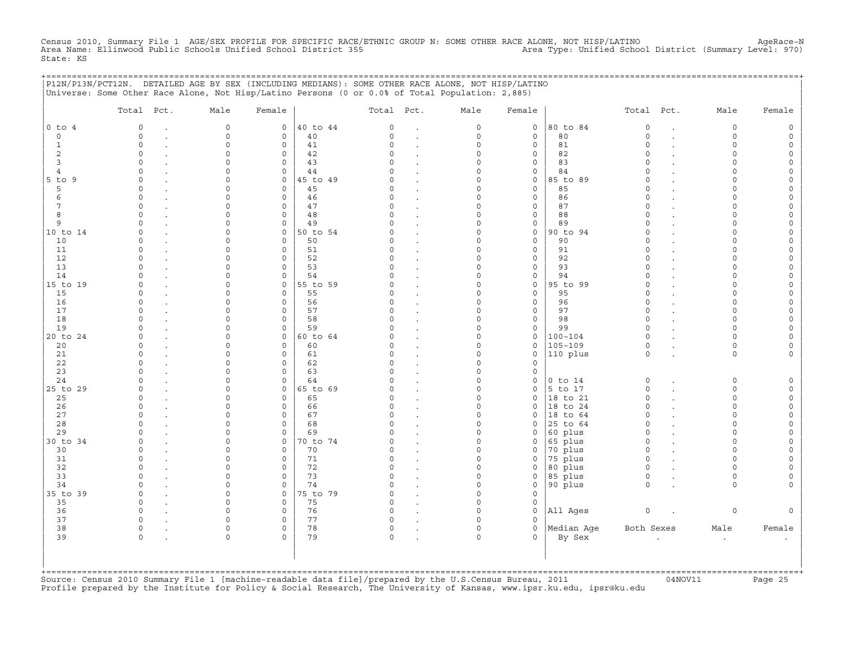Census 2010, Summary File 1 AGE/SEX PROFILE FOR SPECIFIC RACE/ETHNIC GROUP N: SOME OTHER RACE ALONE, NOT HISP/LATINO AgeRace-N<br>Area Name: Ellinwood Public Schools Unified School District State: KS

|                           | P12N/P13N/PCT12N. DETAILED AGE BY SEX (INCLUDING MEDIANS): SOME OTHER RACE ALONE, NOT HISP/LATINO<br>Universe: Some Other Race Alone, Not Hisp/Latino Persons (0 or 0.0% of Total Population: 2,885) |                          |                                    |          |               |                      |                     |                     | ===================  |                      |           |        |
|---------------------------|------------------------------------------------------------------------------------------------------------------------------------------------------------------------------------------------------|--------------------------|------------------------------------|----------|---------------|----------------------|---------------------|---------------------|----------------------|----------------------|-----------|--------|
|                           | Total Pct.                                                                                                                                                                                           | Male                     | Female                             |          | Total Pct.    |                      | Male                | Female              |                      | Total Pct.           | Male      | Female |
| $0$ to $4$                | 0                                                                                                                                                                                                    | $\circ$                  | $\mathsf{O}$                       | 40 to 44 | 0             |                      | 0                   | $\mathsf{O}$        | 80 to 84             | $\mathsf O$          | $\circ$   |        |
| $\circ$                   | $\Omega$                                                                                                                                                                                             | $\circ$                  | $\mathsf{O}$                       | 40       | 0             | $\blacksquare$       | $\circ$             | $\mathbf 0$         | 80                   | $\mathbf 0$          | $\circ$   |        |
| 1                         | $\Omega$                                                                                                                                                                                             | $\cap$                   | $\circ$                            | 41       | $\Omega$      |                      | $\Omega$            | 0                   | 81                   | $\Omega$             | $\Omega$  |        |
| 2                         | $\Omega$                                                                                                                                                                                             | $\Omega$                 | $\mathsf{O}$                       | 42       | $\Omega$      |                      | 0                   | 0                   | 82                   | $\Omega$             | $\Omega$  |        |
| 3                         | $\Omega$                                                                                                                                                                                             |                          | $\mathbf 0$                        | 43       |               |                      | O                   | 0                   | 83                   | $\Omega$             |           |        |
| 4                         |                                                                                                                                                                                                      |                          | $\mathsf{O}$                       | 44       |               |                      | 0                   | 0                   | 84                   | $\Omega$             |           |        |
| $5$ to $9$                | $\Omega$<br>$\Omega$                                                                                                                                                                                 |                          | $\mathsf{O}$                       | 45 to 49 | 0             |                      | O<br>U              | 0                   | 85 to 89             | $\Omega$<br>$\Omega$ |           |        |
| 5<br>6                    | $\Omega$                                                                                                                                                                                             |                          | $\circ$<br>$\circ$                 | 45<br>46 | $\Omega$      |                      | U                   | 0<br>0              | 85<br>86             | $\Omega$             | ∩         |        |
| 7                         | $\Omega$                                                                                                                                                                                             |                          | $\circ$                            | 47       | $\Omega$      |                      | O                   | $\mathbf{0}$        | 87                   | $\Omega$             | ∩         |        |
| 8                         | $\Omega$                                                                                                                                                                                             |                          | $\mathbf{0}$                       | 48       | $\Omega$      |                      | 0                   | $\mathbf 0$         | 88                   | $\Omega$             |           |        |
| 9                         | $\Omega$                                                                                                                                                                                             |                          | $\mathsf{O}$                       | 49       | $\Omega$      | $\ddot{\phantom{a}}$ | 0                   | 0                   | 89                   | $\Omega$             | $\Omega$  |        |
| 10 to 14                  | $\Omega$                                                                                                                                                                                             |                          | $\circ$                            | 50 to 54 | $\Omega$      |                      | O                   | 0                   | 90 to 94             | $\Omega$             | $\cap$    |        |
| 10                        | $\Omega$                                                                                                                                                                                             | ∩                        | $\mathsf{O}$                       | 50       | $\Omega$      |                      | 0                   | 0                   | 90                   | $\Omega$             | $\cap$    |        |
| 11                        | $\Omega$                                                                                                                                                                                             |                          | $\mathsf{O}$                       | 51       | $\Omega$      |                      | 0                   | 0                   | 91                   | $\Omega$             |           |        |
| 12                        |                                                                                                                                                                                                      |                          | $\Omega$                           | 52       | U             |                      | ∩                   | $\Omega$            | 92                   | $\cap$               |           |        |
| 13                        |                                                                                                                                                                                                      |                          | $\mathbf 0$                        | 53       | $\Omega$      |                      | U                   | 0                   | 93                   | $\Omega$             |           |        |
| 14                        |                                                                                                                                                                                                      |                          | $\mathbf 0$                        | 54       | U             |                      | U                   | 0                   | 94                   | $\Omega$             |           |        |
| 15 to 19                  | $\Omega$                                                                                                                                                                                             |                          | 0                                  | 55 to 59 | O.            |                      | 0                   | 0                   | 95 to 99             | $\Omega$             | ∩         |        |
| 15                        | $\Omega$                                                                                                                                                                                             |                          | $\mathbf{0}$                       | 55       | 0             |                      | O                   | $\mathbf{0}$        | 95                   | $\Omega$             |           |        |
| 16                        | $\Omega$                                                                                                                                                                                             |                          | $\circ$                            | 56       | $\Omega$      |                      | O                   | $\mathbf{0}$        | 96                   | $\Omega$             |           |        |
| 17                        | $\Omega$                                                                                                                                                                                             | ∩                        | $\mathsf{O}$                       | 57       | $\Omega$      |                      | 0                   | 0                   | 97                   | $\Omega$             | $\cap$    |        |
| 18                        | $\Omega$                                                                                                                                                                                             | n                        | $\mathsf{O}$                       | 58       | $\Omega$      |                      | O                   | 0                   | 98                   | $\mathbf 0$          | $\cap$    |        |
| 19                        | $\Omega$                                                                                                                                                                                             |                          | $\mathsf{O}$                       | 59       | $\Omega$      |                      | 0                   | 0                   | 99                   | $\Omega$             | $\cap$    |        |
| 20 to 24                  |                                                                                                                                                                                                      |                          | $\circ$                            | 60 to 64 |               |                      | U                   | 0                   | $100 - 104$          | $\Omega$             | $\cap$    |        |
| 20                        | $\Omega$                                                                                                                                                                                             |                          | $\Omega$                           | 60       | O             |                      | O                   | 0                   | $105 - 109$          | $\Omega$             | $\Omega$  |        |
| 21                        | $\Omega$                                                                                                                                                                                             |                          | $\mathbf 0$                        | 61       | $\Omega$      |                      | O                   | 0                   | 110 plus             | $\Omega$             | $\Omega$  |        |
| 22<br>23                  | $\Omega$<br>$\Omega$                                                                                                                                                                                 |                          | $\mathbf 0$<br>$\mathsf{O}$        | 62<br>63 | $\Omega$<br>O |                      | U<br>0              | 0<br>0              |                      |                      |           |        |
| 24                        |                                                                                                                                                                                                      |                          | $\mathbf 0$                        | 64       |               |                      | O                   | 0                   | $0$ to $14$          | $\circ$              | $\Omega$  |        |
| 25 to 29                  | $\Omega$                                                                                                                                                                                             |                          | $\mathsf{O}$                       | 65 to 69 | $\Omega$      |                      | $\Omega$            | 0                   | 5 to 17              | $\circ$              | $\Omega$  |        |
| 25                        | $\Omega$                                                                                                                                                                                             |                          | $\mathsf{O}$                       | 65       | $\Omega$      |                      | 0                   | 0                   | 18 to 21             | $\Omega$             | $\cap$    |        |
| 26                        | $\Omega$                                                                                                                                                                                             |                          | $\mathsf{O}$                       | 66       | $\Omega$      |                      | 0                   | $\mathbf{0}$        | 18 to 24             | $\circ$              | $\cap$    |        |
| 27                        | $\Omega$                                                                                                                                                                                             |                          | $\circ$                            | 67       | $\Omega$      |                      | O                   | 0                   | $ 18$ to $64$        | $\mathbf 0$          | $\cap$    |        |
| 28                        |                                                                                                                                                                                                      |                          | $\circ$                            | 68       | $\Omega$      |                      | U                   | $\Omega$            | 25 to 64             | $\Omega$             | $\Omega$  |        |
| 29                        | $\Omega$                                                                                                                                                                                             | ∩                        | $\mathbf 0$                        | 69       | U             |                      | $\Omega$            | $\Omega$            | 60 plus              | $\Omega$             | ∩         |        |
| 30 to 34                  | $\Omega$                                                                                                                                                                                             | <sup>n</sup>             | 0                                  | 70 to 74 | 0             |                      | 0                   | 0                   | 65 plus              | $\mathbf 0$          | $\Omega$  |        |
| 30                        | $\Omega$                                                                                                                                                                                             |                          | $\mathsf{O}$                       | 70       | $\Omega$      |                      | 0                   | 0                   | 70 plus              | $\circ$              | $\cap$    |        |
| 31                        | $\Omega$                                                                                                                                                                                             |                          | $\mathbf 0$                        | 71       | $\Omega$      |                      | O                   | $\Omega$            | 75 plus              | $\Omega$             |           |        |
| 32                        | $\Omega$                                                                                                                                                                                             |                          | $\mathsf{O}$                       | 72       | $\Omega$      |                      | $\Omega$            | 0                   | 80 plus              | $\mathsf O$          | $\cap$    |        |
| 33                        | $\Omega$                                                                                                                                                                                             |                          | $\mathbf 0$                        | 73       | $\Omega$      |                      | 0                   | 0                   | 85 plus              | $\circ$              | $\Omega$  |        |
| 34                        | $\Omega$                                                                                                                                                                                             | <sup>n</sup>             | $\mathsf{O}$                       | 74       | $\Omega$      |                      | $\Omega$            | 0                   | 90 plus              | $\Omega$             | $\Omega$  |        |
| 35 to 39                  | $\Omega$                                                                                                                                                                                             | $\cap$                   | $\circ$                            | 75 to 79 | $\Omega$      | $\overline{a}$       | O                   | $\mathbf{0}$        |                      |                      |           |        |
| 35                        | $\Omega$                                                                                                                                                                                             |                          | $\circ$                            | 75       | $\Omega$      |                      | U                   | 0                   |                      |                      |           |        |
| 36                        | $\Omega$                                                                                                                                                                                             | ∩                        | 0                                  | 76       | $\Omega$      |                      | $\Omega$            | 0                   | All Ages             | $\circ$              | $\Omega$  |        |
| 37<br>38                  | $\Omega$<br>$\circ$                                                                                                                                                                                  | <sup>n</sup><br>$\Omega$ | $\mathbf 0$<br>$\mathsf{O}\xspace$ | 77<br>78 | $\Omega$      |                      | $\Omega$<br>$\circ$ | $\Omega$<br>$\circ$ |                      |                      |           |        |
| 39                        | $\Omega$                                                                                                                                                                                             | $\Omega$                 | $\Omega$                           | 79       | 0<br>0        |                      | $\Omega$            | $\Omega$            | Median Aqe<br>By Sex | Both Sexes           | Male      | Female |
|                           |                                                                                                                                                                                                      |                          |                                    |          |               |                      |                     |                     |                      |                      | $\bullet$ |        |
|                           |                                                                                                                                                                                                      |                          |                                    |          |               |                      |                     |                     |                      |                      |           |        |
|                           |                                                                                                                                                                                                      |                          |                                    |          |               |                      |                     |                     |                      |                      |           |        |
| $+$ = = = = = = = = = = = |                                                                                                                                                                                                      |                          |                                    |          |               |                      |                     |                     |                      |                      |           |        |

+===================================================================================================================================================+Source: Census 2010 Summary File 1 [machine−readable data file]/prepared by the U.S.Census Bureau, 2011 04NOV11 Page 25 Profile prepared by the Institute for Policy & Social Research, The University of Kansas, www.ipsr.ku.edu, ipsr@ku.edu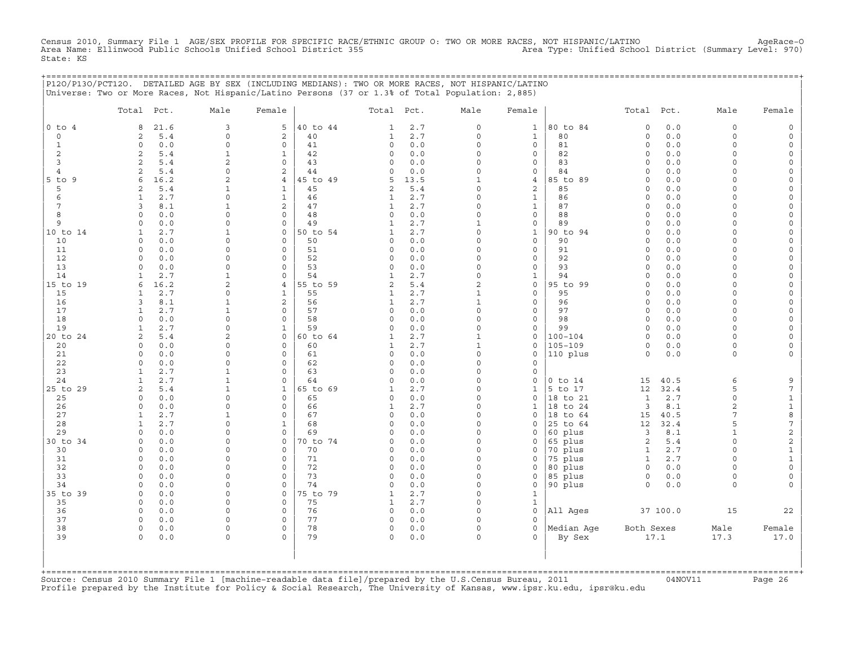Census 2010, Summary File 1 AGE/SEX PROFILE FOR SPECIFIC RACE/ETHNIC GROUP O: TWO OR MORE RACES, NOT HISPANIC/LATINO AgeRace-O<br>Area Name: Ellinwood Public Schools Unified School District 355 State: KS

|                   | P12O/P13O/PCT12O. DETAILED AGE BY SEX (INCLUDING MEDIANS): TWO OR MORE RACES, NOT HISPANIC/LATINO |                             |                            |                |                              |            |                              |                              |                    |                                |            |                     |                                            |
|-------------------|---------------------------------------------------------------------------------------------------|-----------------------------|----------------------------|----------------|------------------------------|------------|------------------------------|------------------------------|--------------------|--------------------------------|------------|---------------------|--------------------------------------------|
|                   | Universe: Two or More Races, Not Hispanic/Latino Persons (37 or 1.3% of Total Population: 2,885)  |                             |                            |                |                              |            |                              |                              |                    |                                |            |                     |                                            |
|                   |                                                                                                   |                             |                            |                |                              |            |                              |                              |                    |                                |            |                     |                                            |
|                   | Total Pct.                                                                                        | Male                        | Female                     |                | Total Pct.                   |            | Male                         | Female                       |                    | Total Pct.                     |            | Male                | Female                                     |
|                   |                                                                                                   |                             |                            |                |                              |            |                              |                              |                    |                                |            |                     |                                            |
| $0$ to $4$        | 21.6<br>8                                                                                         | 3                           | 5                          | 40 to 44       | $\mathbf{1}$                 | 2.7        | $\circ$                      | $\mathbf{1}$                 | 80 to 84           | $\circ$                        | 0.0        | $\circ$             | 0                                          |
| $\circ$           | 2<br>5.4                                                                                          | $\mathbf 0$<br>$\mathbf 0$  | 2<br>$\mathbf{0}$          | 40             | $\mathbf{1}$                 | 2.7        | $\circ$<br>$\circ$           | $\mathbf{1}$                 | 80                 | $\circ$                        | 0.0<br>0.0 | $\Omega$<br>$\circ$ | $\mathsf{O}\xspace$                        |
| $\mathbf{1}$<br>2 | $\circ$<br>0.0<br>2<br>5.4                                                                        | $\mathbf{1}$                | $\mathbf{1}$               | 41<br>42       | $\mathsf{O}$<br>$\circ$      | 0.0<br>0.0 | 0                            | $\mathbf{0}$<br>$\mathbf{0}$ | 81<br>82           | $\circ$<br>$\circ$             | 0.0        | $\circ$             | $\mathsf{O}\xspace$<br>$\mathbb O$         |
| 3                 | $\mathbf{2}$<br>5.4                                                                               | $\overline{a}$              | $\Omega$                   | 43             | $\Omega$                     | 0.0        | $\Omega$                     | $\mathbf{0}$                 | 83                 | $\Omega$                       | 0.0        | $\Omega$            | $\mathsf{O}\xspace$                        |
| $\overline{4}$    | 5.4<br>2                                                                                          | $\mathbf 0$                 | 2                          | 44             | 0                            | 0.0        | $\Omega$                     | $\circ$                      | 84                 | $\circ$                        | 0.0        | $\circ$             | $\mathsf{O}\xspace$                        |
| $5$ to $9$        | 6<br>16.2                                                                                         | 2                           | $\overline{4}$             | 45 to 49       | 5                            | 13.5       | $\mathbf{1}$                 | $\overline{4}$               | 85 to 89           | $\circ$                        | 0.0        | $\Omega$            | $\mathsf{O}\xspace$                        |
| 5                 | 5.4<br>2                                                                                          | $\mathbf{1}$                | $\mathbf{1}$               | 45             | 2                            | 5.4        | $\Omega$                     | 2                            | 85                 | $\Omega$                       | 0.0        | $\Omega$            | $\mathsf{O}\xspace$                        |
| 6                 | 2.7<br>$\mathbf{1}$                                                                               | $\Omega$                    | $\mathbf{1}$               | 46             | $\mathbf{1}$                 | 2.7        | $\Omega$                     | $\mathbf{1}$                 | 86                 | $\Omega$                       | 0.0        | $\Omega$            | $\mathsf{O}\xspace$                        |
| 7                 | 3<br>8.1                                                                                          | $\mathbf{1}$                | 2                          | 47             | $\mathbf{1}$                 | 2.7        | $\Omega$                     | $\mathbf{1}$                 | 87                 | $\circ$                        | 0.0        | $\Omega$            | $\mathsf{O}\xspace$                        |
| 8                 | $\Omega$<br>0.0                                                                                   | $\circ$                     | $\mathbf{0}$               | 48             | $\circ$                      | 0.0        | $\Omega$                     | $\mathbf{0}$                 | 88                 | $\circ$                        | 0.0        | $\circ$             | $\mathsf{O}\xspace$                        |
| 9                 | 0.0<br>$\Omega$                                                                                   | $\mathbf 0$                 | $\mathbf 0$                | 49             | $\mathbf{1}$                 | 2.7        | $\mathbf{1}$                 | $\mathbf{0}$                 | 89                 | $\circ$                        | 0.0        | $\Omega$            | $\mathsf{O}\xspace$                        |
| 10 to 14          | $\mathbf{1}$<br>2.7                                                                               | $\mathbf{1}$                | $\mathbf{0}$               | 50 to 54       | $\mathbf{1}$                 | 2.7        | $\overline{0}$               | $\mathbf{1}$                 | 90 to 94           | $\circ$                        | 0.0        | $\circ$             | $\mathsf{O}\xspace$                        |
| 10                | $\circ$<br>0.0                                                                                    | $\mathbf 0$                 | $\mathbf 0$                | 50             | 0                            | 0.0        | $\Omega$                     | $\mathsf{O}$                 | 90                 | $\circ$                        | 0.0        | $\Omega$            | $\mathsf{O}\xspace$                        |
| 11                | 0.0<br>$\Omega$                                                                                   | $\Omega$                    | $\mathbf 0$                | 51             | $\circ$                      | 0.0        | $\Omega$                     | 0                            | 91                 | $\circ$                        | 0.0        | $\cap$              | $\mathbb O$                                |
| 12                | $\Omega$<br>0.0                                                                                   | $\mathbf 0$                 | $\mathbf{0}$               | 52             | $\circ$                      | 0.0        | $\Omega$                     | $\mathbf{0}$                 | 92                 | $\Omega$                       | 0.0        | $\Omega$            | $\mathsf{O}\xspace$                        |
| 13                | 0.0<br>$\Omega$                                                                                   | $\mathbf 0$                 | $\circ$                    | 53             | $\mathsf{O}$                 | 0.0        | 0                            | $\mathbf{0}$                 | 93                 | $\Omega$                       | 0.0        | $\Omega$            | $\mathsf{O}\xspace$                        |
| 14                | 2.7<br>$\mathbf{1}$                                                                               | $\mathbf{1}$                | $\Omega$                   | 54             | $\mathbf{1}$                 | 2.7        | $\Omega$                     | $\mathbf{1}$                 | 94                 | $\Omega$                       | 0.0        | $\Omega$            | $\mathsf{O}\xspace$                        |
| 15 to 19          | 6<br>16.2                                                                                         | 2                           | $\overline{4}$             | 55 to 59       | $\overline{a}$               | 5.4        | $\overline{2}$               | $\mathbf{0}$                 | 95 to 99           | $\circ$                        | 0.0        | $\circ$             | $\mathsf{O}\xspace$                        |
| 15<br>16          | 2.7<br>1<br>$\mathbf{3}$<br>8.1                                                                   | $\mathbf 0$<br>$\mathbf{1}$ | $\mathbf{1}$<br>2          | 55<br>56       | $\mathbf{1}$<br>$\mathbf{1}$ | 2.7<br>2.7 | $\mathbf{1}$<br>$\mathbf{1}$ | $\mathbf{0}$<br>$\circ$      | 95<br>96           | $\circ$<br>$\circ$             | 0.0<br>0.0 | $\circ$<br>$\circ$  | $\mathsf{O}\xspace$<br>$\mathsf{O}\xspace$ |
| 17                | 2.7<br>$\mathbf{1}$                                                                               | $\mathbf{1}$                | $\mathbf{0}$               | 57             | $\circ$                      | 0.0        | $\overline{0}$               | $\mathbf{0}$                 | 97                 | $\circ$                        | 0.0        | $\circ$             | $\mathbb O$                                |
| 18                | $\Omega$<br>0.0                                                                                   | $\Omega$                    | $\Omega$                   | 58             | $\Omega$                     | 0.0        | $\Omega$                     | 0                            | 98                 | $\Omega$                       | 0.0        | $\Omega$            | $\mathsf{O}\xspace$                        |
| 19                | 2.7<br>$\mathbf{1}$                                                                               | $\mathbf 0$                 | $\mathbf{1}$               | 59             | $\circ$                      | 0.0        | $\Omega$                     | $\mathbf{0}$                 | 99                 | $\Omega$                       | 0.0        | $\Omega$            | $\mathsf{O}\xspace$                        |
| 20 to 24          | 2<br>5.4                                                                                          | $\mathfrak{D}$              | $\circ$                    | 60 to 64       | 1                            | 2.7        | $\mathbf{1}$                 | 0                            | $100 - 104$        | $\Omega$                       | 0.0        | $\Omega$            | $\mathsf{O}\xspace$                        |
| 20                | $\Omega$<br>0.0                                                                                   | $\Omega$                    | $\mathbf{0}$               | 60             | $\mathbf{1}$                 | 2.7        | $\mathbf{1}$                 | $\mathbf 0$                  | $105 - 109$        | $\circ$                        | 0.0        | $\circ$             | $\mathsf{O}\xspace$                        |
| 21                | 0.0<br>$\Omega$                                                                                   | $\Omega$                    | $\mathbf{0}$               | 61             | $\circ$                      | 0.0        | $\overline{0}$               | $\mathbf 0$                  | 110 plus           | $\Omega$                       | 0.0        | $\Omega$            | $\mathsf{O}\xspace$                        |
| 22                | $\Omega$<br>0.0                                                                                   | $\Omega$                    | $\Omega$                   | 62             | $\circ$                      | 0.0        | $\Omega$                     | $\mathsf{O}$                 |                    |                                |            |                     |                                            |
| 23                | 2.7<br>$\mathbf{1}$                                                                               | $\mathbf{1}$                | $\mathbf 0$                | 63             | 0                            | 0.0        | 0                            | 0                            |                    |                                |            |                     |                                            |
| 24                | 2.7<br>$\mathbf{1}$                                                                               | $\mathbf{1}$                | $\circ$                    | 64             | $\mathsf{O}$                 | 0.0        | 0                            | $\mathsf{O}$                 | $0$ to $14$        | 15                             | 40.5       | 6                   | 9                                          |
| 25 to 29          | $\overline{2}$<br>5.4                                                                             | $\mathbf{1}$                | $\mathbf{1}$               | 65 to 69       | $\mathbf{1}$                 | 2.7        | $\Omega$                     | $\mathbf{1}$                 | 5 to 17            | 12                             | 32.4       | 5                   | $\sqrt{ }$                                 |
| 25                | $\Omega$<br>0.0                                                                                   | $\Omega$                    | $\mathbf{0}$               | 65             | $\mathbf 0$                  | 0.0        | $\Omega$                     | 0                            | 18 to 21           | $\mathbf{1}$                   | 2.7        | $\circ$             | $\begin{array}{c} 1 \\ 1 \\ 8 \end{array}$ |
| 26                | $\Omega$<br>0.0                                                                                   | $\circ$                     | $\circ$                    | 66             | $\mathbf{1}$                 | 2.7        | $\Omega$                     | $\mathbf{1}$                 | 18 to 24           | 3                              | 8.1        | $\mathbf{2}$        |                                            |
| 27                | 2.7<br>$\mathbf{1}$                                                                               | $\mathbf{1}$                | $\mathbf 0$                | 67             | $\circ$                      | 0.0        | $\Omega$                     | $\mathbf 0$                  | 18 to 64           | 15                             | 40.5       | $\overline{7}$      |                                            |
| 28                | 2.7<br>$\mathbf{1}$                                                                               | $\Omega$                    | $\mathbf{1}$               | 68             | $\circ$                      | 0.0        | 0                            | 0                            | 25 to 64           | 12                             | 32.4       | 5                   | $\boldsymbol{7}$                           |
| 29                | $\Omega$<br>0.0                                                                                   | $\Omega$                    | $\mathbf{0}$               | 69             | $\circ$                      | 0.0        | $\circ$                      | 0                            | 60 plus            | 3                              | 8.1        | $\mathbf{1}$        | $\sqrt{2}$                                 |
| 30 to 34<br>30    | $\Omega$<br>0.0<br>0.0<br>$\Omega$                                                                | $\Omega$<br>$\Omega$        | $\mathbf 0$<br>$\mathbf 0$ | 70 to 74<br>70 | 0<br>$\mathbf 0$             | 0.0<br>0.0 | $\Omega$<br>$\Omega$         | 0<br>0                       | 65 plus<br>70 plus | $\overline{a}$<br>$\mathbf{1}$ | 5.4<br>2.7 | $\circ$<br>$\Omega$ | $\mathbf 2$<br>$\mathbf 1$                 |
| 31                | $\Omega$<br>0.0                                                                                   | $\Omega$                    | $\mathbf{0}$               | 71             | $\mathsf{O}$                 | 0.0        | $\circ$                      | 0                            | 75 plus            | $\mathbf{1}$                   | 2.7        | $\Omega$            | $\mathtt 1$                                |
| 32                | $\Omega$<br>0.0                                                                                   | $\Omega$                    | $\circ$                    | 72             | $\circ$                      | 0.0        | $\Omega$                     | 0                            | 80 plus            | 0                              | 0.0        | $\Omega$            | $\mathbb O$                                |
| 33                | $\Omega$<br>0.0                                                                                   | $\Omega$                    | $\Omega$                   | 73             | $\Omega$                     | 0.0        | $\Omega$                     | 0                            | 85 plus            | $\Omega$                       | 0.0        | $\Omega$            | $\mathsf{O}\xspace$                        |
| 34                | 0.0<br>$\Omega$                                                                                   | $\Omega$                    | $\mathbf 0$                | 74             | $\circ$                      | 0.0        | 0                            | 0                            | 90 plus            | $\circ$                        | 0.0        | $\circ$             | $\Omega$                                   |
| 35 to 39          | 0.0<br>$\Omega$                                                                                   | $\circ$                     | $\mathbf{0}$               | 75 to 79       | $\mathbf{1}$                 | 2.7        | 0                            | $\mathbf{1}$                 |                    |                                |            |                     |                                            |
| 35                | 0.0<br>$\Omega$                                                                                   | $\mathbf 0$                 | $\mathbf{0}$               | 75             | $\mathbf{1}$                 | 2.7        | $\Omega$                     | $\mathbf{1}$                 |                    |                                |            |                     |                                            |
| 36                | $\circ$<br>0.0                                                                                    | $\Omega$                    | $\mathbf{0}$               | 76             | 0                            | 0.0        | 0                            | 0                            | All Ages           |                                | 37 100.0   | 15                  | 22                                         |
| 37                | $\Omega$<br>0.0                                                                                   | $\Omega$                    | $\Omega$                   | 77             | 0                            | 0.0        | $\Omega$                     | $\Omega$                     |                    |                                |            |                     |                                            |
| 38                | $\circ$<br>0.0                                                                                    | $\circ$                     | $\mathbf 0$                | 78             | $\mathsf{O}$                 | 0.0        | $\Omega$                     | $\Omega$                     | Median Age         | Both Sexes                     |            | Male                | Female                                     |
| 39                | $\Omega$<br>0.0                                                                                   | $\Omega$                    | $\Omega$                   | 79             | 0                            | 0.0        | $\Omega$                     | $\Omega$                     | By Sex             |                                | 17.1       | 17.3                | 17.0                                       |
|                   |                                                                                                   |                             |                            |                |                              |            |                              |                              |                    |                                |            |                     |                                            |
|                   |                                                                                                   |                             |                            |                |                              |            |                              |                              |                    |                                |            |                     |                                            |
|                   |                                                                                                   |                             |                            |                |                              |            |                              |                              |                    |                                |            |                     |                                            |

| | +===================================================================================================================================================+Source: Census 2010 Summary File 1 [machine−readable data file]/prepared by the U.S.Census Bureau, 2011 04NOV11 Page 26 Profile prepared by the Institute for Policy & Social Research, The University of Kansas, www.ipsr.ku.edu, ipsr@ku.edu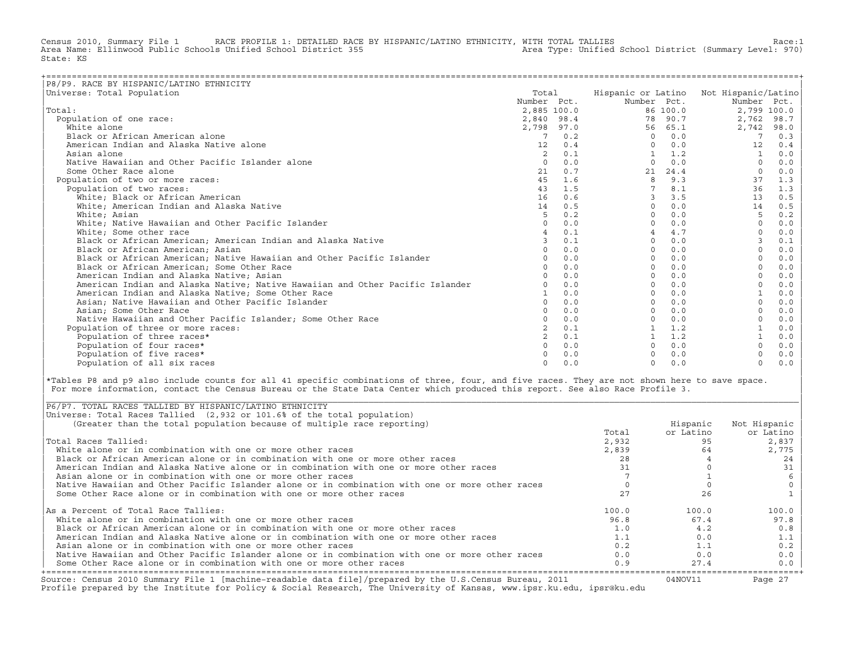Census 2010, Summary File 1 RACE PROFILE 1: DETAILED RACE BY HISPANIC/LATINO ETHNICITY, WITH TOTAL TALLIES Race:1<br>Area Name: Ellinwood Public Schools Unified School District 355 Area Type: Unifi Area Name: Ellinwood Public Schools Unified School District 355 State: KS

| P8/P9. RACE BY HISPANIC/LATINO ETHNICITY                                      |             |     |              |          |                                        |      |
|-------------------------------------------------------------------------------|-------------|-----|--------------|----------|----------------------------------------|------|
| Universe: Total Population                                                    | Total       |     |              |          | Hispanic or Latino Not Hispanic/Latino |      |
|                                                                               | Number Pct. |     | Number Pct.  |          | Number Pct.                            |      |
| Total:                                                                        | 2,885 100.0 |     |              | 86 100.0 | 2,799 100.0                            |      |
| Population of one race:                                                       | 2,840 98.4  |     |              | 78 90.7  | 2,762                                  | 98.7 |
| White alone                                                                   | 2,798 97.0  |     | 56           | 65.1     | 2,742                                  | 98.0 |
| Black or African American alone                                               | 7           | 0.2 | $\Omega$     | 0.0      | 7                                      | 0.3  |
| American Indian and Alaska Native alone                                       | 12          | 0.4 |              | 0.0      | 12                                     | 0.4  |
| Asian alone                                                                   |             | 0.1 | $\mathbf{1}$ | 1.2      |                                        | 0.0  |
| Native Hawaiian and Other Pacific Islander alone                              | $\Omega$    | 0.0 | $\Omega$     | 0.0      | $\Omega$                               | 0.0  |
| Some Other Race alone                                                         | 21          | 0.7 | 21           | 24.4     | $\Omega$                               | 0.0  |
| Population of two or more races:                                              | 4.5         | 1.6 | 8            | 9.3      | 37                                     | 1.3  |
| Population of two races:                                                      | 43          | 1.5 | 7            | 8.1      | 36                                     | 1.3  |
| White; Black or African American                                              | 16          | 0.6 | 3            | 3.5      | 13                                     | 0.5  |
| White; American Indian and Alaska Native                                      | 14          | 0.5 | $\Omega$     | 0.0      | 14                                     | 0.5  |
| White; Asian                                                                  | 5           | 0.2 | $\cap$       | 0.0      | 5                                      | 0.2  |
| White; Native Hawaiian and Other Pacific Islander                             | $\Omega$    | 0.0 |              | 0.0      |                                        | 0.0  |
| White; Some other race                                                        |             | 0.1 |              | 4.7      |                                        | 0.0  |
| Black or African American; American Indian and Alaska Native                  |             | 0.1 | $\Omega$     | 0.0      |                                        | 0.1  |
| Black or African American; Asian                                              |             | 0.0 | $\Omega$     | 0.0      |                                        | 0.0  |
| Black or African American; Native Hawaiian and Other Pacific Islander         |             | 0.0 | $\cap$       | 0.0      |                                        | 0.0  |
| Black or African American; Some Other Race                                    |             | 0.0 | $\Omega$     | 0.0      |                                        | 0.0  |
| American Indian and Alaska Native; Asian                                      |             | 0.0 | $\cap$       | 0.0      |                                        | 0.0  |
| American Indian and Alaska Native; Native Hawaiian and Other Pacific Islander |             | 0.0 | $\Omega$     | 0.0      |                                        | 0.0  |
| American Indian and Alaska Native; Some Other Race                            |             | 0.0 | $\Omega$     | 0.0      |                                        | 0.0  |
| Asian; Native Hawaiian and Other Pacific Islander                             |             | 0.0 |              | 0.0      | $\Omega$                               | 0.0  |
| Asian: Some Other Race                                                        |             | 0.0 |              | 0.0      |                                        | 0.0  |
| Native Hawaiian and Other Pacific Islander; Some Other Race                   |             | 0.0 |              | 0.0      |                                        | 0.0  |
| Population of three or more races:                                            |             | 0.1 |              | 1.2      |                                        | 0.0  |
| Population of three races*                                                    |             | 0.1 |              | 1.2      |                                        | 0.0  |
| Population of four races*                                                     |             | 0.0 |              | 0.0      |                                        | 0.0  |
| Population of five races*                                                     |             | 0.0 |              | 0.0      |                                        | 0.0  |
| Population of all six races                                                   |             | 0.0 | $\cap$       | 0.0      | $\Omega$                               | 0.0  |

|\*Tables P8 and p9 also include counts for all 41 specific combinations of three, four, and five races. They are not shown here to save space. | For more information, contact the Census Bureau or the State Data Center which produced this report. See also Race Profile 3.

| |

|\_\_\_\_\_\_\_\_\_\_\_\_\_\_\_\_\_\_\_\_\_\_\_\_\_\_\_\_\_\_\_\_\_\_\_\_\_\_\_\_\_\_\_\_\_\_\_\_\_\_\_\_\_\_\_\_\_\_\_\_\_\_\_\_\_\_\_\_\_\_\_\_\_\_\_\_\_\_\_\_\_\_\_\_\_\_\_\_\_\_\_\_\_\_\_\_\_\_\_\_\_\_\_\_\_\_\_\_\_\_\_\_\_\_\_\_\_\_\_\_\_\_\_\_\_\_\_\_\_\_\_\_\_\_\_\_\_\_\_\_\_\_\_\_\_\_\_|

| Source: Census 2010 Summary File 1 [machine-readable data file]/prepared by the U.S.Census Bureau, 2011<br>Profile prepared by the Institute for Policy & Social Research, The University of Kansas, www.ipsr.ku.edu, ipsr@ku.edu |       | 04NOV11   | Page 27      |
|-----------------------------------------------------------------------------------------------------------------------------------------------------------------------------------------------------------------------------------|-------|-----------|--------------|
| Some Other Race alone or in combination with one or more other races                                                                                                                                                              | 0.9   | 27.4      | $0.0$        |
| Native Hawaiian and Other Pacific Islander alone or in combination with one or more other races                                                                                                                                   | 0.0   | 0.0       | 0.0          |
| Asian alone or in combination with one or more other races                                                                                                                                                                        | 0.2   | 1.1       | 0.2          |
| American Indian and Alaska Native alone or in combination with one or more other races                                                                                                                                            | 1.1   | 0.0       | 1.1          |
| Black or African American alone or in combination with one or more other races                                                                                                                                                    | 1.0   | 4.2       | 0.8          |
| White alone or in combination with one or more other races                                                                                                                                                                        | 96.8  | 67.4      | 97.8         |
| As a Percent of Total Race Tallies:                                                                                                                                                                                               | 100.0 | 100.0     | 100.0        |
|                                                                                                                                                                                                                                   |       |           |              |
| Some Other Race alone or in combination with one or more other races                                                                                                                                                              |       | 26        |              |
| Native Hawaiian and Other Pacific Islander alone or in combination with one or more other races                                                                                                                                   |       |           |              |
| Asian alone or in combination with one or more other races                                                                                                                                                                        |       |           |              |
| American Indian and Alaska Native alone or in combination with one or more other races                                                                                                                                            |       |           |              |
| Black or African American alone or in combination with one or more other races                                                                                                                                                    | 28    |           | 24           |
| White alone or in combination with one or more other races                                                                                                                                                                        | 2,839 | 64        | 2,775        |
| Total Races Tallied:                                                                                                                                                                                                              | 2,932 | 95        | 2,837        |
|                                                                                                                                                                                                                                   | Total | or Latino | or Latino    |
| (Greater than the total population because of multiple race reporting)                                                                                                                                                            |       | Hispanic  | Not Hispanic |
| Universe: Total Races Tallied (2,932 or 101.6% of the total population)                                                                                                                                                           |       |           |              |
| P6/P7. TOTAL RACES TALLIED BY HISPANIC/LATINO ETHNICITY                                                                                                                                                                           |       |           |              |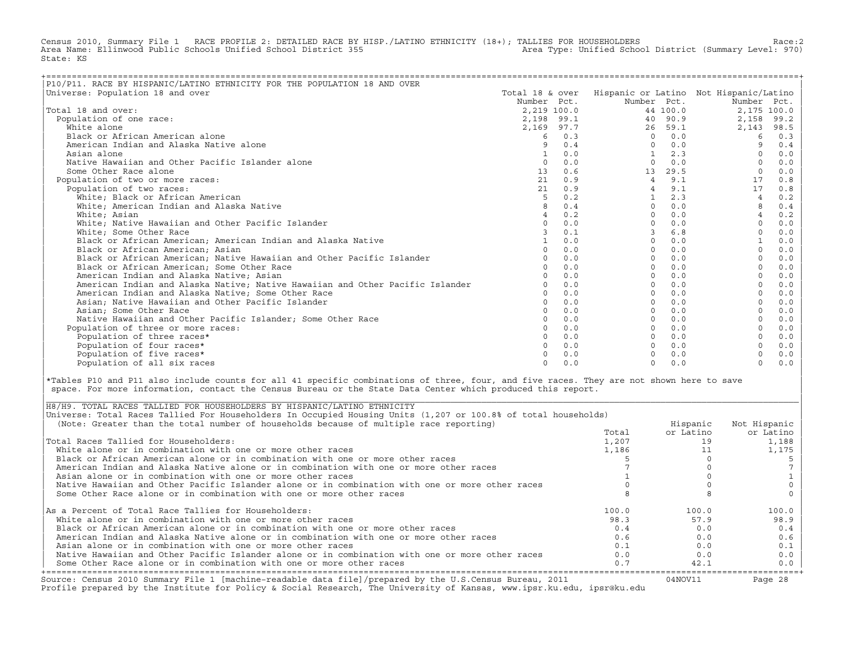Census 2010, Summary File 1 RACE PROFILE 2: DETAILED RACE BY HISP./LATINO ETHNICITY (18+); TALLIES FOR HOUSEHOLDERS Race:2<br>Area Name: Ellinwood Public Schools Unified School District 355 area Type: Unified School District Area Name: Ellinwood Public Schools Unified School District 355 State: KS

| P10/P11. RACE BY HISPANIC/LATINO ETHNICITY FOR THE POPULATION 18 AND OVER     |                 |     |                |          |                                        |       |
|-------------------------------------------------------------------------------|-----------------|-----|----------------|----------|----------------------------------------|-------|
| Universe: Population 18 and over                                              | Total 18 & over |     |                |          | Hispanic or Latino Not Hispanic/Latino |       |
|                                                                               | Number Pct.     |     | Number Pct.    |          | Number Pct.                            |       |
| Total 18 and over:                                                            | 2,219 100.0     |     |                | 44 100.0 | 2,175 100.0                            |       |
| Population of one race:                                                       | 2,198 99.1      |     |                | 40 90.9  | 2,158                                  | 99.2  |
| White alone                                                                   | 2,169 97.7      |     |                | 26 59.1  | 2,143                                  | 98.5  |
| Black or African American alone                                               | 6               | 0.3 | $\Omega$       | 0.0      | 6                                      | 0.3   |
| American Indian and Alaska Native alone                                       | 9               | 0.4 | $\Omega$       | 0.0      | 9                                      | 0.4   |
| Asian alone                                                                   |                 | 0.0 |                | 2.3      |                                        | 0.0   |
| Native Hawaiian and Other Pacific Islander alone                              | $\Omega$        | 0.0 | $\Omega$       | 0.0      |                                        | 0.0   |
| Some Other Race alone                                                         | 13              | 0.6 | 13             | 29.5     |                                        | 0.0   |
| Population of two or more races:                                              | 21              | 0.9 | $\overline{4}$ | 9.1      | 17                                     | 0.8   |
| Population of two races:                                                      | 21              | 0.9 |                | 9.1      | 17                                     | 0.8   |
| White; Black or African American                                              |                 | 0.2 | $\mathbf{1}$   | 2.3      | $\overline{4}$                         | 0.2   |
| White; American Indian and Alaska Native                                      |                 | 0.4 | $\Omega$       | 0.0      |                                        | 0.4   |
| White; Asian                                                                  | 4               | 0.2 | $\Omega$       | 0.0      | $\overline{4}$                         | 0.2   |
| White; Native Hawaiian and Other Pacific Islander                             | $\cap$          | 0.0 | $\Omega$       | 0.0      | $\Omega$                               | 0.0   |
| White; Some Other Race                                                        |                 | 0.1 |                | 6.8      |                                        | 0.0   |
| Black or African American; American Indian and Alaska Native                  |                 | 0.0 | 0              | 0.0      |                                        | 0.0   |
| Black or African American; Asian                                              |                 | 0.0 | $\Omega$       | 0.0      |                                        | 0.0   |
| Black or African American; Native Hawaiian and Other Pacific Islander         |                 | 0.0 | $\Omega$       | 0.0      |                                        | 0.0   |
| Black or African American; Some Other Race                                    |                 | 0.0 | $\Omega$       | 0.0      |                                        | 0.0   |
| American Indian and Alaska Native; Asian                                      |                 | 0.0 | $\Omega$       | 0.0      |                                        | 0.0   |
| American Indian and Alaska Native; Native Hawaiian and Other Pacific Islander |                 | 0.0 | $\Omega$       | 0.0      |                                        | 0.0   |
| American Indian and Alaska Native; Some Other Race                            | $\Omega$        | 0.0 | $\Omega$       | 0.0      |                                        | 0.0   |
| Asian; Native Hawaiian and Other Pacific Islander                             | $\cap$          | 0.0 | $\Omega$       | 0.0      |                                        | 0.0   |
| Asian; Some Other Race                                                        |                 | 0.0 | $\Omega$       | 0.0      |                                        | 0.0   |
| Native Hawaiian and Other Pacific Islander; Some Other Race                   |                 | 0.0 | $\Omega$       | 0.0      |                                        | 0.0   |
| Population of three or more races:                                            |                 | 0.0 | $\Omega$       | 0.0      |                                        | 0.0   |
| Population of three races*                                                    |                 | 0.0 | $\Omega$       | 0.0      |                                        | 0.0   |
| Population of four races*                                                     |                 | 0.0 | $\Omega$       | 0.0      |                                        | 0.0   |
| Population of five races*                                                     |                 | 0.0 |                | 0.0      |                                        | $0.0$ |
| Population of all six races                                                   | $\cap$          | 0.0 | $\Omega$       | 0.0      | $\Omega$                               | 0.0   |

|\*Tables P10 and P11 also include counts for all 41 specific combinations of three, four, and five races. They are not shown here to save | space. For more information, contact the Census Bureau or the State Data Center which produced this report.

| Source: Census 2010 Summary File 1 [machine-readable data file]/prepared by the U.S.Census Bureau, 2011<br>Profile prepared by the Institute for Policy & Social Research, The University of Kansas, www.ipsr.ku.edu, ipsr@ku.edu |       | 04NOV11   | Page 28      |
|-----------------------------------------------------------------------------------------------------------------------------------------------------------------------------------------------------------------------------------|-------|-----------|--------------|
| Some Other Race alone or in combination with one or more other races                                                                                                                                                              | 0.7   | 42.1      | $0.0$        |
| Native Hawaiian and Other Pacific Islander alone or in combination with one or more other races                                                                                                                                   | 0.0   | 0.0       | 0.0          |
| Asian alone or in combination with one or more other races                                                                                                                                                                        | 0.1   | 0.0       | 0.1          |
| American Indian and Alaska Native alone or in combination with one or more other races                                                                                                                                            | 0.6   | 0.0       | 0.6          |
| Black or African American alone or in combination with one or more other races                                                                                                                                                    | 0.4   | 0.0       | 0.4          |
| White alone or in combination with one or more other races                                                                                                                                                                        | 98.3  | 57.9      | 98.9         |
| As a Percent of Total Race Tallies for Householders:                                                                                                                                                                              | 100.0 | 100.0     | 100.0        |
| Some Other Race alone or in combination with one or more other races                                                                                                                                                              |       |           |              |
| Native Hawaiian and Other Pacific Islander alone or in combination with one or more other races                                                                                                                                   |       |           |              |
| Asian alone or in combination with one or more other races                                                                                                                                                                        |       |           |              |
| American Indian and Alaska Native alone or in combination with one or more other races                                                                                                                                            |       |           |              |
| Black or African American alone or in combination with one or more other races                                                                                                                                                    |       |           |              |
| White alone or in combination with one or more other races                                                                                                                                                                        | 1,186 |           | 1,175        |
| Total Races Tallied for Householders:                                                                                                                                                                                             | 1,207 |           | 1,188        |
|                                                                                                                                                                                                                                   | Total | or Latino | or Latino    |
| (Note: Greater than the total number of households because of multiple race reporting)                                                                                                                                            |       | Hispanic  | Not Hispanic |
| Universe: Total Races Tallied For Householders In Occupied Housing Units (1,207 or 100.8% of total households)                                                                                                                    |       |           |              |
| H8/H9. TOTAL RACES TALLIED FOR HOUSEHOLDERS BY HISPANIC/LATINO ETHNICITY                                                                                                                                                          |       |           |              |

| |

|\_\_\_\_\_\_\_\_\_\_\_\_\_\_\_\_\_\_\_\_\_\_\_\_\_\_\_\_\_\_\_\_\_\_\_\_\_\_\_\_\_\_\_\_\_\_\_\_\_\_\_\_\_\_\_\_\_\_\_\_\_\_\_\_\_\_\_\_\_\_\_\_\_\_\_\_\_\_\_\_\_\_\_\_\_\_\_\_\_\_\_\_\_\_\_\_\_\_\_\_\_\_\_\_\_\_\_\_\_\_\_\_\_\_\_\_\_\_\_\_\_\_\_\_\_\_\_\_\_\_\_\_\_\_\_\_\_\_\_\_\_\_\_\_\_\_\_|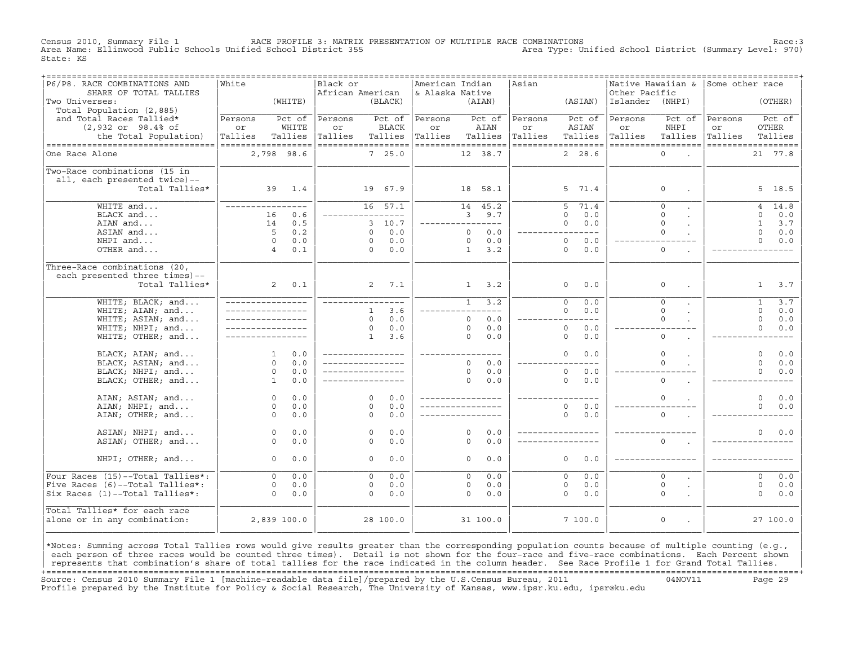Census 2010, Summary File 1 RACE PROFILE 3: MATRIX PRESENTATION OF MULTIPLE RACE COMBINATIONS Race:3 Area Name: Ellinwood Public Schools Unified School District 355 State: KS

| P6/P8. RACE COMBINATIONS AND       | ===============<br>White |             | Black or           |              |                 | American Indian    |              |               | ================================<br>Asian |                       |                 | Native Hawaiian & Some other race |                    |                |                   |
|------------------------------------|--------------------------|-------------|--------------------|--------------|-----------------|--------------------|--------------|---------------|-------------------------------------------|-----------------------|-----------------|-----------------------------------|--------------------|----------------|-------------------|
| SHARE OF TOTAL TALLIES             |                          |             | African American   |              |                 | & Alaska Native    |              |               |                                           |                       | Other Pacific   |                                   |                    |                |                   |
| Two Universes:                     |                          | (WHITE)     |                    |              | (BLACK)         |                    |              | (AIAN)        |                                           | (ASIAN)               | Islander (NHPI) |                                   |                    |                | (OTHER)           |
| Total Population (2,885)           |                          |             |                    |              |                 |                    |              |               |                                           |                       |                 |                                   |                    |                |                   |
| and Total Races Tallied*           | Persons                  | Pct of      | Persons            |              | Pct of          | Persons            |              | Pct of        | Persons                                   | Pct of                | Persons         | Pct of                            | Persons            |                | Pct of            |
| $(2,932$ or $98.4$ of              | or                       | WHITE       | or                 |              | <b>BLACK</b>    | or                 |              | AIAN          | or                                        | ASIAN                 | or              | NHPI                              | or                 | OTHER          |                   |
| the Total Population)              | Tallies                  | Tallies     | Tallies            |              | Tallies         | Tallies            |              | Tallies       | Tallies                                   | Tallies               | Tallies         | Tallies                           | Tallies            |                | Tallies           |
| ---------------------------------- | ==================       |             | ------------------ |              |                 | ------------------ |              |               |                                           | ------------------    |                 | ------------------                | ------------------ |                |                   |
| One Race Alone                     |                          | 2,798 98.6  |                    |              | 7, 25.0         |                    |              | 12 38.7       |                                           | 2, 28.6               |                 | $\Omega$<br>o.                    |                    |                | 21 77.8           |
|                                    |                          |             |                    |              |                 |                    |              |               |                                           |                       |                 |                                   |                    |                |                   |
| Two-Race combinations (15 in       |                          |             |                    |              |                 |                    |              |               |                                           |                       |                 |                                   |                    |                |                   |
| all, each presented twice)--       |                          |             |                    |              |                 |                    |              |               |                                           |                       |                 |                                   |                    |                |                   |
| Total Tallies*                     |                          | 39 1.4      |                    |              | 19 67.9         |                    |              | 18 58.1       |                                           | 5 71.4                |                 | $\circ$                           |                    |                | 5 18.5            |
|                                    |                          |             |                    |              |                 |                    |              |               |                                           |                       |                 |                                   |                    |                |                   |
| WHITE and                          | _________________        |             |                    |              | $16 \quad 57.1$ |                    |              | 14 45.2       |                                           | 71.4<br>5             |                 | $\Omega$                          |                    | $\overline{4}$ | $\overline{1}4.8$ |
| BLACK and                          | 16                       | 0.6         |                    |              | ---------       |                    |              | 3, 9.7        |                                           | $\Omega$<br>0.0       |                 | $\Omega$                          |                    | $\Omega$       | 0.0               |
| AIAN and                           | 14                       | 0.5         |                    |              | 3, 10.7         | ________________   |              |               |                                           | 0.0<br>$\Omega$       |                 | $\Omega$                          |                    | $\mathbf{1}$   | 3.7               |
| ASIAN and                          | 5                        | 0.2         |                    | $\Omega$     | 0.0             |                    | $\Omega$     | 0.0           |                                           | $---$<br>$- - - -$    |                 | $\Omega$                          |                    | $\Omega$       | $0.0$             |
| NHPI and                           | $\Omega$                 | 0.0         |                    | $\Omega$     | 0.0             |                    | $\Omega$     | 0.0           |                                           | $\Omega$<br>0.0       |                 |                                   |                    | $\Omega$       | 0.0               |
|                                    | $\overline{4}$           |             |                    | $\Omega$     |                 |                    |              |               |                                           | $\circ$               |                 | $\circ$                           |                    |                |                   |
| OTHER and                          |                          | 0.1         |                    |              | 0.0             |                    | $\mathbf{1}$ | 3.2           |                                           | 0.0                   |                 |                                   |                    |                |                   |
| Three-Race combinations (20,       |                          |             |                    |              |                 |                    |              |               |                                           |                       |                 |                                   |                    |                |                   |
| each presented three times)--      |                          |             |                    |              |                 |                    |              |               |                                           |                       |                 |                                   |                    |                |                   |
|                                    |                          | $2^{\circ}$ |                    | $2^{\circ}$  | 7.1             |                    |              |               |                                           | 0.0                   |                 | $\circ$                           |                    |                |                   |
| Total Tallies*                     |                          | 0.1         |                    |              |                 |                    |              | $1 \quad 3.2$ |                                           | $\circ$               |                 |                                   |                    | $\mathbf{1}$   | 3.7               |
| WHITE; BLACK; and                  | _________________        |             | _____________      |              |                 |                    | $\mathbf{1}$ | 3.2           |                                           | $\overline{0}$<br>0.0 |                 | $\overline{0}$                    |                    | $\mathbf{1}$   | 3.7               |
| WHITE; AIAN; and                   |                          |             |                    | $\mathbf{1}$ | 3.6             |                    |              | $---$         |                                           | $\Omega$<br>0.0       |                 | $\Omega$                          |                    | $\Omega$       | 0.0               |
| WHITE; ASIAN; and                  | _________________        |             |                    | $\Omega$     | 0.0             |                    | $\circ$      | 0.0           |                                           | $- - -$               |                 | $\Omega$                          |                    | $\mathbf 0$    | 0.0               |
| WHITE; NHPI; and                   |                          |             |                    | $\Omega$     | 0.0             |                    | $\Omega$     | 0.0           |                                           | $\circ$<br>0.0        |                 |                                   |                    | $\Omega$       | 0.0               |
|                                    |                          |             |                    | 1            | 3.6             |                    | $\Omega$     | 0.0           |                                           | 0.0<br>$\circ$        |                 | $\circ$                           |                    |                |                   |
| WHITE; OTHER; and                  |                          |             |                    |              |                 |                    |              |               |                                           |                       |                 |                                   |                    |                |                   |
| BLACK; AIAN; and                   | $\mathbf{1}$             | 0.0         | ________________   |              |                 | ________________   |              |               |                                           | $\Omega$<br>0.0       |                 | $\Omega$                          |                    | $\Omega$       | 0.0               |
| BLACK; ASIAN; and                  | $\Omega$                 | 0.0         | _________________  |              |                 |                    | $\Omega$     | 0.0           |                                           | $---$                 |                 | $\Omega$                          |                    | $\Omega$       | 0.0               |
| BLACK; NHPI; and                   | $\circ$                  | 0.0         |                    |              |                 |                    | $\circ$      | 0.0           |                                           | $\circ$<br>0.0        |                 |                                   |                    | $\Omega$       | 0.0               |
| BLACK; OTHER; and                  | 1                        | 0.0         |                    |              |                 |                    | $\Omega$     | 0.0           |                                           | $\Omega$<br>0.0       |                 | $\Omega$                          |                    |                |                   |
|                                    |                          |             |                    |              |                 |                    |              |               |                                           |                       |                 |                                   |                    |                |                   |
| AIAN; ASIAN; and                   | $\circ$                  | 0.0         |                    | $\Omega$     | 0.0             | ________________   |              |               |                                           |                       |                 | $\Omega$                          |                    | $\Omega$       | 0.0               |
| AIAN; NHPI; and                    | $\Omega$                 | 0.0         |                    | $\Omega$     | 0.0             |                    |              |               |                                           | 0.0<br>$\Omega$       |                 |                                   |                    | $\Omega$       | 0.0               |
| AIAN; OTHER; and                   | $\Omega$                 | 0.0         |                    | $\Omega$     | 0.0             |                    |              |               |                                           | $\Omega$<br>0.0       |                 | $\Omega$                          |                    |                |                   |
|                                    |                          |             |                    |              |                 |                    |              |               |                                           |                       |                 |                                   |                    |                |                   |
| ASIAN; NHPI; and                   | $\circ$                  | 0.0         |                    | $\Omega$     | 0.0             |                    | $\Omega$     | 0.0           |                                           | _________________     |                 |                                   |                    | $\Omega$       | $0.0$             |
| ASIAN; OTHER; and                  | $\Omega$                 | 0.0         |                    | $\Omega$     | 0.0             |                    | $\Omega$     | 0.0           |                                           |                       |                 | $\Omega$                          |                    |                |                   |
|                                    |                          |             |                    |              |                 |                    |              |               |                                           |                       |                 |                                   |                    |                |                   |
| NHPI; OTHER; and                   | $\Omega$                 | 0.0         |                    | $\Omega$     | 0.0             |                    | $\Omega$     | 0.0           |                                           | $\Omega$<br>0.0       |                 |                                   |                    |                |                   |
|                                    |                          |             |                    |              |                 |                    |              |               |                                           |                       |                 |                                   |                    |                |                   |
| Four Races (15)--Total Tallies*:   | $\Omega$                 | 0.0         |                    | $\Omega$     | 0.0             |                    | $\Omega$     | 0.0           |                                           | $\Omega$<br>0.0       |                 | $\Omega$                          |                    | $\Omega$       | 0.0               |
| Five Races (6)--Total Tallies*:    | $\circ$                  | 0.0         |                    | $\circ$      | 0.0             |                    | 0            | 0.0           |                                           | 0.0<br>$\circ$        |                 | $\mathsf O$                       |                    | $\circ$        | 0.0               |
| Six Races (1)--Total Tallies*:     | $\Omega$                 | 0.0         |                    | $\Omega$     | 0.0             |                    | $\Omega$     | 0.0           |                                           | 0.0<br>$\Omega$       |                 | $\Omega$                          |                    | $\Omega$       | 0.0               |
|                                    |                          |             |                    |              |                 |                    |              |               |                                           |                       |                 |                                   |                    |                |                   |
| Total Tallies* for each race       |                          |             |                    |              |                 |                    |              |               |                                           |                       |                 |                                   |                    |                |                   |
| alone or in any combination:       |                          | 2,839 100.0 |                    |              | 28 100.0        |                    |              | 31 100.0      |                                           | 7100.0                |                 | $\mathsf O$<br>$\sim$             |                    |                | 27 100.0          |
|                                    |                          |             |                    |              |                 |                    |              |               |                                           |                       |                 |                                   |                    |                |                   |
|                                    |                          |             |                    |              |                 |                    |              |               |                                           |                       |                 |                                   |                    |                |                   |

|\*Notes: Summing across Total Tallies rows would give results greater than the corresponding population counts because of multiple counting (e.g., | each person of three races would be counted three times). Detail is not shown for the four-race and five-race combinations. Each Percent shown represents that combination's share of total tallies for the race indicated in the column header. See Race Profile 1 for Grand Total Tallies. +===================================================================================================================================================+ Source: Census 2010 Summary File 1 [machine−readable data file]/prepared by the U.S.Census Bureau, 2011 04NOV11 Page 29 Profile prepared by the Institute for Policy & Social Research, The University of Kansas, www.ipsr.ku.edu, ipsr@ku.edu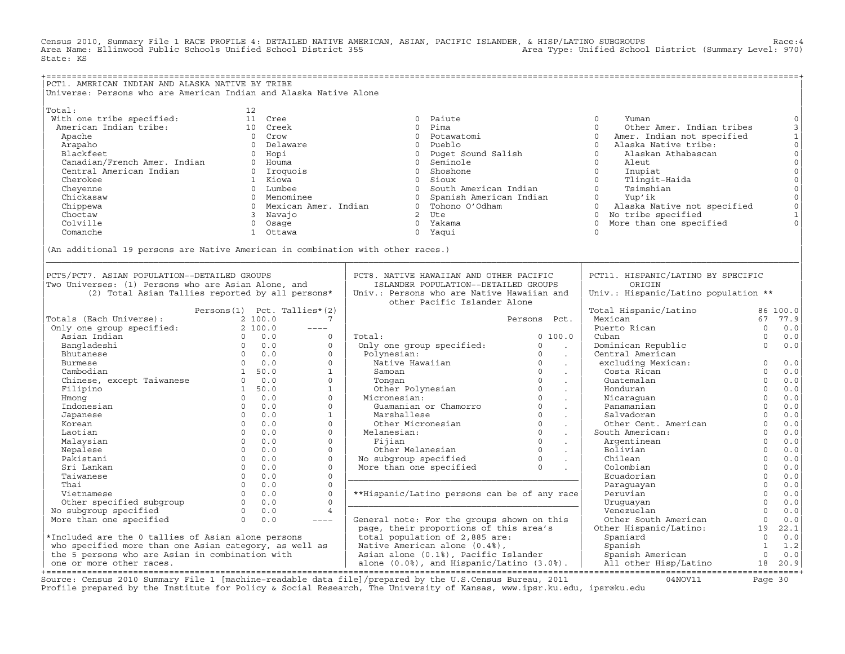Census 2010, Summary File 1 RACE PROFILE 4: DETAILED NATIVE AMERICAN, ASIAN, PACIFIC ISLANDER, & HISP/LATINO SUBGROUPS Race:4 Area Name: Ellinwood Public Schools Unified School District 355 State: KS

+===================================================================================================================================================+ |PCT1. AMERICAN INDIAN AND ALASKA NATIVE BY TRIBE | Universe: Persons who are American Indian and Alaska Native Alone | | |Total: 12 | | With one tribe specified: 11 Cree 0 Paiute 0 Yuman 0| | American Indian tribe: 10 Creek 0 Pima 0 Other Amer. Indian tribes 3| | Apache 0 Crow 0 Potawatomi 0 Amer. Indian not specified 1| | Arapaho 0 Delaware 0 Pueblo 0 Alaska Native tribe: 0| | Blackfeet 0 Hopi 0 Puget Sound Salish 0 Alaskan Athabascan 0| | Canadian/French Amer. Indian 0 Houma 0 Seminole 0 Aleut 0| | Central American Indian 0 Iroquois 0 Shoshone 0 Inupiat 0| | Cherokee 1 Kiowa 0 Sioux 0 Tlingit−Haida 0| | Cheyenne 0 Lumbee 0 South American Indian 0 Tsimshian 0| | Chickasaw 0 Menominee 0 Spanish American Indian 0 Yup'ik 0| | Chippewa 0 Mexican Amer. Indian 0 Tohono O'Odham 0 Alaska Native not specified 0| | Choctaw 3 Navajo 2 Ute 0 No tribe specified 1| | Colville 0 Osage 0 Yakama 0 More than one specified 0| | Comanche 1 Ottawa 0 Yaqui 0 | | | |(An additional 19 persons are Native American in combination with other races.) | |\_\_\_\_\_\_\_\_\_\_\_\_\_\_\_\_\_\_\_\_\_\_\_\_\_\_\_\_\_\_\_\_\_\_\_\_\_\_\_\_\_\_\_\_\_\_\_\_\_\_\_\_\_\_\_\_\_\_\_\_\_\_\_\_\_\_\_\_\_\_\_\_\_\_\_\_\_\_\_\_\_\_\_\_\_\_\_\_\_\_\_\_\_\_\_\_\_\_\_\_\_\_\_\_\_\_\_\_\_\_\_\_\_\_\_\_\_\_\_\_\_\_\_\_\_\_\_\_\_\_\_\_\_\_\_\_\_\_\_\_\_\_\_\_\_\_\_| | | | | PCT5/PCT7. ASIAN POPULATION--DETAILED GROUPS | PCT8. NATIVE HAWAIIAN AND OTHER PACIFIC | PCT11. HISPANIC/LATINO BY SPECIFIC<br>Two Universes: (1) Persons who are Asian Alone and itstander population--detailed groups | origin | Two Universes: (1) Persons who are Asian Alone, and | ISLANDER POPULATION--DETAILED GROUPS | ORIGIN | ORIGIN<br>| Univ.: Persons who are Native Hawaiian and | Univ.: Hispanic/Latino population \*\*  $(2)$  Total Asian Tallies reported by all persons\* Persons(1) Pct. Tallies\*(2) 1 and the Pacific Islander Alone 1 and 1 and 1 and 1 and 100.0 | Persons(1) Pct. Tallies\*(2) | | Total Hispanic/Latino 86 100.0| |Totals (Each Universe): 2 100.0 7 | Persons Pct. | Mexican 67 77.9| | Only one group specified: 2 100.0 −−−− | | Puerto Rican 0 0.0| | Asian Indian 0 0.0 0 | Total: 0 100.0 | Cuban 0 0.0| | Bangladeshi 0 0.0 0 | Only one group specified: 0 . | Dominican Republic 0 0.0| | Bhutanese 0 0.0 0 | Polynesian: 0 . | Central American | | Burmese 0 0.0 0 | Native Hawaiian 0 . | excluding Mexican: 0 0.0| | Cambodian 1 50.0 1 | Samoan 0 . | Costa Rican 0 0.0| | Chinese, except Taiwanese 0 0.0 0 | Tongan 0 . | Guatemalan 0 0.0| | Filipino 1 50.0 1 | Other Polynesian 0 . | Honduran 0 0.0| | Hmong 0 0.0 0 | Micronesian: 0 . | Nicaraguan 0 0.0| | Indonesian 0 0.0 0 | Guamanian or Chamorro 0 . | Panamanian 0 0.0| | Japanese 0 0.0 1 | Marshallese 0 . | Salvadoran 0 0.0| | Korean 0 0.0 0 | Other Micronesian 0 . | Other Cent. American 0 0.0| | Laotian 0 0.0 0 | Melanesian: 0 . | South American: 0 0.0| | Malaysian 0 0.0 0 | Fijian 0 . | Argentinean 0 0.0| | Nepalese 0 0.0 0 | Other Melanesian 0 . | Bolivian 0 0.0| | Pakistani 0 0.0 0 | No subgroup specified 0 . | Chilean 0 0.0| | Sri Lankan 0 0.0 0 | More than one specified 0 . | Colombian 0 0.0| | Taiwanese 0 0.0 0 |\_\_\_\_\_\_\_\_\_\_\_\_\_\_\_\_\_\_\_\_\_\_\_\_\_\_\_\_\_\_\_\_\_\_\_\_\_\_\_\_\_\_\_\_\_| Ecuadorian 0 0.0| | Thai 0 0.0 0 | | Paraguayan 0 0.0| | Vietnamese 0 0.0 0 | \*\*Hispanic/Latino persons can be of any race| Peruvian 0 0.0| | Other specified subgroup 0 0.0 0 |\_\_\_\_\_\_\_\_\_\_\_\_\_\_\_\_\_\_\_\_\_\_\_\_\_\_\_\_\_\_\_\_\_\_\_\_\_\_\_\_\_\_\_\_\_| Uruguayan 0 0.0| | No subgroup specified 0 0.0 4 | | Venezuelan 0 0.0| | More than one specified 0 0.0 −−−− | General note: For the groups shown on this | Other South American 0 0.0| | | page, their proportions of this area's | Other Hispanic/Latino: 19 22.1| % \*Included are the 0 tallies of Asian alone persons | total population of 2,885 are: | Spaniard | Spaniard | Spaniard | Spaniard | Spaniard | Spaniard | Spaniard | Spaniard | Spaniard | Spaniard | Spanish | 1.2<br>| Spanish  $\mid$  who specified more than one Asian category, as well as  $\mid$  Native American alone (0.4%),  $\mid$  Spanish 1  $\mid$  1.2 $\mid$ | the 5 persons who are Asian in combination with | Asian alone (0.1%), Pacific Islander | Spanish American 0 0.0| | one or more other races. | alone (0.0%), and Hispanic/Latino (3.0%). | All other Hisp/Latino 18 20.9| +===================================================================================================================================================+

Source: Census 2010 Summary File 1 [machine−readable data file]/prepared by the U.S.Census Bureau, 2011 04NOV11 Page 30 Profile prepared by the Institute for Policy & Social Research, The University of Kansas, www.ipsr.ku.edu, ipsr@ku.edu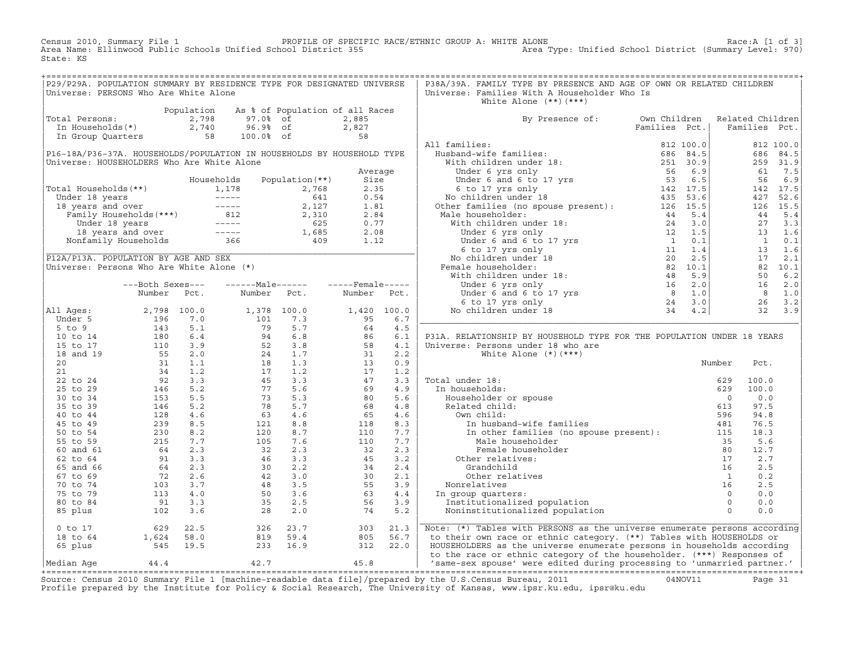Census 2010, Summary File 1 PROFILE OF SPECIFIC RACE/ETHNIC GROUP A: WHITE ALONE Race:A [1 of 3] Area Name: Ellinwood Public Schools Unified School District 355 Area Type: Unified School District (Summary Level: 970) State: KS

| P29/P29A. POPULATION SUMMARY BY RESIDENCE TYPE FOR DESIGNATED UNIVERSE                                                                                          |  |  |  | P38A/39A. FAMILY TYPE BY PRESENCE AND AGE OF OWN OR RELATED CHILDREN           |  |  |
|-----------------------------------------------------------------------------------------------------------------------------------------------------------------|--|--|--|--------------------------------------------------------------------------------|--|--|
| Universe: PERSONS Who Are White Alone                                                                                                                           |  |  |  | Universe: Families With A Householder Who Is                                   |  |  |
|                                                                                                                                                                 |  |  |  | White Alone $(**)$ $(***)$                                                     |  |  |
| Population As % of Population of all Races<br>Total Persons: 2,798 97.0% of 2,885<br>In Households(*) 2,740 96.9% of 2,827<br>In Group Quarters 58 100.0% of 58 |  |  |  | By Presence of: Own Children Related Children<br>Families Pct.   Families Pct. |  |  |
|                                                                                                                                                                 |  |  |  |                                                                                |  |  |
|                                                                                                                                                                 |  |  |  |                                                                                |  |  |
|                                                                                                                                                                 |  |  |  |                                                                                |  |  |
|                                                                                                                                                                 |  |  |  |                                                                                |  |  |
|                                                                                                                                                                 |  |  |  |                                                                                |  |  |
|                                                                                                                                                                 |  |  |  |                                                                                |  |  |
|                                                                                                                                                                 |  |  |  |                                                                                |  |  |
|                                                                                                                                                                 |  |  |  |                                                                                |  |  |
|                                                                                                                                                                 |  |  |  |                                                                                |  |  |
|                                                                                                                                                                 |  |  |  |                                                                                |  |  |
|                                                                                                                                                                 |  |  |  |                                                                                |  |  |
|                                                                                                                                                                 |  |  |  |                                                                                |  |  |
|                                                                                                                                                                 |  |  |  |                                                                                |  |  |
|                                                                                                                                                                 |  |  |  |                                                                                |  |  |
|                                                                                                                                                                 |  |  |  |                                                                                |  |  |
|                                                                                                                                                                 |  |  |  |                                                                                |  |  |
|                                                                                                                                                                 |  |  |  |                                                                                |  |  |
|                                                                                                                                                                 |  |  |  |                                                                                |  |  |
|                                                                                                                                                                 |  |  |  |                                                                                |  |  |
|                                                                                                                                                                 |  |  |  |                                                                                |  |  |
|                                                                                                                                                                 |  |  |  |                                                                                |  |  |
|                                                                                                                                                                 |  |  |  |                                                                                |  |  |
|                                                                                                                                                                 |  |  |  | P31A. RELATIONSHIP BY HOUSEHOLD TYPE FOR THE POPULATION UNDER 18 YEARS         |  |  |
|                                                                                                                                                                 |  |  |  |                                                                                |  |  |
|                                                                                                                                                                 |  |  |  |                                                                                |  |  |
|                                                                                                                                                                 |  |  |  |                                                                                |  |  |
|                                                                                                                                                                 |  |  |  |                                                                                |  |  |
|                                                                                                                                                                 |  |  |  |                                                                                |  |  |
|                                                                                                                                                                 |  |  |  |                                                                                |  |  |
|                                                                                                                                                                 |  |  |  |                                                                                |  |  |
|                                                                                                                                                                 |  |  |  |                                                                                |  |  |
|                                                                                                                                                                 |  |  |  |                                                                                |  |  |
|                                                                                                                                                                 |  |  |  |                                                                                |  |  |
|                                                                                                                                                                 |  |  |  |                                                                                |  |  |
|                                                                                                                                                                 |  |  |  |                                                                                |  |  |
|                                                                                                                                                                 |  |  |  |                                                                                |  |  |
|                                                                                                                                                                 |  |  |  |                                                                                |  |  |
|                                                                                                                                                                 |  |  |  |                                                                                |  |  |
|                                                                                                                                                                 |  |  |  |                                                                                |  |  |
|                                                                                                                                                                 |  |  |  |                                                                                |  |  |
|                                                                                                                                                                 |  |  |  |                                                                                |  |  |
|                                                                                                                                                                 |  |  |  | Note: (*) Tables with PERSONS as the universe enumerate persons according      |  |  |
|                                                                                                                                                                 |  |  |  | to their own race or ethnic category. (**) Tables with HOUSEHOLDS or           |  |  |
|                                                                                                                                                                 |  |  |  | HOUSEHOLDERS as the universe enumerate persons in households according         |  |  |
|                                                                                                                                                                 |  |  |  | to the race or ethnic category of the householder. (***) Responses of          |  |  |
|                                                                                                                                                                 |  |  |  |                                                                                |  |  |

|Median Age 44.4 42.7 45.8 | 'same−sex spouse' were edited during processing to 'unmarried partner.' | +===================================================================================================================================================+ Source: Census 2010 Summary File 1 [machine−readable data file]/prepared by the U.S.Census Bureau, 2011 04NOV11 Page 31 Profile prepared by the Institute for Policy & Social Research, The University of Kansas, www.ipsr.ku.edu, ipsr@ku.edu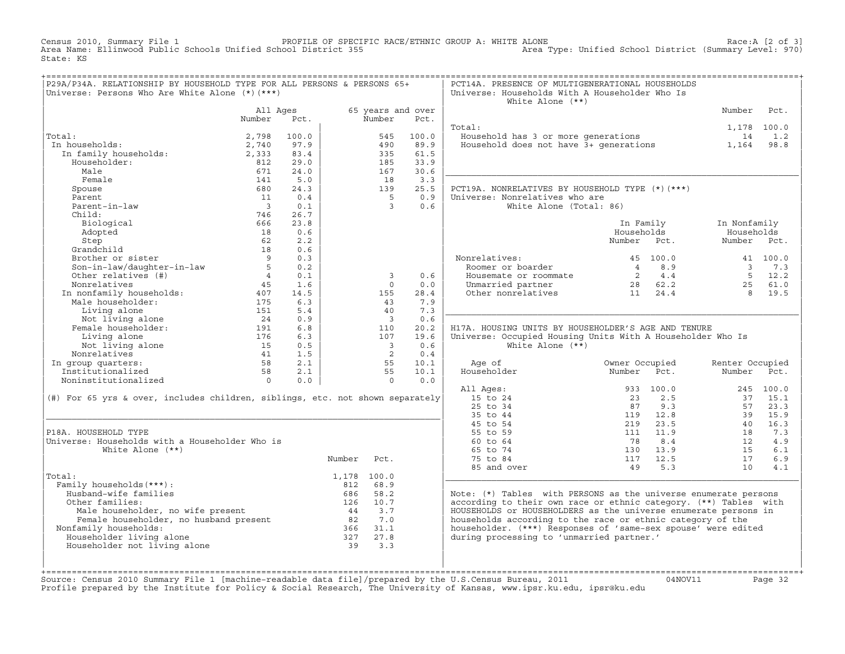Census 2010, Summary File 1 PROFILE OF SPECIFIC RACE/ETHNIC GROUP A: WHITE ALONE Race:A [2 of 3] Area Name: Ellinwood Public Schools Unified School District 355 Area Type: Unified School District (Summary Level: 970) State: KS

| P29A/P34A. RELATIONSHIP BY HOUSEHOLD TYPE FOR ALL PERSONS & PERSONS 65+                                                       |                                                                 |                          |                              |                             |              | PCT14A. PRESENCE OF MULTIGENERATIONAL HOUSEHOLDS                              |                                                    |                 |             |
|-------------------------------------------------------------------------------------------------------------------------------|-----------------------------------------------------------------|--------------------------|------------------------------|-----------------------------|--------------|-------------------------------------------------------------------------------|----------------------------------------------------|-----------------|-------------|
| Universe: Persons Who Are White Alone (*) (***)                                                                               |                                                                 |                          |                              |                             |              | Universe: Households With A Householder Who Is                                |                                                    |                 |             |
|                                                                                                                               |                                                                 |                          |                              |                             |              | White Alone $(**)$                                                            |                                                    |                 |             |
|                                                                                                                               | All Ages<br>Number                                              | Pct.                     |                              | 65 years and over<br>Number | Pct.         |                                                                               |                                                    | Number          | Pct.        |
|                                                                                                                               |                                                                 |                          |                              |                             |              | Total:                                                                        |                                                    |                 |             |
| Total:                                                                                                                        |                                                                 | 100.0                    |                              |                             | 100.0        |                                                                               |                                                    | 1,178 100.0     | 1.2         |
| .ar:<br>1 households:<br>In family households:<br>In households:                                                              | 2,798                                                           |                          |                              | 545<br>490                  |              | Fousehold has 3 or more generations<br>Household does not have 3+ generations |                                                    | 14              |             |
|                                                                                                                               | 2,740<br>2,333                                                  | 97.9<br>83.4             |                              | 335                         | 89.9<br>61.5 |                                                                               |                                                    | 1,164           | 98.8        |
| Householder:                                                                                                                  | 812                                                             | 29.0                     |                              | 185                         | 33.9         |                                                                               |                                                    |                 |             |
| Male                                                                                                                          | 671                                                             | 24.0                     |                              | 167                         | 30.6         |                                                                               |                                                    |                 |             |
| Female                                                                                                                        | 141                                                             | 5.0                      |                              | 18                          | 3.3          |                                                                               |                                                    |                 |             |
| Spouse                                                                                                                        | 680                                                             | 24.3                     |                              | 139                         | 25.5         | PCT19A. NONRELATIVES BY HOUSEHOLD TYPE (*) (***)                              |                                                    |                 |             |
| Parent                                                                                                                        | 11                                                              | 0.4                      |                              | $5^{\circ}$                 | 0.9          | Universe: Nonrelatives who are                                                |                                                    |                 |             |
| Parent-in-law                                                                                                                 | $\overline{\mathbf{3}}$                                         | 0.1                      |                              | $\overline{3}$              | 0.6          | White Alone (Total: 86)                                                       |                                                    |                 |             |
| Child:                                                                                                                        | 746                                                             | 26.7                     |                              |                             |              |                                                                               |                                                    |                 |             |
| Biological                                                                                                                    | 666                                                             | 23.8                     |                              |                             |              |                                                                               | In Family                                          | In Nonfamily    |             |
| Adopted                                                                                                                       | 18                                                              | 0.6                      |                              |                             |              |                                                                               | Households                                         | Households      |             |
| Step                                                                                                                          | 62                                                              | 2.2                      |                              |                             |              |                                                                               | Number Pct.                                        | Number Pct.     |             |
|                                                                                                                               | 18                                                              | 0.6                      |                              |                             |              |                                                                               |                                                    |                 |             |
|                                                                                                                               | $\overline{9}$                                                  | 0.3                      |                              |                             |              | Nonrelatives:                                                                 | 45 100.0                                           |                 | 41 100.0    |
| Step<br>Grandchild<br>Brother or sister<br>Son-in-law/daughter-in-law                                                         | $5^{\circ}$                                                     | 0.2                      |                              |                             |              | Roomer or boarder                                                             |                                                    |                 | 3 7.3       |
| Other relatives (#)                                                                                                           | 4                                                               | 0.1                      |                              | $\overline{3}$              | 0.6          | Housemate or roommate                                                         | $\begin{array}{cc} 4 & 8.9 \\ 2 & 4.4 \end{array}$ |                 | $5 \t 12.2$ |
| Nonrelatives                                                                                                                  | 45                                                              | 1.6                      |                              | $\Omega$                    | 0.0          |                                                                               |                                                    |                 | 25 61.0     |
|                                                                                                                               |                                                                 | 14.5                     |                              | 155                         | 28.4         | Unmarried partner<br>Other nonrelatives 11 24.4                               |                                                    | 8 <sup>1</sup>  | 19.5        |
| In nonfamily households: 407<br>Male householder: 175                                                                         |                                                                 | 6.3                      |                              | 43                          | 7.9          |                                                                               |                                                    |                 |             |
| Living alone                                                                                                                  | 151                                                             | 5.4                      |                              | 40                          | 7.3          |                                                                               |                                                    |                 |             |
| Not living alone 24<br>Female householder: 191                                                                                |                                                                 | 0.9                      |                              | $\overline{\phantom{a}}$    | 0.6          |                                                                               |                                                    |                 |             |
|                                                                                                                               |                                                                 | 6.8                      |                              | 110                         | 20.2         | H17A. HOUSING UNITS BY HOUSEHOLDER'S AGE AND TENURE                           |                                                    |                 |             |
| Living alone                                                                                                                  | 176                                                             | 6.3                      |                              | 107                         | 19.6         | Universe: Occupied Housing Units With A Householder Who Is                    |                                                    |                 |             |
| Not living alone                                                                                                              |                                                                 | 0.5                      |                              | $\overline{\phantom{a}}$    | 0.6          | White Alone $(**)$                                                            |                                                    |                 |             |
| Nonrelatives                                                                                                                  |                                                                 | 1.5                      |                              | $\overline{2}$              | 0.4          |                                                                               |                                                    |                 |             |
| In group quarters:                                                                                                            |                                                                 | 2.1                      |                              | 55                          | 10.1         | Age of                                                                        | Owner Occupied                                     | Renter Occupied |             |
| Institutionalized                                                                                                             | $\begin{array}{r} .75 \\ 15 \\ 41 \\ 58 \\ 58 \\ 0 \end{array}$ | 2.1                      |                              | 55                          | 10.1         | Householder                                                                   | Number<br>Pct.                                     | Number Pct.     |             |
| Noninstitutionalized                                                                                                          |                                                                 | 0.0                      |                              | $\overline{0}$              | 0.0          |                                                                               |                                                    |                 |             |
|                                                                                                                               |                                                                 |                          |                              |                             |              | All Ages:                                                                     | 933 100.0                                          |                 | 245 100.0   |
| $(\#)$ For 65 yrs & over, includes children, siblings, etc. not shown separately                                              |                                                                 |                          |                              |                             |              | 15 to 24                                                                      | 2.5<br>23                                          |                 | 37 15.1     |
|                                                                                                                               |                                                                 |                          |                              |                             |              | 25 to 34                                                                      | 87<br>9.3                                          | 57              | 23.3        |
|                                                                                                                               |                                                                 |                          |                              |                             |              | 35 to 44                                                                      | 119 12.8                                           |                 | 39 15.9     |
|                                                                                                                               |                                                                 |                          |                              |                             |              | 45 to 54                                                                      | 23.5<br>219                                        | 40              | 16.3        |
| P18A. HOUSEHOLD TYPE                                                                                                          |                                                                 |                          |                              |                             |              | 55 to 59                                                                      | 111 11.9                                           | 18              | 7.3         |
| Universe: Households with a Householder Who is                                                                                |                                                                 |                          |                              |                             |              | 60 to 64                                                                      | 78<br>8.4                                          | 12              | 4.9         |
| White Alone $(**)$                                                                                                            |                                                                 |                          |                              |                             |              | 65 to 74                                                                      | 13.9<br>130                                        | 15              | 6.1         |
|                                                                                                                               |                                                                 |                          | Number Pct.                  |                             |              | 75 to 84                                                                      | 117 12.5                                           | 17              | 6.9         |
|                                                                                                                               |                                                                 |                          |                              |                             |              | 85 and over                                                                   | 49 5.3                                             | 10              | 4.1         |
| Total:                                                                                                                        |                                                                 |                          | 1,178 100.0                  |                             |              |                                                                               |                                                    |                 |             |
| Family households (***) :                                                                                                     |                                                                 |                          | 812 68.9                     |                             |              |                                                                               |                                                    |                 |             |
| Husband-wife families                                                                                                         |                                                                 |                          | 686 58.2                     |                             |              | Note: (*) Tables with PERSONS as the universe enumerate persons               |                                                    |                 |             |
| Other families:                                                                                                               |                                                                 |                          | 126 10.7                     |                             |              | according to their own race or ethnic category. (**) Tables with              |                                                    |                 |             |
|                                                                                                                               |                                                                 |                          |                              | 44 3.7                      |              | HOUSEHOLDS or HOUSEHOLDERS as the universe enumerate persons in               |                                                    |                 |             |
| Female householder, no wife present<br>Female householder, no husband present<br>:amily households:<br>useholder living alone |                                                                 |                          | 82                           | 7.0                         |              | households according to the race or ethnic category of the                    |                                                    |                 |             |
| Nonfamily households:                                                                                                         |                                                                 |                          |                              |                             |              | householder. (***) Responses of 'same-sex spouse' were edited                 |                                                    |                 |             |
| Householder living alone                                                                                                      |                                                                 |                          | $366$ $31.1$<br>$327$ $27.8$ |                             |              | during processing to 'unmarried partner.'                                     |                                                    |                 |             |
| Householder not living alone                                                                                                  |                                                                 |                          | 39                           | 3.3                         |              |                                                                               |                                                    |                 |             |
|                                                                                                                               |                                                                 |                          |                              |                             |              |                                                                               |                                                    |                 |             |
|                                                                                                                               |                                                                 | ________________________ |                              |                             |              |                                                                               |                                                    |                 |             |

+===================================================================================================================================================+Source: Census 2010 Summary File 1 [machine−readable data file]/prepared by the U.S.Census Bureau, 2011 04NOV11 Page 32 Profile prepared by the Institute for Policy & Social Research, The University of Kansas, www.ipsr.ku.edu, ipsr@ku.edu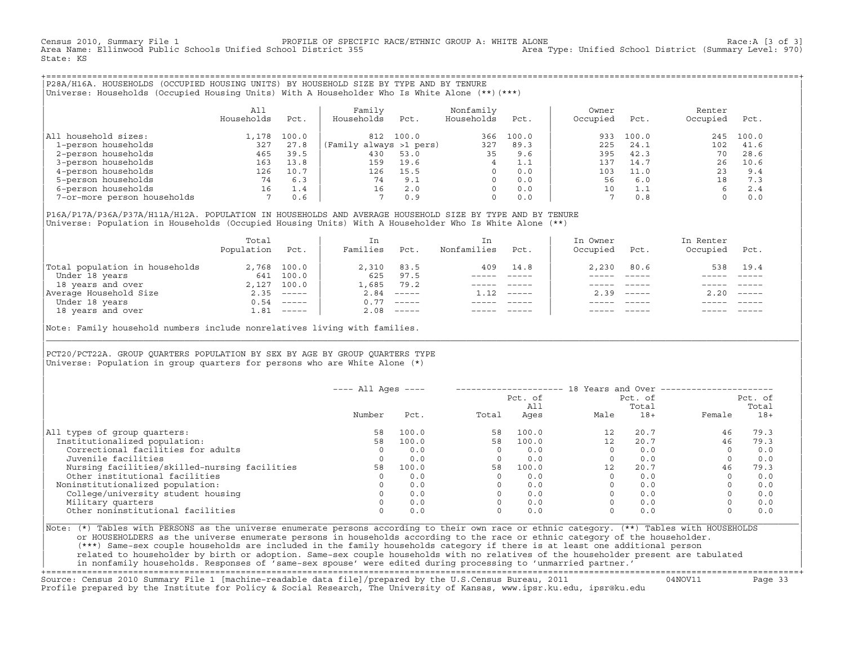Census 2010, Summary File 1 [3 of 3] PROFILE OF SPECIFIC RACE/ETHNIC GROUP A: WHITE ALONE 15 And the secth is the Race:A [3 of 3]<br>Area Name: Ellinwood Public Schools Unified School District 355 1999 Area Type: Unified Scho Area Name: Ellinwood Public Schools Unified School District 355 State: KS

+===================================================================================================================================================+|P28A/H16A. HOUSEHOLDS (OCCUPIED HOUSING UNITS) BY HOUSEHOLD SIZE BY TYPE AND BY TENURE |

|Universe: Households (Occupied Housing Units) With A Householder Who Is White Alone (\*\*)(\*\*\*) | | |

|                             | All        |       | Family                  |       | Nonfamily  |       | Owner    |       | Renter   |       |  |
|-----------------------------|------------|-------|-------------------------|-------|------------|-------|----------|-------|----------|-------|--|
|                             | Households | Pct.  | Households              | Pct.  | Households | Pct.  | Occupied | Pct.  | Occupied | Pct.  |  |
|                             |            |       |                         |       |            |       |          |       |          |       |  |
| All household sizes:        | .178       | 100.0 | 812                     | 100.0 | 366        | 100.0 | 933      | 100.0 | 245      | 100.0 |  |
| 1-person households         | 327        | 27.8  | (Family always >1 pers) |       | 327        | 89.3  | 225      | 24.1  | 102      | 41.6  |  |
| 2-person households         | 465        | 39.5  | 430                     | 53.0  | 35         | 9.6   | 395      | 42.3  | 70       | 28.6  |  |
| 3-person households         | 163        | 13.8  | 159                     | 19.6  |            | 1.1   | 137      | 14.7  | 26       | 10.6  |  |
| 4-person households         | 126        | 10.7  | 126                     | 15.5  | $\Omega$   | 0.0   | 103      | 11.0  | 23       | 9.4   |  |
| 5-person households         | 74         | 6.3   | 74                      | 9.1   |            | 0.0   | 56       | 6.0   | 18       | 7.3   |  |
| 6-person households         | 16         | 1.4   | 16                      | 2.0   |            | 0.0   | 10       |       |          | 2.4   |  |
| 7-or-more person households |            | 0.6   |                         | 0.9   | $\Omega$   | 0.0   |          | 0.8   |          | 0.0   |  |
|                             |            |       |                         |       |            |       |          |       |          |       |  |

|P16A/P17A/P36A/P37A/H11A/H12A. POPULATION IN HOUSEHOLDS AND AVERAGE HOUSEHOLD SIZE BY TYPE AND BY TENURE | |Universe: Population in Households (Occupied Housing Units) With A Householder Who Is White Alone (\*\*) |

|                                | Total<br>Population | Pct.         | In<br>Families | Pct.                                                                                                                                                                                                                                                                                                                                                                                                                                                                                 | In.<br>Nonfamilies | Pct.     | In Owner<br>Occupied | Pct.                      | In Renter<br>Occupied | Pct.                      |  |
|--------------------------------|---------------------|--------------|----------------|--------------------------------------------------------------------------------------------------------------------------------------------------------------------------------------------------------------------------------------------------------------------------------------------------------------------------------------------------------------------------------------------------------------------------------------------------------------------------------------|--------------------|----------|----------------------|---------------------------|-----------------------|---------------------------|--|
| Total population in households |                     | 2,768 100.0  | 2,310          | 83.5                                                                                                                                                                                                                                                                                                                                                                                                                                                                                 | 409                | 14.8     | 2,230                | 80.6                      | 538                   | 19.4                      |  |
| Under 18 years                 | 641                 | 100.0        | 625            | 97.5                                                                                                                                                                                                                                                                                                                                                                                                                                                                                 |                    |          |                      |                           |                       |                           |  |
| 18 years and over              |                     | 2,127 100.0  | 1,685          | 79.2                                                                                                                                                                                                                                                                                                                                                                                                                                                                                 |                    |          |                      |                           |                       |                           |  |
| Average Household Size         | 2.35                | $- - - - -$  | 2.84           | $\qquad \qquad - - - - -$                                                                                                                                                                                                                                                                                                                                                                                                                                                            | 1.12               | $------$ | 2.39                 | $\qquad \qquad - - - - -$ | 2.20                  | $\qquad \qquad - - - - -$ |  |
| Under 18 years                 | 0.54                | ______       | 0.77           | $------$                                                                                                                                                                                                                                                                                                                                                                                                                                                                             |                    |          |                      |                           |                       |                           |  |
| 18 years and over              |                     | $1.81$ ----- | 2.08           | $\begin{tabular}{cccccc} \multicolumn{2}{c}{} & \multicolumn{2}{c}{} & \multicolumn{2}{c}{} & \multicolumn{2}{c}{} & \multicolumn{2}{c}{} & \multicolumn{2}{c}{} & \multicolumn{2}{c}{} & \multicolumn{2}{c}{} & \multicolumn{2}{c}{} & \multicolumn{2}{c}{} & \multicolumn{2}{c}{} & \multicolumn{2}{c}{} & \multicolumn{2}{c}{} & \multicolumn{2}{c}{} & \multicolumn{2}{c}{} & \multicolumn{2}{c}{} & \multicolumn{2}{c}{} & \multicolumn{2}{c}{} & \multicolumn{2}{c}{} & \mult$ |                    |          |                      | $- - - - -$               |                       | $- - - - -$               |  |

Note: Family household numbers include nonrelatives living with families.

| | PCT20/PCT22A. GROUP OUARTERS POPULATION BY SEX BY AGE BY GROUP OUARTERS TYPE Universe: Population in group quarters for persons who are White Alone  $(*)$ 

|                                               | $---$ All Ages $---$ |       |       | Pct. of     | 18 Years and Over ------------- | Pct. of        |          | Pct. of        |
|-----------------------------------------------|----------------------|-------|-------|-------------|---------------------------------|----------------|----------|----------------|
|                                               | Number               | Pct.  | Total | All<br>Ages | Male                            | Total<br>$18+$ | Female   | Total<br>$18+$ |
| All types of group quarters:                  | 58                   | 100.0 | 58    | 100.0       | 12                              | 20.7           | 46       | 79.3           |
| Institutionalized population:                 | 58                   | 100.0 | 58    | 100.0       | 12                              | 20.7           | 46       | 79.3           |
| Correctional facilities for adults            | $\Omega$             | 0.0   |       | 0.0         |                                 | 0.0            | $\Omega$ | 0.0            |
| Juvenile facilities                           |                      | 0.0   |       | 0.0         |                                 | 0.0            |          | 0.0            |
| Nursing facilities/skilled-nursing facilities | 58                   | 100.0 | 58    | 100.0       | 12                              | 20.7           | 46       | 79.3           |
| Other institutional facilities                |                      | 0.0   |       | 0.0         |                                 | 0.0            |          | 0.0            |
| Noninstitutionalized population:              |                      | 0.0   |       | 0.0         |                                 | 0.0            |          | 0.0            |
| College/university student housing            |                      | 0.0   |       | 0.0         |                                 | 0.0            |          | 0.0            |
| Military quarters                             |                      | 0.0   |       | 0.0         |                                 | 0.0            |          | 0.0            |
| Other noninstitutional facilities             |                      | 0.0   |       | 0.0         |                                 | 0.0            |          | 0.0            |

|\_\_\_\_\_\_\_\_\_\_\_\_\_\_\_\_\_\_\_\_\_\_\_\_\_\_\_\_\_\_\_\_\_\_\_\_\_\_\_\_\_\_\_\_\_\_\_\_\_\_\_\_\_\_\_\_\_\_\_\_\_\_\_\_\_\_\_\_\_\_\_\_\_\_\_\_\_\_\_\_\_\_\_\_\_\_\_\_\_\_\_\_\_\_\_\_\_\_\_\_\_\_\_\_\_\_\_\_\_\_\_\_\_\_\_\_\_\_\_\_\_\_\_\_\_\_\_\_\_\_\_\_\_\_\_\_\_\_\_\_\_\_\_\_\_\_\_|

| |

|Note: (\*) Tables with PERSONS as the universe enumerate persons according to their own race or ethnic category. (\*\*) Tables with HOUSEHOLDS | or HOUSEHOLDERS as the universe enumerate persons in households according to the race or ethnic category of the householder. | (\*\*\*) Same−sex couple households are included in the family households category if there is at least one additional person | | related to householder by birth or adoption. Same−sex couple households with no relatives of the householder present are tabulated | | in nonfamily households. Responses of 'same−sex spouse' were edited during processing to 'unmarried partner.' | +===================================================================================================================================================+

Source: Census 2010 Summary File 1 [machine−readable data file]/prepared by the U.S.Census Bureau, 2011 04NOV11 Page 33 Profile prepared by the Institute for Policy & Social Research, The University of Kansas, www.ipsr.ku.edu, ipsr@ku.edu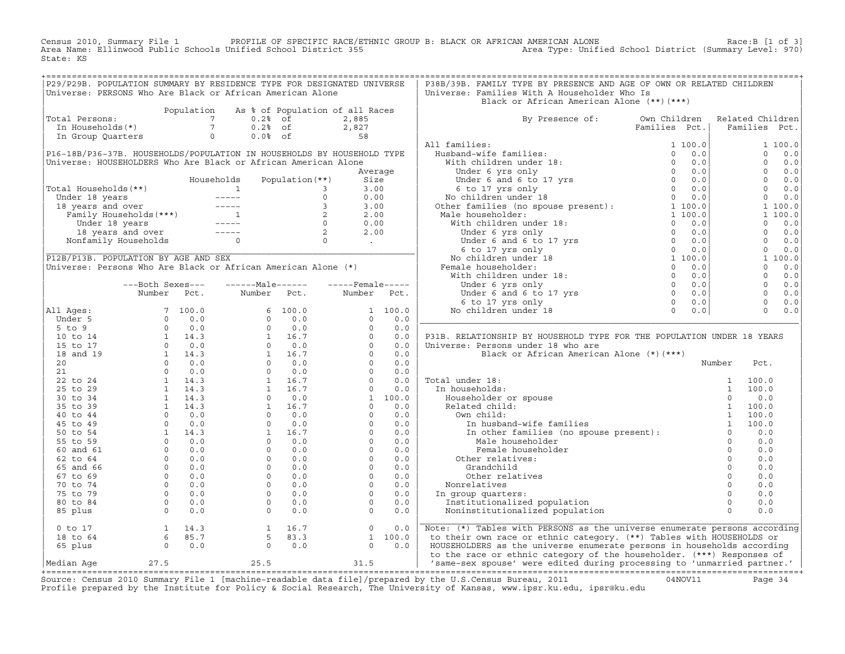PROFILE OF SPECIFIC RACE/ETHNIC GROUP B: BLACK OR AFRICAN AMERICAN ALONE Race:B [1 of 3]<br>Area Type: Unified School District (Summary Level: 970) Census 2010, Summary File 1 PROFILE OF SPECIFIC RACE/ET<br>Area Name: Ellinwood Public Schools Unified School District 355 State: KS

| P29/P29B. POPULATION SUMMARY BY RESIDENCE TYPE FOR DESIGNATED UNIVERSE                                                                                                                                                                                                                                                                                                            |                  |            |                                                                                                                                                                                                                                    |                   |                                                                                                                                                                                                                                                                                                                                          |     | P38B/39B. FAMILY TYPE BY PRESENCE AND AGE OF OWN OR RELATED CHILDREN                                                                                                                                                           |                               |                  |                |                |
|-----------------------------------------------------------------------------------------------------------------------------------------------------------------------------------------------------------------------------------------------------------------------------------------------------------------------------------------------------------------------------------|------------------|------------|------------------------------------------------------------------------------------------------------------------------------------------------------------------------------------------------------------------------------------|-------------------|------------------------------------------------------------------------------------------------------------------------------------------------------------------------------------------------------------------------------------------------------------------------------------------------------------------------------------------|-----|--------------------------------------------------------------------------------------------------------------------------------------------------------------------------------------------------------------------------------|-------------------------------|------------------|----------------|----------------|
| Universe: PERSONS Who Are Black or African American Alone                                                                                                                                                                                                                                                                                                                         |                  |            |                                                                                                                                                                                                                                    |                   |                                                                                                                                                                                                                                                                                                                                          |     | Universe: Families With A Householder Who Is                                                                                                                                                                                   |                               |                  |                |                |
|                                                                                                                                                                                                                                                                                                                                                                                   |                  |            |                                                                                                                                                                                                                                    |                   |                                                                                                                                                                                                                                                                                                                                          |     | Black or African American Alone (**)(***)                                                                                                                                                                                      |                               |                  |                |                |
|                                                                                                                                                                                                                                                                                                                                                                                   |                  | Population | As % of Population of all Races                                                                                                                                                                                                    |                   |                                                                                                                                                                                                                                                                                                                                          |     |                                                                                                                                                                                                                                |                               |                  |                |                |
| Total Persons:                                                                                                                                                                                                                                                                                                                                                                    |                  |            | otal Persons:<br>In Households (*)<br>The Case of The Case of The Case of The Case of The Case of The Case of The Case of The Case of The Case of The Case of The Case of The Case of The Case of The Case of The Case of The Case |                   | 2,885                                                                                                                                                                                                                                                                                                                                    |     | By Presence of: Own Children                                                                                                                                                                                                   |                               | Related Children |                |                |
|                                                                                                                                                                                                                                                                                                                                                                                   |                  |            |                                                                                                                                                                                                                                    |                   |                                                                                                                                                                                                                                                                                                                                          |     |                                                                                                                                                                                                                                | Families Pct.   Families Pct. |                  |                |                |
| In Group Quarters 0                                                                                                                                                                                                                                                                                                                                                               |                  |            | $0.0$ % of                                                                                                                                                                                                                         |                   | 2,827<br>58                                                                                                                                                                                                                                                                                                                              |     |                                                                                                                                                                                                                                |                               |                  |                |                |
|                                                                                                                                                                                                                                                                                                                                                                                   |                  |            |                                                                                                                                                                                                                                    |                   |                                                                                                                                                                                                                                                                                                                                          |     | All families:                                                                                                                                                                                                                  |                               |                  |                | 1 100.0        |
| P16-18B/P36-37B. HOUSEHOLDS/POPULATION IN HOUSEHOLDS BY HOUSEHOLD TYPE                                                                                                                                                                                                                                                                                                            |                  |            |                                                                                                                                                                                                                                    |                   |                                                                                                                                                                                                                                                                                                                                          |     |                                                                                                                                                                                                                                |                               |                  |                | $0 \t 0.0$     |
| Universe: HOUSEHOLDERS Who Are Black or African American Alone                                                                                                                                                                                                                                                                                                                    |                  |            |                                                                                                                                                                                                                                    |                   |                                                                                                                                                                                                                                                                                                                                          |     |                                                                                                                                                                                                                                |                               |                  |                | $0 \quad 0.0$  |
|                                                                                                                                                                                                                                                                                                                                                                                   |                  |            |                                                                                                                                                                                                                                    |                   |                                                                                                                                                                                                                                                                                                                                          |     |                                                                                                                                                                                                                                |                               | $0 \t 0.0$       |                |                |
|                                                                                                                                                                                                                                                                                                                                                                                   |                  |            |                                                                                                                                                                                                                                    |                   | Average                                                                                                                                                                                                                                                                                                                                  |     |                                                                                                                                                                                                                                |                               |                  |                |                |
|                                                                                                                                                                                                                                                                                                                                                                                   |                  |            | Households                                                                                                                                                                                                                         | Population $(**)$ | Size                                                                                                                                                                                                                                                                                                                                     |     |                                                                                                                                                                                                                                |                               |                  |                | $0 \t 0.0$     |
|                                                                                                                                                                                                                                                                                                                                                                                   |                  |            |                                                                                                                                                                                                                                    |                   |                                                                                                                                                                                                                                                                                                                                          |     |                                                                                                                                                                                                                                |                               |                  |                | $0 \t 0.0$     |
|                                                                                                                                                                                                                                                                                                                                                                                   |                  |            |                                                                                                                                                                                                                                    |                   |                                                                                                                                                                                                                                                                                                                                          |     |                                                                                                                                                                                                                                |                               |                  | $\overline{0}$ | 0.0            |
|                                                                                                                                                                                                                                                                                                                                                                                   |                  |            |                                                                                                                                                                                                                                    |                   |                                                                                                                                                                                                                                                                                                                                          |     |                                                                                                                                                                                                                                |                               |                  |                | 1 100.0        |
|                                                                                                                                                                                                                                                                                                                                                                                   |                  |            |                                                                                                                                                                                                                                    |                   |                                                                                                                                                                                                                                                                                                                                          |     |                                                                                                                                                                                                                                |                               |                  |                | 1 100.0        |
|                                                                                                                                                                                                                                                                                                                                                                                   |                  |            |                                                                                                                                                                                                                                    |                   |                                                                                                                                                                                                                                                                                                                                          |     |                                                                                                                                                                                                                                |                               |                  | $\Omega$       | 0.0            |
|                                                                                                                                                                                                                                                                                                                                                                                   |                  |            |                                                                                                                                                                                                                                    |                   |                                                                                                                                                                                                                                                                                                                                          |     |                                                                                                                                                                                                                                |                               |                  | $\Omega$       | 0.0            |
|                                                                                                                                                                                                                                                                                                                                                                                   |                  |            |                                                                                                                                                                                                                                    |                   |                                                                                                                                                                                                                                                                                                                                          |     |                                                                                                                                                                                                                                |                               |                  |                | $0 \t 0.0$     |
|                                                                                                                                                                                                                                                                                                                                                                                   |                  |            |                                                                                                                                                                                                                                    |                   |                                                                                                                                                                                                                                                                                                                                          |     |                                                                                                                                                                                                                                |                               |                  |                | $0 \t 0.0$     |
| Total Households (**)<br>Under 18 years<br>18 years and over<br>18 years and over<br>Tamily Households (***)<br>12 2.00<br>Under 18 years<br>18 years and over<br>18 years and over<br>18 years and over<br>18 years and over<br>18 years and over<br><br>P12B/P13B. POPULATION BY AGE AND SEX                                                                                    |                  |            |                                                                                                                                                                                                                                    |                   |                                                                                                                                                                                                                                                                                                                                          |     |                                                                                                                                                                                                                                |                               | 1 100.0          |                |                |
| Universe: Persons Who Are Black or African American Alone (*)                                                                                                                                                                                                                                                                                                                     |                  |            |                                                                                                                                                                                                                                    |                   |                                                                                                                                                                                                                                                                                                                                          |     | Female householder:                                                                                                                                                                                                            |                               |                  |                | $0 \t 0.0$     |
|                                                                                                                                                                                                                                                                                                                                                                                   |                  |            |                                                                                                                                                                                                                                    |                   |                                                                                                                                                                                                                                                                                                                                          |     |                                                                                                                                                                                                                                |                               |                  |                |                |
|                                                                                                                                                                                                                                                                                                                                                                                   |                  |            |                                                                                                                                                                                                                                    |                   |                                                                                                                                                                                                                                                                                                                                          |     |                                                                                                                                                                                                                                |                               |                  |                | $0 \qquad 0.0$ |
|                                                                                                                                                                                                                                                                                                                                                                                   | ---Both Sexes--- |            | $---Male----$                                                                                                                                                                                                                      |                   | $---$ Female-----                                                                                                                                                                                                                                                                                                                        |     |                                                                                                                                                                                                                                |                               |                  |                | $0 \t 0.0$     |
|                                                                                                                                                                                                                                                                                                                                                                                   | Number Pct.      |            | Number                                                                                                                                                                                                                             | Pct.              | Number Pct.                                                                                                                                                                                                                                                                                                                              |     |                                                                                                                                                                                                                                |                               |                  |                | $0 \t 0.0$     |
|                                                                                                                                                                                                                                                                                                                                                                                   |                  |            |                                                                                                                                                                                                                                    |                   |                                                                                                                                                                                                                                                                                                                                          |     |                                                                                                                                                                                                                                |                               |                  |                | $0 \t 0.0$     |
| All Ages:                                                                                                                                                                                                                                                                                                                                                                         |                  |            |                                                                                                                                                                                                                                    |                   |                                                                                                                                                                                                                                                                                                                                          |     |                                                                                                                                                                                                                                |                               |                  | $\overline{0}$ | 0.0            |
|                                                                                                                                                                                                                                                                                                                                                                                   |                  |            |                                                                                                                                                                                                                                    |                   |                                                                                                                                                                                                                                                                                                                                          |     |                                                                                                                                                                                                                                |                               |                  |                |                |
|                                                                                                                                                                                                                                                                                                                                                                                   |                  |            |                                                                                                                                                                                                                                    |                   |                                                                                                                                                                                                                                                                                                                                          |     |                                                                                                                                                                                                                                |                               |                  |                |                |
|                                                                                                                                                                                                                                                                                                                                                                                   |                  |            |                                                                                                                                                                                                                                    |                   |                                                                                                                                                                                                                                                                                                                                          |     |                                                                                                                                                                                                                                |                               |                  |                |                |
|                                                                                                                                                                                                                                                                                                                                                                                   |                  |            |                                                                                                                                                                                                                                    |                   |                                                                                                                                                                                                                                                                                                                                          |     |                                                                                                                                                                                                                                |                               |                  |                |                |
|                                                                                                                                                                                                                                                                                                                                                                                   |                  |            |                                                                                                                                                                                                                                    |                   |                                                                                                                                                                                                                                                                                                                                          |     |                                                                                                                                                                                                                                |                               |                  |                |                |
|                                                                                                                                                                                                                                                                                                                                                                                   |                  |            |                                                                                                                                                                                                                                    |                   |                                                                                                                                                                                                                                                                                                                                          |     |                                                                                                                                                                                                                                |                               |                  |                |                |
|                                                                                                                                                                                                                                                                                                                                                                                   |                  |            |                                                                                                                                                                                                                                    |                   |                                                                                                                                                                                                                                                                                                                                          |     |                                                                                                                                                                                                                                |                               |                  |                |                |
|                                                                                                                                                                                                                                                                                                                                                                                   |                  |            |                                                                                                                                                                                                                                    |                   |                                                                                                                                                                                                                                                                                                                                          |     |                                                                                                                                                                                                                                |                               |                  |                |                |
|                                                                                                                                                                                                                                                                                                                                                                                   |                  |            |                                                                                                                                                                                                                                    |                   |                                                                                                                                                                                                                                                                                                                                          |     |                                                                                                                                                                                                                                |                               |                  |                |                |
|                                                                                                                                                                                                                                                                                                                                                                                   |                  |            |                                                                                                                                                                                                                                    |                   |                                                                                                                                                                                                                                                                                                                                          |     |                                                                                                                                                                                                                                |                               |                  |                |                |
|                                                                                                                                                                                                                                                                                                                                                                                   |                  |            |                                                                                                                                                                                                                                    |                   |                                                                                                                                                                                                                                                                                                                                          |     |                                                                                                                                                                                                                                |                               |                  |                |                |
|                                                                                                                                                                                                                                                                                                                                                                                   |                  |            |                                                                                                                                                                                                                                    |                   |                                                                                                                                                                                                                                                                                                                                          |     |                                                                                                                                                                                                                                |                               |                  |                |                |
|                                                                                                                                                                                                                                                                                                                                                                                   |                  |            |                                                                                                                                                                                                                                    |                   |                                                                                                                                                                                                                                                                                                                                          |     |                                                                                                                                                                                                                                |                               |                  |                |                |
|                                                                                                                                                                                                                                                                                                                                                                                   |                  |            |                                                                                                                                                                                                                                    |                   |                                                                                                                                                                                                                                                                                                                                          |     |                                                                                                                                                                                                                                |                               |                  |                |                |
|                                                                                                                                                                                                                                                                                                                                                                                   |                  |            |                                                                                                                                                                                                                                    |                   |                                                                                                                                                                                                                                                                                                                                          |     |                                                                                                                                                                                                                                |                               |                  |                |                |
|                                                                                                                                                                                                                                                                                                                                                                                   |                  |            |                                                                                                                                                                                                                                    |                   |                                                                                                                                                                                                                                                                                                                                          |     |                                                                                                                                                                                                                                |                               |                  |                |                |
|                                                                                                                                                                                                                                                                                                                                                                                   |                  |            |                                                                                                                                                                                                                                    |                   |                                                                                                                                                                                                                                                                                                                                          |     | In other ramined<br>Male householder<br>Campio household                                                                                                                                                                       |                               |                  |                |                |
|                                                                                                                                                                                                                                                                                                                                                                                   |                  |            |                                                                                                                                                                                                                                    |                   |                                                                                                                                                                                                                                                                                                                                          |     |                                                                                                                                                                                                                                |                               |                  |                |                |
|                                                                                                                                                                                                                                                                                                                                                                                   |                  |            |                                                                                                                                                                                                                                    |                   |                                                                                                                                                                                                                                                                                                                                          |     |                                                                                                                                                                                                                                |                               |                  |                |                |
|                                                                                                                                                                                                                                                                                                                                                                                   |                  |            |                                                                                                                                                                                                                                    |                   |                                                                                                                                                                                                                                                                                                                                          |     |                                                                                                                                                                                                                                |                               |                  |                |                |
|                                                                                                                                                                                                                                                                                                                                                                                   |                  |            |                                                                                                                                                                                                                                    |                   |                                                                                                                                                                                                                                                                                                                                          |     |                                                                                                                                                                                                                                |                               |                  |                |                |
|                                                                                                                                                                                                                                                                                                                                                                                   |                  |            |                                                                                                                                                                                                                                    |                   |                                                                                                                                                                                                                                                                                                                                          |     |                                                                                                                                                                                                                                |                               |                  |                |                |
|                                                                                                                                                                                                                                                                                                                                                                                   |                  |            |                                                                                                                                                                                                                                    |                   |                                                                                                                                                                                                                                                                                                                                          |     |                                                                                                                                                                                                                                |                               |                  |                |                |
|                                                                                                                                                                                                                                                                                                                                                                                   |                  |            |                                                                                                                                                                                                                                    |                   |                                                                                                                                                                                                                                                                                                                                          |     | Institutionalized population                                                                                                                                                                                                   |                               |                  | 0.0            |                |
|                                                                                                                                                                                                                                                                                                                                                                                   |                  |            |                                                                                                                                                                                                                                    |                   |                                                                                                                                                                                                                                                                                                                                          |     | Noninstitutionalized population                                                                                                                                                                                                |                               |                  | 0.0            |                |
| All Ages:<br>$\begin{array}{cccccc} \text{Number} & \text{Pct.} & \text{number} & \text{Pct.} \\ \text{Under 5} & 7 & 100.0 & 6 & 100.0 \\ \text{Under 5} & 0 & 0.0 & 0 & 0 & 0.0 \\ \text{5 to 9} & 0 & 0.0 & 0 & 0.0 \\ \text{10 to 14} & 1 & 14.3 & 1 & 16.7 \\ \text{15 to 17} & 0 & 0.0 & 0 & 0.0 \\ \text{21} & 0 & 0.0 & 0 & 0.0 \\ \text{22 to 24} & 0 & $<br>$0$ to $17$ |                  |            |                                                                                                                                                                                                                                    |                   | $\begin{bmatrix} 1 & 100.0 \\ 0 & 0.0 \\ 0 & 0.0 \\ 0 & 0.0 \\ 0 & 0.0 \\ 0 & 0.0 \\ 0 & 0.0 \\ 0 & 0.0 \\ 0 & 0.0 \\ 0 & 0.0 \\ 0 & 0.0 \\ 0 & 0.0 \\ 0 & 0.0 \\ 0 & 0.0 \\ 0 & 0.0 \\ 0 & 0.0 \\ 0 & 0.0 \\ 0 & 0.0 \\ 0 & 0.0 \\ 0 & 0.0 \\ 0 & 0.0 \\ 0 & 0.0 \\ 0 & 0.0 \\ 0 & 0.0 \\ 0 & 0.0 \\ 0 & 0.0 \\ 0 & $<br>$\overline{0}$ | 0.0 | Note: (*) Tables with PERSONS as the universe enumerate persons according                                                                                                                                                      |                               |                  |                |                |
| 18 to 64                                                                                                                                                                                                                                                                                                                                                                          |                  |            | $\begin{array}{cccccc} 1 & 14.3 & & 1 & 16.7 \\ 6 & 85.7 & & 5 & 83.3 \\ 0 & 0.0 & & 0 & 0.0 \end{array}$                                                                                                                          |                   |                                                                                                                                                                                                                                                                                                                                          |     | to their own race or ethnic category. (**) Tables with HOUSEHOLDS or                                                                                                                                                           |                               |                  |                |                |
|                                                                                                                                                                                                                                                                                                                                                                                   |                  |            |                                                                                                                                                                                                                                    |                   | $\begin{bmatrix} 1 & 100.0 \\ 0 & 0.0 \end{bmatrix}$                                                                                                                                                                                                                                                                                     |     |                                                                                                                                                                                                                                |                               |                  |                |                |
| 65 plus                                                                                                                                                                                                                                                                                                                                                                           |                  |            |                                                                                                                                                                                                                                    |                   |                                                                                                                                                                                                                                                                                                                                          |     | HOUSEHOLDERS as the universe enumerate persons in households according                                                                                                                                                         |                               |                  |                |                |
|                                                                                                                                                                                                                                                                                                                                                                                   |                  |            |                                                                                                                                                                                                                                    |                   |                                                                                                                                                                                                                                                                                                                                          |     | to the race or ethnic category of the householder. (***) Responses of                                                                                                                                                          |                               |                  |                |                |
|                                                                                                                                                                                                                                                                                                                                                                                   |                  |            |                                                                                                                                                                                                                                    |                   |                                                                                                                                                                                                                                                                                                                                          |     | $\begin{array}{ l l }\n\hline\n\text{Median Age} & 27.5 & 25.5 & 31.5 & 31.5 & 31.5 & 31.5 & 31.5 & 31.5 & 31.5 & 31.5 & 31.5 & 31.5 & 31.5 & 31.5 & 31.5 & 31.5 & 31.5 & 31.5 & 31.5 & 31.5 & 31.5 & 31.5 & 31.5 & 31.5 & 31$ |                               |                  |                |                |
|                                                                                                                                                                                                                                                                                                                                                                                   |                  |            | $\sim$ . The state of the state of the state of the state of the state of the state of the state of the state of the state of the state of the state of the state of the state of the state of the state of the state of the st    |                   |                                                                                                                                                                                                                                                                                                                                          |     |                                                                                                                                                                                                                                |                               |                  |                |                |

+===================================================================================================================================================+Source: Census 2010 Summary File 1 [machine−readable data file]/prepared by the U.S.Census Bureau, 2011 04NOV11 Page 34 Profile prepared by the Institute for Policy & Social Research, The University of Kansas, www.ipsr.ku.edu, ipsr@ku.edu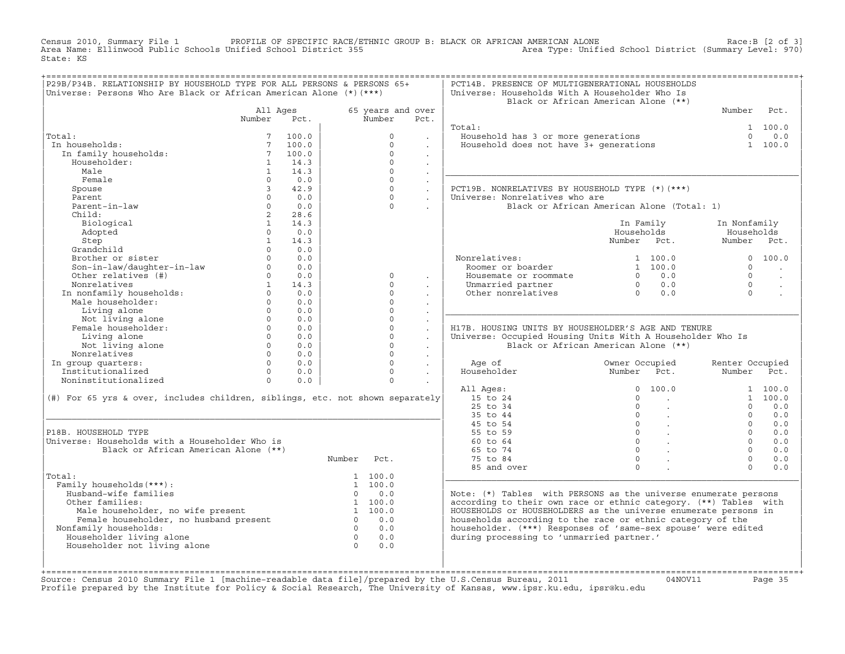Census 2010, Summary File 1 PROFILE OF SPECIFIC RACE/ETHNIC GROUP B: BLACK OR AFRICAN AMERICAN ALONE<br>Area Name: Ellinwood Public Schools Unified School District 355 Area Type: Unified State: KS

| P29B/P34B. RELATIONSHIP BY HOUSEHOLD TYPE FOR ALL PERSONS & PERSONS 65+       |                |            |                |                      |                      | PCT14B. PRESENCE OF MULTIGENERATIONAL HOUSEHOLDS                                                                                    |                                          |                                                   |                 |                      |
|-------------------------------------------------------------------------------|----------------|------------|----------------|----------------------|----------------------|-------------------------------------------------------------------------------------------------------------------------------------|------------------------------------------|---------------------------------------------------|-----------------|----------------------|
| Universe: Persons Who Are Black or African American Alone $(*)$ (***)         |                |            |                |                      |                      | Universe: Households With A Householder Who Is<br>Black or African American Alone (**)                                              |                                          |                                                   |                 |                      |
|                                                                               | All Ages       |            |                | 65 years and over    |                      |                                                                                                                                     |                                          |                                                   | Number          | Pct.                 |
|                                                                               | Number Pct.    |            |                | Number               | Pct.                 |                                                                                                                                     |                                          |                                                   |                 |                      |
|                                                                               |                |            |                |                      |                      | Total:                                                                                                                              |                                          |                                                   |                 | 1 100.0              |
| Total:                                                                        | 7 <sup>7</sup> | 100.0      |                | $\circ$              | $\sim$               | Household has 3 or more generations<br>Household does not have 3+ generations                                                       |                                          |                                                   | $\Omega$        | 0.0                  |
| In households:                                                                | $7^{\circ}$    | 100.0      |                | $\Omega$             |                      |                                                                                                                                     |                                          |                                                   |                 | 1 100.0              |
| In family households:                                                         | $7^{\circ}$    | 100.0      |                | $\Omega$             | $\ddot{\phantom{0}}$ |                                                                                                                                     |                                          |                                                   |                 |                      |
| Householder:                                                                  | $\mathbf{1}$   | 14.3       |                | $\Omega$             | $\sim$               |                                                                                                                                     |                                          |                                                   |                 |                      |
| Male                                                                          | $\mathbf{1}$   | 14.3       |                | $\Omega$             | $\ddot{\phantom{0}}$ |                                                                                                                                     |                                          |                                                   |                 |                      |
| Female                                                                        | $\Omega$       | 0.0        |                | $\Omega$             | $\sim$               |                                                                                                                                     |                                          |                                                   |                 |                      |
| Spouse                                                                        | $\overline{3}$ | 42.9       |                | $\Omega$             | $\ddot{\phantom{0}}$ | PCT19B. NONRELATIVES BY HOUSEHOLD TYPE (*) (***)                                                                                    |                                          |                                                   |                 |                      |
| Parent                                                                        | $\cap$         | 0.0        |                | $\cap$               | $\sim$               | Universe: Nonrelatives who are                                                                                                      |                                          |                                                   |                 |                      |
| Parent-in-law                                                                 | $\Omega$       | 0.0        |                | $\Omega$             |                      | Black or African American Alone (Total: 1)                                                                                          |                                          |                                                   |                 |                      |
| Child:                                                                        | $2^{\circ}$    | 28.6       |                |                      |                      |                                                                                                                                     |                                          |                                                   |                 |                      |
| Biological                                                                    | 1              | 14.3       |                |                      |                      |                                                                                                                                     | In Family                                |                                                   | In Nonfamily    |                      |
| Adopted                                                                       | $\Omega$       | 0.0        |                |                      |                      |                                                                                                                                     | Households                               |                                                   | Households      |                      |
| Step                                                                          | $\mathbf{1}$   | 14.3       |                |                      |                      |                                                                                                                                     | Number Pct.                              |                                                   | Number Pct.     |                      |
| Grandchild                                                                    | $\Omega$       | 0.0        |                |                      |                      |                                                                                                                                     |                                          |                                                   |                 |                      |
| Brother or sister                                                             | $\Omega$       | 0.0        |                |                      |                      | Nonrelatives:                                                                                                                       |                                          | 1, 100, 0                                         |                 | 0, 100, 0            |
| Son-in-law/daughter-in-law                                                    | $\Omega$       | 0.0        |                |                      |                      | Roomer or boarder                                                                                                                   |                                          | 1 100.0                                           | $\Omega$        |                      |
| Other relatives (#)                                                           |                | $0 \t 0.0$ |                | $\circ$              | $\sim$               | Housemate or roommate                                                                                                               |                                          | $0 \t 0.0$                                        | $\Omega$        | $\ddot{\phantom{a}}$ |
| Nonrelatives                                                                  | 1              | 14.3       |                | $\Omega$             | $\mathbf{r}$         | Unmarried partner                                                                                                                   | $\begin{matrix}0&0.0\\0&0.0\end{matrix}$ |                                                   | $\Omega$        | $\ddot{\phantom{a}}$ |
| In nonfamily households:<br>Male householder:                                 | $\Omega$       | 0.0        |                | $\Omega$             | $\ddot{\phantom{0}}$ | Other nonrelatives                                                                                                                  |                                          |                                                   | $\Omega$        |                      |
|                                                                               | $\Omega$       | 0.0        |                | $\Omega$             |                      |                                                                                                                                     |                                          |                                                   |                 |                      |
| Living alone                                                                  | $\Omega$       | 0.0        |                | $\Omega$             | $\sim$               |                                                                                                                                     |                                          |                                                   |                 |                      |
| Not living alone                                                              | $\Omega$       | 0.0        |                | $\circ$              | $\sim$               |                                                                                                                                     |                                          |                                                   |                 |                      |
| Female householder:                                                           | $\Omega$       | 0.0        |                | $\circ$              | $\mathbb{Z}^2$       | H17B. HOUSING UNITS BY HOUSEHOLDER'S AGE AND TENURE                                                                                 |                                          |                                                   |                 |                      |
| Living alone                                                                  | $\Omega$       | 0.0        |                | $\Omega$             | $\sim$               | Universe: Occupied Housing Units With A Householder Who Is                                                                          |                                          |                                                   |                 |                      |
| Not living alone                                                              | $\Omega$       | 0.0        |                | $\Omega$             | $\ddot{\phantom{0}}$ | Black or African American Alone (**)                                                                                                |                                          |                                                   |                 |                      |
| Nonrelatives                                                                  | $\Omega$       | 0.0        |                | $\Omega$             | $\sim$               |                                                                                                                                     |                                          |                                                   |                 |                      |
| In group quarters:                                                            | $\Omega$       | 0.0        |                | $\Omega$             | $\ddot{\phantom{a}}$ | Age of                                                                                                                              | Owner Occupied                           |                                                   | Renter Occupied |                      |
| Institutionalized                                                             | $\Omega$       | 0.0        |                | $\Omega$             | $\sim$               | Householder                                                                                                                         | Number Pct.                              |                                                   | Number Pct.     |                      |
| Noninstitutionalized                                                          | $\Omega$       | 0.0        |                | $\Omega$             |                      |                                                                                                                                     |                                          |                                                   |                 |                      |
|                                                                               |                |            |                |                      |                      | All Ages:                                                                                                                           |                                          | 0, 100, 0                                         |                 | 1 100.0              |
| (#) For 65 yrs & over, includes children, siblings, etc. not shown separately |                |            |                |                      |                      | 15 to 24                                                                                                                            | $\Omega$                                 | $\sim$ $\sim$                                     |                 | 1, 100.0             |
|                                                                               |                |            |                |                      |                      | $25$ to $34$                                                                                                                        | $\Omega$                                 | $\sim$                                            | $\Omega$        | 0.0                  |
|                                                                               |                |            |                |                      |                      | 35 to 44                                                                                                                            | $\overline{0}$                           | $\sim$ $\sim$                                     | $\Omega$        | 0.0                  |
|                                                                               |                |            |                |                      |                      | 45 to 54                                                                                                                            | $\overline{0}$                           | $\sim 10^{11}$ km                                 | $\Omega$        | 0.0                  |
| P18B. HOUSEHOLD TYPE                                                          |                |            |                |                      |                      | 55 to 59                                                                                                                            |                                          | $\begin{matrix} 0 & \cdots & \cdots \end{matrix}$ | $\Omega$        | 0.0                  |
| Universe: Households with a Householder Who is                                |                |            |                |                      |                      | $60 \text{ to } 64$                                                                                                                 | $\Omega$                                 | $0 \qquad \qquad$<br>$\ddot{\phantom{a}}$         | $\Omega$        | 0.0                  |
| Black or African American Alone (**)                                          |                |            |                |                      |                      | 65 to 74                                                                                                                            |                                          |                                                   | $\Omega$        | 0.0                  |
|                                                                               |                |            | Number         | Pct.                 |                      | 75 to 84                                                                                                                            | $\circ$                                  | $\ddot{\phantom{a}}$                              | $\Omega$        | 0.0                  |
|                                                                               |                |            |                |                      |                      | 85 and over                                                                                                                         | $\Omega$                                 |                                                   | $\cap$          | 0.0                  |
| Total:                                                                        |                |            |                | 1 100.0<br>1, 100, 0 |                      |                                                                                                                                     |                                          |                                                   |                 |                      |
| Family households (***) :<br>Husband-wife families                            |                |            |                | $0 \t 0.0$           |                      |                                                                                                                                     |                                          |                                                   |                 |                      |
| Other families:                                                               |                |            |                | 1 100.0              |                      | Note: (*) Tables with PERSONS as the universe enumerate persons<br>according to their own race or ethnic category. (**) Tables with |                                          |                                                   |                 |                      |
|                                                                               |                |            |                | 1 100.0              |                      | HOUSEHOLDS or HOUSEHOLDERS as the universe enumerate persons in                                                                     |                                          |                                                   |                 |                      |
| wale householder, no wife present<br>Female householder, no husband present   |                |            |                | $0 \qquad 0.0$       |                      | households according to the race or ethnic category of the                                                                          |                                          |                                                   |                 |                      |
| Nonfamily households:                                                         |                |            |                | $0 \t 0.0$           |                      | householder. (***) Responses of 'same-sex spouse' were edited                                                                       |                                          |                                                   |                 |                      |
| Householder living alone                                                      |                |            | $\overline{0}$ | 0.0                  |                      | during processing to 'unmarried partner.'                                                                                           |                                          |                                                   |                 |                      |
| Householder not living alone                                                  |                |            | $\Omega$       | 0.0                  |                      |                                                                                                                                     |                                          |                                                   |                 |                      |
|                                                                               |                |            |                |                      |                      |                                                                                                                                     |                                          |                                                   |                 |                      |
|                                                                               |                |            |                |                      |                      |                                                                                                                                     |                                          |                                                   |                 |                      |
|                                                                               |                |            |                |                      |                      |                                                                                                                                     |                                          |                                                   |                 |                      |

| | | +===================================================================================================================================================+Source: Census 2010 Summary File 1 [machine−readable data file]/prepared by the U.S.Census Bureau, 2011 04NOV11 Page 35 Profile prepared by the Institute for Policy & Social Research, The University of Kansas, www.ipsr.ku.edu, ipsr@ku.edu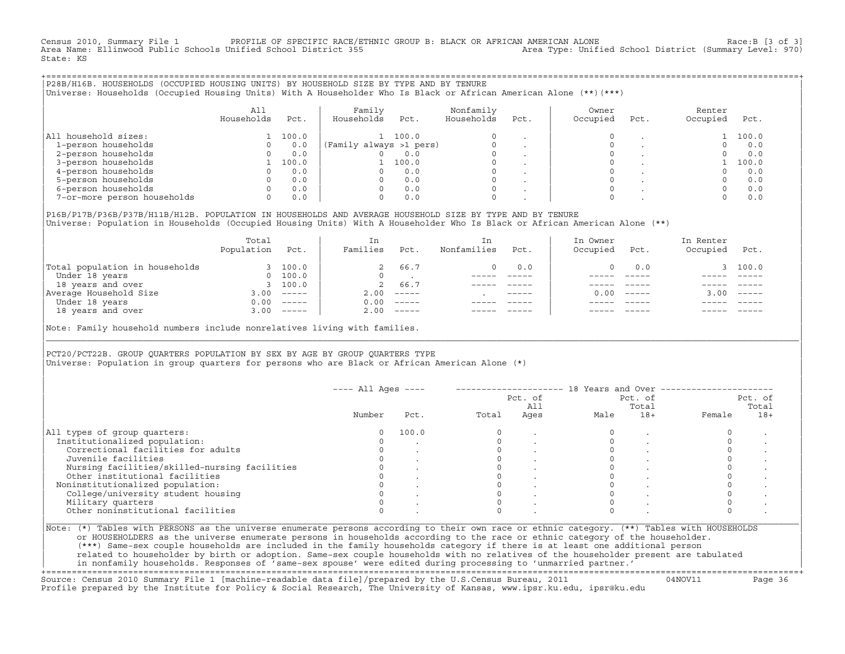Census 2010, Summary File 1 PROFILE OF SPECIFIC RACE/ETHNIC GROUP B: BLACK OR AFRICAN AMERICAN ALONE Race:B [3 of 3]<br>Area Name: Ellinwood Public Schools Unified School District 355 area Type: Unified School District (Summa Area Type: Unified School District (Summary Level: 970) State: KS

+===================================================================================================================================================+|P28B/H16B. HOUSEHOLDS (OCCUPIED HOUSING UNITS) BY HOUSEHOLD SIZE BY TYPE AND BY TENURE | |Universe: Households (Occupied Housing Units) With A Householder Who Is Black or African American Alone (\*\*)(\*\*\*) |

|                             | All<br>Households | Pct.  | Family<br>Households<br>Pct. | Nonfamily<br>Households | Pct.                     | Owner<br>Occupied | Pct. | Renter<br>Occupied | Pct.  |
|-----------------------------|-------------------|-------|------------------------------|-------------------------|--------------------------|-------------------|------|--------------------|-------|
| household sizes:<br> All    |                   | 100.0 | 100.0                        |                         |                          |                   |      |                    | 100.0 |
| 1-person households         |                   | 0.0   | (Family always >1 pers)      |                         |                          |                   |      |                    | 0.0   |
| 2-person households         |                   | 0.0   | 0.0                          |                         |                          |                   |      |                    | 0.0   |
| 3-person households         |                   | 100.0 | 100.0                        |                         | $\overline{\phantom{a}}$ |                   |      |                    | 100.0 |
| 4-person households         |                   | 0.0   | 0.0                          |                         |                          |                   |      |                    | 0.0   |
| 5-person households         |                   | 0.0   | 0.0                          |                         |                          |                   |      |                    | 0.0   |
| 6-person households         |                   | 0.0   | 0.0                          |                         |                          |                   |      |                    | 0.0   |
| 7-or-more person households | 0                 | 0.0   | 0.0                          |                         |                          |                   |      |                    | 0.0   |

|P16B/P17B/P36B/P37B/H11B/H12B. POPULATION IN HOUSEHOLDS AND AVERAGE HOUSEHOLD SIZE BY TYPE AND BY TENURE | Universe: Population in Households (Occupied Housing Units) With A Householder Who Is Black or African American Alone (\*\*)

| Population | Pct.                      | Families             | Pct.     | Nonfamilies | Pct.        | In Owner<br>Occupied | Pct.          | In Renter<br>Occupied | Pct.     |
|------------|---------------------------|----------------------|----------|-------------|-------------|----------------------|---------------|-----------------------|----------|
|            | 100.0                     |                      | 66.7     |             | 0.0         |                      | 0.0           |                       | 3 100.0  |
|            | 100.0                     |                      |          |             |             |                      |               |                       |          |
|            |                           | 2                    | 66.7     |             |             |                      |               |                       |          |
| 3.00       | $------$                  | 2.00                 | $------$ |             | $- - - - -$ | 0.00                 | $- - - - - -$ | 3.00                  | $------$ |
| 0.00       | $------$                  | 0.00                 | $------$ |             |             |                      |               |                       |          |
| 3.00       | $\qquad \qquad - - - - -$ | 2.00                 |          |             |             |                      | $- - - - -$   |                       | $------$ |
|            |                           | $\Omega$<br>3, 100.0 |          |             |             |                      |               |                       |          |

Note: Family household numbers include nonrelatives living with families.

| | PCT20/PCT22B. GROUP OUARTERS POPULATION BY SEX BY AGE BY GROUP OUARTERS TYPE Universe: Population in group quarters for persons who are Black or African American Alone (\*)

|                                               |        |       |       | Pct. of<br>All |      | Pct. of<br>Total |        | Pct. of<br>Total |
|-----------------------------------------------|--------|-------|-------|----------------|------|------------------|--------|------------------|
|                                               | Number | Pct.  | Total | Ages           | Male | $18+$            | Female | $18+$            |
| All types of group quarters:                  | 0      | 100.0 |       |                |      |                  |        |                  |
| Institutionalized population:                 |        |       |       |                |      |                  |        |                  |
| Correctional facilities for adults            |        |       |       |                |      |                  |        |                  |
| Juvenile facilities                           |        |       |       |                |      |                  |        |                  |
| Nursing facilities/skilled-nursing facilities |        |       |       |                |      |                  |        |                  |
| Other institutional facilities                |        |       |       |                |      |                  |        |                  |
| Noninstitutionalized population:              |        |       |       |                |      |                  |        |                  |
| College/university student housing            |        |       |       |                |      |                  |        |                  |
| Military quarters                             |        |       |       |                |      |                  |        |                  |
| Other noninstitutional facilities             |        |       |       |                |      |                  |        |                  |

|\_\_\_\_\_\_\_\_\_\_\_\_\_\_\_\_\_\_\_\_\_\_\_\_\_\_\_\_\_\_\_\_\_\_\_\_\_\_\_\_\_\_\_\_\_\_\_\_\_\_\_\_\_\_\_\_\_\_\_\_\_\_\_\_\_\_\_\_\_\_\_\_\_\_\_\_\_\_\_\_\_\_\_\_\_\_\_\_\_\_\_\_\_\_\_\_\_\_\_\_\_\_\_\_\_\_\_\_\_\_\_\_\_\_\_\_\_\_\_\_\_\_\_\_\_\_\_\_\_\_\_\_\_\_\_\_\_\_\_\_\_\_\_\_\_\_\_|

| |

or HOUSEHOLDERS as the universe enumerate persons in households according to the race or ethnic category of the householder. | (\*\*\*) Same−sex couple households are included in the family households category if there is at least one additional person | | related to householder by birth or adoption. Same−sex couple households with no relatives of the householder present are tabulated | | in nonfamily households. Responses of 'same−sex spouse' were edited during processing to 'unmarried partner.' |

+===================================================================================================================================================+ Source: Census 2010 Summary File 1 [machine−readable data file]/prepared by the U.S.Census Bureau, 2011 04NOV11 Page 36 Profile prepared by the Institute for Policy & Social Research, The University of Kansas, www.ipsr.ku.edu, ipsr@ku.edu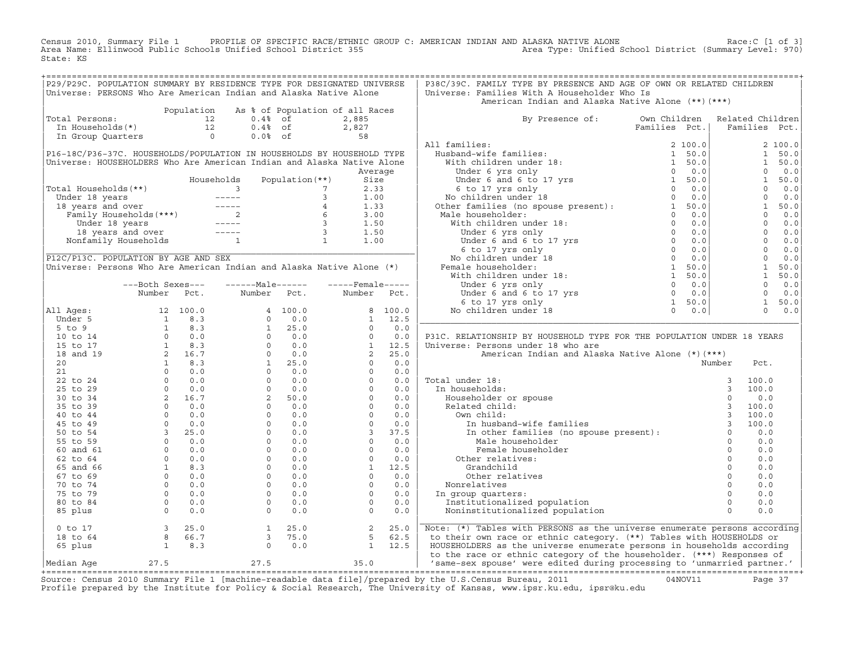Census 2010, Summary File 1 PROFILE OF SPECIFIC RACE/ETHNIC GROUP C: AMERICAN INDIAN AND ALASKA NATIVE ALONE Race:C [1 of 3] Area Name: Ellinwood Public Schools Unified School District 355 Area Type: Unified School District (Summary Level: 970) State: KS

| P29/P29C. POPULATION SUMMARY BY RESIDENCE TYPE FOR DESIGNATED UNIVERSE                                                                                                                                                                               |                                                                                                                                                                                                                                                                                   |            |                                                                                                                                                                                                                                                                                                                                        |                     |                                                                 |                |                    | P38C/39C. FAMILY TYPE BY PRESENCE AND AGE OF OWN OR RELATED CHILDREN                                                                                                                                                                                                                                                                                                                                                                       |               |                  |                |               |
|------------------------------------------------------------------------------------------------------------------------------------------------------------------------------------------------------------------------------------------------------|-----------------------------------------------------------------------------------------------------------------------------------------------------------------------------------------------------------------------------------------------------------------------------------|------------|----------------------------------------------------------------------------------------------------------------------------------------------------------------------------------------------------------------------------------------------------------------------------------------------------------------------------------------|---------------------|-----------------------------------------------------------------|----------------|--------------------|--------------------------------------------------------------------------------------------------------------------------------------------------------------------------------------------------------------------------------------------------------------------------------------------------------------------------------------------------------------------------------------------------------------------------------------------|---------------|------------------|----------------|---------------|
| Universe: PERSONS Who Are American Indian and Alaska Native Alone                                                                                                                                                                                    |                                                                                                                                                                                                                                                                                   |            |                                                                                                                                                                                                                                                                                                                                        |                     |                                                                 |                |                    | Universe: Families With A Householder Who Is<br>American Indian and Alaska Native Alone (**) (***)                                                                                                                                                                                                                                                                                                                                         |               |                  |                |               |
|                                                                                                                                                                                                                                                      |                                                                                                                                                                                                                                                                                   | Population |                                                                                                                                                                                                                                                                                                                                        |                     | As % of Population of all Races                                 |                |                    |                                                                                                                                                                                                                                                                                                                                                                                                                                            |               |                  |                |               |
| Total Persons:                                                                                                                                                                                                                                       |                                                                                                                                                                                                                                                                                   |            |                                                                                                                                                                                                                                                                                                                                        |                     | 2,885                                                           |                |                    | By Presence of: Own Children                                                                                                                                                                                                                                                                                                                                                                                                               |               | Related Children |                |               |
| otal Persons: $\begin{array}{cccc} 12 & 0.4\frac{1}{8} & \text{of} \\ \text{In Households (*)} & 12 & 0.4\frac{1}{8} & \text{of} \\ \text{In Group Quatters} & 0 & 0.0\frac{1}{8} & \text{of} \\ \end{array}$                                        |                                                                                                                                                                                                                                                                                   |            |                                                                                                                                                                                                                                                                                                                                        |                     | $2, 82.$<br>58                                                  |                |                    |                                                                                                                                                                                                                                                                                                                                                                                                                                            | Families Pct. |                  |                | Families Pct. |
|                                                                                                                                                                                                                                                      |                                                                                                                                                                                                                                                                                   |            |                                                                                                                                                                                                                                                                                                                                        |                     |                                                                 |                |                    |                                                                                                                                                                                                                                                                                                                                                                                                                                            |               |                  |                |               |
|                                                                                                                                                                                                                                                      |                                                                                                                                                                                                                                                                                   |            |                                                                                                                                                                                                                                                                                                                                        |                     |                                                                 |                |                    | All families:                                                                                                                                                                                                                                                                                                                                                                                                                              |               |                  |                | 2 100.0       |
| P16-18C/P36-37C. HOUSEHOLDS/POPULATION IN HOUSEHOLDS BY HOUSEHOLD TYPE                                                                                                                                                                               |                                                                                                                                                                                                                                                                                   |            |                                                                                                                                                                                                                                                                                                                                        |                     |                                                                 |                |                    |                                                                                                                                                                                                                                                                                                                                                                                                                                            |               |                  |                | 1 50.0        |
| Universe: HOUSEHOLDERS Who Are American Indian and Alaska Native Alone                                                                                                                                                                               |                                                                                                                                                                                                                                                                                   |            |                                                                                                                                                                                                                                                                                                                                        |                     |                                                                 |                |                    |                                                                                                                                                                                                                                                                                                                                                                                                                                            |               |                  | $\mathbf{1}$   | 50.0          |
|                                                                                                                                                                                                                                                      |                                                                                                                                                                                                                                                                                   |            |                                                                                                                                                                                                                                                                                                                                        |                     |                                                                 | Average        |                    |                                                                                                                                                                                                                                                                                                                                                                                                                                            |               |                  | $\circ$        | 0.0           |
|                                                                                                                                                                                                                                                      |                                                                                                                                                                                                                                                                                   |            |                                                                                                                                                                                                                                                                                                                                        |                     |                                                                 |                |                    |                                                                                                                                                                                                                                                                                                                                                                                                                                            |               |                  | $\mathbf{1}$   | 50.0          |
| Total Households(**)                                                                                                                                                                                                                                 |                                                                                                                                                                                                                                                                                   |            |                                                                                                                                                                                                                                                                                                                                        |                     |                                                                 |                |                    |                                                                                                                                                                                                                                                                                                                                                                                                                                            |               |                  | $\Omega$       | 0.0           |
|                                                                                                                                                                                                                                                      |                                                                                                                                                                                                                                                                                   |            |                                                                                                                                                                                                                                                                                                                                        |                     |                                                                 |                |                    |                                                                                                                                                                                                                                                                                                                                                                                                                                            |               |                  | $\Omega$       | 0.0           |
|                                                                                                                                                                                                                                                      |                                                                                                                                                                                                                                                                                   |            |                                                                                                                                                                                                                                                                                                                                        |                     |                                                                 |                |                    |                                                                                                                                                                                                                                                                                                                                                                                                                                            |               |                  | 1              | 50.0          |
|                                                                                                                                                                                                                                                      |                                                                                                                                                                                                                                                                                   |            |                                                                                                                                                                                                                                                                                                                                        |                     |                                                                 |                |                    |                                                                                                                                                                                                                                                                                                                                                                                                                                            |               |                  | $\Omega$       | 0.0           |
|                                                                                                                                                                                                                                                      |                                                                                                                                                                                                                                                                                   |            |                                                                                                                                                                                                                                                                                                                                        |                     |                                                                 |                |                    |                                                                                                                                                                                                                                                                                                                                                                                                                                            |               |                  | $\overline{0}$ | 0.0           |
| 0tal Households (**)<br>Under 18 years<br>18 years and over<br>Family Households (***)<br>18 years and over<br>18 years and over<br>18 years and over<br>18 years and over<br>18 years and over<br>18 years and over<br>19 years and over<br>19 year |                                                                                                                                                                                                                                                                                   |            |                                                                                                                                                                                                                                                                                                                                        |                     |                                                                 |                |                    | $\begin{tabular}{ll} \bf{111 families:} & \tt Families & \tt Pet. \\ \end{tabular} & \tt Humbel and \textbf{w} \end{tabular} \begin{tabular}{ll} \bf{111 families:} \\ \end{tabular} \begin{tabular}{ll} \bf{2100.0} \\ \text{With children under 18:} \\ \end{tabular} & \begin{tabular}{ll} $1$ & $50.0 \\ $1$ & $50.0 \\ $0$ & 0.0 \\ $0$ & 0.0 \\ $0$ & 0.0 \\ $0$ & 0.0 \\ $0$ & 0.0 \\ $0$ & 0.0 \\ $0$ & 0.0 \\ $0$ & 0.0 \\ $0$ &$ |               |                  | $\Omega$       | 0.0           |
|                                                                                                                                                                                                                                                      |                                                                                                                                                                                                                                                                                   |            |                                                                                                                                                                                                                                                                                                                                        |                     |                                                                 |                |                    |                                                                                                                                                                                                                                                                                                                                                                                                                                            |               |                  |                | $0 \t 0.0$    |
|                                                                                                                                                                                                                                                      |                                                                                                                                                                                                                                                                                   |            |                                                                                                                                                                                                                                                                                                                                        |                     |                                                                 |                |                    |                                                                                                                                                                                                                                                                                                                                                                                                                                            |               |                  | $\overline{0}$ | 0.0           |
| P12C/P13C. POPULATION BY AGE AND SEX                                                                                                                                                                                                                 |                                                                                                                                                                                                                                                                                   |            |                                                                                                                                                                                                                                                                                                                                        |                     |                                                                 |                |                    |                                                                                                                                                                                                                                                                                                                                                                                                                                            |               |                  | $\bigcap$      | 0.0           |
| Universe: Persons Who Are American Indian and Alaska Native Alone (*)                                                                                                                                                                                |                                                                                                                                                                                                                                                                                   |            |                                                                                                                                                                                                                                                                                                                                        |                     |                                                                 |                |                    |                                                                                                                                                                                                                                                                                                                                                                                                                                            |               |                  | $\mathbf{1}$   | 50.0          |
|                                                                                                                                                                                                                                                      |                                                                                                                                                                                                                                                                                   |            |                                                                                                                                                                                                                                                                                                                                        |                     |                                                                 |                |                    |                                                                                                                                                                                                                                                                                                                                                                                                                                            |               |                  | 1              | 50.0          |
|                                                                                                                                                                                                                                                      |                                                                                                                                                                                                                                                                                   |            |                                                                                                                                                                                                                                                                                                                                        |                     |                                                                 |                |                    |                                                                                                                                                                                                                                                                                                                                                                                                                                            |               |                  |                |               |
|                                                                                                                                                                                                                                                      | ---Both Sexes---                                                                                                                                                                                                                                                                  |            | $---Male----$                                                                                                                                                                                                                                                                                                                          |                     |                                                                 |                | $---$ Female ----- |                                                                                                                                                                                                                                                                                                                                                                                                                                            |               |                  | $\circ$        | 0.0           |
|                                                                                                                                                                                                                                                      | Number                                                                                                                                                                                                                                                                            | Pct.       | Number                                                                                                                                                                                                                                                                                                                                 | Pct.                | Number                                                          |                | Pct.               |                                                                                                                                                                                                                                                                                                                                                                                                                                            |               |                  | $\circ$        | 0.0           |
|                                                                                                                                                                                                                                                      |                                                                                                                                                                                                                                                                                   |            |                                                                                                                                                                                                                                                                                                                                        |                     |                                                                 |                |                    |                                                                                                                                                                                                                                                                                                                                                                                                                                            |               |                  | 1              | 50.0          |
| All Ages:                                                                                                                                                                                                                                            |                                                                                                                                                                                                                                                                                   |            |                                                                                                                                                                                                                                                                                                                                        |                     |                                                                 |                | 8 100.0            |                                                                                                                                                                                                                                                                                                                                                                                                                                            |               |                  | $\Omega$       | 0.0           |
| Under 5                                                                                                                                                                                                                                              |                                                                                                                                                                                                                                                                                   |            |                                                                                                                                                                                                                                                                                                                                        |                     |                                                                 |                | $1 \quad 12.5$     |                                                                                                                                                                                                                                                                                                                                                                                                                                            |               |                  |                |               |
| $5$ to $9$                                                                                                                                                                                                                                           |                                                                                                                                                                                                                                                                                   |            |                                                                                                                                                                                                                                                                                                                                        |                     |                                                                 | $\circ$        | 0.0                |                                                                                                                                                                                                                                                                                                                                                                                                                                            |               |                  |                |               |
| 10 to 14                                                                                                                                                                                                                                             |                                                                                                                                                                                                                                                                                   |            |                                                                                                                                                                                                                                                                                                                                        |                     |                                                                 | $\Omega$       | 0.0                | P31C. RELATIONSHIP BY HOUSEHOLD TYPE FOR THE POPULATION UNDER 18 YEARS                                                                                                                                                                                                                                                                                                                                                                     |               |                  |                |               |
| 15 to 17                                                                                                                                                                                                                                             |                                                                                                                                                                                                                                                                                   |            |                                                                                                                                                                                                                                                                                                                                        |                     |                                                                 | 1              | 12.5               | Universe: Persons under 18 who are                                                                                                                                                                                                                                                                                                                                                                                                         |               |                  |                |               |
| 18 and 19                                                                                                                                                                                                                                            |                                                                                                                                                                                                                                                                                   |            |                                                                                                                                                                                                                                                                                                                                        |                     |                                                                 | $\overline{2}$ | 25.0               | American Indian and Alaska Native Alone (*) (***)                                                                                                                                                                                                                                                                                                                                                                                          |               |                  |                |               |
| 20                                                                                                                                                                                                                                                   |                                                                                                                                                                                                                                                                                   |            |                                                                                                                                                                                                                                                                                                                                        |                     |                                                                 | $\circ$        | 0.0                |                                                                                                                                                                                                                                                                                                                                                                                                                                            |               | Number           | Pct.           |               |
| 21                                                                                                                                                                                                                                                   |                                                                                                                                                                                                                                                                                   |            |                                                                                                                                                                                                                                                                                                                                        |                     |                                                                 | $\circ$        | 0.0                |                                                                                                                                                                                                                                                                                                                                                                                                                                            |               |                  |                |               |
| 22 to 24                                                                                                                                                                                                                                             |                                                                                                                                                                                                                                                                                   |            |                                                                                                                                                                                                                                                                                                                                        |                     |                                                                 | $\Omega$       | 0.0                | Total under 18:                                                                                                                                                                                                                                                                                                                                                                                                                            |               |                  | 100.0          |               |
| 25 to 29                                                                                                                                                                                                                                             |                                                                                                                                                                                                                                                                                   |            |                                                                                                                                                                                                                                                                                                                                        |                     |                                                                 | $\circ$        | 0.0                | In households:                                                                                                                                                                                                                                                                                                                                                                                                                             |               |                  | 100.0          |               |
| 30 to 34                                                                                                                                                                                                                                             |                                                                                                                                                                                                                                                                                   |            |                                                                                                                                                                                                                                                                                                                                        |                     |                                                                 | $\Omega$       | 0.0                |                                                                                                                                                                                                                                                                                                                                                                                                                                            |               |                  | 0.0            |               |
| 35 to 39                                                                                                                                                                                                                                             |                                                                                                                                                                                                                                                                                   |            |                                                                                                                                                                                                                                                                                                                                        |                     |                                                                 | $\circ$        | 0.0                |                                                                                                                                                                                                                                                                                                                                                                                                                                            |               |                  | 100.0          |               |
| 40 to 44                                                                                                                                                                                                                                             |                                                                                                                                                                                                                                                                                   |            |                                                                                                                                                                                                                                                                                                                                        |                     |                                                                 | $\circ$        | 0.0                |                                                                                                                                                                                                                                                                                                                                                                                                                                            |               |                  | 100.0          |               |
| 45 to 49                                                                                                                                                                                                                                             |                                                                                                                                                                                                                                                                                   |            |                                                                                                                                                                                                                                                                                                                                        |                     |                                                                 | $\circ$        | 0.0                |                                                                                                                                                                                                                                                                                                                                                                                                                                            |               |                  | 100.0          |               |
| 50 to 54                                                                                                                                                                                                                                             |                                                                                                                                                                                                                                                                                   |            |                                                                                                                                                                                                                                                                                                                                        |                     |                                                                 |                | 37.5               |                                                                                                                                                                                                                                                                                                                                                                                                                                            |               |                  | 0.0            |               |
| 55 to 59                                                                                                                                                                                                                                             |                                                                                                                                                                                                                                                                                   |            |                                                                                                                                                                                                                                                                                                                                        |                     | $\begin{bmatrix} 0 \\ 3 \\ 0 \\ 0 \\ 0 \\ 1 \\ 0 \end{bmatrix}$ |                | 0.0                | al under 18:<br>n households:<br>Householder or spouse<br>Related child:<br>Own child:<br>In husband-wife families<br>In other families (no spouse present):<br>Male householder<br>0<br>Male householder<br>0<br>0                                                                                                                                                                                                                        |               |                  | 0.0            |               |
| 60 and 61                                                                                                                                                                                                                                            |                                                                                                                                                                                                                                                                                   |            |                                                                                                                                                                                                                                                                                                                                        |                     |                                                                 |                | 0.0                | Female householder                                                                                                                                                                                                                                                                                                                                                                                                                         |               |                  | 0.0            |               |
| 62 to 64                                                                                                                                                                                                                                             |                                                                                                                                                                                                                                                                                   |            |                                                                                                                                                                                                                                                                                                                                        |                     |                                                                 |                | 0.0                | Other relatives:                                                                                                                                                                                                                                                                                                                                                                                                                           |               | $\Omega$         | 0.0            |               |
| 65 and 66                                                                                                                                                                                                                                            |                                                                                                                                                                                                                                                                                   |            |                                                                                                                                                                                                                                                                                                                                        |                     |                                                                 |                | 12.5               | Grandchild                                                                                                                                                                                                                                                                                                                                                                                                                                 |               | $\Omega$         | 0.0            |               |
| 67 to 69                                                                                                                                                                                                                                             |                                                                                                                                                                                                                                                                                   |            |                                                                                                                                                                                                                                                                                                                                        |                     |                                                                 | $\Omega$       | 0.0                | Other relatives                                                                                                                                                                                                                                                                                                                                                                                                                            |               | $\Omega$         | 0.0            |               |
| 70 to 74                                                                                                                                                                                                                                             |                                                                                                                                                                                                                                                                                   |            |                                                                                                                                                                                                                                                                                                                                        |                     |                                                                 | $\circ$        | 0.0                | Nonrelatives                                                                                                                                                                                                                                                                                                                                                                                                                               |               | $\circ$          | 0.0            |               |
| 75 to 79                                                                                                                                                                                                                                             |                                                                                                                                                                                                                                                                                   |            |                                                                                                                                                                                                                                                                                                                                        |                     |                                                                 | $\circ$        | 0.0                | In group quarters:                                                                                                                                                                                                                                                                                                                                                                                                                         |               | $\circ$          | 0.0            |               |
| 80 to 84                                                                                                                                                                                                                                             |                                                                                                                                                                                                                                                                                   |            |                                                                                                                                                                                                                                                                                                                                        |                     |                                                                 | $\Omega$       | 0.0                | Institutionalized population                                                                                                                                                                                                                                                                                                                                                                                                               |               | $\Omega$         | 0.0            |               |
| 85 plus                                                                                                                                                                                                                                              | Nampel PC:<br>12 100.0<br>1 8.3<br>1 8.3<br>0 0.0<br>1 8.3<br>2 16.7<br>1 8.3<br>2 16.7<br>0 0.0<br>0 0.0<br>4 0 0.0<br>9 0 0.0<br>4 0 0.0<br>0 0.0<br>9 0 0.0<br>9 0 0.0<br>9 0 0.0<br>9 0 0.0<br>9 0 0.0<br>9 0 0.0<br>9 0 0.0<br>9 0 0.0<br>9 0 0.0<br>9 0 0.0<br>9 0 0.0<br>9 |            | $\begin{array}{cccc} 4 & 100\, . \, 0 \\ 0 & 0\, . \, 0 \\ 1 & 25\, . \, 0 \\ 0 & 0\, . \, 0 \\ 0 & 0\, . \, 0 \\ 0 & 0\, . \, 0 \\ 1 & 25\, . \, 0 \\ 0 & 0\, . \, 0 \\ 0 & 0\, . \, 0 \\ 0 & 0\, . \, 0 \\ 0 & 0\, . \, 0 \\ 0 & 0\, . \, 0 \\ 0 & 0\, . \, 0 \\ 0 & 0\, . \, 0 \\ 0 & 0\, . \, 0 \\ 0 & 0\, . \, 0 \\ $<br>$\Omega$ | 0.0                 |                                                                 | $\Omega$       | 0.0                | Noninstitutionalized population                                                                                                                                                                                                                                                                                                                                                                                                            |               |                  | 0.0            |               |
| $0$ to $17$                                                                                                                                                                                                                                          |                                                                                                                                                                                                                                                                                   |            |                                                                                                                                                                                                                                                                                                                                        | 25.0<br>1           |                                                                 | 2              | 25.0               | Note: (*) Tables with PERSONS as the universe enumerate persons according                                                                                                                                                                                                                                                                                                                                                                  |               |                  |                |               |
| 18 to 64                                                                                                                                                                                                                                             |                                                                                                                                                                                                                                                                                   |            |                                                                                                                                                                                                                                                                                                                                        | $3^{\circ}$<br>75.0 |                                                                 | 5              | 62.5               | to their own race or ethnic category. (**) Tables with HOUSEHOLDS or                                                                                                                                                                                                                                                                                                                                                                       |               |                  |                |               |
|                                                                                                                                                                                                                                                      | $\begin{array}{ccc} 3 & 25.0 \\ 8 & 66.7 \\ 1 & 8.3 \end{array}$                                                                                                                                                                                                                  |            |                                                                                                                                                                                                                                                                                                                                        | $0 \t 0.0$          |                                                                 |                | $1 \t 12.5$        |                                                                                                                                                                                                                                                                                                                                                                                                                                            |               |                  |                |               |
| 65 plus                                                                                                                                                                                                                                              |                                                                                                                                                                                                                                                                                   |            |                                                                                                                                                                                                                                                                                                                                        |                     |                                                                 |                |                    | HOUSEHOLDERS as the universe enumerate persons in households according                                                                                                                                                                                                                                                                                                                                                                     |               |                  |                |               |
| Median Aqe                                                                                                                                                                                                                                           | 27.5                                                                                                                                                                                                                                                                              |            | $27.5$ $35.0$                                                                                                                                                                                                                                                                                                                          |                     |                                                                 |                |                    | to the race or ethnic category of the householder. (***) Responses of<br>  'same-sex spouse' were edited during processing to 'unmarried partner.'                                                                                                                                                                                                                                                                                         |               |                  |                |               |
|                                                                                                                                                                                                                                                      |                                                                                                                                                                                                                                                                                   |            |                                                                                                                                                                                                                                                                                                                                        |                     |                                                                 |                |                    | $\frac{1}{2}$                                                                                                                                                                                                                                                                                                                                                                                                                              |               |                  |                |               |

Source: Census 2010 Summary File 1 [machine-readable data file]/prepared by the U.S.Census Bureau, 2011 Page 37<br>Profile prepared by the Institute for Policy & Social Research, The University of Kansas, www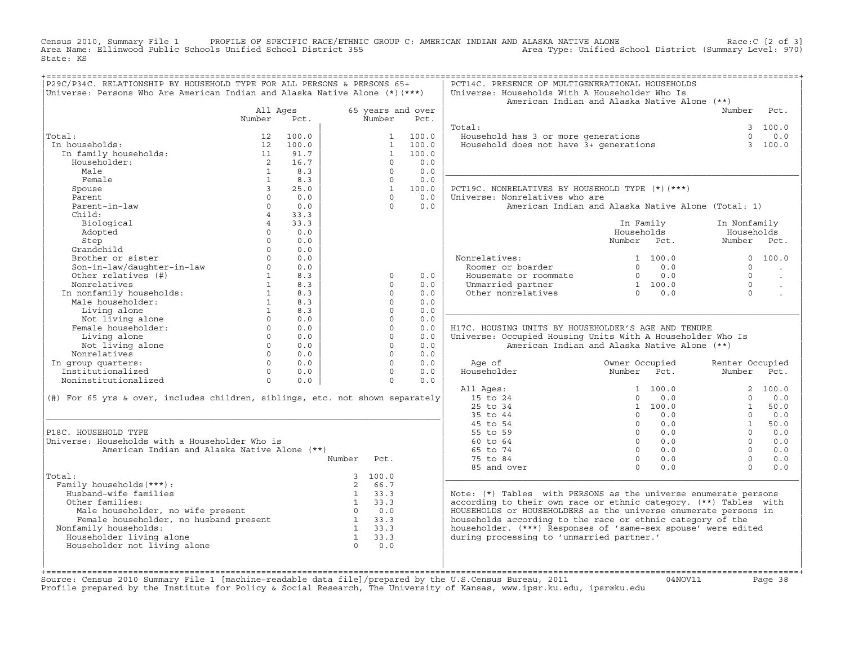Census 2010, Summary File 1 PROFILE OF SPECIFIC RACE/ETHNIC GROUP C: AMERICAN INDIAN AND ALASKA NATIVE ALONE<br>Area Name: Ellinwood Public Schools Unified School District 355 Area Type: Unified State: KS

| P29C/P34C. RELATIONSHIP BY HOUSEHOLD TYPE FOR ALL PERSONS & PERSONS 65+<br>Universe: Persons Who Are American Indian and Alaska Native Alone (*) (***) |                                |                        |                  |                                              |                           | PCT14C. PRESENCE OF MULTIGENERATIONAL HOUSEHOLDS<br>Universe: Households With A Householder Who Is<br>American Indian and Alaska Native Alone (**) |                           |                  |                           |                         |
|--------------------------------------------------------------------------------------------------------------------------------------------------------|--------------------------------|------------------------|------------------|----------------------------------------------|---------------------------|----------------------------------------------------------------------------------------------------------------------------------------------------|---------------------------|------------------|---------------------------|-------------------------|
|                                                                                                                                                        | All Ages<br>Number             | Pct.                   |                  | Number                                       | 65 years and over<br>Pct. |                                                                                                                                                    |                           |                  | Number                    | Pct.                    |
| Total:<br>In households:<br>In family households:                                                                                                      | 12<br>12<br>11                 | 100.0<br>100.0<br>91.7 |                  | $\mathbf{1}$<br>$\mathbf{1}$<br>$\mathbf{1}$ | 100.0<br>100.0<br>100.0   | Total:<br>Household has 3 or more generations<br>Household does not have 3+ generations                                                            |                           |                  | $\Omega$<br>$\mathcal{L}$ | 3 100.0<br>0.0<br>100.0 |
| Householder:<br>Male                                                                                                                                   | $\overline{2}$<br>$\mathbf{1}$ | 16.7<br>8.3            |                  | $\Omega$<br>$\Omega$                         | 0.0<br>0.0                |                                                                                                                                                    |                           |                  |                           |                         |
| Female<br>Spouse                                                                                                                                       | $\mathbf{1}$<br>$\mathbf{3}$   | 8.3<br>25.0            |                  | $\Omega$<br>$\mathbf{1}$                     | 0.0<br>100.0              | PCT19C. NONRELATIVES BY HOUSEHOLD TYPE (*) (***)                                                                                                   |                           |                  |                           |                         |
| Parent                                                                                                                                                 | $\Omega$                       | 0.0                    |                  | $\Omega$                                     | 0.0                       | Universe: Nonrelatives who are                                                                                                                     |                           |                  |                           |                         |
| Parent-in-law<br>Child:                                                                                                                                | $\circ$<br>$\overline{4}$      | 0.0<br>33.3            |                  | $\Omega$                                     | 0.0                       | American Indian and Alaska Native Alone (Total: 1)                                                                                                 |                           |                  |                           |                         |
| Biological                                                                                                                                             | $\overline{4}$                 | 33.3                   |                  |                                              |                           |                                                                                                                                                    | In Family                 |                  | In Nonfamily              |                         |
| Adopted<br>Step                                                                                                                                        | $\Omega$<br>$\Omega$           | 0.0<br>0.0             |                  |                                              |                           |                                                                                                                                                    | Households<br>Number Pct. |                  | Households<br>Number Pct. |                         |
| Grandchild                                                                                                                                             | $\Omega$                       | 0.0                    |                  |                                              |                           |                                                                                                                                                    |                           |                  |                           |                         |
| Brother or sister                                                                                                                                      | $\Omega$<br>$\Omega$           | 0.0<br>0.0             |                  |                                              |                           | Nonrelatives:<br>Roomer or boarder                                                                                                                 | $\Omega$                  | 1, 100, 0<br>0.0 | $\Omega$                  | 0, 100, 0               |
| Son-in-law/daughter-in-law<br>Other relatives (#)                                                                                                      | $1 \quad \blacksquare$         | 8.3                    |                  | $\Omega$                                     | 0.0                       | Housemate or roommate                                                                                                                              |                           | $0 \qquad 0.0$   | $\Omega$                  | $\sim$                  |
| Nonrelatives                                                                                                                                           | $\mathbf{1}$                   | 8.3                    |                  | $\Omega$                                     | 0.0                       | Unmarried partner                                                                                                                                  |                           | 1 100.0          | $\Omega$                  |                         |
| In nonfamily households:                                                                                                                               | 1                              | 8.3                    |                  | $\Omega$                                     | 0.0                       | Other nonrelatives                                                                                                                                 |                           | $0 \t 0.0$       | $\Omega$                  |                         |
| Male householder:                                                                                                                                      | 1                              | 8.3                    |                  | $\Omega$                                     | 0.0                       |                                                                                                                                                    |                           |                  |                           |                         |
| Living alone                                                                                                                                           | 1<br>$\Omega$                  | 8.3                    |                  | $\Omega$                                     | 0.0                       |                                                                                                                                                    |                           |                  |                           |                         |
| Not living alone<br>Female householder:                                                                                                                | $\Omega$                       | 0.0<br>0.0             |                  | $\Omega$<br>$\circ$                          | 0.0<br>0.0                | H17C. HOUSING UNITS BY HOUSEHOLDER'S AGE AND TENURE                                                                                                |                           |                  |                           |                         |
| Living alone                                                                                                                                           | $\overline{0}$                 | 0.0                    |                  | $\circ$                                      | 0.0                       | Universe: Occupied Housing Units With A Householder Who Is                                                                                         |                           |                  |                           |                         |
| Not living alone                                                                                                                                       | $\Omega$                       | 0.0                    |                  | $\Omega$                                     | 0.0                       | American Indian and Alaska Native Alone (**)                                                                                                       |                           |                  |                           |                         |
| Nonrelatives                                                                                                                                           | $\Omega$                       | 0.0                    |                  | $\Omega$                                     | 0.0                       |                                                                                                                                                    |                           |                  |                           |                         |
| In group quarters:                                                                                                                                     | $\Omega$                       | 0.0                    |                  | $\Omega$                                     | 0.0                       | Age of                                                                                                                                             | Owner Occupied            |                  | Renter Occupied           |                         |
| Institutionalized<br>Noninstitutionalized                                                                                                              | $\Omega$<br>$\Omega$           | 0.0<br>0.0             |                  | $\Omega$<br>$\Omega$                         | 0.0<br>0.0                | Householder                                                                                                                                        | Number Pct.               |                  | Number                    | Pct.                    |
|                                                                                                                                                        |                                |                        |                  |                                              |                           | All Ages:                                                                                                                                          |                           | 1, 100, 0        |                           | 2 100.0                 |
| (#) For 65 yrs & over, includes children, siblings, etc. not shown separately                                                                          |                                |                        |                  |                                              |                           | 15 to 24                                                                                                                                           | $\Omega$                  | 0.0              | $\Omega$                  | 0.0                     |
|                                                                                                                                                        |                                |                        |                  |                                              |                           | 25 to 34                                                                                                                                           |                           | 1 100.0          | $\mathbf{1}$              | 50.0                    |
|                                                                                                                                                        |                                |                        |                  |                                              |                           | 35 to 44                                                                                                                                           | $\Omega$                  | 0.0              | $\Omega$                  | 0.0                     |
|                                                                                                                                                        |                                |                        |                  |                                              |                           | 45 to 54                                                                                                                                           | $\Omega$<br>$\Omega$      | 0.0<br>0.0       | 1<br>$\Omega$             | 50.0                    |
| P18C. HOUSEHOLD TYPE<br>Universe: Households with a Householder Who is                                                                                 |                                |                        |                  |                                              |                           | 55 to 59<br>60 to 64                                                                                                                               | $\Omega$                  | 0.0              | $\Omega$                  | 0.0<br>0.0              |
| American Indian and Alaska Native Alone (**)                                                                                                           |                                |                        |                  |                                              |                           | 65 to 74                                                                                                                                           | $\Omega$                  | 0.0              | $\Omega$                  | 0.0                     |
|                                                                                                                                                        |                                |                        | Number           | Pct.                                         |                           | 75 to 84                                                                                                                                           | $\Omega$                  | 0.0              | $\cap$                    | 0.0                     |
|                                                                                                                                                        |                                |                        |                  |                                              |                           | 85 and over                                                                                                                                        | $\Omega$                  | 0.0              | $\Omega$                  | 0.0                     |
| Total:                                                                                                                                                 |                                |                        |                  | 3, 100.0                                     |                           |                                                                                                                                                    |                           |                  |                           |                         |
| Family households (***) :                                                                                                                              |                                |                        | $2^{\circ}$<br>1 | 66.7<br>33.3                                 |                           |                                                                                                                                                    |                           |                  |                           |                         |
| Husband-wife families<br>Other families:                                                                                                               |                                |                        | $1 \t33.3$       |                                              |                           | Note: (*) Tables with PERSONS as the universe enumerate persons<br>according to their own race or ethnic category. (**) Tables with                |                           |                  |                           |                         |
| Male householder, no wife present                                                                                                                      |                                |                        | $0 \t 0.0$       |                                              |                           | HOUSEHOLDS or HOUSEHOLDERS as the universe enumerate persons in                                                                                    |                           |                  |                           |                         |
| Male householder, no wife present<br>Female householder, no husband present                                                                            |                                |                        | $1 \quad 33.3$   |                                              |                           | households according to the race or ethnic category of the                                                                                         |                           |                  |                           |                         |
| Nonfamily households:                                                                                                                                  |                                |                        | $1 \quad 33.3$   |                                              |                           | householder. (***) Responses of 'same-sex spouse' were edited                                                                                      |                           |                  |                           |                         |
| Householder living alone                                                                                                                               |                                |                        | $\mathbf{1}$     | 33.3                                         |                           | during processing to 'unmarried partner.'                                                                                                          |                           |                  |                           |                         |
| Householder not living alone                                                                                                                           |                                |                        | $\Omega$         | 0.0                                          |                           |                                                                                                                                                    |                           |                  |                           |                         |
|                                                                                                                                                        |                                |                        |                  |                                              |                           |                                                                                                                                                    |                           |                  |                           |                         |
|                                                                                                                                                        |                                |                        |                  |                                              |                           |                                                                                                                                                    |                           |                  |                           |                         |

+===================================================================================================================================================+Source: Census 2010 Summary File 1 [machine−readable data file]/prepared by the U.S.Census Bureau, 2011 04NOV11 Page 38 Profile prepared by the Institute for Policy & Social Research, The University of Kansas, www.ipsr.ku.edu, ipsr@ku.edu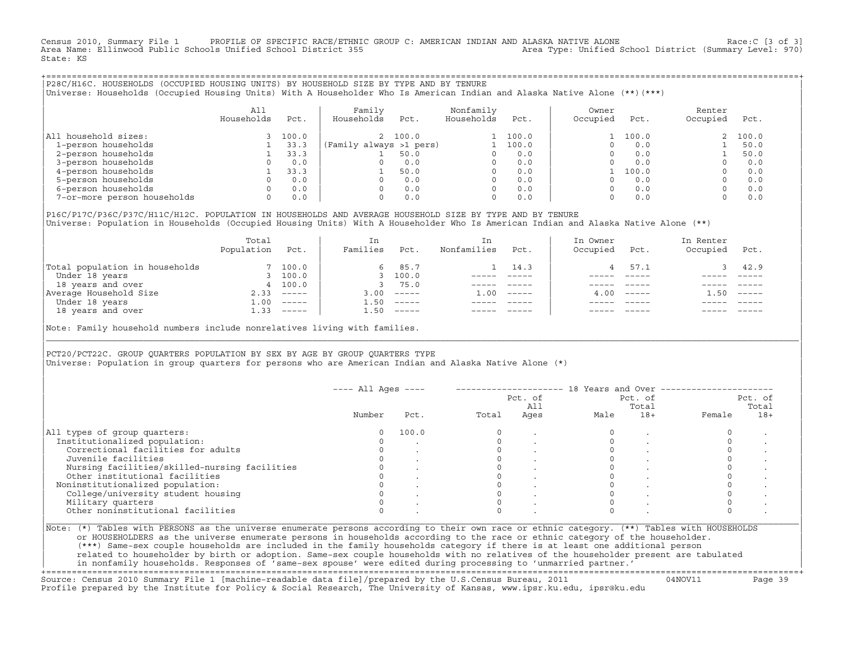Census 2010, Summary File 1 PROFILE OF SPECIFIC RACE/ETHNIC GROUP C: AMERICAN INDIAN AND ALASKA NATIVE ALONE Race:C [3 of 3]<br>Area Name: Ellinwood Public Schools Unified School District 355 area Type: Unified School Distric Area Name: Ellinwood Public Schools Unified School District 355 State: KS

+===================================================================================================================================================+|P28C/H16C. HOUSEHOLDS (OCCUPIED HOUSING UNITS) BY HOUSEHOLD SIZE BY TYPE AND BY TENURE | |Universe: Households (Occupied Housing Units) With A Householder Who Is American Indian and Alaska Native Alone (\*\*)(\*\*\*) |

|                             | All<br>Households | Pct.  | Family<br>Households    | Pct.    | Nonfamily<br>Households | Pct.  | Owner<br>Occupied | Pct.  | Renter<br>Occupied | Pct.  |
|-----------------------------|-------------------|-------|-------------------------|---------|-------------------------|-------|-------------------|-------|--------------------|-------|
| household sizes:<br>All     |                   | 100.0 |                         | 2 100.0 |                         | 100.0 |                   | 100.0 |                    | 100.0 |
| 1-person households         |                   | 33.3  | (Family always >1 pers) |         |                         | 100.0 |                   | 0.0   |                    | 50.0  |
| 2-person households         |                   | 33.3  |                         | 50.0    |                         | 0.0   |                   | 0.0   |                    | 50.0  |
| 3-person households         |                   | 0.0   |                         | 0.0     | $\Omega$                | 0.0   |                   | 0.0   |                    | 0.0   |
| 4-person households         |                   | 33.3  |                         | 50.0    | $\Omega$                | 0.0   |                   | 100.0 |                    | 0.0   |
| 5-person households         |                   | 0.0   |                         | 0.0     | $\Omega$                | 0.0   |                   | 0.0   |                    | 0.0   |
| 6-person households         |                   | 0.0   |                         | 0.0     | $\Omega$                | 0.0   |                   | 0.0   |                    | 0.0   |
| 7-or-more person households | $\Omega$          | 0.0   |                         | 0.0     | 0                       | 0.0   |                   | 0.0   |                    | 0.0   |

|P16C/P17C/P36C/P37C/H11C/H12C. POPULATION IN HOUSEHOLDS AND AVERAGE HOUSEHOLD SIZE BY TYPE AND BY TENURE | Universe: Population in Households (Occupied Housing Units) With A Householder Who Is American Indian and Alaska Native Alone (\*\*)

|                                | Total<br>Population | Pct.     | In<br>Families | Pct.                      | In.<br>Nonfamilies | Pct.     | In Owner<br>Occupied | Pct.             | In Renter<br>Occupied | Pct.     |  |
|--------------------------------|---------------------|----------|----------------|---------------------------|--------------------|----------|----------------------|------------------|-----------------------|----------|--|
| Total population in households |                     | 7 100.0  | 6              | 85.7                      |                    | 14.3     |                      | 57.1             |                       | 42.9     |  |
| Under 18 years                 |                     | 100.0    |                | 100.0                     |                    |          |                      |                  |                       |          |  |
| 18 years and over              |                     | 4 100.0  |                | 75.0                      |                    |          |                      |                  |                       |          |  |
| Average Household Size         | 2.33                | $------$ | 3.00           | $------$                  | 1.00               | $------$ |                      | $4.00 - - - - -$ | .50                   | $------$ |  |
| Under 18 years                 | 1.00                | $------$ | 50             | $------$                  |                    |          |                      |                  |                       |          |  |
| 18 years and over              | 1.33                | ______   | 1.50           | $\qquad \qquad - - - - -$ |                    |          |                      | $- - - - -$      |                       | $------$ |  |
|                                |                     |          |                |                           |                    |          |                      |                  |                       |          |  |

Note: Family household numbers include nonrelatives living with families.

| | PCT20/PCT22C. GROUP OUARTERS POPULATION BY SEX BY AGE BY GROUP OUARTERS TYPE Universe: Population in group quarters for persons who are American Indian and Alaska Native Alone (\*)

|                                               |        |       |       | Pct. of<br>All |      | Pct. of<br>Total |        | Pct. of<br>Total |
|-----------------------------------------------|--------|-------|-------|----------------|------|------------------|--------|------------------|
|                                               | Number | Pct.  | Total | Ages           | Male | $18+$            | Female | $18+$            |
| All types of group quarters:                  |        | 100.0 |       |                |      |                  |        |                  |
| Institutionalized population:                 |        |       |       |                |      |                  |        |                  |
| Correctional facilities for adults            |        |       |       |                |      |                  |        |                  |
| Juvenile facilities                           |        |       |       |                |      |                  |        |                  |
| Nursing facilities/skilled-nursing facilities |        |       |       |                |      |                  |        |                  |
| Other institutional facilities                |        |       |       |                |      |                  |        |                  |
| Noninstitutionalized population:              |        |       |       |                |      |                  |        |                  |
| College/university student housing            |        |       |       |                |      |                  |        |                  |
| Military quarters                             |        |       |       |                |      |                  |        |                  |
| Other noninstitutional facilities             |        |       |       |                |      |                  |        |                  |

|\_\_\_\_\_\_\_\_\_\_\_\_\_\_\_\_\_\_\_\_\_\_\_\_\_\_\_\_\_\_\_\_\_\_\_\_\_\_\_\_\_\_\_\_\_\_\_\_\_\_\_\_\_\_\_\_\_\_\_\_\_\_\_\_\_\_\_\_\_\_\_\_\_\_\_\_\_\_\_\_\_\_\_\_\_\_\_\_\_\_\_\_\_\_\_\_\_\_\_\_\_\_\_\_\_\_\_\_\_\_\_\_\_\_\_\_\_\_\_\_\_\_\_\_\_\_\_\_\_\_\_\_\_\_\_\_\_\_\_\_\_\_\_\_\_\_\_|

| |

| or HOUSEHOLDERS as the universe enumerate persons in households according to the race or ethnic category of the householder. | | (\*\*\*) Same−sex couple households are included in the family households category if there is at least one additional person | | related to householder by birth or adoption. Same−sex couple households with no relatives of the householder present are tabulated | | in nonfamily households. Responses of 'same−sex spouse' were edited during processing to 'unmarried partner.' | +===================================================================================================================================================+

Source: Census 2010 Summary File 1 [machine−readable data file]/prepared by the U.S.Census Bureau, 2011 04NOV11 Page 39 Profile prepared by the Institute for Policy & Social Research, The University of Kansas, www.ipsr.ku.edu, ipsr@ku.edu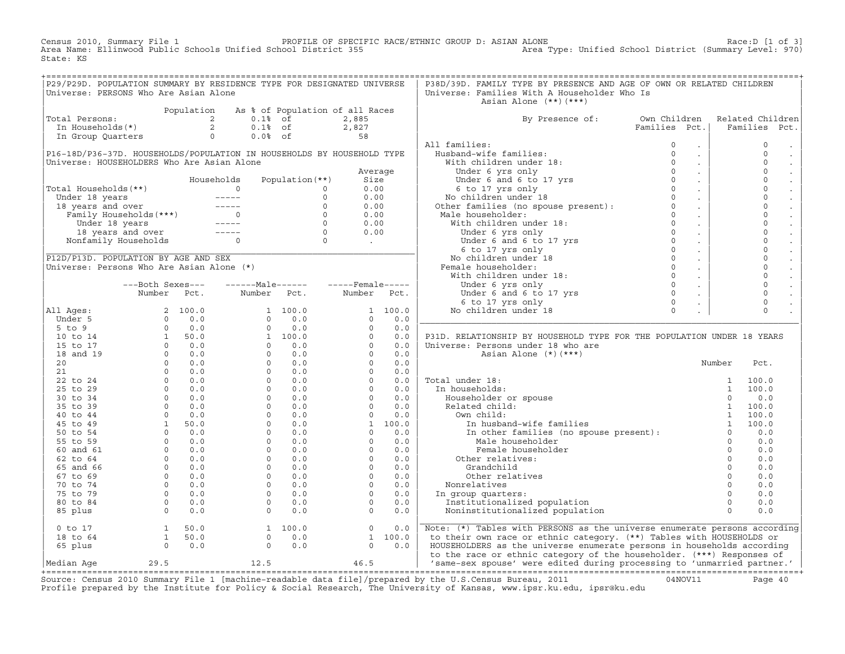Census 2010, Summary File 1 PROFILE OF SPECIFIC RACE/ETHNIC GROUP D: ASIAN ALONE Race:D [1 of 3] Area Name: Ellinwood Public Schools Unified School District 355 Area Type: Unified School District (Summary Level: 970) State: KS

| P29/P29D. POPULATION SUMMARY BY RESIDENCE TYPE FOR DESIGNATED UNIVERSE                                                                                                                                                                                                                                                                    |  |                                                                                                                                                                                                                                             |  | P38D/39D. FAMILY TYPE BY PRESENCE AND AGE OF OWN OR RELATED CHILDREN            |  |                     |
|-------------------------------------------------------------------------------------------------------------------------------------------------------------------------------------------------------------------------------------------------------------------------------------------------------------------------------------------|--|---------------------------------------------------------------------------------------------------------------------------------------------------------------------------------------------------------------------------------------------|--|---------------------------------------------------------------------------------|--|---------------------|
| Universe: PERSONS Who Are Asian Alone                                                                                                                                                                                                                                                                                                     |  |                                                                                                                                                                                                                                             |  | Universe: Families With A Householder Who Is                                    |  |                     |
|                                                                                                                                                                                                                                                                                                                                           |  |                                                                                                                                                                                                                                             |  | Asian Alone (**)(***)                                                           |  |                     |
|                                                                                                                                                                                                                                                                                                                                           |  |                                                                                                                                                                                                                                             |  |                                                                                 |  |                     |
| Total Persons:<br>Total Persons:<br>$\begin{array}{ccccccccc}\n & & & & & \text{Population} & \text{As} & \text{of} & \text{Population of all Races} \\  & & 2 & & 0.1 & \text{of} & & 2,885 \\ \text{In Households (*)} & & 2 & & 0.1 & \text{of} & & 2,827 \\ \text{In Group Quarters} & & & 0 & & 0.0 & \text{of} & & 58\n\end{array}$ |  |                                                                                                                                                                                                                                             |  |                                                                                 |  |                     |
|                                                                                                                                                                                                                                                                                                                                           |  |                                                                                                                                                                                                                                             |  | By Presence of: Own Children Related Children<br>Families Pct.   Families Pct.  |  |                     |
|                                                                                                                                                                                                                                                                                                                                           |  |                                                                                                                                                                                                                                             |  |                                                                                 |  |                     |
|                                                                                                                                                                                                                                                                                                                                           |  |                                                                                                                                                                                                                                             |  |                                                                                 |  |                     |
|                                                                                                                                                                                                                                                                                                                                           |  |                                                                                                                                                                                                                                             |  |                                                                                 |  | $\mathbb O$         |
|                                                                                                                                                                                                                                                                                                                                           |  |                                                                                                                                                                                                                                             |  |                                                                                 |  | $\circ$<br>$\sim$   |
|                                                                                                                                                                                                                                                                                                                                           |  |                                                                                                                                                                                                                                             |  |                                                                                 |  | $\mathsf 0$         |
|                                                                                                                                                                                                                                                                                                                                           |  |                                                                                                                                                                                                                                             |  |                                                                                 |  | $\mathsf{O}$        |
|                                                                                                                                                                                                                                                                                                                                           |  |                                                                                                                                                                                                                                             |  |                                                                                 |  | $\mathbb O$         |
|                                                                                                                                                                                                                                                                                                                                           |  |                                                                                                                                                                                                                                             |  |                                                                                 |  | $\mathsf{O}\xspace$ |
|                                                                                                                                                                                                                                                                                                                                           |  |                                                                                                                                                                                                                                             |  |                                                                                 |  | $\circ$             |
|                                                                                                                                                                                                                                                                                                                                           |  |                                                                                                                                                                                                                                             |  |                                                                                 |  | $\mathbb O$         |
|                                                                                                                                                                                                                                                                                                                                           |  |                                                                                                                                                                                                                                             |  |                                                                                 |  | $\mathsf{O}\xspace$ |
|                                                                                                                                                                                                                                                                                                                                           |  |                                                                                                                                                                                                                                             |  |                                                                                 |  | $\mathbf 0$         |
|                                                                                                                                                                                                                                                                                                                                           |  |                                                                                                                                                                                                                                             |  |                                                                                 |  | $\mathbb O$         |
|                                                                                                                                                                                                                                                                                                                                           |  |                                                                                                                                                                                                                                             |  |                                                                                 |  | $\mathbf 0$         |
|                                                                                                                                                                                                                                                                                                                                           |  |                                                                                                                                                                                                                                             |  |                                                                                 |  | $\mathsf{O}\xspace$ |
|                                                                                                                                                                                                                                                                                                                                           |  |                                                                                                                                                                                                                                             |  |                                                                                 |  | $\mathbb O$         |
|                                                                                                                                                                                                                                                                                                                                           |  |                                                                                                                                                                                                                                             |  |                                                                                 |  | $\mathsf{O}\xspace$ |
|                                                                                                                                                                                                                                                                                                                                           |  |                                                                                                                                                                                                                                             |  |                                                                                 |  | $\mathsf{O}$        |
|                                                                                                                                                                                                                                                                                                                                           |  |                                                                                                                                                                                                                                             |  |                                                                                 |  | $\mathbb O$         |
|                                                                                                                                                                                                                                                                                                                                           |  |                                                                                                                                                                                                                                             |  |                                                                                 |  | $\mathbb O$         |
|                                                                                                                                                                                                                                                                                                                                           |  |                                                                                                                                                                                                                                             |  |                                                                                 |  | $\mathbb O$         |
|                                                                                                                                                                                                                                                                                                                                           |  |                                                                                                                                                                                                                                             |  |                                                                                 |  |                     |
|                                                                                                                                                                                                                                                                                                                                           |  |                                                                                                                                                                                                                                             |  |                                                                                 |  |                     |
|                                                                                                                                                                                                                                                                                                                                           |  |                                                                                                                                                                                                                                             |  |                                                                                 |  |                     |
|                                                                                                                                                                                                                                                                                                                                           |  |                                                                                                                                                                                                                                             |  |                                                                                 |  |                     |
|                                                                                                                                                                                                                                                                                                                                           |  |                                                                                                                                                                                                                                             |  | P31D. RELATIONSHIP BY HOUSEHOLD TYPE FOR THE POPULATION UNDER 18 YEARS          |  |                     |
|                                                                                                                                                                                                                                                                                                                                           |  |                                                                                                                                                                                                                                             |  |                                                                                 |  |                     |
|                                                                                                                                                                                                                                                                                                                                           |  |                                                                                                                                                                                                                                             |  |                                                                                 |  |                     |
|                                                                                                                                                                                                                                                                                                                                           |  |                                                                                                                                                                                                                                             |  |                                                                                 |  |                     |
|                                                                                                                                                                                                                                                                                                                                           |  |                                                                                                                                                                                                                                             |  |                                                                                 |  |                     |
|                                                                                                                                                                                                                                                                                                                                           |  |                                                                                                                                                                                                                                             |  |                                                                                 |  |                     |
|                                                                                                                                                                                                                                                                                                                                           |  |                                                                                                                                                                                                                                             |  |                                                                                 |  |                     |
|                                                                                                                                                                                                                                                                                                                                           |  |                                                                                                                                                                                                                                             |  |                                                                                 |  |                     |
|                                                                                                                                                                                                                                                                                                                                           |  |                                                                                                                                                                                                                                             |  |                                                                                 |  |                     |
|                                                                                                                                                                                                                                                                                                                                           |  |                                                                                                                                                                                                                                             |  |                                                                                 |  |                     |
|                                                                                                                                                                                                                                                                                                                                           |  |                                                                                                                                                                                                                                             |  |                                                                                 |  |                     |
|                                                                                                                                                                                                                                                                                                                                           |  |                                                                                                                                                                                                                                             |  |                                                                                 |  |                     |
|                                                                                                                                                                                                                                                                                                                                           |  |                                                                                                                                                                                                                                             |  |                                                                                 |  |                     |
|                                                                                                                                                                                                                                                                                                                                           |  |                                                                                                                                                                                                                                             |  |                                                                                 |  |                     |
|                                                                                                                                                                                                                                                                                                                                           |  |                                                                                                                                                                                                                                             |  |                                                                                 |  |                     |
|                                                                                                                                                                                                                                                                                                                                           |  |                                                                                                                                                                                                                                             |  |                                                                                 |  |                     |
|                                                                                                                                                                                                                                                                                                                                           |  |                                                                                                                                                                                                                                             |  |                                                                                 |  |                     |
|                                                                                                                                                                                                                                                                                                                                           |  |                                                                                                                                                                                                                                             |  |                                                                                 |  |                     |
|                                                                                                                                                                                                                                                                                                                                           |  |                                                                                                                                                                                                                                             |  |                                                                                 |  |                     |
|                                                                                                                                                                                                                                                                                                                                           |  |                                                                                                                                                                                                                                             |  |                                                                                 |  |                     |
|                                                                                                                                                                                                                                                                                                                                           |  |                                                                                                                                                                                                                                             |  |                                                                                 |  |                     |
|                                                                                                                                                                                                                                                                                                                                           |  |                                                                                                                                                                                                                                             |  |                                                                                 |  |                     |
|                                                                                                                                                                                                                                                                                                                                           |  | $\begin{array}{cccccccc} 0&\texttt{to} &17 & & & & 1 & 50.0 & & & 1 & 100.0 & & & & 0 & 0.0 \\ 18&\texttt{to} &64 & & & 1 & 50.0 & & & 0 & 0.0 & & & 1 & 100.0 \\ 65&\texttt{plus} & & & & 0 & 0.0 & & & 0 & 0.0 & & & 0 & 0.0 \end{array}$ |  |                                                                                 |  |                     |
|                                                                                                                                                                                                                                                                                                                                           |  |                                                                                                                                                                                                                                             |  | Note: (*) Tables with PERSONS as the universe enumerate persons according       |  |                     |
|                                                                                                                                                                                                                                                                                                                                           |  |                                                                                                                                                                                                                                             |  | to their own race or ethnic category. (**) Tables with HOUSEHOLDS or            |  |                     |
|                                                                                                                                                                                                                                                                                                                                           |  |                                                                                                                                                                                                                                             |  | HOUSEHOLDERS as the universe enumerate persons in households according          |  |                     |
|                                                                                                                                                                                                                                                                                                                                           |  |                                                                                                                                                                                                                                             |  | to the race or ethnic category of the householder. (***) Responses of           |  |                     |
| Median Age                                                                                                                                                                                                                                                                                                                                |  | 29.5 12.5 46.5                                                                                                                                                                                                                              |  | $\vert$ 'same-sex spouse' were edited during processing to 'unmarried partner.' |  |                     |

|Median Age 29.5 12.5 46.5 | 'same−sex spouse' were edited during processing to 'unmarried partner.' | +===================================================================================================================================================+ Source: Census 2010 Summary File 1 [machine−readable data file]/prepared by the U.S.Census Bureau, 2011 04NOV11 Page 40 Profile prepared by the Institute for Policy & Social Research, The University of Kansas, www.ipsr.ku.edu, ipsr@ku.edu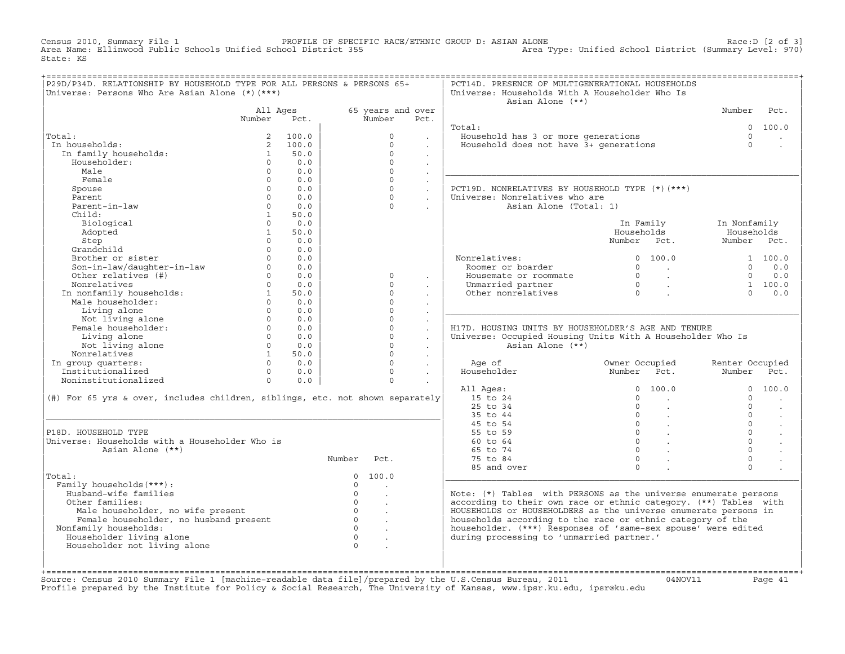Census 2010, Summary File 1 PROFILE OF SPECIFIC RACE/ETHNIC GROUP D: ASIAN ALONE Race:D [2 of 3] Area Name: Ellinwood Public Schools Unified School District 355 Area Type: Unified School District (Summary Level: 970) State: KS

| P29D/P34D. RELATIONSHIP BY HOUSEHOLD TYPE FOR ALL PERSONS & PERSONS 65+<br>Universe: Persons Who Are Asian Alone (*) (***) |                          |                 |                |                      |                      | PCT14D. PRESENCE OF MULTIGENERATIONAL HOUSEHOLDS<br>Universe: Households With A Householder Who Is<br>Asian Alone (**) |                                             |                           |                      |
|----------------------------------------------------------------------------------------------------------------------------|--------------------------|-----------------|----------------|----------------------|----------------------|------------------------------------------------------------------------------------------------------------------------|---------------------------------------------|---------------------------|----------------------|
|                                                                                                                            | All Ages                 |                 |                | 65 years and over    |                      |                                                                                                                        |                                             | Number                    | Pct.                 |
|                                                                                                                            | Number                   | Pct.            |                | Number               | Pct.                 |                                                                                                                        |                                             |                           |                      |
|                                                                                                                            |                          |                 |                |                      |                      | Total:                                                                                                                 |                                             | $\Omega$                  | 100.0                |
| Total:                                                                                                                     | 2                        | 100.0           |                | $\Omega$             |                      | Household has 3 or more generations                                                                                    |                                             | $\Omega$                  |                      |
| In households:                                                                                                             |                          | 2, 100.0        |                | $\Omega$             |                      | Household does not have 3+ qenerations                                                                                 |                                             | $\Omega$                  |                      |
| In family households:                                                                                                      | $\mathbf{1}$             | 50.0            |                | $\Omega$             | $\mathbf{r}$         |                                                                                                                        |                                             |                           |                      |
| Householder:                                                                                                               | $\circ$                  | 0.0             |                | $\Omega$             | $\Box$               |                                                                                                                        |                                             |                           |                      |
| Male                                                                                                                       | $\Omega$                 | 0.0             |                | $\Omega$             |                      |                                                                                                                        |                                             |                           |                      |
| Female                                                                                                                     | $\Omega$                 | 0.0             |                | $\Omega$             | $\ddot{\phantom{a}}$ |                                                                                                                        |                                             |                           |                      |
| Spouse                                                                                                                     | $\circ$                  | 0.0             |                | $\Omega$<br>$\Omega$ | $\ddot{\phantom{a}}$ | PCT19D. NONRELATIVES BY HOUSEHOLD TYPE (*)(***)                                                                        |                                             |                           |                      |
| Parent                                                                                                                     | $\Omega$                 | 0.0             |                |                      | $\ddot{\phantom{0}}$ | Universe: Nonrelatives who are                                                                                         |                                             |                           |                      |
| Parent-in-law                                                                                                              | $\Omega$                 | 0.0             |                | $\Omega$             |                      | Asian Alone (Total: 1)                                                                                                 |                                             |                           |                      |
| Child:                                                                                                                     | $\mathbf{1}$<br>$\Omega$ | 50.0            |                |                      |                      |                                                                                                                        |                                             |                           |                      |
| Biological                                                                                                                 |                          | 0.0             |                |                      |                      |                                                                                                                        | In Family                                   | In Nonfamily              |                      |
| Adopted                                                                                                                    | $\mathbf{1}$<br>$\Omega$ | 50.0<br>0.0     |                |                      |                      |                                                                                                                        | Households<br>Number Pct.                   | Households<br>Number Pct. |                      |
| Step<br>Grandchild                                                                                                         | $\Omega$                 | 0.0             |                |                      |                      |                                                                                                                        |                                             |                           |                      |
| Brother or sister                                                                                                          | $\Omega$                 | 0.0             |                |                      |                      | Nonrelatives:                                                                                                          | 0 100.0                                     |                           | 1 100.0              |
| Son-in-law/daughter-in-law                                                                                                 | $\Omega$                 | 0.0             |                |                      |                      | Roomer or boarder                                                                                                      | $\Omega$<br><b>Contract Contract</b>        | $\Omega$                  | 0.0                  |
| Other relatives (#)                                                                                                        | $\Omega$                 | 0.0             |                | $\Omega$             |                      | Housemate or roommate                                                                                                  | $\overline{0}$<br>$\sim 10^{11}$ km $^{-1}$ | $\Omega$                  | 0.0                  |
| Nonrelatives                                                                                                               | $\Omega$                 | 0.0             |                | $\cap$               | $\sim$               | Unmarried partner                                                                                                      | $\overline{0}$<br><b>Contract</b>           |                           | 1 100.0              |
| In nonfamily households:                                                                                                   | 1                        | 50.0            |                | $\Omega$             | $\sim$               | Other nonrelatives                                                                                                     | $\overline{0}$<br>$\mathbf{r}$              | $\Omega$                  | 0.0                  |
| Male householder:                                                                                                          | $\Omega$                 | 0.0             |                | $\Omega$             |                      |                                                                                                                        |                                             |                           |                      |
| Living alone                                                                                                               | $\Omega$                 | 0.0             |                | $\Omega$             | $\cdot$              |                                                                                                                        |                                             |                           |                      |
| Not living alone                                                                                                           | $\Omega$                 | 0.0             |                | $\Omega$             | $\cdot$              |                                                                                                                        |                                             |                           |                      |
| Female householder:                                                                                                        | $\Omega$                 | 0.0             |                | $\Omega$             | $\ddot{\phantom{0}}$ | H17D. HOUSING UNITS BY HOUSEHOLDER'S AGE AND TENURE                                                                    |                                             |                           |                      |
| Living alone                                                                                                               |                          | $\Omega$<br>0.0 |                | $\Omega$             | $\ddot{\phantom{a}}$ | Universe: Occupied Housing Units With A Householder Who Is                                                             |                                             |                           |                      |
| Not living alone                                                                                                           | $\Omega$                 | 0.0             |                | $\Omega$             |                      | Asian Alone (**)                                                                                                       |                                             |                           |                      |
| Nonrelatives                                                                                                               | 1                        | 50.0            |                | $\Omega$             | $\sim$               |                                                                                                                        |                                             |                           |                      |
| In group quarters:                                                                                                         | $\Omega$                 | 0.0             |                | $\Omega$             | $\ddot{\phantom{0}}$ | Age of                                                                                                                 | Owner Occupied                              | Renter Occupied           |                      |
| Institutionalized                                                                                                          | $\Omega$                 | 0.0             |                | $\Omega$             | $\sim$               | Householder                                                                                                            | Number<br>Pct.                              | Number                    | Pct.                 |
| Noninstitutionalized                                                                                                       | $\Omega$                 | 0.0             |                | $\Omega$             |                      |                                                                                                                        |                                             |                           |                      |
|                                                                                                                            |                          |                 |                |                      |                      | All Ages:                                                                                                              | 100.0<br>$\Omega$                           | $\Omega$                  | 100.0                |
| (#) For 65 yrs & over, includes children, siblings, etc. not shown separately                                              |                          |                 |                |                      |                      | 15 to 24                                                                                                               | $\Omega$                                    | $\Omega$                  |                      |
|                                                                                                                            |                          |                 |                |                      |                      | 25 to 34                                                                                                               | $\circ$                                     | $\Omega$                  |                      |
|                                                                                                                            |                          |                 |                |                      |                      | 35 to 44                                                                                                               | $\circ$                                     | $\Omega$                  | $\ddot{\phantom{a}}$ |
|                                                                                                                            |                          |                 |                |                      |                      | 45 to 54                                                                                                               | $\overline{0}$<br>$\sim 10$                 | $\Omega$                  | $\ddot{\phantom{a}}$ |
| P18D. HOUSEHOLD TYPE                                                                                                       |                          |                 |                |                      |                      | 55 to 59                                                                                                               | $\overline{0}$                              | $\Omega$                  |                      |
| Universe: Households with a Householder Who is                                                                             |                          |                 |                |                      |                      | 60 to 64                                                                                                               | $\Omega$                                    | $\Omega$                  |                      |
| Asian Alone (**)                                                                                                           |                          |                 |                |                      |                      | 65 to 74                                                                                                               | $\Omega$                                    | $\Omega$                  |                      |
|                                                                                                                            |                          |                 | Number         | Pct.                 |                      | 75 to 84                                                                                                               | $\Omega$                                    | $\Omega$                  |                      |
|                                                                                                                            |                          |                 |                |                      |                      | 85 and over                                                                                                            | $\Omega$                                    | $\Omega$                  |                      |
| Total:                                                                                                                     |                          |                 | $\Omega$       | 100.0                |                      |                                                                                                                        |                                             |                           |                      |
| Family households (***) :                                                                                                  |                          |                 | $\Omega$       | $\ddot{\phantom{a}}$ |                      |                                                                                                                        |                                             |                           |                      |
| Husband-wife families                                                                                                      |                          |                 | $\circ$        |                      |                      | Note: $(*)$ Tables with PERSONS as the universe enumerate persons                                                      |                                             |                           |                      |
| Other families:                                                                                                            |                          |                 | $\Omega$       | $\mathbb{Z}^2$       |                      | according to their own race or ethnic category. (**) Tables with                                                       |                                             |                           |                      |
| Male householder, no wife present                                                                                          |                          |                 | $\circ$        | $\ddot{\phantom{a}}$ |                      | HOUSEHOLDS or HOUSEHOLDERS as the universe enumerate persons in                                                        |                                             |                           |                      |
| Female householder, no husband present                                                                                     |                          |                 | $\overline{0}$ | $\ddot{\phantom{a}}$ |                      | households according to the race or ethnic category of the                                                             |                                             |                           |                      |
| Nonfamily households:                                                                                                      |                          |                 | $\Omega$       | $\ddot{\phantom{a}}$ |                      | householder. (***) Responses of 'same-sex spouse' were edited                                                          |                                             |                           |                      |
| Householder living alone                                                                                                   |                          |                 | $\Omega$       | $\ddot{\phantom{a}}$ |                      | during processing to 'unmarried partner.'                                                                              |                                             |                           |                      |
| Householder not living alone                                                                                               |                          |                 | $\cap$         |                      |                      |                                                                                                                        |                                             |                           |                      |
|                                                                                                                            |                          |                 |                |                      |                      |                                                                                                                        |                                             |                           |                      |
|                                                                                                                            |                          |                 |                |                      |                      |                                                                                                                        |                                             |                           |                      |

+===================================================================================================================================================+Source: Census 2010 Summary File 1 [machine−readable data file]/prepared by the U.S.Census Bureau, 2011 04NOV11 Page 41 Profile prepared by the Institute for Policy & Social Research, The University of Kansas, www.ipsr.ku.edu, ipsr@ku.edu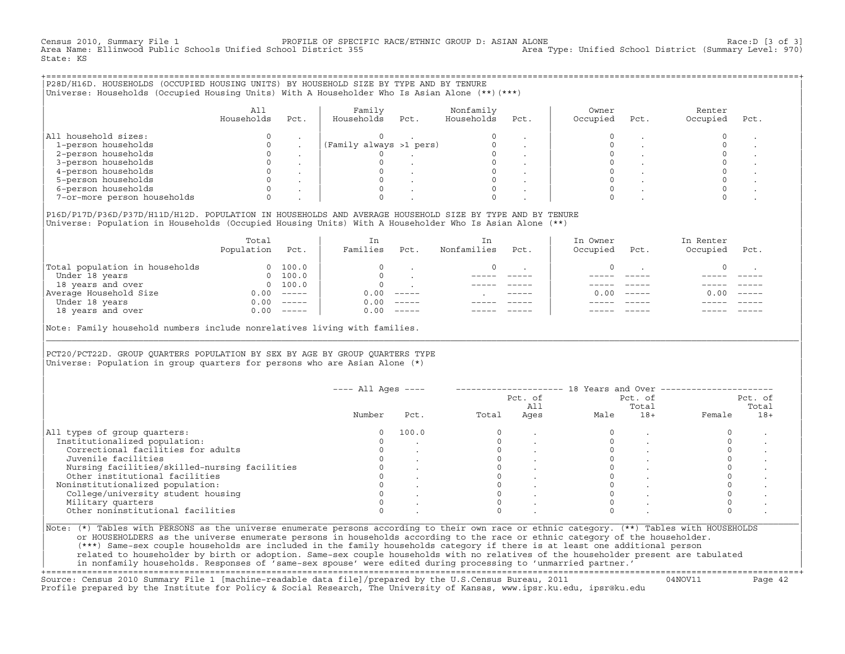Census 2010, Summary File 1 [3 of 3] PROFILE OF SPECIFIC RACE/ETHNIC GROUP D: ASIAN ALONE RACE: D [3 of 3]<br>Area Name: Ellinwood Public Schools Unified School District 355 area Type: Unified School District (Summary Level: Area Name: Ellinwood Public Schools Unified School District 355 State: KS

+===================================================================================================================================================+|P28D/H16D. HOUSEHOLDS (OCCUPIED HOUSING UNITS) BY HOUSEHOLD SIZE BY TYPE AND BY TENURE | |Universe: Households (Occupied Housing Units) With A Householder Who Is Asian Alone (\*\*)(\*\*\*) | | |

|                             |            |      | Family                  |      | Nonfamily  |      | Owner    |      | Renter   |      |
|-----------------------------|------------|------|-------------------------|------|------------|------|----------|------|----------|------|
|                             | Households | Pct. | Households              | Pct. | Households | Pct. | Occupied | Pct. | Occupied | Pct. |
|                             |            |      |                         |      |            |      |          |      |          |      |
| All household sizes:        |            |      |                         |      |            |      |          |      |          |      |
| 1-person households         |            |      | (Family always >1 pers) |      |            |      |          |      |          |      |
| 2-person households         |            |      |                         |      |            |      |          |      |          |      |
| 3-person households         |            |      |                         |      |            |      |          |      |          |      |
| 4-person households         |            |      |                         |      |            |      |          |      |          |      |
| 5-person households         |            |      |                         |      |            |      |          |      |          |      |
| 6-person households         |            |      |                         |      |            |      |          |      |          |      |
| 7-or-more person households |            |      |                         |      |            |      |          |      |          |      |

| | |P16D/P17D/P36D/P37D/H11D/H12D. POPULATION IN HOUSEHOLDS AND AVERAGE HOUSEHOLD SIZE BY TYPE AND BY TENURE | Universe: Population in Households (Occupied Housing Units) With A Householder Who Is Asian Alone (\*\*)

|                                | Total<br>Population | Pct.                                                                                                                                                                                                                                                                                                                                                                                                                                                                                 | In<br>Families | Pct.     | In.<br>Nonfamilies | Pct.          | In Owner<br>Occupied | Pct.          | In Renter<br>Occupied | Pct.     |  |
|--------------------------------|---------------------|--------------------------------------------------------------------------------------------------------------------------------------------------------------------------------------------------------------------------------------------------------------------------------------------------------------------------------------------------------------------------------------------------------------------------------------------------------------------------------------|----------------|----------|--------------------|---------------|----------------------|---------------|-----------------------|----------|--|
| Total population in households | $\Omega$            | 100.0                                                                                                                                                                                                                                                                                                                                                                                                                                                                                |                |          |                    |               |                      |               |                       |          |  |
| Under 18 years                 | $\Omega$            | 100.0                                                                                                                                                                                                                                                                                                                                                                                                                                                                                |                |          |                    |               |                      |               |                       |          |  |
| 18 years and over              |                     | 0 100.0                                                                                                                                                                                                                                                                                                                                                                                                                                                                              |                |          |                    |               |                      |               |                       |          |  |
| Average Household Size         | 0.00                | $------$                                                                                                                                                                                                                                                                                                                                                                                                                                                                             | 0.00           | $------$ |                    | $- - - - - -$ | 0. OO -              | $\frac{1}{2}$ | 0.00                  | $------$ |  |
| Under 18 years                 | 0.00                | $------$                                                                                                                                                                                                                                                                                                                                                                                                                                                                             | 0.00           | $------$ |                    |               |                      |               |                       |          |  |
| 18 years and over              | 0.00                | $\begin{tabular}{cccccc} \multicolumn{2}{c}{} & \multicolumn{2}{c}{} & \multicolumn{2}{c}{} & \multicolumn{2}{c}{} & \multicolumn{2}{c}{} & \multicolumn{2}{c}{} & \multicolumn{2}{c}{} & \multicolumn{2}{c}{} & \multicolumn{2}{c}{} & \multicolumn{2}{c}{} & \multicolumn{2}{c}{} & \multicolumn{2}{c}{} & \multicolumn{2}{c}{} & \multicolumn{2}{c}{} & \multicolumn{2}{c}{} & \multicolumn{2}{c}{} & \multicolumn{2}{c}{} & \multicolumn{2}{c}{} & \multicolumn{2}{c}{} & \mult$ | 0.00           | $------$ |                    |               |                      |               |                       | ------   |  |
|                                |                     |                                                                                                                                                                                                                                                                                                                                                                                                                                                                                      |                |          |                    |               |                      |               |                       |          |  |

Note: Family household numbers include nonrelatives living with families.

| | PCT20/PCT22D. GROUP OUARTERS POPULATION BY SEX BY AGE BY GROUP OUARTERS TYPE Universe: Population in group quarters for persons who are Asian Alone  $(*)$ 

|                                               |        |       |       | Pct. of<br>All |      | Pct. of<br>Total |        | Pct. of<br>Total |
|-----------------------------------------------|--------|-------|-------|----------------|------|------------------|--------|------------------|
|                                               | Number | Pct.  | Total | Ages           | Male | $18+$            | Female | $18+$            |
| All types of group quarters:                  |        | 100.0 |       |                |      |                  |        |                  |
| Institutionalized population:                 |        |       |       |                |      |                  |        |                  |
| Correctional facilities for adults            |        |       |       |                |      |                  |        |                  |
| Juvenile facilities                           |        |       |       |                |      |                  |        |                  |
| Nursing facilities/skilled-nursing facilities |        |       |       |                |      |                  |        |                  |
| Other institutional facilities                |        |       |       |                |      |                  |        |                  |
| Noninstitutionalized population:              |        |       |       |                |      |                  |        |                  |
| College/university student housing            |        |       |       |                |      |                  |        |                  |
| Military quarters                             |        |       |       |                |      |                  |        |                  |
| Other noninstitutional facilities             |        |       |       |                |      |                  |        |                  |

|\_\_\_\_\_\_\_\_\_\_\_\_\_\_\_\_\_\_\_\_\_\_\_\_\_\_\_\_\_\_\_\_\_\_\_\_\_\_\_\_\_\_\_\_\_\_\_\_\_\_\_\_\_\_\_\_\_\_\_\_\_\_\_\_\_\_\_\_\_\_\_\_\_\_\_\_\_\_\_\_\_\_\_\_\_\_\_\_\_\_\_\_\_\_\_\_\_\_\_\_\_\_\_\_\_\_\_\_\_\_\_\_\_\_\_\_\_\_\_\_\_\_\_\_\_\_\_\_\_\_\_\_\_\_\_\_\_\_\_\_\_\_\_\_\_\_\_|

| |

| or HOUSEHOLDERS as the universe enumerate persons in households according to the race or ethnic category of the householder. | | (\*\*\*) Same−sex couple households are included in the family households category if there is at least one additional person | | related to householder by birth or adoption. Same−sex couple households with no relatives of the householder present are tabulated | | in nonfamily households. Responses of 'same−sex spouse' were edited during processing to 'unmarried partner.' |

+===================================================================================================================================================+ Source: Census 2010 Summary File 1 [machine−readable data file]/prepared by the U.S.Census Bureau, 2011 04NOV11 Page 42 Profile prepared by the Institute for Policy & Social Research, The University of Kansas, www.ipsr.ku.edu, ipsr@ku.edu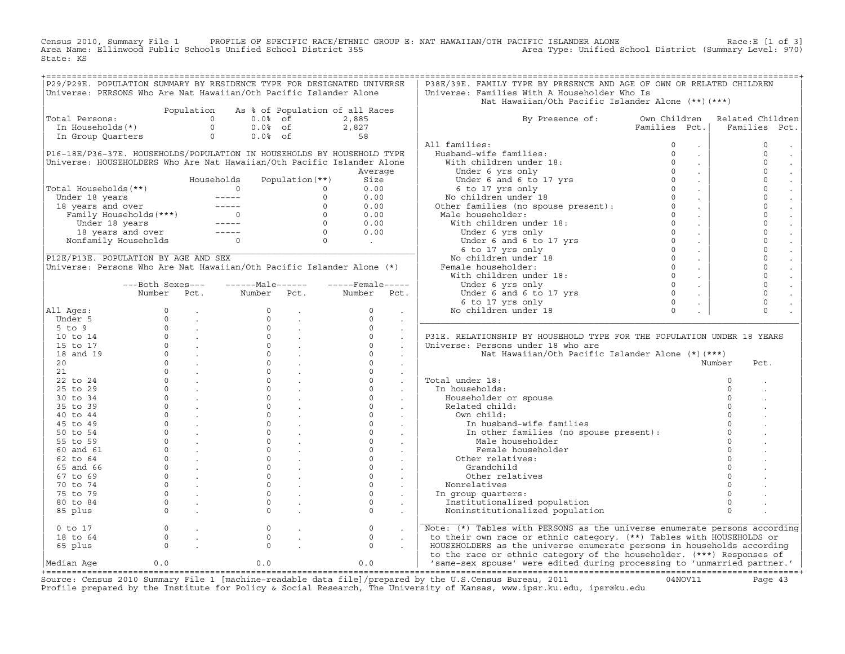Census 2010, Summary File 1 PROFILE OF SPECIFIC RACE/ETHNIC GROUP E: NAT HAWAIIAN/OTH PACIFIC ISLANDER ALONE Race:E [1 of 3]<br>Area Name: Ellinwood Public Schools Unified School Distri State: KS

| P29/P29E. POPULATION SUMMARY BY RESIDENCE TYPE FOR DESIGNATED UNIVERSE |                                                                              |                                           |                                                                                                                                                                                                                                                                       |                                                                                              |                          |                      | P38E/39E. FAMILY TYPE BY PRESENCE AND AGE OF OWN OR RELATED CHILDREN                                                                                                                                                                 |               |                             |                     |
|------------------------------------------------------------------------|------------------------------------------------------------------------------|-------------------------------------------|-----------------------------------------------------------------------------------------------------------------------------------------------------------------------------------------------------------------------------------------------------------------------|----------------------------------------------------------------------------------------------|--------------------------|----------------------|--------------------------------------------------------------------------------------------------------------------------------------------------------------------------------------------------------------------------------------|---------------|-----------------------------|---------------------|
| Universe: PERSONS Who Are Nat Hawaiian/Oth Pacific Islander Alone      |                                                                              |                                           |                                                                                                                                                                                                                                                                       |                                                                                              |                          |                      | Universe: Families With A Householder Who Is                                                                                                                                                                                         |               |                             |                     |
|                                                                        |                                                                              |                                           |                                                                                                                                                                                                                                                                       |                                                                                              |                          |                      | Nat Hawaiian/Oth Pacific Islander Alone (**) (***)                                                                                                                                                                                   |               |                             |                     |
|                                                                        |                                                                              | Population                                | As % of Population of all Races                                                                                                                                                                                                                                       |                                                                                              |                          |                      |                                                                                                                                                                                                                                      |               |                             |                     |
| Total Persons:                                                         |                                                                              |                                           |                                                                                                                                                                                                                                                                       |                                                                                              |                          |                      | By Presence of: Own Children                                                                                                                                                                                                         |               |                             | Related Children    |
|                                                                        |                                                                              |                                           |                                                                                                                                                                                                                                                                       |                                                                                              |                          |                      |                                                                                                                                                                                                                                      | Families Pct. |                             | Families<br>Pct.    |
|                                                                        |                                                                              |                                           |                                                                                                                                                                                                                                                                       |                                                                                              |                          |                      |                                                                                                                                                                                                                                      |               |                             |                     |
|                                                                        |                                                                              |                                           |                                                                                                                                                                                                                                                                       |                                                                                              |                          |                      |                                                                                                                                                                                                                                      |               |                             |                     |
|                                                                        |                                                                              |                                           |                                                                                                                                                                                                                                                                       |                                                                                              |                          |                      | All families:                                                                                                                                                                                                                        | $\circ$       | $\sim$                      | $\mathsf{O}\xspace$ |
| P16-18E/P36-37E. HOUSEHOLDS/POPULATION IN HOUSEHOLDS BY HOUSEHOLD TYPE |                                                                              |                                           |                                                                                                                                                                                                                                                                       |                                                                                              |                          |                      |                                                                                                                                                                                                                                      | $\Omega$      | $\sim$                      | $\Omega$            |
| Universe: HOUSEHOLDERS Who Are Nat Hawaiian/Oth Pacific Islander Alone |                                                                              |                                           |                                                                                                                                                                                                                                                                       |                                                                                              |                          |                      |                                                                                                                                                                                                                                      | $\Omega$      | $\mathcal{L}_{\mathbf{r}}$  | $\Omega$            |
|                                                                        |                                                                              |                                           |                                                                                                                                                                                                                                                                       |                                                                                              | Average                  |                      |                                                                                                                                                                                                                                      | $\Omega$      | $\mathcal{L}^{\pm}$         | $\Omega$            |
|                                                                        |                                                                              |                                           | Households                                                                                                                                                                                                                                                            | Population $(**)$                                                                            | Size                     |                      |                                                                                                                                                                                                                                      | $\Omega$      | $\sim$                      | $\Omega$            |
| Total Households (**)                                                  |                                                                              |                                           | otal Households (**)<br>Under 18 years<br>18 years and over<br>Family Households (***)<br>Under 18 years<br>18 years and over<br>18 years and over<br>18 years and over<br>18 years and over<br>Nonfamily Households<br>0<br>0<br>0<br>0<br>0<br>0<br>0<br>0<br>0<br> |                                                                                              | 0.00                     |                      | 11 families:<br>Husband-wife families:<br>With children under 18:<br>Under 6 yrs only<br>Under 6 and 6 to 17 yrs<br>Comparison only<br>6 to 17 yrs only<br>No children under 18 0<br>Other families (no spouse present): 0<br>0      |               | $\sim$                      | $\Omega$            |
|                                                                        |                                                                              |                                           |                                                                                                                                                                                                                                                                       |                                                                                              | 0.00                     |                      |                                                                                                                                                                                                                                      |               | $\sim$                      | $\Omega$            |
|                                                                        |                                                                              |                                           |                                                                                                                                                                                                                                                                       |                                                                                              | 0.00                     |                      |                                                                                                                                                                                                                                      |               | $\sim$                      | $\mathbf 0$         |
|                                                                        |                                                                              |                                           |                                                                                                                                                                                                                                                                       |                                                                                              | 0.00                     |                      |                                                                                                                                                                                                                                      |               | $\sim 10^{-1}$              | $\mathbf 0$         |
|                                                                        |                                                                              |                                           |                                                                                                                                                                                                                                                                       |                                                                                              | 0.00                     |                      |                                                                                                                                                                                                                                      |               | $\sim$                      | $\Omega$            |
|                                                                        |                                                                              |                                           |                                                                                                                                                                                                                                                                       |                                                                                              | 0.00                     |                      |                                                                                                                                                                                                                                      |               | $\sim$                      | $\Omega$            |
|                                                                        |                                                                              |                                           |                                                                                                                                                                                                                                                                       |                                                                                              | <b>Contract Contract</b> |                      |                                                                                                                                                                                                                                      |               | $\sim$                      | $\Omega$            |
|                                                                        |                                                                              |                                           |                                                                                                                                                                                                                                                                       |                                                                                              |                          |                      |                                                                                                                                                                                                                                      |               | $\sim$                      | $\Omega$            |
| P12E/P13E. POPULATION BY AGE AND SEX                                   |                                                                              |                                           |                                                                                                                                                                                                                                                                       |                                                                                              |                          |                      |                                                                                                                                                                                                                                      |               |                             | $\Omega$            |
|                                                                        |                                                                              |                                           |                                                                                                                                                                                                                                                                       |                                                                                              |                          |                      |                                                                                                                                                                                                                                      |               | $\mathcal{L}^{\pm}$         | $\mathbf 0$         |
| Universe: Persons Who Are Nat Hawaiian/Oth Pacific Islander Alone (*)  |                                                                              |                                           |                                                                                                                                                                                                                                                                       |                                                                                              |                          |                      | Female householder:                                                                                                                                                                                                                  |               | $\sim$                      |                     |
|                                                                        |                                                                              |                                           |                                                                                                                                                                                                                                                                       |                                                                                              |                          |                      | ale householder:<br>With children under 18:<br>Under 6 yrs only<br>Under 6 and 6 to 17 yrs<br>6 to 17 yrs only<br>No children under 18<br>emale householder:<br>With children under 18:<br>Under 6 yrs only<br>Under 6 yrs only<br>0 |               | $\mathcal{L}_{\mathbf{r}}$  | $\mathbf 0$         |
|                                                                        | ---Both Sexes---                                                             |                                           | -------Male------                                                                                                                                                                                                                                                     |                                                                                              | $---$ Female -----       |                      | Under 6 yrs only                                                                                                                                                                                                                     | $\Omega$      | $\sim$                      | $\mathbf 0$         |
|                                                                        |                                                                              |                                           | Number Pct. Number Pct. Number Pct.                                                                                                                                                                                                                                   |                                                                                              |                          |                      |                                                                                                                                                                                                                                      | $\Omega$      | $\mathcal{L}^{\mathcal{L}}$ | $\mathbf 0$         |
|                                                                        |                                                                              |                                           |                                                                                                                                                                                                                                                                       |                                                                                              |                          |                      |                                                                                                                                                                                                                                      | $\Omega$      | $\sim$                      | $\mathbf 0$         |
| All Ages:                                                              |                                                                              |                                           |                                                                                                                                                                                                                                                                       |                                                                                              | $\overline{0}$           |                      | Under 6 and 6 to 17 yrs<br>6 to 17 yrs only<br>5 children under 18<br>No children under 18                                                                                                                                           | $\Omega$      |                             | $\Omega$            |
| Under 5                                                                |                                                                              |                                           |                                                                                                                                                                                                                                                                       |                                                                                              | $\Omega$                 |                      |                                                                                                                                                                                                                                      |               |                             |                     |
| $5$ to $9$                                                             |                                                                              |                                           |                                                                                                                                                                                                                                                                       |                                                                                              | $\Omega$                 | $\mathcal{L}$        |                                                                                                                                                                                                                                      |               |                             |                     |
| 10 to 14                                                               |                                                                              |                                           |                                                                                                                                                                                                                                                                       | $\begin{array}{ccc} 0 & & \cdot \\ 0 & & \cdot \\ 0 & & \cdot \\ 0 & & \cdot \\ \end{array}$ | $\Omega$                 | $\mathcal{L}$        | P31E. RELATIONSHIP BY HOUSEHOLD TYPE FOR THE POPULATION UNDER 18 YEARS                                                                                                                                                               |               |                             |                     |
| 15 to 17                                                               |                                                                              |                                           |                                                                                                                                                                                                                                                                       |                                                                                              | $\Omega$                 | $\sim$               | Universe: Persons under 18 who are                                                                                                                                                                                                   |               |                             |                     |
| 18 and 19                                                              |                                                                              |                                           |                                                                                                                                                                                                                                                                       |                                                                                              | $\Omega$                 |                      | Nat Hawaiian/Oth Pacific Islander Alone (*)(***)                                                                                                                                                                                     |               |                             |                     |
| 20 <sub>o</sub>                                                        |                                                                              |                                           |                                                                                                                                                                                                                                                                       |                                                                                              | $\Omega$                 |                      |                                                                                                                                                                                                                                      |               |                             | Number<br>Pct.      |
| 21                                                                     |                                                                              |                                           |                                                                                                                                                                                                                                                                       |                                                                                              | $\Omega$                 |                      |                                                                                                                                                                                                                                      |               |                             |                     |
| 22 to 24                                                               |                                                                              |                                           |                                                                                                                                                                                                                                                                       |                                                                                              | $\Omega$                 |                      | Total under 18:                                                                                                                                                                                                                      |               |                             | $\Omega$            |
| 25 to 29                                                               |                                                                              |                                           |                                                                                                                                                                                                                                                                       |                                                                                              | $\Omega$                 |                      | In households:                                                                                                                                                                                                                       |               |                             | $\Omega$            |
| 30 to 34                                                               |                                                                              |                                           |                                                                                                                                                                                                                                                                       | $\frac{1}{2}$ .                                                                              | $\circ$                  | $\ddot{\phantom{a}}$ |                                                                                                                                                                                                                                      |               |                             |                     |
|                                                                        |                                                                              |                                           |                                                                                                                                                                                                                                                                       |                                                                                              | $\Omega$                 | $\sim$               | Householder or spouse                                                                                                                                                                                                                |               |                             |                     |
| 35 to 39                                                               |                                                                              |                                           |                                                                                                                                                                                                                                                                       |                                                                                              |                          | $\sim$               | Related child:                                                                                                                                                                                                                       |               |                             |                     |
| 40 to 44                                                               |                                                                              |                                           |                                                                                                                                                                                                                                                                       |                                                                                              | $\Omega$                 |                      | Own child:                                                                                                                                                                                                                           |               |                             |                     |
| 45 to 49                                                               |                                                                              |                                           |                                                                                                                                                                                                                                                                       |                                                                                              | $\Omega$                 |                      | In husband-wife families                                                                                                                                                                                                             |               |                             |                     |
| 50 to 54                                                               |                                                                              |                                           |                                                                                                                                                                                                                                                                       |                                                                                              | $\circ$                  |                      | In other families (no spouse present):                                                                                                                                                                                               |               |                             |                     |
| 55 to 59                                                               |                                                                              |                                           |                                                                                                                                                                                                                                                                       |                                                                                              | $\Omega$                 |                      | Male householder                                                                                                                                                                                                                     |               |                             |                     |
| 60 and 61                                                              |                                                                              |                                           |                                                                                                                                                                                                                                                                       |                                                                                              | $\circ$                  |                      | Female householder                                                                                                                                                                                                                   |               |                             |                     |
| 62 to 64                                                               |                                                                              |                                           |                                                                                                                                                                                                                                                                       | $\begin{matrix} 0 & & \cdot \\ & & \cdot \\ 0 & & \cdot \end{matrix}$                        | $\circ$                  | $\sim$               | Other relatives:                                                                                                                                                                                                                     |               |                             |                     |
| 65 and 66                                                              |                                                                              |                                           |                                                                                                                                                                                                                                                                       |                                                                                              | $\Omega$                 |                      | Grandchild                                                                                                                                                                                                                           |               |                             |                     |
| 67 to 69                                                               |                                                                              |                                           |                                                                                                                                                                                                                                                                       |                                                                                              | $\Omega$                 |                      | Other relatives                                                                                                                                                                                                                      |               |                             |                     |
| 70 to 74                                                               |                                                                              |                                           |                                                                                                                                                                                                                                                                       |                                                                                              | $\Omega$                 |                      | Nonrelatives                                                                                                                                                                                                                         |               |                             |                     |
| 75 to 79                                                               |                                                                              |                                           |                                                                                                                                                                                                                                                                       |                                                                                              | $\circ$                  |                      | In group quarters:                                                                                                                                                                                                                   |               |                             |                     |
| 80 to 84                                                               |                                                                              |                                           |                                                                                                                                                                                                                                                                       |                                                                                              | $\Omega$                 |                      | Institutionalized population                                                                                                                                                                                                         |               |                             | $\Omega$            |
| 85 plus                                                                |                                                                              |                                           |                                                                                                                                                                                                                                                                       |                                                                                              | $\Omega$                 | $\sim$               | Noninstitutionalized population                                                                                                                                                                                                      |               |                             | $\Omega$            |
|                                                                        |                                                                              |                                           |                                                                                                                                                                                                                                                                       |                                                                                              |                          |                      |                                                                                                                                                                                                                                      |               |                             |                     |
| $0$ to 17                                                              |                                                                              | $\begin{matrix} 0 & & \cdot \end{matrix}$ | $\circ$                                                                                                                                                                                                                                                               |                                                                                              | $\circ$                  |                      | Note: (*) Tables with PERSONS as the universe enumerate persons according                                                                                                                                                            |               |                             |                     |
|                                                                        |                                                                              |                                           | $\Omega$                                                                                                                                                                                                                                                              |                                                                                              | $\circ$                  | $\sim$               |                                                                                                                                                                                                                                      |               |                             |                     |
| 18 to 64                                                               | $\begin{matrix} 0 & & \cdot \\ & & 0 \\ & & & \cdot \\ & & & 0 \end{matrix}$ |                                           |                                                                                                                                                                                                                                                                       |                                                                                              |                          |                      | to their own race or ethnic category. (**) Tables with HOUSEHOLDS or                                                                                                                                                                 |               |                             |                     |
| 65 plus                                                                |                                                                              |                                           | $\Omega$                                                                                                                                                                                                                                                              |                                                                                              | $\Omega$                 |                      | HOUSEHOLDERS as the universe enumerate persons in households according                                                                                                                                                               |               |                             |                     |
|                                                                        |                                                                              |                                           |                                                                                                                                                                                                                                                                       |                                                                                              |                          |                      | to the race or ethnic category of the householder. (***) Responses of                                                                                                                                                                |               |                             |                     |
| Median Age                                                             | 0.0                                                                          |                                           | 0.0                                                                                                                                                                                                                                                                   |                                                                                              | 0.0                      |                      | 'same-sex spouse' were edited during processing to 'unmarried partner.'                                                                                                                                                              |               |                             |                     |
|                                                                        |                                                                              |                                           |                                                                                                                                                                                                                                                                       |                                                                                              |                          |                      |                                                                                                                                                                                                                                      |               |                             |                     |

+===================================================================================================================================================+Source: Census 2010 Summary File 1 [machine−readable data file]/prepared by the U.S.Census Bureau, 2011 04NOV11 Page 43 Profile prepared by the Institute for Policy & Social Research, The University of Kansas, www.ipsr.ku.edu, ipsr@ku.edu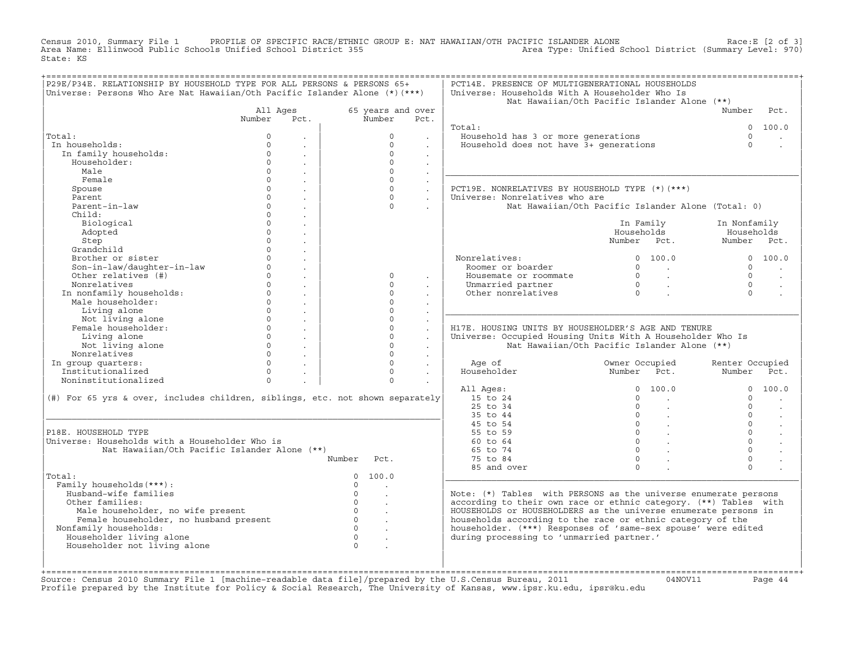Census 2010, Summary File 1 PROFILE OF SPECIFIC RACE/ETHNIC GROUP E: NAT HAWAIIAN/OTH PACIFIC ISLANDER ALONE Race:E [2 of 3]<br>Area Name: Ellinwood Public Schools Unified School Distri State: KS

| P29E/P34E. RELATIONSHIP BY HOUSEHOLD TYPE FOR ALL PERSONS & PERSONS 65+       |          |                      |                                  |                      | PCT14E. PRESENCE OF MULTIGENERATIONAL HOUSEHOLDS                 |                                                    |                                  |
|-------------------------------------------------------------------------------|----------|----------------------|----------------------------------|----------------------|------------------------------------------------------------------|----------------------------------------------------|----------------------------------|
| Universe: Persons Who Are Nat Hawaiian/Oth Pacific Islander Alone (*) (***)   |          |                      |                                  |                      | Universe: Households With A Householder Who Is                   |                                                    |                                  |
|                                                                               |          |                      |                                  |                      |                                                                  | Nat Hawaiian/Oth Pacific Islander Alone (**)       |                                  |
|                                                                               | All Ages |                      | 65 years and over                |                      |                                                                  |                                                    | Number<br>Pct.                   |
|                                                                               | Number   | Pct.                 | Number                           | Pct.                 |                                                                  |                                                    |                                  |
|                                                                               |          |                      |                                  |                      | Total:                                                           |                                                    | 100.0<br>$\Omega$                |
| Total:                                                                        | $\Omega$ |                      | $\Omega$                         |                      | Household has 3 or more generations                              |                                                    | $\Omega$                         |
| In households:                                                                | $\Omega$ |                      | $\circ$                          |                      | Household does not have 3+ qenerations                           |                                                    | $\Omega$                         |
| In family households:                                                         | $\Omega$ | $\mathbf{r}$         | $\circ$                          | $\ddot{\phantom{a}}$ |                                                                  |                                                    |                                  |
| Householder:                                                                  | $\Omega$ | $\ddot{\phantom{a}}$ | $\Omega$                         | $\sim$               |                                                                  |                                                    |                                  |
| Male                                                                          | $\Omega$ |                      | $\Omega$                         | $\ddot{\phantom{0}}$ |                                                                  |                                                    |                                  |
| Female                                                                        | $\Omega$ | $\ddot{\phantom{a}}$ | $\Omega$                         | $\ddot{\phantom{a}}$ |                                                                  |                                                    |                                  |
| Spouse                                                                        | $\Omega$ |                      | $\Omega$                         | $\ddot{\phantom{0}}$ | PCT19E. NONRELATIVES BY HOUSEHOLD TYPE (*) (***)                 |                                                    |                                  |
| Parent                                                                        | $\Omega$ | $\sim$               | $\Omega$                         | $\sim$               | Universe: Nonrelatives who are                                   |                                                    |                                  |
| Parent-in-law                                                                 | $\Omega$ |                      | $\Omega$                         |                      |                                                                  | Nat Hawaiian/Oth Pacific Islander Alone (Total: 0) |                                  |
| Child:                                                                        | $\Omega$ |                      |                                  |                      |                                                                  |                                                    |                                  |
| Biological                                                                    | $\Omega$ |                      |                                  |                      |                                                                  | In Family                                          | In Nonfamily                     |
| Adopted                                                                       | $\Omega$ |                      |                                  |                      |                                                                  | Households                                         | Households                       |
| Step                                                                          | $\Omega$ | $\ddot{\phantom{a}}$ |                                  |                      |                                                                  | Number Pct.                                        | Number Pct.                      |
| Grandchild                                                                    | $\Omega$ |                      |                                  |                      |                                                                  |                                                    |                                  |
| Brother or sister                                                             | $\Omega$ |                      |                                  |                      | Nonrelatives:                                                    | 0 100.0                                            | 0 100.0                          |
| Son-in-law/daughter-in-law                                                    | $\Omega$ | $\ddot{\phantom{a}}$ |                                  |                      | Roomer or boarder                                                | $\Omega$<br>$\sim$ $\sim$                          | $\Omega$                         |
| Other relatives (#)                                                           | $\circ$  | $\ddot{\phantom{a}}$ | $\circ$                          | $\sim$               | Housemate or roommate                                            | $\circ$<br>$\sim 10^{11}$ km $^{-1}$               | $\Omega$<br>$\sim$               |
| Nonrelatives                                                                  | $\Omega$ | $\mathbf{r}$         | $\Omega$                         |                      | Unmarried partner                                                | $\Omega$<br>$\sim 100$ km s $^{-1}$                | $\Omega$                         |
| In nonfamily households:                                                      | $\Omega$ |                      | $\Omega$                         |                      | Other nonrelatives                                               | $\bigcap$                                          | $\Omega$                         |
| Male householder:                                                             | $\Omega$ | $\mathbf{r}$         | $\Omega$                         |                      |                                                                  |                                                    |                                  |
| Living alone                                                                  | $\Omega$ |                      | $\Omega$                         |                      |                                                                  |                                                    |                                  |
| Not living alone                                                              | $\Omega$ | $\sim$               | $\Omega$                         | $\mathbf{r}$         |                                                                  |                                                    |                                  |
| Female householder:                                                           | $\Omega$ | $\sim$               | $\Omega$                         | $\ddot{\phantom{a}}$ | H17E. HOUSING UNITS BY HOUSEHOLDER'S AGE AND TENURE              |                                                    |                                  |
| Living alone                                                                  | $\Omega$ | $\sim$               | $\Omega$                         | $\ddot{\phantom{a}}$ | Universe: Occupied Housing Units With A Householder Who Is       |                                                    |                                  |
| Not living alone                                                              | $\Omega$ | $\sim$               | $\Omega$                         |                      |                                                                  | Nat Hawaiian/Oth Pacific Islander Alone (**)       |                                  |
| Nonrelatives                                                                  | $\Omega$ | $\sim$               | $\Omega$                         | $\ddot{\phantom{0}}$ |                                                                  |                                                    |                                  |
| In group quarters:                                                            | $\Omega$ | $\sim$               | $\Omega$                         | $\ddot{\phantom{a}}$ | Age of                                                           | Owner Occupied                                     | Renter Occupied                  |
| Institutionalized                                                             | $\Omega$ | $\sim$               | $\Omega$                         | $\sim$               | Householder                                                      | Number Pct.                                        | Number<br>Pct.                   |
| Noninstitutionalized                                                          | $\Omega$ |                      | $\Omega$                         |                      |                                                                  |                                                    |                                  |
|                                                                               |          |                      |                                  |                      | All Ages:                                                        | $\overline{0}$<br>100.0                            | $\Omega$<br>100.0                |
| (#) For 65 yrs & over, includes children, siblings, etc. not shown separately |          |                      |                                  |                      | 15 to 24                                                         | $\Omega$                                           | $\Omega$                         |
|                                                                               |          |                      |                                  |                      | 25 to 34                                                         | $\circ$                                            | $\Omega$<br>$\sim$               |
|                                                                               |          |                      |                                  |                      | 35 to 44                                                         | $\circ$<br><b>Contract</b>                         | $\Omega$<br>$\sim$               |
|                                                                               |          |                      |                                  |                      | 45 to 54                                                         | $\overline{0}$<br>$\sim 100$ $\mu$                 | $\Omega$<br>$\ddot{\phantom{a}}$ |
| P18E. HOUSEHOLD TYPE                                                          |          |                      |                                  |                      | 55 to 59                                                         | $\overline{0}$ .                                   | $\Omega$                         |
| Universe: Households with a Householder Who is                                |          |                      |                                  |                      | 60 to 64                                                         | $0 \qquad \qquad .$                                | $\Omega$                         |
| Nat Hawaiian/Oth Pacific Islander Alone (**)                                  |          |                      |                                  |                      | 65 to 74                                                         | $\Omega$                                           | $\Omega$                         |
|                                                                               |          | Number               | Pct.                             |                      | 75 to 84                                                         | $\Omega$                                           | $\Omega$                         |
|                                                                               |          |                      |                                  |                      | 85 and over                                                      | $\Omega$                                           | $\Omega$                         |
| Total:                                                                        |          |                      | 100.0<br>0                       |                      |                                                                  |                                                    |                                  |
| Family households (***):                                                      |          |                      | $\Omega$                         |                      |                                                                  |                                                    |                                  |
| Husband-wife families                                                         |          |                      | $\Omega$<br>$\sim$               |                      | Note: (*) Tables with PERSONS as the universe enumerate persons  |                                                    |                                  |
| Other families:                                                               |          |                      | $\Omega$<br>$\ddot{\phantom{a}}$ |                      | according to their own race or ethnic category. (**) Tables with |                                                    |                                  |
| Male householder, no wife present                                             |          |                      | $\overline{0}$<br>$\sim$         |                      | HOUSEHOLDS or HOUSEHOLDERS as the universe enumerate persons in  |                                                    |                                  |
| Female householder, no husband present                                        |          | $\overline{0}$       | $\ddot{\phantom{a}}$             |                      | households according to the race or ethnic category of the       |                                                    |                                  |
| Nonfamily households:                                                         |          |                      | $\Omega$                         |                      | householder. (***) Responses of 'same-sex spouse' were edited    |                                                    |                                  |
| Householder living alone                                                      |          |                      | $\Omega$<br>$\sim$               |                      | during processing to 'unmarried partner.'                        |                                                    |                                  |
| Householder not living alone                                                  |          |                      | $\Omega$                         |                      |                                                                  |                                                    |                                  |
|                                                                               |          |                      |                                  |                      |                                                                  |                                                    |                                  |
|                                                                               |          |                      |                                  |                      |                                                                  |                                                    |                                  |
|                                                                               |          |                      |                                  |                      |                                                                  |                                                    |                                  |

+===================================================================================================================================================+Source: Census 2010 Summary File 1 [machine−readable data file]/prepared by the U.S.Census Bureau, 2011 04NOV11 Page 44 Profile prepared by the Institute for Policy & Social Research, The University of Kansas, www.ipsr.ku.edu, ipsr@ku.edu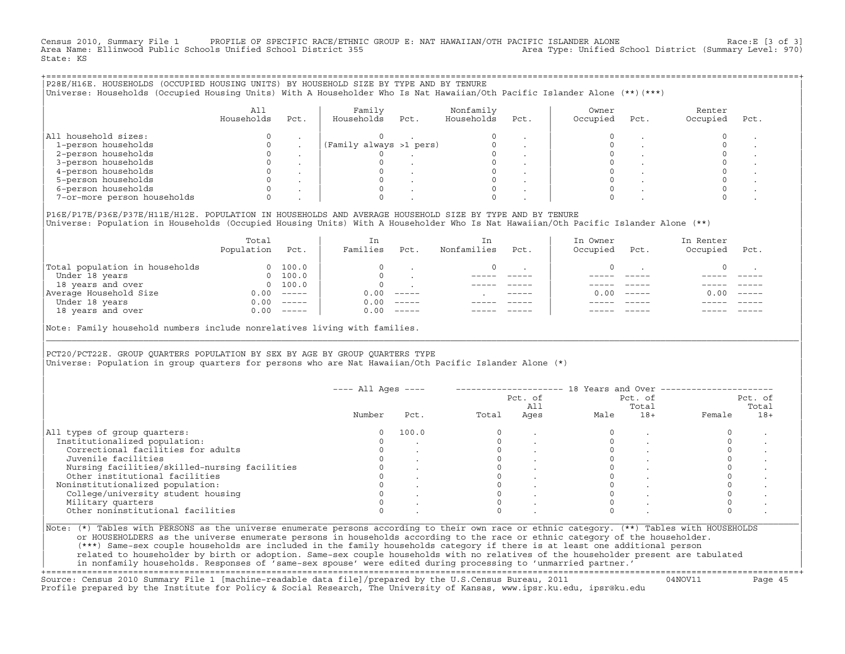Census 2010, Summary File 1 PROFILE OF SPECIFIC RACE/ETHNIC GROUP E: NAT HAWAIIAN/OTH PACIFIC ISLANDER ALONE Race:E [3 of 3]<br>Area Name: Ellinwood Public Schools Unified School District 355 area Type: Unified School Distric Area Name: Ellinwood Public Schools Unified School District 355 State: KS

| P28E/H16E. HOUSEHOLDS (OCCUPIED HOUSING UNITS) BY HOUSEHOLD SIZE BY TYPE AND BY TENURE<br>Universe: Households (Occupied Housing Units) With A Householder Who Is Nat Hawaiian/Oth Pacific Islander Alone (**)(***) |                   |        |                         |      |                         |        |                   |      |                    |      |  |
|---------------------------------------------------------------------------------------------------------------------------------------------------------------------------------------------------------------------|-------------------|--------|-------------------------|------|-------------------------|--------|-------------------|------|--------------------|------|--|
|                                                                                                                                                                                                                     | All<br>Households | Pct.   | Family<br>Households    | Pct. | Nonfamily<br>Households | Pct.   | Owner<br>Occupied | Pct. | Renter<br>Occupied | Pct. |  |
| All household sizes:<br>1-person households<br>2-person households<br>3-person households<br>4-person households<br>5-person households<br>6-person households<br>7-or-more person households                       |                   | $\sim$ | (Family always >1 pers) |      |                         | $\sim$ |                   |      |                    |      |  |

|P16E/P17E/P36E/P37E/H11E/H12E. POPULATION IN HOUSEHOLDS AND AVERAGE HOUSEHOLD SIZE BY TYPE AND BY TENURE | |Universe: Population in Households (Occupied Housing Units) With A Householder Who Is Nat Hawaiian/Oth Pacific Islander Alone (\*\*) |

|                                | Total<br>Population | Pct.     | In<br>Families | Pct.     | In<br>Nonfamilies | Pct.        | In Owner<br>Occupied | Pct.          | In Renter<br>Occupied | Pct.     |  |
|--------------------------------|---------------------|----------|----------------|----------|-------------------|-------------|----------------------|---------------|-----------------------|----------|--|
| Total population in households |                     | 100.0    | $\Omega$       |          |                   |             |                      |               |                       |          |  |
| Under 18 years                 | $\Omega$            | 100.0    | $\Omega$       |          |                   |             |                      |               |                       |          |  |
| 18 years and over              | $\Omega$            | 100.0    | $\Omega$       |          |                   |             |                      |               |                       |          |  |
| Average Household Size         | 0.00                | $------$ | 0.00           | $------$ |                   | $- - - - -$ | 0.00                 | $\frac{1}{2}$ | 0.00                  | $------$ |  |
| Under 18 years                 | 0.00                | $------$ | 0.00           | $------$ |                   |             |                      |               |                       |          |  |
| 18 years and over              | 0.00                | $------$ | 0.00           | $------$ |                   |             |                      |               |                       |          |  |
|                                |                     |          |                |          |                   |             |                      |               |                       |          |  |

|Note: Family household numbers include nonrelatives living with families. |

| | PCT20/PCT22E. GROUP OUARTERS POPULATION BY SEX BY AGE BY GROUP OUARTERS TYPE |Universe: Population in group quarters for persons who are Nat Hawaiian/Oth Pacific Islander Alone (\*) |

|                                               |        |       |       | Pct. of<br>All |      | Pct. of<br>Total |        | Pct. of<br>Total |
|-----------------------------------------------|--------|-------|-------|----------------|------|------------------|--------|------------------|
|                                               | Number | Pct.  | Total | Ages           | Male | $18+$            | Female | $18+$            |
| All types of group quarters:                  |        | 100.0 |       |                |      |                  |        |                  |
| Institutionalized population:                 |        |       |       |                |      |                  |        |                  |
| Correctional facilities for adults            |        |       |       |                |      |                  |        |                  |
| Juvenile facilities                           |        |       |       |                |      |                  |        |                  |
| Nursing facilities/skilled-nursing facilities |        |       |       |                |      |                  |        |                  |
| Other institutional facilities                |        |       |       |                |      |                  |        |                  |
| Noninstitutionalized population:              |        |       |       |                |      |                  |        |                  |
| College/university student housing            |        |       |       |                |      |                  |        |                  |
| Military quarters                             |        |       |       |                |      |                  |        |                  |
| Other noninstitutional facilities             |        |       |       |                |      |                  |        |                  |

|\_\_\_\_\_\_\_\_\_\_\_\_\_\_\_\_\_\_\_\_\_\_\_\_\_\_\_\_\_\_\_\_\_\_\_\_\_\_\_\_\_\_\_\_\_\_\_\_\_\_\_\_\_\_\_\_\_\_\_\_\_\_\_\_\_\_\_\_\_\_\_\_\_\_\_\_\_\_\_\_\_\_\_\_\_\_\_\_\_\_\_\_\_\_\_\_\_\_\_\_\_\_\_\_\_\_\_\_\_\_\_\_\_\_\_\_\_\_\_\_\_\_\_\_\_\_\_\_\_\_\_\_\_\_\_\_\_\_\_\_\_\_\_\_\_\_\_|

| |

| or HOUSEHOLDERS as the universe enumerate persons in households according to the race or ethnic category of the householder. | | (\*\*\*) Same−sex couple households are included in the family households category if there is at least one additional person | | related to householder by birth or adoption. Same−sex couple households with no relatives of the householder present are tabulated | | in nonfamily households. Responses of 'same−sex spouse' were edited during processing to 'unmarried partner.' | +===================================================================================================================================================+

Source: Census 2010 Summary File 1 [machine−readable data file]/prepared by the U.S.Census Bureau, 2011 04NOV11 Page 45 Profile prepared by the Institute for Policy & Social Research, The University of Kansas, www.ipsr.ku.edu, ipsr@ku.edu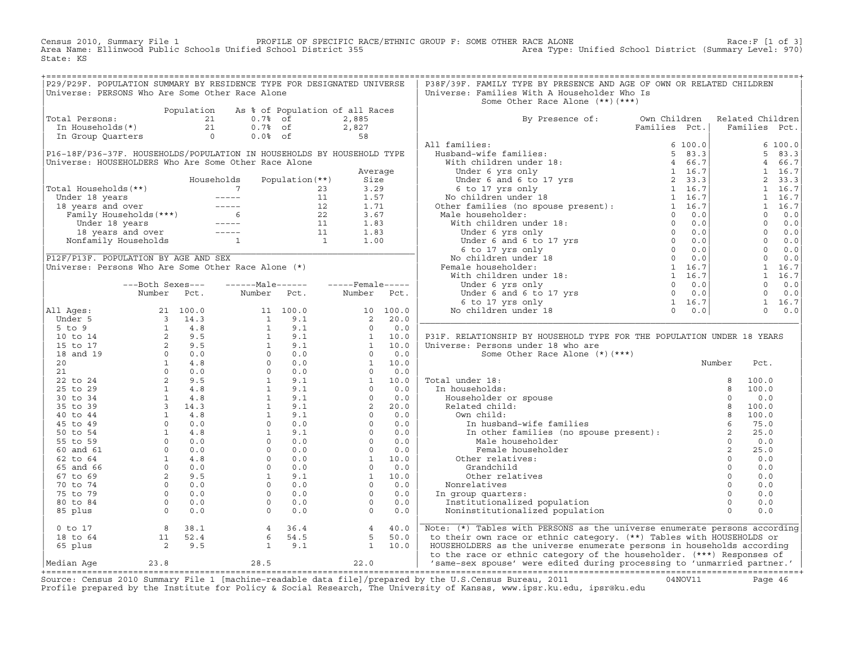[3 Census 2010, Summary File 1 PROFILE OF SPECIFIC RACE/ETHNIC GROUP F: SOME OTHER RACE ALONE<br>(Strea Name: Ellinwood Public Schools Unified School District 355 Area State: KS

| Population As % of Population of all Races<br>otal Persons:<br>The Households (*)<br>The Group Quarters<br>The Group Quarters<br>Contains the Contact of the Contact of the Contact of the Contact of the Contact of the Contact of the Contact of the Contact of the Contact of the<br>Total Persons:<br>By Presence of: Own Children Related Children<br>Families Pct.   Families Pct.<br>6 100.0<br>P16-18F/P36-37F. HOUSEHOLDS/POPULATION IN HOUSEHOLDS BY HOUSEHOLD TYPE<br>$\begin{array}{cccc} 6& 100\, . \, 0\\ 5& 83\, . \, 3\\ 4& 6\, 6\, . \, 7\\ 1& 16\, . \, 7\\ 2& 33\, . \, 3\\ 1& 16\, . \, 7\\ 1& 16\, . \, 7\\ 1& 16\, . \, 7\\ 0& 0\, . \, 0\\ 0& 0\, . \, 0\\ 0& 0\, . \, 0\\ 0& 0\, . \, 0\\ 0& 0\, . \, 0\\ 0& 0\, . \, 0\\ 1& 16\, . \, 7\\ 1& 1$<br>Universe: HOUSEHOLDERS Who Are Some Other Race Alone<br>Universe: Households (**)<br>Total Households (**)<br>Under 18 years<br>18 years and over<br>Family Households (***)<br>Under 18 years<br>18 years and over<br>Tamp Households (***)<br>12 1.71<br>12 1.71<br>12 1.71<br>12 1.71<br>12 1.71<br>12 1.71<br><br>PI2F/PI3F. POPULATION BY AGE AND SEX<br>Universe: Persons Who Are Some Other Race Alone (*)<br>-------Male------<br>-----Female-----<br>---Both Sexes---<br>Number Pct.<br>Number Pct. Number Pct.<br>$\begin{tabular}{ c  c  c } \hline \textbf{All} \textbf{Ages}: & \textbf{Number} & \textbf{Pe} & \textbf{Number} & \textbf{Pc1}, & \textbf{Number} & \textbf{Pc2}, & \textbf{Step 17} & \textbf{yrs} & \textbf{0} & 0.0 \\ \hline \textbf{All} \textbf{Ages}: & 21 & 100.0 & 11 & 100.0 & 100.0 \\ \hline \textbf{B1} & 2 & 100.0 & 11 & 100.0 & 100.0 \\ \hline \textbf{51} & 2 & 31 & 44.3 & 15 &$<br>P31F. RELATIONSHIP BY HOUSEHOLD TYPE FOR THE POPULATION UNDER 18 YEARS<br>Pct.<br>100.0<br>100.0<br>0.0<br>100.0<br>100.0<br>75.0<br>25.0<br>0.0<br>25.0<br>0.0<br>0.0<br>0.0<br>0.0<br>0.0<br>0.0<br>0.0<br>0 to 17 a 36.1 4 36.4 4 40.0 Note: (*) Tables with PERSONS as the universe enumerate persons according<br>18 to 64 11 52.4 6 54.5 5 50.0 to their own race or ethnic category. (**) Tables with HOUSEHOLDS or<br>65 plus 2 9.5 1 9.1 | P29/P29F. POPULATION SUMMARY BY RESIDENCE TYPE FOR DESIGNATED UNIVERSE<br>Universe: PERSONS Who Are Some Other Race Alone |  |  |  | P38F/39F. FAMILY TYPE BY PRESENCE AND AGE OF OWN OR RELATED CHILDREN<br>Universe: Families With A Householder Who Is<br>Some Other Race Alone (**) (***) |  |  |  |
|-------------------------------------------------------------------------------------------------------------------------------------------------------------------------------------------------------------------------------------------------------------------------------------------------------------------------------------------------------------------------------------------------------------------------------------------------------------------------------------------------------------------------------------------------------------------------------------------------------------------------------------------------------------------------------------------------------------------------------------------------------------------------------------------------------------------------------------------------------------------------------------------------------------------------------------------------------------------------------------------------------------------------------------------------------------------------------------------------------------------------------------------------------------------------------------------------------------------------------------------------------------------------------------------------------------------------------------------------------------------------------------------------------------------------------------------------------------------------------------------------------------------------------------------------------------------------------------------------------------------------------------------------------------------------------------------------------------------------------------------------------------------------------------------------------------------------------------------------------------------------------------------------------------------------------------------------------------------------------------------------------------------------------------------------------------------------------------------------------------------------------------------------------------------|---------------------------------------------------------------------------------------------------------------------------|--|--|--|----------------------------------------------------------------------------------------------------------------------------------------------------------|--|--|--|
|                                                                                                                                                                                                                                                                                                                                                                                                                                                                                                                                                                                                                                                                                                                                                                                                                                                                                                                                                                                                                                                                                                                                                                                                                                                                                                                                                                                                                                                                                                                                                                                                                                                                                                                                                                                                                                                                                                                                                                                                                                                                                                                                                                   |                                                                                                                           |  |  |  |                                                                                                                                                          |  |  |  |
|                                                                                                                                                                                                                                                                                                                                                                                                                                                                                                                                                                                                                                                                                                                                                                                                                                                                                                                                                                                                                                                                                                                                                                                                                                                                                                                                                                                                                                                                                                                                                                                                                                                                                                                                                                                                                                                                                                                                                                                                                                                                                                                                                                   |                                                                                                                           |  |  |  |                                                                                                                                                          |  |  |  |
|                                                                                                                                                                                                                                                                                                                                                                                                                                                                                                                                                                                                                                                                                                                                                                                                                                                                                                                                                                                                                                                                                                                                                                                                                                                                                                                                                                                                                                                                                                                                                                                                                                                                                                                                                                                                                                                                                                                                                                                                                                                                                                                                                                   |                                                                                                                           |  |  |  |                                                                                                                                                          |  |  |  |
|                                                                                                                                                                                                                                                                                                                                                                                                                                                                                                                                                                                                                                                                                                                                                                                                                                                                                                                                                                                                                                                                                                                                                                                                                                                                                                                                                                                                                                                                                                                                                                                                                                                                                                                                                                                                                                                                                                                                                                                                                                                                                                                                                                   |                                                                                                                           |  |  |  |                                                                                                                                                          |  |  |  |
|                                                                                                                                                                                                                                                                                                                                                                                                                                                                                                                                                                                                                                                                                                                                                                                                                                                                                                                                                                                                                                                                                                                                                                                                                                                                                                                                                                                                                                                                                                                                                                                                                                                                                                                                                                                                                                                                                                                                                                                                                                                                                                                                                                   |                                                                                                                           |  |  |  |                                                                                                                                                          |  |  |  |
|                                                                                                                                                                                                                                                                                                                                                                                                                                                                                                                                                                                                                                                                                                                                                                                                                                                                                                                                                                                                                                                                                                                                                                                                                                                                                                                                                                                                                                                                                                                                                                                                                                                                                                                                                                                                                                                                                                                                                                                                                                                                                                                                                                   |                                                                                                                           |  |  |  |                                                                                                                                                          |  |  |  |
|                                                                                                                                                                                                                                                                                                                                                                                                                                                                                                                                                                                                                                                                                                                                                                                                                                                                                                                                                                                                                                                                                                                                                                                                                                                                                                                                                                                                                                                                                                                                                                                                                                                                                                                                                                                                                                                                                                                                                                                                                                                                                                                                                                   |                                                                                                                           |  |  |  |                                                                                                                                                          |  |  |  |
|                                                                                                                                                                                                                                                                                                                                                                                                                                                                                                                                                                                                                                                                                                                                                                                                                                                                                                                                                                                                                                                                                                                                                                                                                                                                                                                                                                                                                                                                                                                                                                                                                                                                                                                                                                                                                                                                                                                                                                                                                                                                                                                                                                   |                                                                                                                           |  |  |  |                                                                                                                                                          |  |  |  |
|                                                                                                                                                                                                                                                                                                                                                                                                                                                                                                                                                                                                                                                                                                                                                                                                                                                                                                                                                                                                                                                                                                                                                                                                                                                                                                                                                                                                                                                                                                                                                                                                                                                                                                                                                                                                                                                                                                                                                                                                                                                                                                                                                                   |                                                                                                                           |  |  |  |                                                                                                                                                          |  |  |  |
|                                                                                                                                                                                                                                                                                                                                                                                                                                                                                                                                                                                                                                                                                                                                                                                                                                                                                                                                                                                                                                                                                                                                                                                                                                                                                                                                                                                                                                                                                                                                                                                                                                                                                                                                                                                                                                                                                                                                                                                                                                                                                                                                                                   |                                                                                                                           |  |  |  |                                                                                                                                                          |  |  |  |
|                                                                                                                                                                                                                                                                                                                                                                                                                                                                                                                                                                                                                                                                                                                                                                                                                                                                                                                                                                                                                                                                                                                                                                                                                                                                                                                                                                                                                                                                                                                                                                                                                                                                                                                                                                                                                                                                                                                                                                                                                                                                                                                                                                   |                                                                                                                           |  |  |  |                                                                                                                                                          |  |  |  |
|                                                                                                                                                                                                                                                                                                                                                                                                                                                                                                                                                                                                                                                                                                                                                                                                                                                                                                                                                                                                                                                                                                                                                                                                                                                                                                                                                                                                                                                                                                                                                                                                                                                                                                                                                                                                                                                                                                                                                                                                                                                                                                                                                                   |                                                                                                                           |  |  |  |                                                                                                                                                          |  |  |  |
|                                                                                                                                                                                                                                                                                                                                                                                                                                                                                                                                                                                                                                                                                                                                                                                                                                                                                                                                                                                                                                                                                                                                                                                                                                                                                                                                                                                                                                                                                                                                                                                                                                                                                                                                                                                                                                                                                                                                                                                                                                                                                                                                                                   |                                                                                                                           |  |  |  |                                                                                                                                                          |  |  |  |
|                                                                                                                                                                                                                                                                                                                                                                                                                                                                                                                                                                                                                                                                                                                                                                                                                                                                                                                                                                                                                                                                                                                                                                                                                                                                                                                                                                                                                                                                                                                                                                                                                                                                                                                                                                                                                                                                                                                                                                                                                                                                                                                                                                   |                                                                                                                           |  |  |  |                                                                                                                                                          |  |  |  |
|                                                                                                                                                                                                                                                                                                                                                                                                                                                                                                                                                                                                                                                                                                                                                                                                                                                                                                                                                                                                                                                                                                                                                                                                                                                                                                                                                                                                                                                                                                                                                                                                                                                                                                                                                                                                                                                                                                                                                                                                                                                                                                                                                                   |                                                                                                                           |  |  |  |                                                                                                                                                          |  |  |  |
|                                                                                                                                                                                                                                                                                                                                                                                                                                                                                                                                                                                                                                                                                                                                                                                                                                                                                                                                                                                                                                                                                                                                                                                                                                                                                                                                                                                                                                                                                                                                                                                                                                                                                                                                                                                                                                                                                                                                                                                                                                                                                                                                                                   |                                                                                                                           |  |  |  |                                                                                                                                                          |  |  |  |
|                                                                                                                                                                                                                                                                                                                                                                                                                                                                                                                                                                                                                                                                                                                                                                                                                                                                                                                                                                                                                                                                                                                                                                                                                                                                                                                                                                                                                                                                                                                                                                                                                                                                                                                                                                                                                                                                                                                                                                                                                                                                                                                                                                   |                                                                                                                           |  |  |  |                                                                                                                                                          |  |  |  |
|                                                                                                                                                                                                                                                                                                                                                                                                                                                                                                                                                                                                                                                                                                                                                                                                                                                                                                                                                                                                                                                                                                                                                                                                                                                                                                                                                                                                                                                                                                                                                                                                                                                                                                                                                                                                                                                                                                                                                                                                                                                                                                                                                                   |                                                                                                                           |  |  |  |                                                                                                                                                          |  |  |  |
|                                                                                                                                                                                                                                                                                                                                                                                                                                                                                                                                                                                                                                                                                                                                                                                                                                                                                                                                                                                                                                                                                                                                                                                                                                                                                                                                                                                                                                                                                                                                                                                                                                                                                                                                                                                                                                                                                                                                                                                                                                                                                                                                                                   |                                                                                                                           |  |  |  |                                                                                                                                                          |  |  |  |
|                                                                                                                                                                                                                                                                                                                                                                                                                                                                                                                                                                                                                                                                                                                                                                                                                                                                                                                                                                                                                                                                                                                                                                                                                                                                                                                                                                                                                                                                                                                                                                                                                                                                                                                                                                                                                                                                                                                                                                                                                                                                                                                                                                   |                                                                                                                           |  |  |  |                                                                                                                                                          |  |  |  |
|                                                                                                                                                                                                                                                                                                                                                                                                                                                                                                                                                                                                                                                                                                                                                                                                                                                                                                                                                                                                                                                                                                                                                                                                                                                                                                                                                                                                                                                                                                                                                                                                                                                                                                                                                                                                                                                                                                                                                                                                                                                                                                                                                                   |                                                                                                                           |  |  |  |                                                                                                                                                          |  |  |  |
|                                                                                                                                                                                                                                                                                                                                                                                                                                                                                                                                                                                                                                                                                                                                                                                                                                                                                                                                                                                                                                                                                                                                                                                                                                                                                                                                                                                                                                                                                                                                                                                                                                                                                                                                                                                                                                                                                                                                                                                                                                                                                                                                                                   |                                                                                                                           |  |  |  |                                                                                                                                                          |  |  |  |
|                                                                                                                                                                                                                                                                                                                                                                                                                                                                                                                                                                                                                                                                                                                                                                                                                                                                                                                                                                                                                                                                                                                                                                                                                                                                                                                                                                                                                                                                                                                                                                                                                                                                                                                                                                                                                                                                                                                                                                                                                                                                                                                                                                   |                                                                                                                           |  |  |  |                                                                                                                                                          |  |  |  |
|                                                                                                                                                                                                                                                                                                                                                                                                                                                                                                                                                                                                                                                                                                                                                                                                                                                                                                                                                                                                                                                                                                                                                                                                                                                                                                                                                                                                                                                                                                                                                                                                                                                                                                                                                                                                                                                                                                                                                                                                                                                                                                                                                                   |                                                                                                                           |  |  |  |                                                                                                                                                          |  |  |  |
|                                                                                                                                                                                                                                                                                                                                                                                                                                                                                                                                                                                                                                                                                                                                                                                                                                                                                                                                                                                                                                                                                                                                                                                                                                                                                                                                                                                                                                                                                                                                                                                                                                                                                                                                                                                                                                                                                                                                                                                                                                                                                                                                                                   |                                                                                                                           |  |  |  |                                                                                                                                                          |  |  |  |
|                                                                                                                                                                                                                                                                                                                                                                                                                                                                                                                                                                                                                                                                                                                                                                                                                                                                                                                                                                                                                                                                                                                                                                                                                                                                                                                                                                                                                                                                                                                                                                                                                                                                                                                                                                                                                                                                                                                                                                                                                                                                                                                                                                   |                                                                                                                           |  |  |  |                                                                                                                                                          |  |  |  |
|                                                                                                                                                                                                                                                                                                                                                                                                                                                                                                                                                                                                                                                                                                                                                                                                                                                                                                                                                                                                                                                                                                                                                                                                                                                                                                                                                                                                                                                                                                                                                                                                                                                                                                                                                                                                                                                                                                                                                                                                                                                                                                                                                                   |                                                                                                                           |  |  |  |                                                                                                                                                          |  |  |  |
|                                                                                                                                                                                                                                                                                                                                                                                                                                                                                                                                                                                                                                                                                                                                                                                                                                                                                                                                                                                                                                                                                                                                                                                                                                                                                                                                                                                                                                                                                                                                                                                                                                                                                                                                                                                                                                                                                                                                                                                                                                                                                                                                                                   |                                                                                                                           |  |  |  |                                                                                                                                                          |  |  |  |
|                                                                                                                                                                                                                                                                                                                                                                                                                                                                                                                                                                                                                                                                                                                                                                                                                                                                                                                                                                                                                                                                                                                                                                                                                                                                                                                                                                                                                                                                                                                                                                                                                                                                                                                                                                                                                                                                                                                                                                                                                                                                                                                                                                   |                                                                                                                           |  |  |  |                                                                                                                                                          |  |  |  |
|                                                                                                                                                                                                                                                                                                                                                                                                                                                                                                                                                                                                                                                                                                                                                                                                                                                                                                                                                                                                                                                                                                                                                                                                                                                                                                                                                                                                                                                                                                                                                                                                                                                                                                                                                                                                                                                                                                                                                                                                                                                                                                                                                                   |                                                                                                                           |  |  |  |                                                                                                                                                          |  |  |  |
|                                                                                                                                                                                                                                                                                                                                                                                                                                                                                                                                                                                                                                                                                                                                                                                                                                                                                                                                                                                                                                                                                                                                                                                                                                                                                                                                                                                                                                                                                                                                                                                                                                                                                                                                                                                                                                                                                                                                                                                                                                                                                                                                                                   |                                                                                                                           |  |  |  |                                                                                                                                                          |  |  |  |
|                                                                                                                                                                                                                                                                                                                                                                                                                                                                                                                                                                                                                                                                                                                                                                                                                                                                                                                                                                                                                                                                                                                                                                                                                                                                                                                                                                                                                                                                                                                                                                                                                                                                                                                                                                                                                                                                                                                                                                                                                                                                                                                                                                   |                                                                                                                           |  |  |  |                                                                                                                                                          |  |  |  |
|                                                                                                                                                                                                                                                                                                                                                                                                                                                                                                                                                                                                                                                                                                                                                                                                                                                                                                                                                                                                                                                                                                                                                                                                                                                                                                                                                                                                                                                                                                                                                                                                                                                                                                                                                                                                                                                                                                                                                                                                                                                                                                                                                                   |                                                                                                                           |  |  |  |                                                                                                                                                          |  |  |  |
|                                                                                                                                                                                                                                                                                                                                                                                                                                                                                                                                                                                                                                                                                                                                                                                                                                                                                                                                                                                                                                                                                                                                                                                                                                                                                                                                                                                                                                                                                                                                                                                                                                                                                                                                                                                                                                                                                                                                                                                                                                                                                                                                                                   |                                                                                                                           |  |  |  |                                                                                                                                                          |  |  |  |
|                                                                                                                                                                                                                                                                                                                                                                                                                                                                                                                                                                                                                                                                                                                                                                                                                                                                                                                                                                                                                                                                                                                                                                                                                                                                                                                                                                                                                                                                                                                                                                                                                                                                                                                                                                                                                                                                                                                                                                                                                                                                                                                                                                   |                                                                                                                           |  |  |  |                                                                                                                                                          |  |  |  |
|                                                                                                                                                                                                                                                                                                                                                                                                                                                                                                                                                                                                                                                                                                                                                                                                                                                                                                                                                                                                                                                                                                                                                                                                                                                                                                                                                                                                                                                                                                                                                                                                                                                                                                                                                                                                                                                                                                                                                                                                                                                                                                                                                                   |                                                                                                                           |  |  |  |                                                                                                                                                          |  |  |  |
|                                                                                                                                                                                                                                                                                                                                                                                                                                                                                                                                                                                                                                                                                                                                                                                                                                                                                                                                                                                                                                                                                                                                                                                                                                                                                                                                                                                                                                                                                                                                                                                                                                                                                                                                                                                                                                                                                                                                                                                                                                                                                                                                                                   |                                                                                                                           |  |  |  |                                                                                                                                                          |  |  |  |
|                                                                                                                                                                                                                                                                                                                                                                                                                                                                                                                                                                                                                                                                                                                                                                                                                                                                                                                                                                                                                                                                                                                                                                                                                                                                                                                                                                                                                                                                                                                                                                                                                                                                                                                                                                                                                                                                                                                                                                                                                                                                                                                                                                   |                                                                                                                           |  |  |  |                                                                                                                                                          |  |  |  |
|                                                                                                                                                                                                                                                                                                                                                                                                                                                                                                                                                                                                                                                                                                                                                                                                                                                                                                                                                                                                                                                                                                                                                                                                                                                                                                                                                                                                                                                                                                                                                                                                                                                                                                                                                                                                                                                                                                                                                                                                                                                                                                                                                                   |                                                                                                                           |  |  |  |                                                                                                                                                          |  |  |  |
|                                                                                                                                                                                                                                                                                                                                                                                                                                                                                                                                                                                                                                                                                                                                                                                                                                                                                                                                                                                                                                                                                                                                                                                                                                                                                                                                                                                                                                                                                                                                                                                                                                                                                                                                                                                                                                                                                                                                                                                                                                                                                                                                                                   |                                                                                                                           |  |  |  |                                                                                                                                                          |  |  |  |
|                                                                                                                                                                                                                                                                                                                                                                                                                                                                                                                                                                                                                                                                                                                                                                                                                                                                                                                                                                                                                                                                                                                                                                                                                                                                                                                                                                                                                                                                                                                                                                                                                                                                                                                                                                                                                                                                                                                                                                                                                                                                                                                                                                   |                                                                                                                           |  |  |  |                                                                                                                                                          |  |  |  |
|                                                                                                                                                                                                                                                                                                                                                                                                                                                                                                                                                                                                                                                                                                                                                                                                                                                                                                                                                                                                                                                                                                                                                                                                                                                                                                                                                                                                                                                                                                                                                                                                                                                                                                                                                                                                                                                                                                                                                                                                                                                                                                                                                                   |                                                                                                                           |  |  |  |                                                                                                                                                          |  |  |  |
|                                                                                                                                                                                                                                                                                                                                                                                                                                                                                                                                                                                                                                                                                                                                                                                                                                                                                                                                                                                                                                                                                                                                                                                                                                                                                                                                                                                                                                                                                                                                                                                                                                                                                                                                                                                                                                                                                                                                                                                                                                                                                                                                                                   |                                                                                                                           |  |  |  |                                                                                                                                                          |  |  |  |
|                                                                                                                                                                                                                                                                                                                                                                                                                                                                                                                                                                                                                                                                                                                                                                                                                                                                                                                                                                                                                                                                                                                                                                                                                                                                                                                                                                                                                                                                                                                                                                                                                                                                                                                                                                                                                                                                                                                                                                                                                                                                                                                                                                   |                                                                                                                           |  |  |  |                                                                                                                                                          |  |  |  |
|                                                                                                                                                                                                                                                                                                                                                                                                                                                                                                                                                                                                                                                                                                                                                                                                                                                                                                                                                                                                                                                                                                                                                                                                                                                                                                                                                                                                                                                                                                                                                                                                                                                                                                                                                                                                                                                                                                                                                                                                                                                                                                                                                                   |                                                                                                                           |  |  |  |                                                                                                                                                          |  |  |  |
|                                                                                                                                                                                                                                                                                                                                                                                                                                                                                                                                                                                                                                                                                                                                                                                                                                                                                                                                                                                                                                                                                                                                                                                                                                                                                                                                                                                                                                                                                                                                                                                                                                                                                                                                                                                                                                                                                                                                                                                                                                                                                                                                                                   |                                                                                                                           |  |  |  |                                                                                                                                                          |  |  |  |
|                                                                                                                                                                                                                                                                                                                                                                                                                                                                                                                                                                                                                                                                                                                                                                                                                                                                                                                                                                                                                                                                                                                                                                                                                                                                                                                                                                                                                                                                                                                                                                                                                                                                                                                                                                                                                                                                                                                                                                                                                                                                                                                                                                   |                                                                                                                           |  |  |  |                                                                                                                                                          |  |  |  |
|                                                                                                                                                                                                                                                                                                                                                                                                                                                                                                                                                                                                                                                                                                                                                                                                                                                                                                                                                                                                                                                                                                                                                                                                                                                                                                                                                                                                                                                                                                                                                                                                                                                                                                                                                                                                                                                                                                                                                                                                                                                                                                                                                                   |                                                                                                                           |  |  |  |                                                                                                                                                          |  |  |  |
|                                                                                                                                                                                                                                                                                                                                                                                                                                                                                                                                                                                                                                                                                                                                                                                                                                                                                                                                                                                                                                                                                                                                                                                                                                                                                                                                                                                                                                                                                                                                                                                                                                                                                                                                                                                                                                                                                                                                                                                                                                                                                                                                                                   |                                                                                                                           |  |  |  |                                                                                                                                                          |  |  |  |
|                                                                                                                                                                                                                                                                                                                                                                                                                                                                                                                                                                                                                                                                                                                                                                                                                                                                                                                                                                                                                                                                                                                                                                                                                                                                                                                                                                                                                                                                                                                                                                                                                                                                                                                                                                                                                                                                                                                                                                                                                                                                                                                                                                   |                                                                                                                           |  |  |  |                                                                                                                                                          |  |  |  |
|                                                                                                                                                                                                                                                                                                                                                                                                                                                                                                                                                                                                                                                                                                                                                                                                                                                                                                                                                                                                                                                                                                                                                                                                                                                                                                                                                                                                                                                                                                                                                                                                                                                                                                                                                                                                                                                                                                                                                                                                                                                                                                                                                                   |                                                                                                                           |  |  |  |                                                                                                                                                          |  |  |  |
|                                                                                                                                                                                                                                                                                                                                                                                                                                                                                                                                                                                                                                                                                                                                                                                                                                                                                                                                                                                                                                                                                                                                                                                                                                                                                                                                                                                                                                                                                                                                                                                                                                                                                                                                                                                                                                                                                                                                                                                                                                                                                                                                                                   |                                                                                                                           |  |  |  |                                                                                                                                                          |  |  |  |
|                                                                                                                                                                                                                                                                                                                                                                                                                                                                                                                                                                                                                                                                                                                                                                                                                                                                                                                                                                                                                                                                                                                                                                                                                                                                                                                                                                                                                                                                                                                                                                                                                                                                                                                                                                                                                                                                                                                                                                                                                                                                                                                                                                   |                                                                                                                           |  |  |  |                                                                                                                                                          |  |  |  |
|                                                                                                                                                                                                                                                                                                                                                                                                                                                                                                                                                                                                                                                                                                                                                                                                                                                                                                                                                                                                                                                                                                                                                                                                                                                                                                                                                                                                                                                                                                                                                                                                                                                                                                                                                                                                                                                                                                                                                                                                                                                                                                                                                                   |                                                                                                                           |  |  |  |                                                                                                                                                          |  |  |  |
|                                                                                                                                                                                                                                                                                                                                                                                                                                                                                                                                                                                                                                                                                                                                                                                                                                                                                                                                                                                                                                                                                                                                                                                                                                                                                                                                                                                                                                                                                                                                                                                                                                                                                                                                                                                                                                                                                                                                                                                                                                                                                                                                                                   |                                                                                                                           |  |  |  |                                                                                                                                                          |  |  |  |
|                                                                                                                                                                                                                                                                                                                                                                                                                                                                                                                                                                                                                                                                                                                                                                                                                                                                                                                                                                                                                                                                                                                                                                                                                                                                                                                                                                                                                                                                                                                                                                                                                                                                                                                                                                                                                                                                                                                                                                                                                                                                                                                                                                   |                                                                                                                           |  |  |  |                                                                                                                                                          |  |  |  |

Source: Census 2010 Summary File 1 [machine-readable data file]/prepared by the U.S.Census Bureau, 2011 Page 46<br>Profile prepared by the Institute for Policy & Social Research, The University of Kansas, www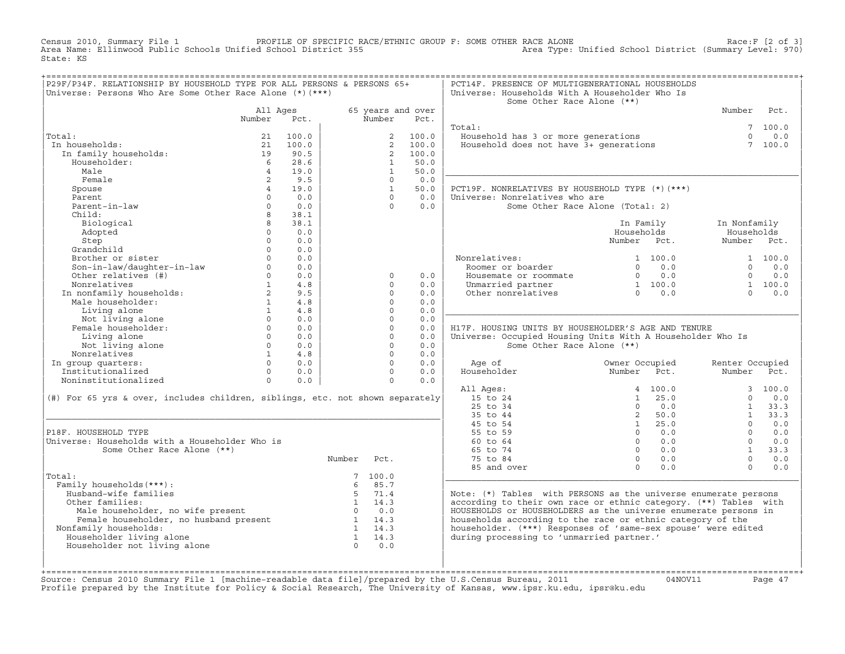Census 2010, Summary File 1 PROFILE OF SPECIFIC RACE/ETHNIC GROUP F: SOME OTHER RACE ALONE<br>Area Name: Ellinwood Public Schools Unified School District 355 Area Type: Unified Sch State: KS

| P29F/P34F. RELATIONSHIP BY HOUSEHOLD TYPE FOR ALL PERSONS & PERSONS 65+                                                                                                                                                                                                                           |                   |                                                    | :=================== |                |                           | PCT14F. PRESENCE OF MULTIGENERATIONAL HOUSEHOLDS                              |                                                                                                           |                 |                 |
|---------------------------------------------------------------------------------------------------------------------------------------------------------------------------------------------------------------------------------------------------------------------------------------------------|-------------------|----------------------------------------------------|----------------------|----------------|---------------------------|-------------------------------------------------------------------------------|-----------------------------------------------------------------------------------------------------------|-----------------|-----------------|
| Universe: Persons Who Are Some Other Race Alone (*) (***)                                                                                                                                                                                                                                         |                   |                                                    |                      |                |                           | Universe: Households With A Householder Who Is                                |                                                                                                           |                 |                 |
|                                                                                                                                                                                                                                                                                                   |                   |                                                    |                      |                |                           | Some Other Race Alone (**)                                                    |                                                                                                           |                 |                 |
|                                                                                                                                                                                                                                                                                                   |                   |                                                    |                      |                |                           |                                                                               |                                                                                                           |                 |                 |
|                                                                                                                                                                                                                                                                                                   | All Ages          |                                                    |                      | Number         | 65 years and over<br>Pct. |                                                                               |                                                                                                           | Number          | Pct.            |
|                                                                                                                                                                                                                                                                                                   | Number            | Pct.                                               |                      |                |                           |                                                                               |                                                                                                           |                 |                 |
|                                                                                                                                                                                                                                                                                                   |                   |                                                    |                      |                |                           | Total:                                                                        |                                                                                                           |                 | 7, 100.0        |
| Total:                                                                                                                                                                                                                                                                                            | 21                | 100.0                                              |                      |                | 2 100.0                   |                                                                               |                                                                                                           | $\Omega$        | 0.0             |
| In households:                                                                                                                                                                                                                                                                                    | 21                | 100.0                                              |                      | $2^{\circ}$    | 100.0                     | Household has 3 or more generations<br>Household does not have 3+ generations |                                                                                                           |                 | 7 100.0         |
| In family households:                                                                                                                                                                                                                                                                             | $\frac{19}{1}$    | 90.5                                               |                      | 2              | 100.0                     |                                                                               |                                                                                                           |                 |                 |
| Householder:                                                                                                                                                                                                                                                                                      | $6\overline{6}$   | 28.6                                               |                      | $\mathbf{1}$   | 50.0                      |                                                                               |                                                                                                           |                 |                 |
| Male                                                                                                                                                                                                                                                                                              | $\overline{4}$    | 19.0                                               |                      | $\overline{1}$ | 50.0                      |                                                                               |                                                                                                           |                 |                 |
| Female                                                                                                                                                                                                                                                                                            | 2                 | 9.5                                                |                      | $\Omega$       | 0.0                       |                                                                               |                                                                                                           |                 |                 |
| Spouse                                                                                                                                                                                                                                                                                            | 4                 | 19.0                                               |                      | $\mathbf{1}$   | 50.0                      | PCT19F. NONRELATIVES BY HOUSEHOLD TYPE (*) (***)                              |                                                                                                           |                 |                 |
| Parent                                                                                                                                                                                                                                                                                            | $\Omega$          | 0.0                                                |                      | $\Omega$       | 0.0                       | Universe: Nonrelatives who are                                                |                                                                                                           |                 |                 |
| Parent-in-law                                                                                                                                                                                                                                                                                     | $\Omega$          | 0.0                                                |                      | $\Omega$       | 0.0                       |                                                                               | Some Other Race Alone (Total: 2)                                                                          |                 |                 |
| Child:                                                                                                                                                                                                                                                                                            | 8                 | 38.1                                               |                      |                |                           |                                                                               |                                                                                                           |                 |                 |
| Biological                                                                                                                                                                                                                                                                                        | 8                 | 38.1                                               |                      |                |                           |                                                                               | In Family                                                                                                 | In Nonfamily    |                 |
| Adopted                                                                                                                                                                                                                                                                                           | $\Omega$          | 0.0                                                |                      |                |                           |                                                                               | Households                                                                                                | Households      |                 |
|                                                                                                                                                                                                                                                                                                   | $\Omega$          | 0.0                                                |                      |                |                           |                                                                               | Number Pct.                                                                                               | Number Pct.     |                 |
| Step                                                                                                                                                                                                                                                                                              | $\Omega$          |                                                    |                      |                |                           |                                                                               |                                                                                                           |                 |                 |
| Grandchild                                                                                                                                                                                                                                                                                        |                   | 0.0                                                |                      |                |                           |                                                                               |                                                                                                           |                 |                 |
| Brother or sister                                                                                                                                                                                                                                                                                 | $\cap$            | 0.0                                                |                      |                |                           | Nonrelatives:                                                                 | 1 100.0                                                                                                   |                 | 1 100.0         |
| Son-in-law/daughter-in-law<br>Other relatives (#)                                                                                                                                                                                                                                                 | $0 \qquad \qquad$ | 0.0                                                |                      |                |                           | Roomer or boarder                                                             | $0 \qquad 0.0$                                                                                            |                 | $\Omega$<br>0.0 |
|                                                                                                                                                                                                                                                                                                   | $\Omega$          | 0.0                                                |                      | $\Omega$       | 0.0                       | Housemate or roommate                                                         | $\begin{array}{ccc} & & & \circ & \circ & \circ \\ 0 & & 0 & 0 \\ 1 & 100 & 0 \\ 0 & & 0 & 0 \end{array}$ | $\Omega$        | 0.0             |
|                                                                                                                                                                                                                                                                                                   |                   | $1 \qquad 4.8$                                     |                      | $\Omega$       | 0.0                       | Unmarried partner                                                             |                                                                                                           |                 | 1 100.0         |
|                                                                                                                                                                                                                                                                                                   |                   | 9.5                                                |                      | $\Omega$       | 0.0                       | Other nonrelatives                                                            |                                                                                                           | $\Omega$        | 0.0             |
|                                                                                                                                                                                                                                                                                                   |                   | 4.8                                                |                      | $\Omega$       | 0.0                       |                                                                               |                                                                                                           |                 |                 |
| Nonrelatives<br>In nonfamily households:<br>Male householder:<br>1<br>1                                                                                                                                                                                                                           |                   |                                                    |                      | $\circ$        | 0.0                       |                                                                               |                                                                                                           |                 |                 |
|                                                                                                                                                                                                                                                                                                   |                   |                                                    |                      | $\Omega$       | 0.0                       |                                                                               |                                                                                                           |                 |                 |
| Living alone<br>Not living alone<br>Female householder:<br>0 0.0<br>0 0.0                                                                                                                                                                                                                         |                   |                                                    |                      | $\Omega$       | 0.0                       | H17F. HOUSING UNITS BY HOUSEHOLDER'S AGE AND TENURE                           |                                                                                                           |                 |                 |
|                                                                                                                                                                                                                                                                                                   |                   |                                                    |                      | $\circ$        | 0.0                       | Universe: Occupied Housing Units With A Householder Who Is                    |                                                                                                           |                 |                 |
| Not living alone                                                                                                                                                                                                                                                                                  |                   | $0 \qquad 0.0$                                     |                      | $\Omega$       | 0.0                       | Some Other Race Alone (**)                                                    |                                                                                                           |                 |                 |
| Nonrelatives                                                                                                                                                                                                                                                                                      |                   |                                                    |                      | $\Omega$       | 0.0                       |                                                                               |                                                                                                           |                 |                 |
| In group quarters:                                                                                                                                                                                                                                                                                |                   | $\begin{array}{cc} 1 & 4.8 \\ 0 & 0.0 \end{array}$ |                      | $\Omega$       | 0.0                       | Age of                                                                        | Owner Occupied                                                                                            | Renter Occupied |                 |
| Institutionalized                                                                                                                                                                                                                                                                                 |                   | $0 \t 0.0$                                         |                      | $\Omega$       | 0.0                       | Householder                                                                   | Number Pct.                                                                                               | Number Pct.     |                 |
| Noninstitutionalized                                                                                                                                                                                                                                                                              | $\Omega$          | 0.0                                                |                      | $\Omega$       | 0.0                       |                                                                               |                                                                                                           |                 |                 |
|                                                                                                                                                                                                                                                                                                   |                   |                                                    |                      |                |                           |                                                                               | 4 100.0                                                                                                   |                 | 3, 100.0        |
|                                                                                                                                                                                                                                                                                                   |                   |                                                    |                      |                |                           | All Ages:                                                                     |                                                                                                           |                 |                 |
| (#) For 65 yrs & over, includes children, siblings, etc. not shown separately                                                                                                                                                                                                                     |                   |                                                    |                      |                |                           | 15 to 24                                                                      | $1 \t 25.0$                                                                                               | $\Omega$        | 0.0             |
|                                                                                                                                                                                                                                                                                                   |                   |                                                    |                      |                |                           | 25 to 34                                                                      | $\Omega$<br>0.0                                                                                           |                 | $1 \t33.3$      |
|                                                                                                                                                                                                                                                                                                   |                   |                                                    |                      |                |                           | 35 to 44                                                                      | 2, 50.0                                                                                                   |                 | $1 \t33.3$      |
|                                                                                                                                                                                                                                                                                                   |                   |                                                    |                      |                |                           | 45 to 54                                                                      | $1 \t 25.0$                                                                                               | $\Omega$        | 0.0             |
| P18F. HOUSEHOLD TYPE                                                                                                                                                                                                                                                                              |                   |                                                    |                      |                |                           | 55 to 59                                                                      | $0 \qquad 0.0$                                                                                            | $\Omega$        | 0.0             |
| Universe: Households with a Householder Who is                                                                                                                                                                                                                                                    |                   |                                                    |                      |                |                           | 60 to 64                                                                      | $0 \qquad 0.0$                                                                                            | $\Omega$        | 0.0             |
| Some Other Race Alone (**)                                                                                                                                                                                                                                                                        |                   |                                                    |                      |                |                           | 65 to 74                                                                      | $0 \t 0.0$                                                                                                |                 | $1 \quad 33.3$  |
|                                                                                                                                                                                                                                                                                                   |                   |                                                    | Number Pct.          |                |                           | 75 to 84                                                                      | $\overline{0}$<br>0.0                                                                                     | $\Omega$        | 0.0             |
|                                                                                                                                                                                                                                                                                                   |                   |                                                    |                      |                |                           | 85 and over                                                                   | $\Omega$<br>0.0                                                                                           | $\Omega$        | 0.0             |
| Total:                                                                                                                                                                                                                                                                                            |                   |                                                    |                      | 7, 100.0       |                           |                                                                               |                                                                                                           |                 |                 |
| Family households (***) :                                                                                                                                                                                                                                                                         |                   |                                                    |                      | 6 85.7         |                           |                                                                               |                                                                                                           |                 |                 |
| Husband-wife families                                                                                                                                                                                                                                                                             |                   |                                                    |                      | 5 71.4         |                           | Note: (*) Tables with PERSONS as the universe enumerate persons               |                                                                                                           |                 |                 |
| Other families:                                                                                                                                                                                                                                                                                   |                   |                                                    |                      | $1 \t 14.3$    |                           | according to their own race or ethnic category. (**) Tables with              |                                                                                                           |                 |                 |
|                                                                                                                                                                                                                                                                                                   |                   |                                                    |                      |                |                           | HOUSEHOLDS or HOUSEHOLDERS as the universe enumerate persons in               |                                                                                                           |                 |                 |
|                                                                                                                                                                                                                                                                                                   |                   |                                                    |                      |                |                           | households according to the race or ethnic category of the                    |                                                                                                           |                 |                 |
| Nonfamily households:                                                                                                                                                                                                                                                                             |                   |                                                    |                      |                |                           | householder. (***) Responses of 'same-sex spouse' were edited                 |                                                                                                           |                 |                 |
|                                                                                                                                                                                                                                                                                                   |                   |                                                    |                      |                |                           | during processing to 'unmarried partner.'                                     |                                                                                                           |                 |                 |
| Female householder, no wife present<br>Female householder, no husband present<br>$1 \t 14.3$<br>$1 \t 14.3$<br>$1 \t 14.3$<br>$1 \t 14.3$<br>$1 \t 14.3$<br>$1 \t 14.3$<br>$1 \t 14.3$<br>$1 \t 14.3$<br>$1 \t 14.3$<br>$1 \t 14.3$<br>$1 \t 14.3$<br>$1 \t 14.3$<br><br>Householder living alone |                   |                                                    |                      | $0 \t 0.0$     |                           |                                                                               |                                                                                                           |                 |                 |
| Householder not living alone                                                                                                                                                                                                                                                                      |                   |                                                    |                      |                |                           |                                                                               |                                                                                                           |                 |                 |
|                                                                                                                                                                                                                                                                                                   |                   |                                                    |                      |                |                           |                                                                               |                                                                                                           |                 |                 |
|                                                                                                                                                                                                                                                                                                   |                   |                                                    |                      |                |                           |                                                                               |                                                                                                           |                 |                 |
|                                                                                                                                                                                                                                                                                                   |                   |                                                    |                      |                |                           |                                                                               |                                                                                                           |                 |                 |

+===================================================================================================================================================+Source: Census 2010 Summary File 1 [machine−readable data file]/prepared by the U.S.Census Bureau, 2011 04NOV11 Page 47 Profile prepared by the Institute for Policy & Social Research, The University of Kansas, www.ipsr.ku.edu, ipsr@ku.edu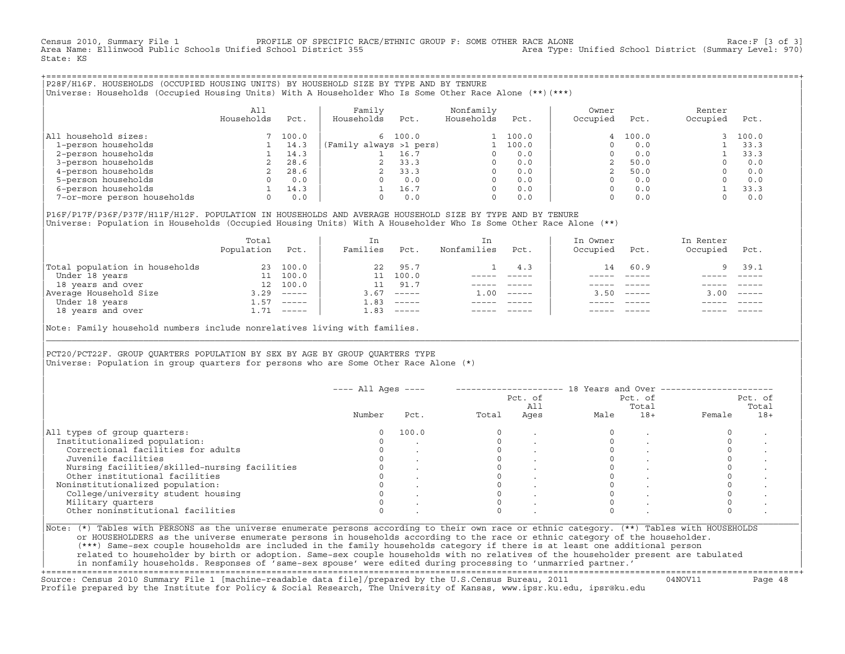Census 2010, Summary File 1 PROFILE OF SPECIFIC RACE/ETHNIC GROUP F: SOME OTHER RACE ALONE Race:F [3 of 3] Area Name: Ellinwood Public Schools Unified School District 355 State: KS

+===================================================================================================================================================+|P28F/H16F. HOUSEHOLDS (OCCUPIED HOUSING UNITS) BY HOUSEHOLD SIZE BY TYPE AND BY TENURE | |Universe: Households (Occupied Housing Units) With A Householder Who Is Some Other Race Alone (\*\*)(\*\*\*) |

|                             | All<br>Households | Pct.  | Family<br>Households    | Pct.    | Nonfamily<br>Households | Pct.  | Owner<br>Occupied | Pct.    | Renter<br>Occupied | Pct.  |
|-----------------------------|-------------------|-------|-------------------------|---------|-------------------------|-------|-------------------|---------|--------------------|-------|
| household sizes:<br>All     |                   | 100.0 |                         | 6 100.0 |                         | 100.0 |                   | 4 100.0 |                    | 100.0 |
| 1-person households         |                   | 14.3  | (Family always >1 pers) |         |                         | 100.0 |                   | 0.0     |                    | 33.3  |
| 2-person households         |                   | 14.3  |                         | 16.7    |                         | 0.0   |                   | 0.0     |                    | 33.3  |
| 3-person households         |                   | 28.6  |                         | 33.3    | $\Omega$                | 0.0   |                   | 50.0    |                    | 0.0   |
| 4-person households         |                   | 28.6  |                         | 33.3    | $\Omega$                | 0.0   |                   | 50.0    |                    | 0.0   |
| 5-person households         |                   | 0.0   |                         | 0.0     | $\Omega$                | 0.0   |                   | 0.0     |                    | 0.0   |
| 6-person households         |                   | 14.3  |                         | 16.7    | $\Omega$                | 0.0   |                   | 0.0     |                    | 33.3  |
| 7-or-more person households | $\Omega$          | 0.0   |                         | 0.0     | 0                       | 0.0   |                   | 0.0     |                    | 0.0   |

|P16F/P17F/P36F/P37F/H11F/H12F. POPULATION IN HOUSEHOLDS AND AVERAGE HOUSEHOLD SIZE BY TYPE AND BY TENURE | Universe: Population in Households (Occupied Housing Units) With A Householder Who Is Some Other Race Alone (\*\*)

|                                | Total<br>Population | Pct.                      | In<br>Families | Pct.                      | In<br>Nonfamilies | Pct.     | In Owner<br>Occupied | Pct.          | In Renter<br>Occupied | Pct.     |  |
|--------------------------------|---------------------|---------------------------|----------------|---------------------------|-------------------|----------|----------------------|---------------|-----------------------|----------|--|
| Total population in households | 23                  | 100.0                     | 22             | 95.7                      |                   | 4.3      | 14                   | 60.9          |                       | 39.1     |  |
| Under 18 years                 | 11                  | 100.0                     |                | 100.0                     |                   |          |                      |               |                       |          |  |
| 18 years and over              | 12 <sup>12</sup>    | 100.0                     |                | 91.7                      |                   |          |                      |               |                       |          |  |
| Average Household Size         | 3.29                | $\qquad \qquad - - - - -$ | 3.67           | $------$                  | 1.00              | $------$ | 3.50                 | $- - - - - -$ | 3.00                  | $------$ |  |
| Under 18 years                 | $\pm 0.57$          | $------$                  | 1.83           | $------$                  |                   |          |                      |               |                       |          |  |
| 18 years and over              |                     | $1.71$ -----              | 1.83           | $\qquad \qquad - - - - -$ |                   |          |                      |               |                       | $------$ |  |
|                                |                     |                           |                |                           |                   |          |                      |               |                       |          |  |

Note: Family household numbers include nonrelatives living with families.

| | PCT20/PCT22F. GROUP OUARTERS POPULATION BY SEX BY AGE BY GROUP OUARTERS TYPE Universe: Population in group quarters for persons who are Some Other Race Alone (\*)

|                                               |        |       |       | Pct. of<br>All |      | Pct. of<br>Total |        | Pct. of<br>Total |  |
|-----------------------------------------------|--------|-------|-------|----------------|------|------------------|--------|------------------|--|
|                                               | Number | Pct.  | Total | Ages           | Male | $18+$            | Female | $18+$            |  |
| All types of group quarters:                  |        | 100.0 |       |                |      |                  |        |                  |  |
| Institutionalized population:                 |        |       |       |                |      |                  |        |                  |  |
| Correctional facilities for adults            |        |       |       |                |      |                  |        |                  |  |
| Juvenile facilities                           |        |       |       |                |      |                  |        |                  |  |
| Nursing facilities/skilled-nursing facilities |        |       |       |                |      |                  |        |                  |  |
| Other institutional facilities                |        |       |       |                |      |                  |        |                  |  |
| Noninstitutionalized population:              |        |       |       |                |      |                  |        |                  |  |
| College/university student housing            |        |       |       |                |      |                  |        |                  |  |
| Military quarters                             |        |       |       |                |      |                  |        |                  |  |
| Other noninstitutional facilities             |        |       |       |                |      |                  |        |                  |  |

|\_\_\_\_\_\_\_\_\_\_\_\_\_\_\_\_\_\_\_\_\_\_\_\_\_\_\_\_\_\_\_\_\_\_\_\_\_\_\_\_\_\_\_\_\_\_\_\_\_\_\_\_\_\_\_\_\_\_\_\_\_\_\_\_\_\_\_\_\_\_\_\_\_\_\_\_\_\_\_\_\_\_\_\_\_\_\_\_\_\_\_\_\_\_\_\_\_\_\_\_\_\_\_\_\_\_\_\_\_\_\_\_\_\_\_\_\_\_\_\_\_\_\_\_\_\_\_\_\_\_\_\_\_\_\_\_\_\_\_\_\_\_\_\_\_\_\_|

| |

or HOUSEHOLDERS as the universe enumerate persons in households according to the race or ethnic category of the householder. | (\*\*\*) Same−sex couple households are included in the family households category if there is at least one additional person | | related to householder by birth or adoption. Same−sex couple households with no relatives of the householder present are tabulated | | in nonfamily households. Responses of 'same−sex spouse' were edited during processing to 'unmarried partner.' |

+===================================================================================================================================================+ Source: Census 2010 Summary File 1 [machine−readable data file]/prepared by the U.S.Census Bureau, 2011 04NOV11 Page 48 Profile prepared by the Institute for Policy & Social Research, The University of Kansas, www.ipsr.ku.edu, ipsr@ku.edu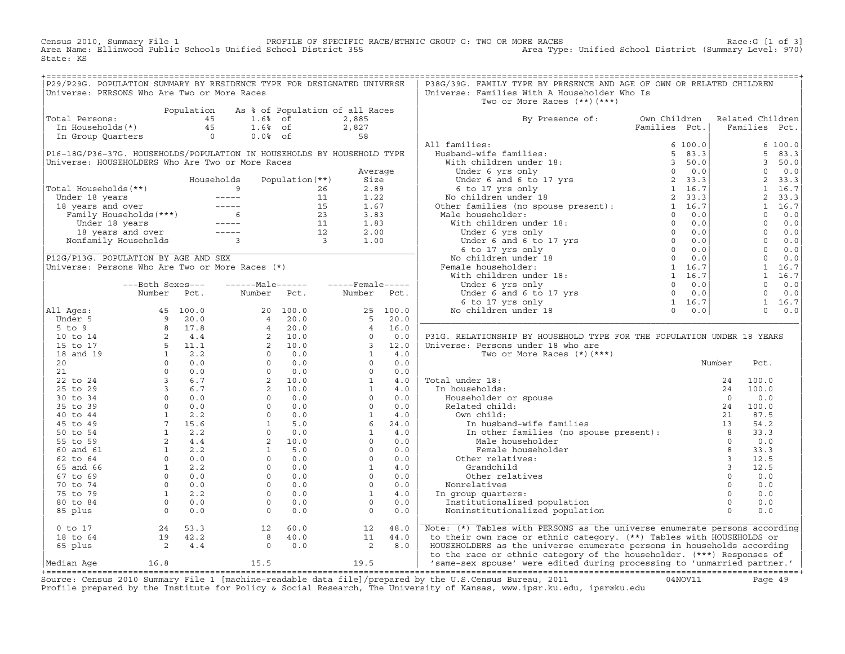Census 2010, Summary File 1 PROFILE OF SPECIFIC RACE/ETHNIC GROUP G: TWO OR MORE RACES Race:G [1 of 3] Area Name: Ellinwood Public Schools Unified School District 355 Area Type: Unified School District (Summary Level: 970) State: KS

| P29/P29G. POPULATION SUMMARY BY RESIDENCE TYPE FOR DESIGNATED UNIVERSE                                                                               |  |  |  | P38G/39G. FAMILY TYPE BY PRESENCE AND AGE OF OWN OR RELATED CHILDREN                                                                                                                                                          |  |  |
|------------------------------------------------------------------------------------------------------------------------------------------------------|--|--|--|-------------------------------------------------------------------------------------------------------------------------------------------------------------------------------------------------------------------------------|--|--|
| Universe: PERSONS Who Are Two or More Races                                                                                                          |  |  |  | Universe: Families With A Householder Who Is                                                                                                                                                                                  |  |  |
|                                                                                                                                                      |  |  |  | Two or More Races (**) (***)                                                                                                                                                                                                  |  |  |
|                                                                                                                                                      |  |  |  |                                                                                                                                                                                                                               |  |  |
|                                                                                                                                                      |  |  |  | By Presence of: Own Children Related Children<br>Families Pct.   Families Pct.                                                                                                                                                |  |  |
| Population As % of Population of all Races<br>Total Persons: 45 1.6% of 2,885<br>In Households(*) 45 1.6% of 2,827<br>In Group Quarters 0 0.0% of 58 |  |  |  |                                                                                                                                                                                                                               |  |  |
|                                                                                                                                                      |  |  |  |                                                                                                                                                                                                                               |  |  |
|                                                                                                                                                      |  |  |  |                                                                                                                                                                                                                               |  |  |
|                                                                                                                                                      |  |  |  |                                                                                                                                                                                                                               |  |  |
|                                                                                                                                                      |  |  |  |                                                                                                                                                                                                                               |  |  |
|                                                                                                                                                      |  |  |  |                                                                                                                                                                                                                               |  |  |
|                                                                                                                                                      |  |  |  |                                                                                                                                                                                                                               |  |  |
|                                                                                                                                                      |  |  |  |                                                                                                                                                                                                                               |  |  |
|                                                                                                                                                      |  |  |  |                                                                                                                                                                                                                               |  |  |
|                                                                                                                                                      |  |  |  |                                                                                                                                                                                                                               |  |  |
|                                                                                                                                                      |  |  |  |                                                                                                                                                                                                                               |  |  |
|                                                                                                                                                      |  |  |  |                                                                                                                                                                                                                               |  |  |
|                                                                                                                                                      |  |  |  |                                                                                                                                                                                                                               |  |  |
|                                                                                                                                                      |  |  |  |                                                                                                                                                                                                                               |  |  |
|                                                                                                                                                      |  |  |  |                                                                                                                                                                                                                               |  |  |
|                                                                                                                                                      |  |  |  |                                                                                                                                                                                                                               |  |  |
|                                                                                                                                                      |  |  |  |                                                                                                                                                                                                                               |  |  |
|                                                                                                                                                      |  |  |  |                                                                                                                                                                                                                               |  |  |
|                                                                                                                                                      |  |  |  |                                                                                                                                                                                                                               |  |  |
|                                                                                                                                                      |  |  |  |                                                                                                                                                                                                                               |  |  |
|                                                                                                                                                      |  |  |  |                                                                                                                                                                                                                               |  |  |
|                                                                                                                                                      |  |  |  |                                                                                                                                                                                                                               |  |  |
|                                                                                                                                                      |  |  |  |                                                                                                                                                                                                                               |  |  |
|                                                                                                                                                      |  |  |  | P31G. RELATIONSHIP BY HOUSEHOLD TYPE FOR THE POPULATION UNDER 18 YEARS                                                                                                                                                        |  |  |
|                                                                                                                                                      |  |  |  |                                                                                                                                                                                                                               |  |  |
|                                                                                                                                                      |  |  |  |                                                                                                                                                                                                                               |  |  |
|                                                                                                                                                      |  |  |  |                                                                                                                                                                                                                               |  |  |
|                                                                                                                                                      |  |  |  |                                                                                                                                                                                                                               |  |  |
|                                                                                                                                                      |  |  |  |                                                                                                                                                                                                                               |  |  |
|                                                                                                                                                      |  |  |  |                                                                                                                                                                                                                               |  |  |
|                                                                                                                                                      |  |  |  |                                                                                                                                                                                                                               |  |  |
|                                                                                                                                                      |  |  |  |                                                                                                                                                                                                                               |  |  |
|                                                                                                                                                      |  |  |  |                                                                                                                                                                                                                               |  |  |
|                                                                                                                                                      |  |  |  |                                                                                                                                                                                                                               |  |  |
|                                                                                                                                                      |  |  |  |                                                                                                                                                                                                                               |  |  |
|                                                                                                                                                      |  |  |  |                                                                                                                                                                                                                               |  |  |
|                                                                                                                                                      |  |  |  |                                                                                                                                                                                                                               |  |  |
|                                                                                                                                                      |  |  |  |                                                                                                                                                                                                                               |  |  |
|                                                                                                                                                      |  |  |  |                                                                                                                                                                                                                               |  |  |
|                                                                                                                                                      |  |  |  |                                                                                                                                                                                                                               |  |  |
|                                                                                                                                                      |  |  |  |                                                                                                                                                                                                                               |  |  |
|                                                                                                                                                      |  |  |  |                                                                                                                                                                                                                               |  |  |
|                                                                                                                                                      |  |  |  |                                                                                                                                                                                                                               |  |  |
|                                                                                                                                                      |  |  |  |                                                                                                                                                                                                                               |  |  |
|                                                                                                                                                      |  |  |  |                                                                                                                                                                                                                               |  |  |
|                                                                                                                                                      |  |  |  |                                                                                                                                                                                                                               |  |  |
|                                                                                                                                                      |  |  |  | 0 to 17 and 24 53.3 and 2 48.0 and 2 48.0 and 2 48.0 and 2 48.0 and 2 44.0 by their own race or ethnic category. (**) Tables with PERSONS as the universe enumerate persons according 18 to 64 and 42.2 and 44.0 by their own |  |  |
|                                                                                                                                                      |  |  |  |                                                                                                                                                                                                                               |  |  |

Source: Census 2010 Summary File 1 [machine-readable data file]/prepared by the U.S.Census Bureau, 2011 Page 49<br>Profile prepared by the Institute for Policy & Social Research, The University of Kansas, ww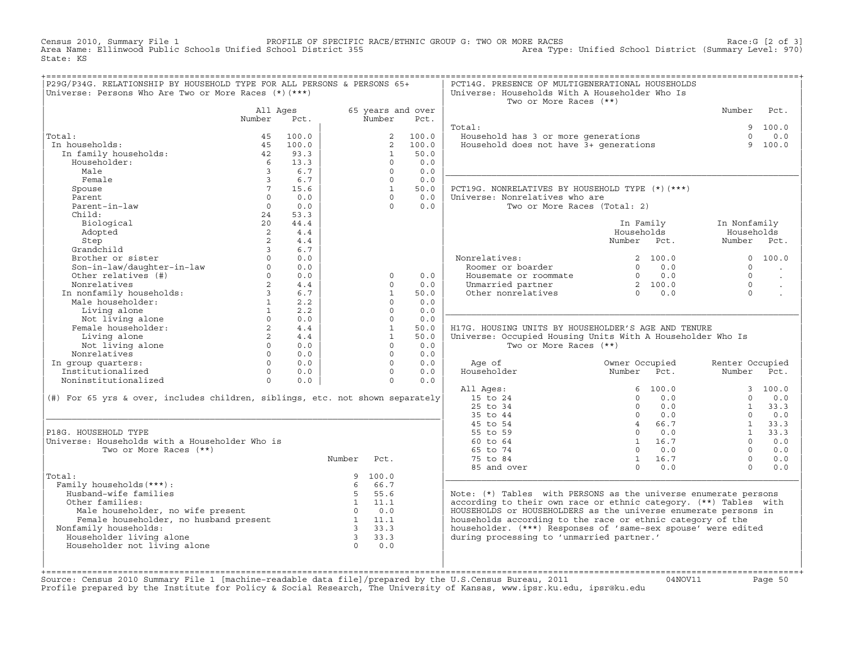Census 2010, Summary File 1 PROFILE OF SPECIFIC RACE/ETHNIC GROUP G: TWO OR MORE RACES Race:G [2 of 3] Area Name: Ellinwood Public Schools Unified School District 355 Area Type: Unified School District (Summary Level: 970) State: KS

|                                                                                                                                                                                                                                |                |            |                                                                                                                                                                                                                                                                                                                                                                                                                      |              |                   | PCT14G. PRESENCE OF MULTIGENERATIONAL HOUSEHOLDS                                  |                                                                                                                                                                                                                                                                                                                        |                 |         |
|--------------------------------------------------------------------------------------------------------------------------------------------------------------------------------------------------------------------------------|----------------|------------|----------------------------------------------------------------------------------------------------------------------------------------------------------------------------------------------------------------------------------------------------------------------------------------------------------------------------------------------------------------------------------------------------------------------|--------------|-------------------|-----------------------------------------------------------------------------------|------------------------------------------------------------------------------------------------------------------------------------------------------------------------------------------------------------------------------------------------------------------------------------------------------------------------|-----------------|---------|
| P29G/P34G. RELATIONSHIP BY HOUSEHOLD TYPE FOR ALL PERSONS & PERSONS 65+                                                                                                                                                        |                |            |                                                                                                                                                                                                                                                                                                                                                                                                                      |              |                   |                                                                                   |                                                                                                                                                                                                                                                                                                                        |                 |         |
| Universe: Persons Who Are Two or More Races (*) (***)                                                                                                                                                                          |                |            |                                                                                                                                                                                                                                                                                                                                                                                                                      |              |                   | Universe: Households With A Householder Who Is                                    |                                                                                                                                                                                                                                                                                                                        |                 |         |
|                                                                                                                                                                                                                                |                |            |                                                                                                                                                                                                                                                                                                                                                                                                                      |              |                   | Two or More Races (**)                                                            |                                                                                                                                                                                                                                                                                                                        |                 |         |
|                                                                                                                                                                                                                                | All Ages       |            |                                                                                                                                                                                                                                                                                                                                                                                                                      |              | 65 years and over |                                                                                   |                                                                                                                                                                                                                                                                                                                        | Number Pct.     |         |
|                                                                                                                                                                                                                                | Number Pct.    |            |                                                                                                                                                                                                                                                                                                                                                                                                                      | Number       | Pct.              |                                                                                   |                                                                                                                                                                                                                                                                                                                        |                 |         |
|                                                                                                                                                                                                                                |                |            |                                                                                                                                                                                                                                                                                                                                                                                                                      |              |                   | Total:                                                                            |                                                                                                                                                                                                                                                                                                                        |                 | 9 100.0 |
| Total:<br>% tal:<br>100.0<br>100.0<br>100.0<br>100.0<br>100.0<br>100.0<br>100.0<br>100.0<br>100.0<br>100.0<br>100.0<br>100.0<br>100.0<br>100.0<br>100.0<br>100.0<br>100.0<br>100.0<br>5 100.0<br>5 100.0<br>5 100.0            |                |            |                                                                                                                                                                                                                                                                                                                                                                                                                      |              | 2 100.0           | <br>Household has 3 or more generations<br>Household does not have 3+ generations |                                                                                                                                                                                                                                                                                                                        | $\Omega$        | 0.0     |
| In households:                                                                                                                                                                                                                 |                |            |                                                                                                                                                                                                                                                                                                                                                                                                                      |              | 2 100.0           |                                                                                   |                                                                                                                                                                                                                                                                                                                        |                 | 9 100.0 |
|                                                                                                                                                                                                                                |                |            |                                                                                                                                                                                                                                                                                                                                                                                                                      | $\mathbf{1}$ | 50.0              |                                                                                   |                                                                                                                                                                                                                                                                                                                        |                 |         |
|                                                                                                                                                                                                                                |                |            |                                                                                                                                                                                                                                                                                                                                                                                                                      | $\circ$      | 0.0               |                                                                                   |                                                                                                                                                                                                                                                                                                                        |                 |         |
| Male                                                                                                                                                                                                                           |                | 3 6.7      |                                                                                                                                                                                                                                                                                                                                                                                                                      | $\Omega$     | 0.0               |                                                                                   |                                                                                                                                                                                                                                                                                                                        |                 |         |
| Female                                                                                                                                                                                                                         |                | 3 6.7      |                                                                                                                                                                                                                                                                                                                                                                                                                      | $\Omega$     | 0.0               |                                                                                   |                                                                                                                                                                                                                                                                                                                        |                 |         |
| Spouse                                                                                                                                                                                                                         |                | 7 15.6     |                                                                                                                                                                                                                                                                                                                                                                                                                      | $\mathbf{1}$ | 50.0              | PCT19G. NONRELATIVES BY HOUSEHOLD TYPE $(*)$ (***)                                |                                                                                                                                                                                                                                                                                                                        |                 |         |
| Parent                                                                                                                                                                                                                         |                | $0 \t 0.0$ |                                                                                                                                                                                                                                                                                                                                                                                                                      | $\Omega$     | 0.0               | Universe: Nonrelatives who are                                                    |                                                                                                                                                                                                                                                                                                                        |                 |         |
| Parent-in-law                                                                                                                                                                                                                  | $\overline{0}$ | 0.0        |                                                                                                                                                                                                                                                                                                                                                                                                                      |              | $0 \t 0.0$        | Two or More Races (Total: 2)                                                      |                                                                                                                                                                                                                                                                                                                        |                 |         |
| Child:                                                                                                                                                                                                                         |                | 24 53.3    |                                                                                                                                                                                                                                                                                                                                                                                                                      |              |                   |                                                                                   |                                                                                                                                                                                                                                                                                                                        |                 |         |
| Biological                                                                                                                                                                                                                     |                | 20 44.4    |                                                                                                                                                                                                                                                                                                                                                                                                                      |              |                   |                                                                                   | In Family                                                                                                                                                                                                                                                                                                              | In Nonfamily    |         |
| Adopted                                                                                                                                                                                                                        | 2              | 4.4        |                                                                                                                                                                                                                                                                                                                                                                                                                      |              |                   |                                                                                   | Households                                                                                                                                                                                                                                                                                                             | Households      |         |
|                                                                                                                                                                                                                                | $\overline{2}$ | 4.4        |                                                                                                                                                                                                                                                                                                                                                                                                                      |              |                   |                                                                                   | Number Pct.                                                                                                                                                                                                                                                                                                            | Number Pct.     |         |
| Step<br>Grandchild                                                                                                                                                                                                             |                | 3 6.7      |                                                                                                                                                                                                                                                                                                                                                                                                                      |              |                   |                                                                                   |                                                                                                                                                                                                                                                                                                                        |                 |         |
|                                                                                                                                                                                                                                |                |            |                                                                                                                                                                                                                                                                                                                                                                                                                      |              |                   |                                                                                   |                                                                                                                                                                                                                                                                                                                        |                 |         |
|                                                                                                                                                                                                                                |                |            |                                                                                                                                                                                                                                                                                                                                                                                                                      |              |                   |                                                                                   |                                                                                                                                                                                                                                                                                                                        |                 |         |
|                                                                                                                                                                                                                                |                |            |                                                                                                                                                                                                                                                                                                                                                                                                                      |              |                   |                                                                                   |                                                                                                                                                                                                                                                                                                                        |                 |         |
| Grandchild<br>Brother or sister<br>Son-in-law/daughter-in-law<br>Other relatives (#)<br>$0$ 0.0<br>$0.0$<br>$0.0$<br>$0.0$<br>$0.0$<br>$0.0$<br>$0.0$<br>$0.0$                                                                 |                |            |                                                                                                                                                                                                                                                                                                                                                                                                                      | $\Omega$     | 0.0               |                                                                                   |                                                                                                                                                                                                                                                                                                                        |                 |         |
| Nonrelatives                                                                                                                                                                                                                   |                | 2 4.4      |                                                                                                                                                                                                                                                                                                                                                                                                                      | $\Omega$     | 0.0               |                                                                                   |                                                                                                                                                                                                                                                                                                                        |                 |         |
|                                                                                                                                                                                                                                |                |            |                                                                                                                                                                                                                                                                                                                                                                                                                      | $\mathbf{1}$ | 50.0              |                                                                                   |                                                                                                                                                                                                                                                                                                                        |                 |         |
|                                                                                                                                                                                                                                |                |            |                                                                                                                                                                                                                                                                                                                                                                                                                      | $\circ$      | 0.0               |                                                                                   |                                                                                                                                                                                                                                                                                                                        |                 |         |
|                                                                                                                                                                                                                                |                |            |                                                                                                                                                                                                                                                                                                                                                                                                                      |              | 0.0               |                                                                                   |                                                                                                                                                                                                                                                                                                                        |                 |         |
|                                                                                                                                                                                                                                |                |            |                                                                                                                                                                                                                                                                                                                                                                                                                      |              | 0.0               |                                                                                   |                                                                                                                                                                                                                                                                                                                        |                 |         |
|                                                                                                                                                                                                                                |                |            |                                                                                                                                                                                                                                                                                                                                                                                                                      |              | 50.0              | H17G. HOUSING UNITS BY HOUSEHOLDER'S AGE AND TENURE                               |                                                                                                                                                                                                                                                                                                                        |                 |         |
|                                                                                                                                                                                                                                |                |            |                                                                                                                                                                                                                                                                                                                                                                                                                      |              | 50.0              | Universe: Occupied Housing Units With A Householder Who Is                        |                                                                                                                                                                                                                                                                                                                        |                 |         |
|                                                                                                                                                                                                                                |                |            |                                                                                                                                                                                                                                                                                                                                                                                                                      |              | 0.0               | Two or More Races (**)                                                            |                                                                                                                                                                                                                                                                                                                        |                 |         |
|                                                                                                                                                                                                                                |                |            |                                                                                                                                                                                                                                                                                                                                                                                                                      |              | 0.0               |                                                                                   |                                                                                                                                                                                                                                                                                                                        |                 |         |
|                                                                                                                                                                                                                                |                |            | $\begin{array}{ccc} 0 & & & \\ 1 & & 50 \, . \\ 1 & & 50 \, . \\ 0 & & & \\ 0 & & & \\ 0 & & & \\ 0 & & & \\ 0 & & & \\ 0 & & & \\ 0 & & & \\ 0 & & & \\ 0 & & & \\ 0 & & & \\ 0 & & & \\ 0 & & & \\ 0 & & & \\ 0 & & & \\ 0 & & & \\ 0 & & & \\ 0 & & & \\ 0 & & & \\ 0 & & & \\ 0 & & & \\ 0 & & & \\ 0 & & & \\ 0 & & & & \\ 0 & & & & \\ 0 & & & & \\ 0 & & & & \\ 0 & & & & \\ 0 & & & & \\ 0 & & & & & \\ 0 &$ |              | $0 \qquad 0.0$    |                                                                                   |                                                                                                                                                                                                                                                                                                                        | Renter Occupied |         |
|                                                                                                                                                                                                                                |                |            |                                                                                                                                                                                                                                                                                                                                                                                                                      |              | $0 \qquad 0.0$    |                                                                                   |                                                                                                                                                                                                                                                                                                                        | Number Pct.     |         |
| Volume I and the Montel air of the Montel air of the Montel air of the Montel air of the Montel air of the Montel air of the Mot living alone and the Mot living alone and the Mot living alone and the Mot living alone and t |                |            |                                                                                                                                                                                                                                                                                                                                                                                                                      |              | $\Omega$<br>0.0   |                                                                                   |                                                                                                                                                                                                                                                                                                                        |                 |         |
|                                                                                                                                                                                                                                |                |            |                                                                                                                                                                                                                                                                                                                                                                                                                      |              |                   | All Ages:                                                                         |                                                                                                                                                                                                                                                                                                                        |                 |         |
| (#) For 65 yrs & over, includes children, siblings, etc. not shown separately                                                                                                                                                  |                |            |                                                                                                                                                                                                                                                                                                                                                                                                                      |              |                   | 15 to 24                                                                          |                                                                                                                                                                                                                                                                                                                        |                 |         |
|                                                                                                                                                                                                                                |                |            |                                                                                                                                                                                                                                                                                                                                                                                                                      |              |                   | 25 to 34                                                                          |                                                                                                                                                                                                                                                                                                                        |                 |         |
|                                                                                                                                                                                                                                |                |            |                                                                                                                                                                                                                                                                                                                                                                                                                      |              |                   | 35 to 44                                                                          |                                                                                                                                                                                                                                                                                                                        |                 |         |
|                                                                                                                                                                                                                                |                |            |                                                                                                                                                                                                                                                                                                                                                                                                                      |              |                   | 45 to 54                                                                          |                                                                                                                                                                                                                                                                                                                        |                 |         |
| P18G. HOUSEHOLD TYPE                                                                                                                                                                                                           |                |            |                                                                                                                                                                                                                                                                                                                                                                                                                      |              |                   | 55 to 59                                                                          |                                                                                                                                                                                                                                                                                                                        |                 |         |
| Universe: Households with a Householder Who is                                                                                                                                                                                 |                |            |                                                                                                                                                                                                                                                                                                                                                                                                                      |              |                   | 60 to 64                                                                          | $\begin{array}{cccccc} 6 & 100.0 & & & & & 3 & 100.0 \\ 0 & 0.0 & & & & 0 & 0.0 \\ 0 & 0.0 & & & & 1 & 33.3 \\ 0 & 0.0 & & & & 0 & 0.0 \\ 4 & 66.7 & & & 1 & 33.3 \\ 1 & 16.7 & & & 0 & 0.0 \\ 0 & 0.0 & & & 1 & 33.3 \\ 1 & 16.7 & & & 0 & 0.0 \\ 0 & 0.0 & & & & 0 & 0.0 \\ 1 & 16.7 & & & & 0 & 0.0 \\ \end{array}$ |                 |         |
| Two or More Races (**)                                                                                                                                                                                                         |                |            |                                                                                                                                                                                                                                                                                                                                                                                                                      |              |                   | 65 to 74                                                                          |                                                                                                                                                                                                                                                                                                                        |                 |         |
|                                                                                                                                                                                                                                |                |            | Number Pct.                                                                                                                                                                                                                                                                                                                                                                                                          |              |                   | 75 to 84                                                                          |                                                                                                                                                                                                                                                                                                                        |                 |         |
|                                                                                                                                                                                                                                |                |            |                                                                                                                                                                                                                                                                                                                                                                                                                      |              |                   | 85 and over                                                                       | $\begin{array}{cc} 1 & 16.7 \\ 0 & 0.0 \end{array}$                                                                                                                                                                                                                                                                    | $\Omega$        | 0.0     |
| Total:                                                                                                                                                                                                                         |                |            |                                                                                                                                                                                                                                                                                                                                                                                                                      | 9 100.0      |                   |                                                                                   |                                                                                                                                                                                                                                                                                                                        |                 |         |
| Family households (***) :                                                                                                                                                                                                      |                |            |                                                                                                                                                                                                                                                                                                                                                                                                                      | 6 66.7       |                   |                                                                                   |                                                                                                                                                                                                                                                                                                                        |                 |         |
| Husband-wife families                                                                                                                                                                                                          |                |            |                                                                                                                                                                                                                                                                                                                                                                                                                      | 5 55.6       |                   | Note: (*) Tables with PERSONS as the universe enumerate persons                   |                                                                                                                                                                                                                                                                                                                        |                 |         |
| Other families:                                                                                                                                                                                                                |                |            | $1 \qquad 11.1$                                                                                                                                                                                                                                                                                                                                                                                                      |              |                   | according to their own race or ethnic category. (**) Tables with                  |                                                                                                                                                                                                                                                                                                                        |                 |         |
|                                                                                                                                                                                                                                |                |            |                                                                                                                                                                                                                                                                                                                                                                                                                      |              |                   | HOUSEHOLDS or HOUSEHOLDERS as the universe enumerate persons in                   |                                                                                                                                                                                                                                                                                                                        |                 |         |
|                                                                                                                                                                                                                                |                |            |                                                                                                                                                                                                                                                                                                                                                                                                                      |              |                   | households according to the race or ethnic category of the                        |                                                                                                                                                                                                                                                                                                                        |                 |         |
| Nonfamily households:                                                                                                                                                                                                          |                |            |                                                                                                                                                                                                                                                                                                                                                                                                                      |              |                   | householder. (***) Responses of 'same-sex spouse' were edited                     |                                                                                                                                                                                                                                                                                                                        |                 |         |
| Householder living alone                                                                                                                                                                                                       |                |            |                                                                                                                                                                                                                                                                                                                                                                                                                      |              |                   | during processing to 'unmarried partner.'                                         |                                                                                                                                                                                                                                                                                                                        |                 |         |
| Householder not living alone                                                                                                                                                                                                   |                |            |                                                                                                                                                                                                                                                                                                                                                                                                                      |              |                   |                                                                                   |                                                                                                                                                                                                                                                                                                                        |                 |         |
|                                                                                                                                                                                                                                |                |            |                                                                                                                                                                                                                                                                                                                                                                                                                      |              |                   |                                                                                   |                                                                                                                                                                                                                                                                                                                        |                 |         |
|                                                                                                                                                                                                                                |                |            |                                                                                                                                                                                                                                                                                                                                                                                                                      |              |                   |                                                                                   |                                                                                                                                                                                                                                                                                                                        |                 |         |
|                                                                                                                                                                                                                                |                |            |                                                                                                                                                                                                                                                                                                                                                                                                                      |              |                   |                                                                                   |                                                                                                                                                                                                                                                                                                                        |                 |         |

+===================================================================================================================================================+Source: Census 2010 Summary File 1 [machine−readable data file]/prepared by the U.S.Census Bureau, 2011 04NOV11 Page 50 Profile prepared by the Institute for Policy & Social Research, The University of Kansas, www.ipsr.ku.edu, ipsr@ku.edu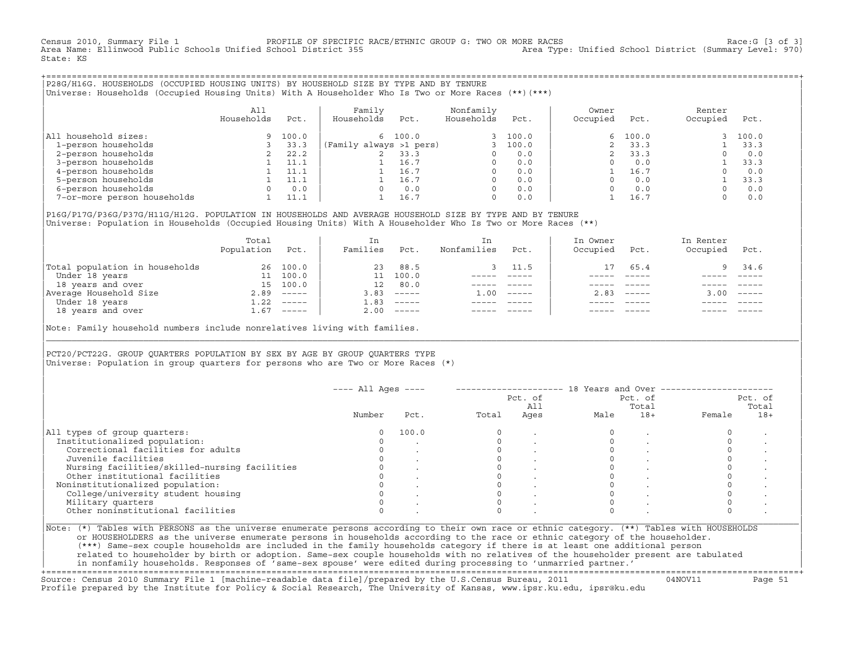Census 2010, Summary File 1 PROFILE OF SPECIFIC RACE/ETHNIC GROUP G: TWO OR MORE RACES Race:G [3 of 3] Area Type: Unified School District (Summary Level: 970) State: KS

+===================================================================================================================================================+|P28G/H16G. HOUSEHOLDS (OCCUPIED HOUSING UNITS) BY HOUSEHOLD SIZE BY TYPE AND BY TENURE | |Universe: Households (Occupied Housing Units) With A Householder Who Is Two or More Races (\*\*)(\*\*\*) |

|                             | All<br>Households | Pct.  | Family<br>Households    | Pct.    | Nonfamily<br>Households | Pct.    | Owner<br>Occupied | Pct.  | Renter<br>Occupied | Pct.  |
|-----------------------------|-------------------|-------|-------------------------|---------|-------------------------|---------|-------------------|-------|--------------------|-------|
| All household sizes:        |                   | 100.0 |                         | 6 100.0 |                         | 3 100.0 | 6                 | 100.0 |                    | 100.0 |
| 1-person households         |                   | 33.3  | (Family always >1 pers) |         |                         | 100.0   |                   | 33.3  |                    | 33.3  |
| 2-person households         |                   | 22.2  |                         | 33.3    |                         | 0.0     |                   | 33.3  |                    | 0.0   |
| 3-person households         |                   | 11.1  |                         | 16.7    | $\Omega$                | 0.0     |                   | 0.0   |                    | 33.3  |
| 4-person households         |                   | 11.1  |                         | 16.7    | $\Omega$                | 0.0     |                   | 16.7  |                    | 0.0   |
| 5-person households         |                   | 11.1  |                         | 16.7    | $\Omega$                | 0.0     |                   | 0.0   |                    | 33.3  |
| 6-person households         |                   | 0.0   |                         | 0.0     | $\Omega$                | 0.0     |                   | 0.0   |                    | 0.0   |
| 7-or-more person households |                   | 11.1  |                         | 16.7    | $\mathbf 0$             | 0.0     |                   | 16.7  |                    | 0.0   |

|P16G/P17G/P36G/P37G/H11G/H12G. POPULATION IN HOUSEHOLDS AND AVERAGE HOUSEHOLD SIZE BY TYPE AND BY TENURE | Universe: Population in Households (Occupied Housing Units) With A Householder Who Is Two or More Races (\*\*)

|                                | Total<br>Population | Pct.     | In<br>Families  | Pct.     | In.<br>Nonfamilies | Pct.     | In Owner<br>Occupied | Pct.          | In Renter<br>Occupied | Pct.                      |
|--------------------------------|---------------------|----------|-----------------|----------|--------------------|----------|----------------------|---------------|-----------------------|---------------------------|
| Total population in households | 26                  | 100.0    | 23              | 88.5     |                    | 3 11.5   | $17^{1}$             | 65.4          | 9                     | 34.6                      |
| Under 18 years                 | 11                  | 100.0    |                 | 100.0    |                    |          |                      |               |                       |                           |
| 18 years and over              | 15                  | 100.0    | 12 <sup>°</sup> | 80.0     |                    |          |                      |               |                       |                           |
| Average Household Size         | 2.89                | $------$ | 3.83            | $------$ | 1.00               | $------$ | 2.83                 | $- - - - - -$ | 3.00                  | $\qquad \qquad - - - - -$ |
| Under 18 years                 | 1.22                | $------$ | 1.83            | $------$ |                    |          |                      |               |                       |                           |
| 18 years and over              | 1.67                |          | 2.00            |          |                    |          |                      | $- - - - -$   |                       | $- - - - -$               |
|                                |                     |          |                 |          |                    |          |                      |               |                       |                           |

Note: Family household numbers include nonrelatives living with families.

| | PCT20/PCT22G. GROUP OUARTERS POPULATION BY SEX BY AGE BY GROUP OUARTERS TYPE Universe: Population in group quarters for persons who are Two or More Races (\*)

|                                               |        | $---$ All Ages $---$ |       | Pct. of<br>All |      | Pct. of<br>Total |        | Pct. of<br>Total |
|-----------------------------------------------|--------|----------------------|-------|----------------|------|------------------|--------|------------------|
|                                               | Number | Pct.                 | Total | Ages           | Male | $18+$            | Female | $18+$            |
| All types of group quarters:                  |        | 100.0                |       |                |      |                  |        |                  |
| Institutionalized population:                 |        |                      |       |                |      |                  |        |                  |
| Correctional facilities for adults            |        |                      |       |                |      |                  |        |                  |
| Juvenile facilities                           |        |                      |       |                |      |                  |        |                  |
| Nursing facilities/skilled-nursing facilities |        |                      |       |                |      |                  |        |                  |
| Other institutional facilities                |        |                      |       |                |      |                  |        |                  |
| Noninstitutionalized population:              |        |                      |       |                |      |                  |        |                  |
| College/university student housing            |        |                      |       |                |      |                  |        |                  |
| Military quarters                             |        |                      |       |                |      |                  |        |                  |
| Other noninstitutional facilities             |        |                      |       |                |      |                  |        |                  |

|\_\_\_\_\_\_\_\_\_\_\_\_\_\_\_\_\_\_\_\_\_\_\_\_\_\_\_\_\_\_\_\_\_\_\_\_\_\_\_\_\_\_\_\_\_\_\_\_\_\_\_\_\_\_\_\_\_\_\_\_\_\_\_\_\_\_\_\_\_\_\_\_\_\_\_\_\_\_\_\_\_\_\_\_\_\_\_\_\_\_\_\_\_\_\_\_\_\_\_\_\_\_\_\_\_\_\_\_\_\_\_\_\_\_\_\_\_\_\_\_\_\_\_\_\_\_\_\_\_\_\_\_\_\_\_\_\_\_\_\_\_\_\_\_\_\_\_|

| |

or HOUSEHOLDERS as the universe enumerate persons in households according to the race or ethnic category of the householder. | (\*\*\*) Same−sex couple households are included in the family households category if there is at least one additional person | | related to householder by birth or adoption. Same−sex couple households with no relatives of the householder present are tabulated | | in nonfamily households. Responses of 'same−sex spouse' were edited during processing to 'unmarried partner.' |

+===================================================================================================================================================+ Source: Census 2010 Summary File 1 [machine−readable data file]/prepared by the U.S.Census Bureau, 2011 04NOV11 Page 51 Profile prepared by the Institute for Policy & Social Research, The University of Kansas, www.ipsr.ku.edu, ipsr@ku.edu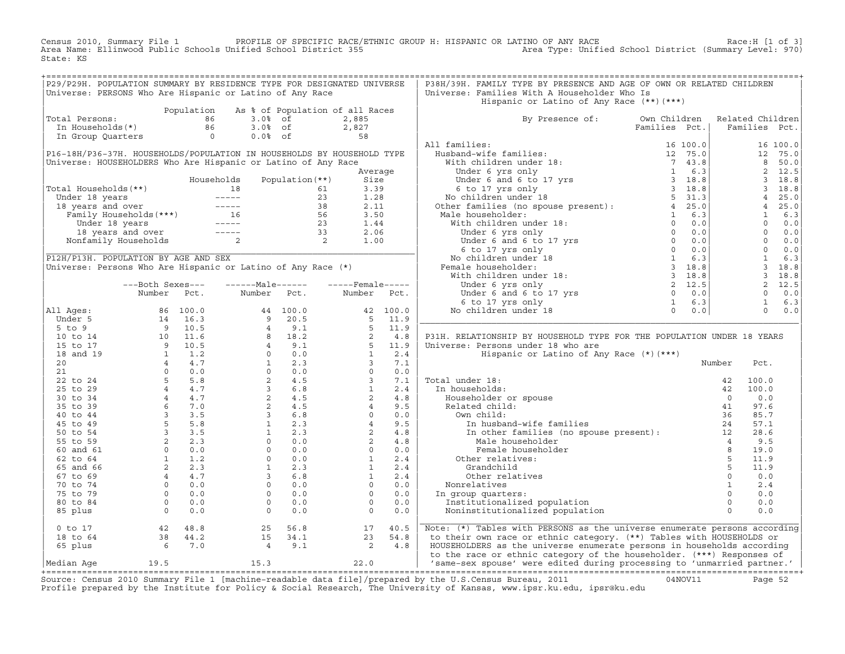Census 2010, Summary File 1 PROFILE OF SPECIFIC RACE/ETHNIC GROUP H: HISPANIC OR LATINO OF ANY RACE<br>Area Name: Ellinwood Public Schools Unified School District 355 Area Type: Unified Sc State: KS

| P29/P29H. POPULATION SUMMARY BY RESIDENCE TYPE FOR DESIGNATED UNIVERSE<br>Universe: PERSONS Who Are Hispanic or Latino of Any Race                                                                                                                   |                  |      |                                                                                                                                                                                                                                                |                 |                  |      | P38H/39H. FAMILY TYPE BY PRESENCE AND AGE OF OWN OR RELATED CHILDREN<br>Universe: Families With A Householder Who Is                             |               |                                                                                                                                                                                    |                                                      |                   |
|------------------------------------------------------------------------------------------------------------------------------------------------------------------------------------------------------------------------------------------------------|------------------|------|------------------------------------------------------------------------------------------------------------------------------------------------------------------------------------------------------------------------------------------------|-----------------|------------------|------|--------------------------------------------------------------------------------------------------------------------------------------------------|---------------|------------------------------------------------------------------------------------------------------------------------------------------------------------------------------------|------------------------------------------------------|-------------------|
|                                                                                                                                                                                                                                                      |                  |      |                                                                                                                                                                                                                                                |                 |                  |      | Hispanic or Latino of Any Race (**) (***)                                                                                                        |               |                                                                                                                                                                                    |                                                      |                   |
| Total Persons:                                                                                                                                                                                                                                       |                  |      | Population As % of Population of all Races<br>otal Persons: $\begin{array}{ccc} 1 & 86 & 3.0\frac{8}{100} & 61 \\ \text{In Households(*)} & 86 & 3.0\frac{8}{100} & 61 \\ \text{In Group Quarters} & 0 & 0.0\frac{8}{100} & 61 \\ \end{array}$ |                 | 2,885            |      | By Presence of: Own Children                                                                                                                     |               | Related Children                                                                                                                                                                   |                                                      |                   |
|                                                                                                                                                                                                                                                      |                  |      |                                                                                                                                                                                                                                                |                 | $2,827$<br>58    |      |                                                                                                                                                  | Families Pct. |                                                                                                                                                                                    | Families Pct.                                        |                   |
|                                                                                                                                                                                                                                                      |                  |      |                                                                                                                                                                                                                                                |                 |                  |      |                                                                                                                                                  |               |                                                                                                                                                                                    |                                                      |                   |
|                                                                                                                                                                                                                                                      |                  |      |                                                                                                                                                                                                                                                |                 |                  |      | All families:                                                                                                                                    |               |                                                                                                                                                                                    |                                                      | 16 100.0          |
| P16-18H/P36-37H. HOUSEHOLDS/POPULATION IN HOUSEHOLDS BY HOUSEHOLD TYPE                                                                                                                                                                               |                  |      |                                                                                                                                                                                                                                                |                 |                  |      |                                                                                                                                                  |               |                                                                                                                                                                                    |                                                      | 12 75.0<br>8 50.0 |
| Universe: HOUSEHOLDERS Who Are Hispanic or Latino of Any Race                                                                                                                                                                                        |                  |      |                                                                                                                                                                                                                                                |                 | Average          |      |                                                                                                                                                  |               |                                                                                                                                                                                    |                                                      | 2 12.5            |
|                                                                                                                                                                                                                                                      |                  |      | Households                                                                                                                                                                                                                                     | Population (**) | Size             |      |                                                                                                                                                  |               |                                                                                                                                                                                    |                                                      | $3 \t18.8$        |
| Total Households (**)                                                                                                                                                                                                                                |                  |      |                                                                                                                                                                                                                                                |                 | 3.39             |      |                                                                                                                                                  |               |                                                                                                                                                                                    |                                                      | 3 18.8            |
|                                                                                                                                                                                                                                                      |                  |      |                                                                                                                                                                                                                                                |                 | 1.28             |      |                                                                                                                                                  |               |                                                                                                                                                                                    |                                                      | 4 25.0            |
|                                                                                                                                                                                                                                                      |                  |      | Variation (* 1991)<br>Cotal Households (* * )<br>Under 18 years and over and over the series of the series of the series of the series of the series of the series of the series of the series of the series of the series of the              |                 | 2.11             |      |                                                                                                                                                  |               | $\left.\begin{array}{ccccc} & 4 & 25 \\ & 4 & 25 \\ & 1 & 6 \\ & 0 & 0 \\ & 0 & 0 \\ & 0 & 0 \\ & 0 & 0 \\ & 1 & 6.3 \\ & 3 & 18.8 \\ & 3 & 18.8 \\ & 2 & 12.5 \end{array}\right $ |                                                      |                   |
|                                                                                                                                                                                                                                                      |                  |      |                                                                                                                                                                                                                                                |                 | 3.50             |      |                                                                                                                                                  |               |                                                                                                                                                                                    |                                                      |                   |
|                                                                                                                                                                                                                                                      |                  |      |                                                                                                                                                                                                                                                |                 | 1.44             |      |                                                                                                                                                  |               |                                                                                                                                                                                    |                                                      |                   |
|                                                                                                                                                                                                                                                      |                  |      |                                                                                                                                                                                                                                                |                 | 2.06             |      |                                                                                                                                                  |               |                                                                                                                                                                                    |                                                      |                   |
|                                                                                                                                                                                                                                                      |                  |      |                                                                                                                                                                                                                                                |                 | 1.00             |      |                                                                                                                                                  |               |                                                                                                                                                                                    |                                                      |                   |
|                                                                                                                                                                                                                                                      |                  |      |                                                                                                                                                                                                                                                |                 |                  |      |                                                                                                                                                  |               |                                                                                                                                                                                    |                                                      |                   |
| P12H/P13H. POPULATION BY AGE AND SEX                                                                                                                                                                                                                 |                  |      |                                                                                                                                                                                                                                                |                 |                  |      |                                                                                                                                                  |               |                                                                                                                                                                                    |                                                      |                   |
| Universe: Persons Who Are Hispanic or Latino of Any Race (*)                                                                                                                                                                                         |                  |      |                                                                                                                                                                                                                                                |                 |                  |      | NO CHILALEN UNDER<br>Female householder:                                                                                                         |               |                                                                                                                                                                                    |                                                      |                   |
|                                                                                                                                                                                                                                                      |                  |      |                                                                                                                                                                                                                                                |                 |                  |      |                                                                                                                                                  |               |                                                                                                                                                                                    |                                                      |                   |
|                                                                                                                                                                                                                                                      | ---Both Sexes--- |      | ------Male------                                                                                                                                                                                                                               |                 | -----Female----- |      |                                                                                                                                                  |               |                                                                                                                                                                                    |                                                      |                   |
|                                                                                                                                                                                                                                                      | Number           | Pct. | Number Pct. Number Pct.                                                                                                                                                                                                                        |                 |                  |      |                                                                                                                                                  |               |                                                                                                                                                                                    |                                                      | $0 \t 0.0$        |
|                                                                                                                                                                                                                                                      |                  |      |                                                                                                                                                                                                                                                |                 |                  |      |                                                                                                                                                  |               |                                                                                                                                                                                    |                                                      | $1 \t 6.3$        |
| All Ages:                                                                                                                                                                                                                                            |                  |      |                                                                                                                                                                                                                                                |                 |                  |      |                                                                                                                                                  |               |                                                                                                                                                                                    | $\begin{matrix} 1 & 0 & 0 \\ 0 & 0 & 0 \end{matrix}$ |                   |
|                                                                                                                                                                                                                                                      |                  |      |                                                                                                                                                                                                                                                |                 |                  |      |                                                                                                                                                  |               |                                                                                                                                                                                    |                                                      |                   |
|                                                                                                                                                                                                                                                      |                  |      |                                                                                                                                                                                                                                                |                 |                  |      |                                                                                                                                                  |               |                                                                                                                                                                                    |                                                      |                   |
|                                                                                                                                                                                                                                                      |                  |      |                                                                                                                                                                                                                                                |                 |                  |      | P31H. RELATIONSHIP BY HOUSEHOLD TYPE FOR THE POPULATION UNDER 18 YEARS                                                                           |               |                                                                                                                                                                                    |                                                      |                   |
|                                                                                                                                                                                                                                                      |                  |      |                                                                                                                                                                                                                                                |                 |                  |      | Universe: Persons under 18 who are                                                                                                               |               |                                                                                                                                                                                    |                                                      |                   |
|                                                                                                                                                                                                                                                      |                  |      |                                                                                                                                                                                                                                                |                 |                  |      | Hispanic or Latino of Any Race (*) (***)                                                                                                         |               |                                                                                                                                                                                    |                                                      |                   |
|                                                                                                                                                                                                                                                      |                  |      |                                                                                                                                                                                                                                                |                 |                  |      |                                                                                                                                                  |               | Number                                                                                                                                                                             | Pct.                                                 |                   |
|                                                                                                                                                                                                                                                      |                  |      |                                                                                                                                                                                                                                                |                 |                  |      |                                                                                                                                                  |               |                                                                                                                                                                                    |                                                      |                   |
|                                                                                                                                                                                                                                                      |                  |      |                                                                                                                                                                                                                                                |                 |                  |      | Total under 18:                                                                                                                                  |               |                                                                                                                                                                                    | 100.0                                                |                   |
|                                                                                                                                                                                                                                                      |                  |      |                                                                                                                                                                                                                                                |                 |                  |      | In households:                                                                                                                                   |               |                                                                                                                                                                                    | 100.0                                                |                   |
|                                                                                                                                                                                                                                                      |                  |      |                                                                                                                                                                                                                                                |                 |                  |      | Householder or spouse                                                                                                                            |               |                                                                                                                                                                                    | 0.0                                                  |                   |
|                                                                                                                                                                                                                                                      |                  |      |                                                                                                                                                                                                                                                |                 |                  |      | Related child:                                                                                                                                   |               |                                                                                                                                                                                    | 97.6                                                 |                   |
|                                                                                                                                                                                                                                                      |                  |      |                                                                                                                                                                                                                                                |                 |                  |      | Own child:                                                                                                                                       |               |                                                                                                                                                                                    | 85.7                                                 |                   |
|                                                                                                                                                                                                                                                      |                  |      |                                                                                                                                                                                                                                                |                 |                  |      |                                                                                                                                                  |               |                                                                                                                                                                                    | 57.1                                                 |                   |
|                                                                                                                                                                                                                                                      |                  |      |                                                                                                                                                                                                                                                |                 |                  |      |                                                                                                                                                  |               |                                                                                                                                                                                    | 28.6                                                 |                   |
|                                                                                                                                                                                                                                                      |                  |      |                                                                                                                                                                                                                                                |                 |                  |      |                                                                                                                                                  |               |                                                                                                                                                                                    | 9.5                                                  |                   |
|                                                                                                                                                                                                                                                      |                  |      |                                                                                                                                                                                                                                                |                 |                  |      | Female householder                                                                                                                               |               | 8 <sup>8</sup>                                                                                                                                                                     | 19.0                                                 |                   |
|                                                                                                                                                                                                                                                      |                  |      |                                                                                                                                                                                                                                                |                 |                  |      | Other relatives:                                                                                                                                 |               | 5 <sup>5</sup>                                                                                                                                                                     | 11.9                                                 |                   |
|                                                                                                                                                                                                                                                      |                  |      |                                                                                                                                                                                                                                                |                 |                  |      | Grandchild                                                                                                                                       |               | 5                                                                                                                                                                                  | 11.9                                                 |                   |
|                                                                                                                                                                                                                                                      |                  |      |                                                                                                                                                                                                                                                |                 |                  |      | Other relatives                                                                                                                                  |               | $\circ$                                                                                                                                                                            | 0.0                                                  |                   |
|                                                                                                                                                                                                                                                      |                  |      |                                                                                                                                                                                                                                                |                 |                  |      | Nonrelatives                                                                                                                                     |               | 1                                                                                                                                                                                  | 2.4                                                  |                   |
|                                                                                                                                                                                                                                                      |                  |      |                                                                                                                                                                                                                                                |                 |                  |      | In group quarters:                                                                                                                               |               | $\circ$                                                                                                                                                                            | 0.0                                                  |                   |
|                                                                                                                                                                                                                                                      |                  |      |                                                                                                                                                                                                                                                |                 |                  |      | Institutionalized population                                                                                                                     |               | $\Omega$                                                                                                                                                                           | 0.0                                                  |                   |
| All Ages:<br>Winnber Pct.<br>Under 5 86 100.0<br>14 16.3 9 20.5 42 100.0<br>5 to 5<br>16 10 14 10 11.6 8 18.2 5 11.9<br>16 to 14 10 11.6 8 18.2<br>15 to 17<br>20 1 11.6 8 18.2<br>17 10 11.5 8 19.1<br>17 10 10 11.6 8 18.2<br>18 10 10 11.6 8 18.2 |                  |      |                                                                                                                                                                                                                                                |                 |                  |      | Noninstitutionalized population                                                                                                                  |               | $\Omega$                                                                                                                                                                           | 0.0                                                  |                   |
| $0$ to $17$                                                                                                                                                                                                                                          |                  |      |                                                                                                                                                                                                                                                |                 | 17               | 40.5 | Note: (*) Tables with PERSONS as the universe enumerate persons according                                                                        |               |                                                                                                                                                                                    |                                                      |                   |
| 18 to 64                                                                                                                                                                                                                                             |                  |      |                                                                                                                                                                                                                                                |                 |                  |      | to their own race or ethnic category. (**) Tables with HOUSEHOLDS or                                                                             |               |                                                                                                                                                                                    |                                                      |                   |
| 65 plus                                                                                                                                                                                                                                              |                  |      | $25$ 56.8<br>15 34.1<br>4 9.1                                                                                                                                                                                                                  |                 |                  |      | HOUSEHOLDERS as the universe enumerate persons in households according                                                                           |               |                                                                                                                                                                                    |                                                      |                   |
| Median Aqe                                                                                                                                                                                                                                           | 19.5             |      | 15.3                                                                                                                                                                                                                                           |                 | 22.0             |      | to the race or ethnic category of the householder. (***) Responses of<br>'same-sex spouse' were edited during processing to 'unmarried partner.' |               |                                                                                                                                                                                    |                                                      |                   |
|                                                                                                                                                                                                                                                      |                  |      |                                                                                                                                                                                                                                                |                 |                  |      |                                                                                                                                                  |               |                                                                                                                                                                                    |                                                      |                   |

+===================================================================================================================================================+Source: Census 2010 Summary File 1 [machine−readable data file]/prepared by the U.S.Census Bureau, 2011 04NOV11 Page 52 Profile prepared by the Institute for Policy & Social Research, The University of Kansas, www.ipsr.ku.edu, ipsr@ku.edu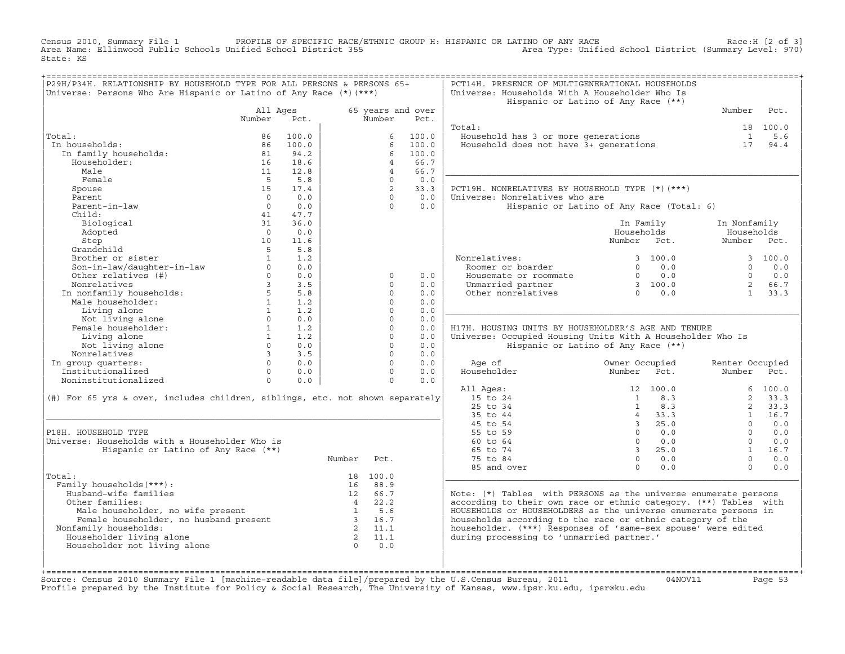Census 2010, Summary File 1 PROFILE OF SPECIFIC RACE/ETHNIC GROUP H: HISPANIC OR LATINO OF ANY RACE<br>Area Name: Ellinwood Public Schools Unified School District 355 Area Type: Unified State: KS

| P29H/P34H. RELATIONSHIP BY HOUSEHOLD TYPE FOR ALL PERSONS & PERSONS 65+<br>Universe: Persons Who Are Hispanic or Latino of Any Race (*) (***) |                |             |          |                            |                   | PCT14H. PRESENCE OF MULTIGENERATIONAL HOUSEHOLDS<br>Universe: Households With A Householder Who Is<br>Hispanic or Latino of Any Race (**) |                |                                                       |                     |              |
|-----------------------------------------------------------------------------------------------------------------------------------------------|----------------|-------------|----------|----------------------------|-------------------|-------------------------------------------------------------------------------------------------------------------------------------------|----------------|-------------------------------------------------------|---------------------|--------------|
|                                                                                                                                               | All Ages       |             |          |                            | 65 years and over |                                                                                                                                           |                |                                                       | Number              | Pct.         |
|                                                                                                                                               | Number         | Pct.        |          | Number                     | Pct.              |                                                                                                                                           |                |                                                       |                     |              |
|                                                                                                                                               |                |             |          |                            |                   | Total:                                                                                                                                    |                |                                                       |                     | 18 100.0     |
| Total:                                                                                                                                        | 86             | 100.0       |          | 6                          | 100.0             | Household has 3 or more generations                                                                                                       |                |                                                       | $\mathbf{1}$        | 5.6          |
| In households:                                                                                                                                | 86             | 100.0       |          |                            | 100.0             | Household does not have 3+ generations                                                                                                    |                |                                                       | 17                  | 94.4         |
| In family households:                                                                                                                         | 81             | 94.2        |          | 6                          | 100.0             |                                                                                                                                           |                |                                                       |                     |              |
| Householder:                                                                                                                                  | 16             | 18.6        |          | $4^{\circ}$                | 66.7              |                                                                                                                                           |                |                                                       |                     |              |
| Male                                                                                                                                          | 11<br>$-5$     | 12.8<br>5.8 |          | $\overline{4}$<br>$\Omega$ | 66.7<br>0.0       |                                                                                                                                           |                |                                                       |                     |              |
| Female<br>Spouse                                                                                                                              | 15             | 17.4        |          | $\overline{2}$             | 33.3              | PCT19H. NONRELATIVES BY HOUSEHOLD TYPE (*)(***)                                                                                           |                |                                                       |                     |              |
| Parent                                                                                                                                        | $\cap$         | 0.0         |          | $\Omega$                   | 0.0               | Universe: Nonrelatives who are                                                                                                            |                |                                                       |                     |              |
| Parent-in-law                                                                                                                                 | $\overline{0}$ | 0.0         |          | $\Omega$                   | 0.0               | Hispanic or Latino of Any Race (Total: 6)                                                                                                 |                |                                                       |                     |              |
| Child:                                                                                                                                        | 41             | 47.7        |          |                            |                   |                                                                                                                                           |                |                                                       |                     |              |
| Biological                                                                                                                                    | 31             | 36.0        |          |                            |                   |                                                                                                                                           |                | In Family                                             | In Nonfamily        |              |
| Adopted                                                                                                                                       | $\bigcirc$     | 0.0         |          |                            |                   |                                                                                                                                           | Households     |                                                       | Households          |              |
| Step                                                                                                                                          | 10             | 11.6        |          |                            |                   |                                                                                                                                           | Number Pct.    |                                                       | Number Pct.         |              |
| Grandchild                                                                                                                                    | 5              | 5.8         |          |                            |                   |                                                                                                                                           |                |                                                       |                     |              |
| Brother or sister                                                                                                                             | <sup>1</sup>   | 1.2         |          |                            |                   | Nonrelatives:                                                                                                                             |                | 3, 100.0                                              |                     | 3 100.0      |
| Son-in-law/daughter-in-law                                                                                                                    | $\circ$        | 0.0         |          |                            |                   | Roomer or boarder                                                                                                                         |                | $0 \t 0.0$                                            | $\Omega$            | 0.0          |
| Other relatives (#)                                                                                                                           | $\circ$        | 0.0         |          | $\circ$                    | 0.0               | Housemate or roommate                                                                                                                     |                | $\begin{array}{cc} 0 & 0.0 \\ 3 & 100.0 \end{array}$  | $\Omega$            | 0.0          |
| Nonrelatives                                                                                                                                  | $\overline{3}$ | 3.5         |          | $\Omega$                   | 0.0               | Unmarried partner                                                                                                                         |                |                                                       | $2^{\circ}$         | 66.7         |
| In nonfamily households:<br>Male householder:                                                                                                 | $5^{\circ}$    | 5.8         |          | $\Omega$                   | 0.0               | Other nonrelatives                                                                                                                        |                | $\begin{array}{ccc} 3 & 100.0 \\ 0 & 0.0 \end{array}$ | $\mathbf{1}$        | 33.3         |
|                                                                                                                                               | 1              | 1.2         |          | $\Omega$                   | 0.0               |                                                                                                                                           |                |                                                       |                     |              |
| Living alone                                                                                                                                  | 1              | 1.2         |          | $\Omega$                   | 0.0               |                                                                                                                                           |                |                                                       |                     |              |
| Not living alone                                                                                                                              | $\Omega$       | 0.0         |          | $\Omega$                   | 0.0               |                                                                                                                                           |                |                                                       |                     |              |
| Female householder:                                                                                                                           | $\mathbf{1}$   | 1.2         |          | $\Omega$                   | 0.0               | H17H. HOUSING UNITS BY HOUSEHOLDER'S AGE AND TENURE                                                                                       |                |                                                       |                     |              |
| Living alone                                                                                                                                  | 1              | 1.2         |          | $\mathbf 0$                | 0.0               | Universe: Occupied Housing Units With A Householder Who Is                                                                                |                |                                                       |                     |              |
| Not living alone                                                                                                                              | $\Omega$       | 0.0         |          | $\Omega$                   | 0.0               | Hispanic or Latino of Any Race (**)                                                                                                       |                |                                                       |                     |              |
| Nonrelatives                                                                                                                                  | $\overline{3}$ | 3.5         |          | $\Omega$                   | 0.0               |                                                                                                                                           |                |                                                       |                     |              |
| In group quarters:                                                                                                                            | $\Omega$       | 0.0         |          | $\Omega$                   | 0.0               | Age of                                                                                                                                    | Owner Occupied |                                                       | Renter Occupied     |              |
| Institutionalized                                                                                                                             | $\Omega$       | 0.0         |          | $\Omega$                   | 0.0               | Householder                                                                                                                               | Number         | Pct.                                                  | Number Pct.         |              |
| Noninstitutionalized                                                                                                                          | $\circ$        | 0.0         |          | $\circ$                    | 0.0               |                                                                                                                                           |                |                                                       |                     |              |
|                                                                                                                                               |                |             |          |                            |                   | All Ages:                                                                                                                                 |                | 12 100.0                                              |                     | 6, 100.0     |
| (#) For 65 yrs & over, includes children, siblings, etc. not shown separately                                                                 |                |             |          |                            |                   | 15 to 24<br>25 to 34                                                                                                                      | $\mathbf{1}$   | $1 \t 8.3$<br>8.3                                     | $\overline{a}$<br>2 | 33.3<br>33.3 |
|                                                                                                                                               |                |             |          |                            |                   | 35 to 44                                                                                                                                  |                | 4 33.3                                                | 1                   | 16.7         |
|                                                                                                                                               |                |             |          |                            |                   | 45 to 54                                                                                                                                  |                | 3, 25.0                                               | $\Omega$            | 0.0          |
| P18H. HOUSEHOLD TYPE                                                                                                                          |                |             |          |                            |                   | 55 to 59                                                                                                                                  | $\Omega$       | 0.0                                                   | $\Omega$            | 0.0          |
| Universe: Households with a Householder Who is                                                                                                |                |             |          |                            |                   | $60$ to $64$                                                                                                                              | $\Omega$       | 0.0                                                   | $\Omega$            | 0.0          |
| Hispanic or Latino of Any Race (**)                                                                                                           |                |             |          |                            |                   | 65 to 74                                                                                                                                  |                | 3, 25, 0                                              | $1 \quad$           | 16.7         |
|                                                                                                                                               |                |             | Number   | Pct.                       |                   | 75 to 84                                                                                                                                  |                | $0 \t 0.0$                                            | $\cap$              | 0.0          |
|                                                                                                                                               |                |             |          |                            |                   | 85 and over                                                                                                                               | $\Omega$       | 0.0                                                   | $\Omega$            | 0.0          |
| Total:                                                                                                                                        |                |             |          | 18 100.0                   |                   |                                                                                                                                           |                |                                                       |                     |              |
| Family households (***) :                                                                                                                     |                |             |          | 16 88.9                    |                   |                                                                                                                                           |                |                                                       |                     |              |
| Husband-wife families                                                                                                                         |                |             |          | 12 66.7                    |                   | Note: (*) Tables with PERSONS as the universe enumerate persons                                                                           |                |                                                       |                     |              |
| Other families:                                                                                                                               |                |             |          | $4 \t 22.2$                |                   | according to their own race or ethnic category. (**) Tables with                                                                          |                |                                                       |                     |              |
| Male householder, no wife present 1 5.6<br>Female householder, no husband present 3 16.7<br>Family households: 2 11.1                         |                |             |          |                            |                   | HOUSEHOLDS or HOUSEHOLDERS as the universe enumerate persons in                                                                           |                |                                                       |                     |              |
|                                                                                                                                               |                |             |          |                            |                   | households according to the race or ethnic category of the                                                                                |                |                                                       |                     |              |
| Nonfamily households:                                                                                                                         |                |             |          |                            |                   | householder. (***) Responses of 'same-sex spouse' were edited                                                                             |                |                                                       |                     |              |
| Householder living alone                                                                                                                      |                |             |          | 2 11.1                     |                   | during processing to 'unmarried partner.'                                                                                                 |                |                                                       |                     |              |
| Householder not living alone                                                                                                                  |                |             | $\Omega$ | 0.0                        |                   |                                                                                                                                           |                |                                                       |                     |              |
|                                                                                                                                               |                |             |          |                            |                   |                                                                                                                                           |                |                                                       |                     |              |
|                                                                                                                                               |                |             |          |                            |                   |                                                                                                                                           |                |                                                       |                     |              |

+===================================================================================================================================================+Source: Census 2010 Summary File 1 [machine−readable data file]/prepared by the U.S.Census Bureau, 2011 04NOV11 Page 53 Profile prepared by the Institute for Policy & Social Research, The University of Kansas, www.ipsr.ku.edu, ipsr@ku.edu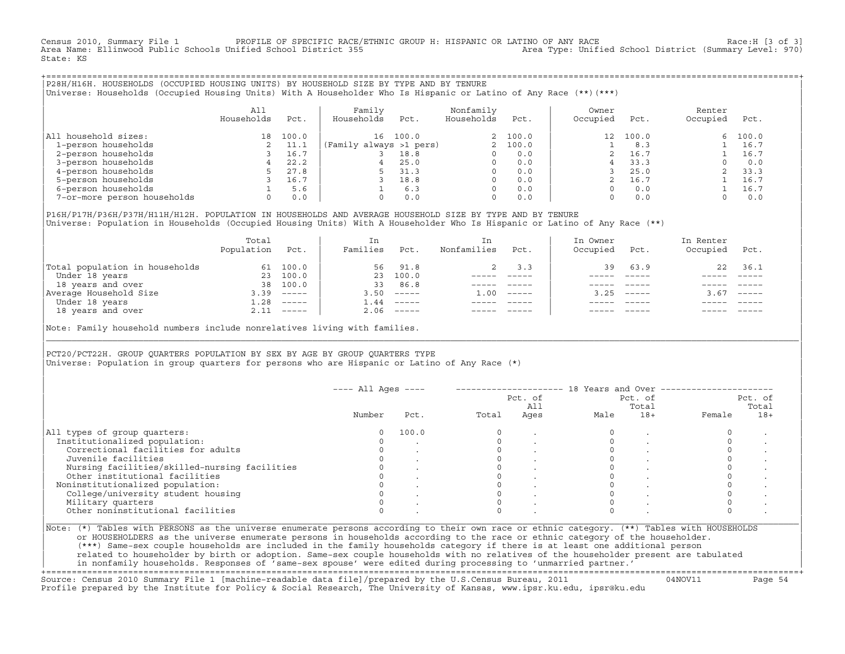Census 2010, Summary File 1 PROFILE OF SPECIFIC RACE/ETHNIC GROUP H: HISPANIC OR LATINO OF ANY RACE Race:H [3 of 3]<br>Area Name: Ellinwood Public Schools Unified School District 355 Area Type: Unified School District (Summar Area Name: Ellinwood Public Schools Unified School District 355 State: KS

+===================================================================================================================================================+|P28H/H16H. HOUSEHOLDS (OCCUPIED HOUSING UNITS) BY HOUSEHOLD SIZE BY TYPE AND BY TENURE | |Universe: Households (Occupied Housing Units) With A Householder Who Is Hispanic or Latino of Any Race (\*\*)(\*\*\*) |

|                             | All<br>Households | Pct.  | Family<br>Households    | Pct.  | Nonfamily<br>Households | Pct.     | Owner<br>Occupied | Pct.  | Renter<br>Occupied | Pct.  |
|-----------------------------|-------------------|-------|-------------------------|-------|-------------------------|----------|-------------------|-------|--------------------|-------|
| household sizes:<br>All     | 18                | 100.0 | 16                      | 100.0 |                         | 2 100.0  | 12                | 100.0 | 6                  | 100.0 |
| 1-person households         |                   | 11.1  | (Family always >1 pers) |       |                         | 2, 100.0 |                   | 8.3   |                    | 16.7  |
| 2-person households         |                   | 16.7  |                         | 18.8  |                         | 0.0      |                   | 16.7  |                    | 16.7  |
| 3-person households         |                   | 22.2  |                         | 25.0  | $\Omega$                | 0.0      |                   | 33.3  |                    | 0.0   |
| 4-person households         |                   | 27.8  |                         | 31.3  | $\Omega$                | 0.0      |                   | 25.0  |                    | 33.3  |
| 5-person households         |                   | 16.7  |                         | 18.8  | $\Omega$                | 0.0      |                   | 16.7  |                    | 16.7  |
| 6-person households         |                   | 5.6   |                         | 6.3   | $\Omega$                | 0.0      |                   | 0.0   |                    | 16.7  |
| 7-or-more person households | $\Omega$          | 0.0   |                         | 0.0   | $\mathbf 0$             | 0.0      |                   | 0.0   |                    | 0.0   |

|P16H/P17H/P36H/P37H/H11H/H12H. POPULATION IN HOUSEHOLDS AND AVERAGE HOUSEHOLD SIZE BY TYPE AND BY TENURE | Universe: Population in Households (Occupied Housing Units) With A Householder Who Is Hispanic or Latino of Any Race (\*\*)

|                                | Total<br>Population | Pct.         | In<br>Families | Pct.     | In.<br>Nonfamilies | Pct.     | In Owner<br>Occupied | Pct.          | In Renter<br>Occupied | Pct.                      |
|--------------------------------|---------------------|--------------|----------------|----------|--------------------|----------|----------------------|---------------|-----------------------|---------------------------|
| Total population in households | 61                  | 100.0        | 56             | 91.8     |                    | 3.3      | 39                   | 63.9          | 22                    | 36.1                      |
| Under 18 years                 | 23                  | 100.0        | 23             | 100.0    |                    |          |                      |               |                       |                           |
| 18 years and over              | 38                  | 100.0        | 33             | 86.8     |                    |          |                      |               |                       |                           |
| Average Household Size         | 3.39                | $------$     | 3.50           | $------$ | 1.00               | $------$ | 3.25                 | $- - - - - -$ | 3.67                  | $\qquad \qquad - - - - -$ |
| Under 18 years                 | 1.28                | $------$     | .44            | $------$ |                    |          |                      |               |                       |                           |
| 18 years and over              |                     | $2.11$ ----- | 2.06           |          |                    |          |                      | $- - - - -$   |                       | $- - - - -$               |
|                                |                     |              |                |          |                    |          |                      |               |                       |                           |

Note: Family household numbers include nonrelatives living with families.

| | PCT20/PCT22H. GROUP OUARTERS POPULATION BY SEX BY AGE BY GROUP OUARTERS TYPE Universe: Population in group quarters for persons who are Hispanic or Latino of Any Race (\*)

|                                               |        |       |       | Pct. of<br>All |      | Pct. of<br>Total |        | Pct. of<br>Total |  |
|-----------------------------------------------|--------|-------|-------|----------------|------|------------------|--------|------------------|--|
|                                               | Number | Pct.  | Total | Ages           | Male | $18+$            | Female | $18+$            |  |
| All types of group quarters:                  | 0      | 100.0 |       |                |      |                  |        |                  |  |
| Institutionalized population:                 |        |       |       |                |      |                  |        |                  |  |
| Correctional facilities for adults            |        |       |       |                |      |                  |        |                  |  |
| Juvenile facilities                           |        |       |       |                |      |                  |        |                  |  |
| Nursing facilities/skilled-nursing facilities |        |       |       |                |      |                  |        |                  |  |
| Other institutional facilities                |        |       |       |                |      |                  |        |                  |  |
| Noninstitutionalized population:              |        |       |       |                |      |                  |        |                  |  |
| College/university student housing            |        |       |       |                |      |                  |        |                  |  |
| Military quarters                             |        |       |       |                |      |                  |        |                  |  |
| Other noninstitutional facilities             |        |       |       |                |      |                  |        |                  |  |

|\_\_\_\_\_\_\_\_\_\_\_\_\_\_\_\_\_\_\_\_\_\_\_\_\_\_\_\_\_\_\_\_\_\_\_\_\_\_\_\_\_\_\_\_\_\_\_\_\_\_\_\_\_\_\_\_\_\_\_\_\_\_\_\_\_\_\_\_\_\_\_\_\_\_\_\_\_\_\_\_\_\_\_\_\_\_\_\_\_\_\_\_\_\_\_\_\_\_\_\_\_\_\_\_\_\_\_\_\_\_\_\_\_\_\_\_\_\_\_\_\_\_\_\_\_\_\_\_\_\_\_\_\_\_\_\_\_\_\_\_\_\_\_\_\_\_\_|

| |

or HOUSEHOLDERS as the universe enumerate persons in households according to the race or ethnic category of the householder. | (\*\*\*) Same−sex couple households are included in the family households category if there is at least one additional person | | related to householder by birth or adoption. Same−sex couple households with no relatives of the householder present are tabulated | | in nonfamily households. Responses of 'same−sex spouse' were edited during processing to 'unmarried partner.' |

+===================================================================================================================================================+ Source: Census 2010 Summary File 1 [machine−readable data file]/prepared by the U.S.Census Bureau, 2011 04NOV11 Page 54 Profile prepared by the Institute for Policy & Social Research, The University of Kansas, www.ipsr.ku.edu, ipsr@ku.edu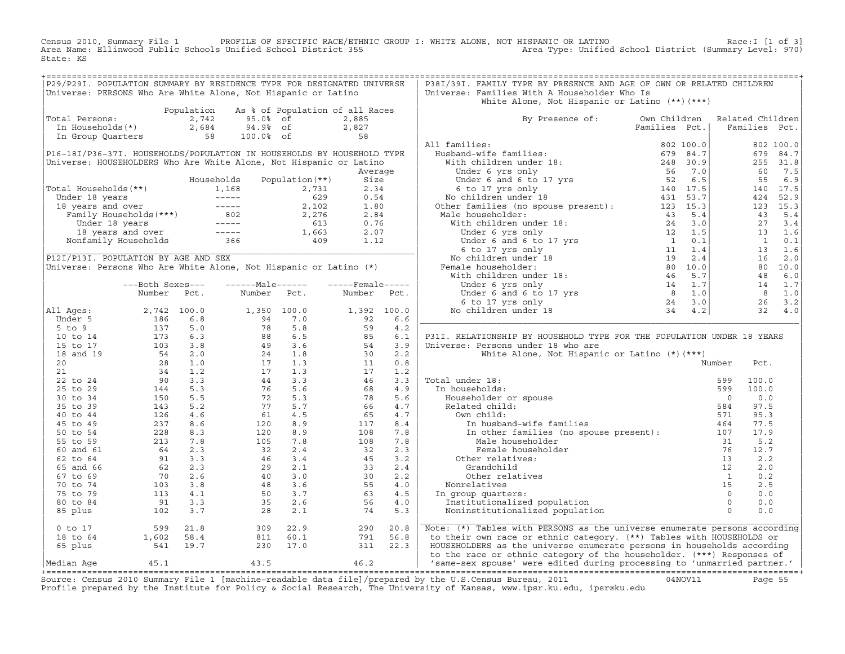Census 2010, Summary File 1 PROFILE OF SPECIFIC RACE/ETHNIC GROUP I: WHITE ALONE, NOT HISPANIC OR LATINO<br>Area Name: Ellinwood Public Schools Unified School District 355 Area Type: Unified State: KS

| P29/P29I. POPULATION SUMMARY BY RESIDENCE TYPE FOR DESIGNATED UNIVERSE                                                                                                                                                                               |                                                                                                                                                                                                                                                                                |            |                                                                                                                                                                                                 |                                 |                                                      |            | P38I/39I. FAMILY TYPE BY PRESENCE AND AGE OF OWN OR RELATED CHILDREN                                                                                                                                                                                                                                                                                                  |               |                |                |
|------------------------------------------------------------------------------------------------------------------------------------------------------------------------------------------------------------------------------------------------------|--------------------------------------------------------------------------------------------------------------------------------------------------------------------------------------------------------------------------------------------------------------------------------|------------|-------------------------------------------------------------------------------------------------------------------------------------------------------------------------------------------------|---------------------------------|------------------------------------------------------|------------|-----------------------------------------------------------------------------------------------------------------------------------------------------------------------------------------------------------------------------------------------------------------------------------------------------------------------------------------------------------------------|---------------|----------------|----------------|
| Universe: PERSONS Who Are White Alone, Not Hispanic or Latino                                                                                                                                                                                        |                                                                                                                                                                                                                                                                                |            |                                                                                                                                                                                                 |                                 |                                                      |            | Universe: Families With A Householder Who Is                                                                                                                                                                                                                                                                                                                          |               |                |                |
|                                                                                                                                                                                                                                                      |                                                                                                                                                                                                                                                                                |            |                                                                                                                                                                                                 |                                 |                                                      |            | White Alone, Not Hispanic or Latino $(**)$ $(***)$                                                                                                                                                                                                                                                                                                                    |               |                |                |
|                                                                                                                                                                                                                                                      |                                                                                                                                                                                                                                                                                | Population |                                                                                                                                                                                                 | As % of Population of all Races |                                                      |            |                                                                                                                                                                                                                                                                                                                                                                       |               |                |                |
| Total Persons:                                                                                                                                                                                                                                       |                                                                                                                                                                                                                                                                                |            | 2,742 95.0% of                                                                                                                                                                                  |                                 | 2,885                                                |            | By Presence of: Own Children Related Children                                                                                                                                                                                                                                                                                                                         |               |                |                |
|                                                                                                                                                                                                                                                      |                                                                                                                                                                                                                                                                                |            | In Households (*)<br>In Group Quarters 58 100.0% of                                                                                                                                             |                                 |                                                      |            |                                                                                                                                                                                                                                                                                                                                                                       | Families Pct. | Families Pct.  |                |
|                                                                                                                                                                                                                                                      |                                                                                                                                                                                                                                                                                |            |                                                                                                                                                                                                 |                                 | $\frac{2,827}{58}$                                   |            |                                                                                                                                                                                                                                                                                                                                                                       |               |                |                |
|                                                                                                                                                                                                                                                      |                                                                                                                                                                                                                                                                                |            |                                                                                                                                                                                                 |                                 |                                                      |            | All families:                                                                                                                                                                                                                                                                                                                                                         |               |                | 802 100.0      |
| P16-18I/P36-37I. HOUSEHOLDS/POPULATION IN HOUSEHOLDS BY HOUSEHOLD TYPE                                                                                                                                                                               |                                                                                                                                                                                                                                                                                |            |                                                                                                                                                                                                 |                                 |                                                      |            |                                                                                                                                                                                                                                                                                                                                                                       |               |                | 679 84.7       |
| Universe: HOUSEHOLDERS Who Are White Alone, Not Hispanic or Latino                                                                                                                                                                                   |                                                                                                                                                                                                                                                                                |            |                                                                                                                                                                                                 |                                 |                                                      |            |                                                                                                                                                                                                                                                                                                                                                                       |               |                | 255 31.8       |
|                                                                                                                                                                                                                                                      |                                                                                                                                                                                                                                                                                |            |                                                                                                                                                                                                 |                                 | Average                                              |            |                                                                                                                                                                                                                                                                                                                                                                       |               | 60             | 7.5            |
|                                                                                                                                                                                                                                                      |                                                                                                                                                                                                                                                                                |            | Households                                                                                                                                                                                      | Population (**)                 | Size                                                 |            |                                                                                                                                                                                                                                                                                                                                                                       |               |                | 55 6.9         |
|                                                                                                                                                                                                                                                      |                                                                                                                                                                                                                                                                                |            |                                                                                                                                                                                                 |                                 |                                                      |            |                                                                                                                                                                                                                                                                                                                                                                       |               |                | 140 17.5       |
|                                                                                                                                                                                                                                                      |                                                                                                                                                                                                                                                                                |            |                                                                                                                                                                                                 |                                 |                                                      |            |                                                                                                                                                                                                                                                                                                                                                                       |               | 424            | 52.9           |
|                                                                                                                                                                                                                                                      |                                                                                                                                                                                                                                                                                |            |                                                                                                                                                                                                 |                                 |                                                      |            |                                                                                                                                                                                                                                                                                                                                                                       |               |                | 123 15.3       |
|                                                                                                                                                                                                                                                      |                                                                                                                                                                                                                                                                                |            |                                                                                                                                                                                                 |                                 |                                                      |            |                                                                                                                                                                                                                                                                                                                                                                       |               | 43             | 5.4            |
|                                                                                                                                                                                                                                                      |                                                                                                                                                                                                                                                                                |            |                                                                                                                                                                                                 |                                 |                                                      |            |                                                                                                                                                                                                                                                                                                                                                                       |               |                | 27 3.4         |
|                                                                                                                                                                                                                                                      |                                                                                                                                                                                                                                                                                |            |                                                                                                                                                                                                 |                                 |                                                      |            |                                                                                                                                                                                                                                                                                                                                                                       |               |                | 13 1.6         |
|                                                                                                                                                                                                                                                      |                                                                                                                                                                                                                                                                                |            |                                                                                                                                                                                                 |                                 |                                                      |            |                                                                                                                                                                                                                                                                                                                                                                       |               |                | $1 \qquad 0.1$ |
| Fotal Households (**)<br>Under 18 years<br>1,168 2,731 2.34<br>1,168 2,731 2.34<br>Under 18 years<br>18 years and over<br>Family Households (***)<br>18 years and over<br>18 years and over<br>18 years and over<br>18 years and over<br>Nonfamily H |                                                                                                                                                                                                                                                                                |            |                                                                                                                                                                                                 |                                 |                                                      |            |                                                                                                                                                                                                                                                                                                                                                                       |               |                | 13 1.6         |
| P12I/P13I. POPULATION BY AGE AND SEX                                                                                                                                                                                                                 |                                                                                                                                                                                                                                                                                |            |                                                                                                                                                                                                 |                                 |                                                      |            |                                                                                                                                                                                                                                                                                                                                                                       |               |                | 16 2.0         |
| Universe: Persons Who Are White Alone, Not Hispanic or Latino (*)                                                                                                                                                                                    |                                                                                                                                                                                                                                                                                |            |                                                                                                                                                                                                 |                                 |                                                      |            |                                                                                                                                                                                                                                                                                                                                                                       |               |                | 80 10.0        |
|                                                                                                                                                                                                                                                      |                                                                                                                                                                                                                                                                                |            |                                                                                                                                                                                                 |                                 |                                                      |            |                                                                                                                                                                                                                                                                                                                                                                       |               |                | 48 6.0         |
|                                                                                                                                                                                                                                                      | ---Both Sexes---                                                                                                                                                                                                                                                               |            | ------Male------                                                                                                                                                                                |                                 | $---$ Female-----                                    |            |                                                                                                                                                                                                                                                                                                                                                                       |               |                | 14 1.7         |
|                                                                                                                                                                                                                                                      | Number Pct.                                                                                                                                                                                                                                                                    |            | Number Pct.                                                                                                                                                                                     |                                 | Number Pct.                                          |            |                                                                                                                                                                                                                                                                                                                                                                       |               |                | 8 1.0          |
|                                                                                                                                                                                                                                                      |                                                                                                                                                                                                                                                                                |            |                                                                                                                                                                                                 |                                 |                                                      |            |                                                                                                                                                                                                                                                                                                                                                                       |               |                | $26 \quad 3.2$ |
| All Ages:                                                                                                                                                                                                                                            |                                                                                                                                                                                                                                                                                |            |                                                                                                                                                                                                 |                                 |                                                      |            |                                                                                                                                                                                                                                                                                                                                                                       |               |                | $32 \quad 4.0$ |
| Under 5                                                                                                                                                                                                                                              |                                                                                                                                                                                                                                                                                |            |                                                                                                                                                                                                 |                                 | $1,392$ 100.0<br>92 6.6                              |            |                                                                                                                                                                                                                                                                                                                                                                       |               |                |                |
| $5$ to $9$                                                                                                                                                                                                                                           |                                                                                                                                                                                                                                                                                |            |                                                                                                                                                                                                 |                                 |                                                      | 4.2        |                                                                                                                                                                                                                                                                                                                                                                       |               |                |                |
| 10 to 14                                                                                                                                                                                                                                             |                                                                                                                                                                                                                                                                                |            |                                                                                                                                                                                                 |                                 | $59$<br>$85$<br>$54$<br>$30$<br>$11$<br>$17$<br>$46$ | 6.1        | P31I. RELATIONSHIP BY HOUSEHOLD TYPE FOR THE POPULATION UNDER 18 YEARS                                                                                                                                                                                                                                                                                                |               |                |                |
| 15 to 17                                                                                                                                                                                                                                             |                                                                                                                                                                                                                                                                                |            |                                                                                                                                                                                                 |                                 |                                                      | 3.9        | Universe: Persons under 18 who are                                                                                                                                                                                                                                                                                                                                    |               |                |                |
|                                                                                                                                                                                                                                                      |                                                                                                                                                                                                                                                                                |            |                                                                                                                                                                                                 |                                 |                                                      | 2.2        | White Alone, Not Hispanic or Latino (*) (***)                                                                                                                                                                                                                                                                                                                         |               |                |                |
| 18 and 19                                                                                                                                                                                                                                            |                                                                                                                                                                                                                                                                                |            |                                                                                                                                                                                                 |                                 |                                                      |            |                                                                                                                                                                                                                                                                                                                                                                       |               |                |                |
| 20                                                                                                                                                                                                                                                   |                                                                                                                                                                                                                                                                                |            |                                                                                                                                                                                                 |                                 |                                                      | 0.8        |                                                                                                                                                                                                                                                                                                                                                                       |               | Number<br>Pct. |                |
| 21                                                                                                                                                                                                                                                   |                                                                                                                                                                                                                                                                                |            |                                                                                                                                                                                                 |                                 |                                                      | 1.2<br>3.3 |                                                                                                                                                                                                                                                                                                                                                                       |               | 100.0          |                |
| 22 to 24                                                                                                                                                                                                                                             |                                                                                                                                                                                                                                                                                |            |                                                                                                                                                                                                 |                                 |                                                      |            | Total under 18:                                                                                                                                                                                                                                                                                                                                                       |               | 599            |                |
| 25 to 29                                                                                                                                                                                                                                             |                                                                                                                                                                                                                                                                                |            |                                                                                                                                                                                                 |                                 | 68                                                   | 4.9        | In households:                                                                                                                                                                                                                                                                                                                                                        |               | 599<br>100.0   |                |
| 30 to 34                                                                                                                                                                                                                                             |                                                                                                                                                                                                                                                                                |            |                                                                                                                                                                                                 |                                 | 78                                                   | 5.6        |                                                                                                                                                                                                                                                                                                                                                                       |               | $\overline{0}$ | 0.0            |
| 35 to 39                                                                                                                                                                                                                                             |                                                                                                                                                                                                                                                                                |            |                                                                                                                                                                                                 |                                 | 66                                                   | 4.7        |                                                                                                                                                                                                                                                                                                                                                                       |               | 584<br>97.5    |                |
| 40 to 44                                                                                                                                                                                                                                             |                                                                                                                                                                                                                                                                                |            |                                                                                                                                                                                                 |                                 | 65                                                   | 4.7        | Own child:                                                                                                                                                                                                                                                                                                                                                            |               | 571<br>95.3    |                |
| 45 to 49                                                                                                                                                                                                                                             |                                                                                                                                                                                                                                                                                |            | $\begin{array}{cccc} 1,350& 100.0\\ 94& 7.0\\ 78& 5.8\\ 88& 6.5\\ 49& 3.6\\ 24& 1.8\\ 17& 1.3\\ 17& 1.3\\ 44& 3.3\\ 76& 5.6\\ 72& 5.3\\ 77& 5.7\\ 61& 4.5\\ 9\\ 105& 7.8\\ 32& 2.4 \end{array}$ |                                 | 117                                                  | 8.4        | In husband-wife families                                                                                                                                                                                                                                                                                                                                              |               | 77.5<br>464    |                |
| 50 to 54                                                                                                                                                                                                                                             |                                                                                                                                                                                                                                                                                |            |                                                                                                                                                                                                 |                                 | 108                                                  | 7.8        | In other families (no spouse present): 107                                                                                                                                                                                                                                                                                                                            |               | 17.9           |                |
| 55 to 59                                                                                                                                                                                                                                             |                                                                                                                                                                                                                                                                                |            |                                                                                                                                                                                                 |                                 | 108                                                  | 7.8        | Male householder                                                                                                                                                                                                                                                                                                                                                      |               | 5.2<br>31      |                |
| 60 and 61                                                                                                                                                                                                                                            |                                                                                                                                                                                                                                                                                |            |                                                                                                                                                                                                 |                                 | 32                                                   | 2.3        | Female householder                                                                                                                                                                                                                                                                                                                                                    |               | 76<br>12.7     |                |
| 62 to 64                                                                                                                                                                                                                                             |                                                                                                                                                                                                                                                                                |            |                                                                                                                                                                                                 |                                 |                                                      | 3.2        | Other relatives:                                                                                                                                                                                                                                                                                                                                                      |               | 13             | 2.2            |
| 65 and 66                                                                                                                                                                                                                                            |                                                                                                                                                                                                                                                                                |            |                                                                                                                                                                                                 |                                 |                                                      | 2.4        |                                                                                                                                                                                                                                                                                                                                                                       |               |                | 2.0            |
| 67 to 69                                                                                                                                                                                                                                             |                                                                                                                                                                                                                                                                                |            |                                                                                                                                                                                                 |                                 |                                                      | 2.2        |                                                                                                                                                                                                                                                                                                                                                                       |               |                | 0.2            |
| 70 to 74                                                                                                                                                                                                                                             |                                                                                                                                                                                                                                                                                |            |                                                                                                                                                                                                 |                                 |                                                      | 4.0        | Nonrelatives                                                                                                                                                                                                                                                                                                                                                          |               |                | 2.5            |
| 75 to 79                                                                                                                                                                                                                                             |                                                                                                                                                                                                                                                                                |            |                                                                                                                                                                                                 |                                 |                                                      | 4.5        | In group quarters:                                                                                                                                                                                                                                                                                                                                                    |               |                | 0.0            |
| 80 to 84                                                                                                                                                                                                                                             |                                                                                                                                                                                                                                                                                |            | $2.4$<br>$46$<br>$3.4$<br>$46$<br>$3.4$<br>$29$<br>$2.1$<br>$40$<br>$3.0$<br>$48$<br>$3.6$<br>$50$<br>$3.7$<br>$35$<br>$2.6$                                                                    |                                 | $32$<br>$45$<br>$33$<br>$30$<br>$55$<br>$53$<br>$56$ | 4.0        | Institutionalized population                                                                                                                                                                                                                                                                                                                                          |               |                | 0.0            |
| 85 plus                                                                                                                                                                                                                                              | 2, 742 100.0<br>186 6.8<br>175 5.0<br>173 6.3<br>173 6.3<br>173 6.3<br>28 1.0<br>28 1.0<br>28 1.2<br>34 1.2<br>90 3.3<br>144 5.3<br>150 5.5<br>28 8.3<br>144 5.5<br>237 8.6<br>237 8.6<br>228 8.3<br>2126 4.6<br>237 8.6<br>228 8.3<br>213 7.8<br>228 8.3<br>213 7.8<br>64 2.3 |            | 28                                                                                                                                                                                              | 2.1                             | 74                                                   | 5.3        | %<br>$\begin{tabular}{ll} \texttt{cher relatives:} & \texttt{Crandchild} & \texttt{--} \\ \texttt{Other relatives} & \texttt{1} \\ \texttt{relatives} & \texttt{15} \\ \texttt{coup quarters:} & \texttt{0} \\ \texttt{stitutionalized population} & \texttt{0} \\ \texttt{mationalized population} & \texttt{0} \\ \end{tabular}$<br>Noninstitutionalized population |               |                | 0.0            |
| $0$ to $17$                                                                                                                                                                                                                                          | $599$ 21.8<br>1,602 58.4<br>541 19.7                                                                                                                                                                                                                                           |            | $\begin{array}{cc} 309 & 22.9 \\ 811 & 60.1 \\ 230 & 17.0 \end{array}$                                                                                                                          |                                 | 290                                                  | 20.8       | Note: (*) Tables with PERSONS as the universe enumerate persons according                                                                                                                                                                                                                                                                                             |               |                |                |
| 18 to 64                                                                                                                                                                                                                                             |                                                                                                                                                                                                                                                                                |            |                                                                                                                                                                                                 |                                 | 791                                                  | 56.8       | to their own race or ethnic category. (**) Tables with HOUSEHOLDS or                                                                                                                                                                                                                                                                                                  |               |                |                |
| 65 plus                                                                                                                                                                                                                                              |                                                                                                                                                                                                                                                                                |            |                                                                                                                                                                                                 |                                 | 311 22.3                                             |            | HOUSEHOLDERS as the universe enumerate persons in households according                                                                                                                                                                                                                                                                                                |               |                |                |
|                                                                                                                                                                                                                                                      |                                                                                                                                                                                                                                                                                |            |                                                                                                                                                                                                 |                                 |                                                      |            | to the race or ethnic category of the householder. (***) Responses of                                                                                                                                                                                                                                                                                                 |               |                |                |
| Median Aqe                                                                                                                                                                                                                                           | 45.1                                                                                                                                                                                                                                                                           |            | 43.5                                                                                                                                                                                            | 46.2                            |                                                      |            | 'same-sex spouse' were edited during processing to 'unmarried partner.'                                                                                                                                                                                                                                                                                               |               |                |                |
|                                                                                                                                                                                                                                                      |                                                                                                                                                                                                                                                                                |            |                                                                                                                                                                                                 |                                 |                                                      |            |                                                                                                                                                                                                                                                                                                                                                                       |               |                |                |
|                                                                                                                                                                                                                                                      |                                                                                                                                                                                                                                                                                |            |                                                                                                                                                                                                 |                                 |                                                      |            | Course, Consus 2010 Cumpar File 1 Inochine readable data file) (proposed by the H C Consus Dureau, 2011 (10/10/111) Data FF                                                                                                                                                                                                                                           |               |                |                |

Source: Census 2010 Summary File 1 [machine-readable data file]/prepared by the U.S.Census Bureau, 2011 Page 55<br>Profile prepared by the Institute for Policy & Social Research, The University of Kansas, www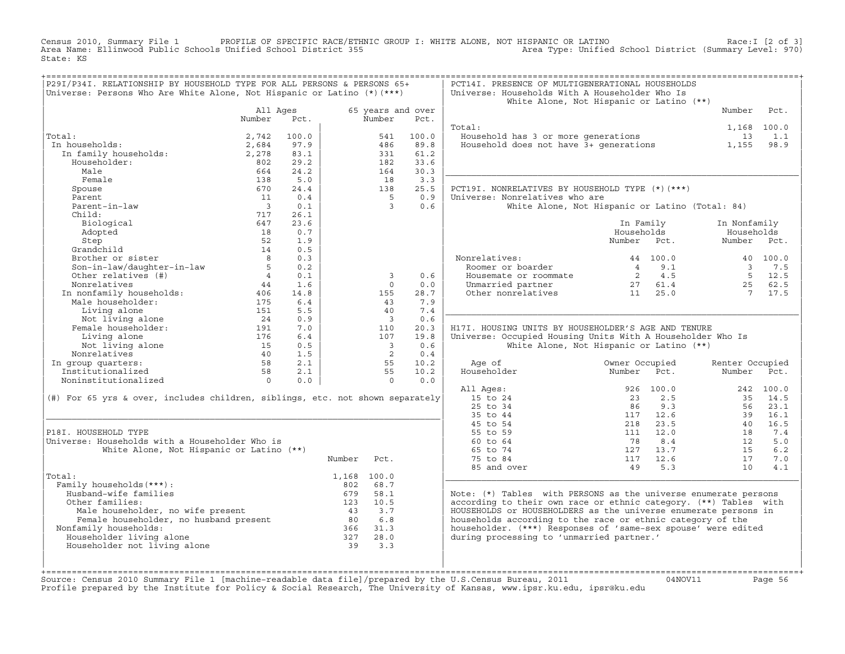Census 2010, Summary File 1 PROFILE OF SPECIFIC RACE/ETHNIC GROUP I: WHITE ALONE, NOT HISPANIC OR LATINO<br>Area Name: Ellinwood Public Schools Unified School District 355 Area Type: Unified State: KS

| ================================<br>P29I/P34I. RELATIONSHIP BY HOUSEHOLD TYPE FOR ALL PERSONS & PERSONS 65+<br>Universe: Persons Who Are White Alone, Not Hispanic or Latino (*) (***) |                          |             |        |                             |             | PCT14I. PRESENCE OF MULTIGENERATIONAL HOUSEHOLDS<br>Universe: Households With A Householder Who Is | White Alone, Not Hispanic or Latino (**)        |                         |                   |
|----------------------------------------------------------------------------------------------------------------------------------------------------------------------------------------|--------------------------|-------------|--------|-----------------------------|-------------|----------------------------------------------------------------------------------------------------|-------------------------------------------------|-------------------------|-------------------|
|                                                                                                                                                                                        | All Ages<br>Number       | Pct.        |        | 65 years and over<br>Number | Pct.        |                                                                                                    |                                                 | Number                  | Pct.              |
|                                                                                                                                                                                        |                          |             |        |                             |             | Total:                                                                                             |                                                 | 1,168 100.0             |                   |
| Total:                                                                                                                                                                                 | 2,742                    | 100.0       |        | 541                         | 100.0       | Household has 3 or more generations                                                                |                                                 | 13                      | 1.1               |
| In households:                                                                                                                                                                         | 2,684                    | 97.9        |        | 486                         | 89.8        | Household does not have 3+ generations                                                             |                                                 | 1,155                   | 98.9              |
| I nousenoius.<br>In family households:                                                                                                                                                 | 2,278                    | 83.1        |        | 331                         | 61.2        |                                                                                                    |                                                 |                         |                   |
| Householder:<br>Male                                                                                                                                                                   | 802                      | 29.2        |        | 182                         | 33.6        |                                                                                                    |                                                 |                         |                   |
| Female                                                                                                                                                                                 | 664<br>138               | 24.2<br>5.0 |        | 164<br>18                   | 30.3<br>3.3 |                                                                                                    |                                                 |                         |                   |
| Spouse                                                                                                                                                                                 | 670                      | 24.4        |        | 138                         | 25.5        | PCT19I. NONRELATIVES BY HOUSEHOLD TYPE (*) (***)                                                   |                                                 |                         |                   |
| Parent                                                                                                                                                                                 | 11                       | 0.4         |        | $5^{\circ}$                 | 0.9         | Universe: Nonrelatives who are                                                                     |                                                 |                         |                   |
| Parent-in-law                                                                                                                                                                          | $\overline{\phantom{a}}$ | 0.1         |        | $\mathbf{3}$                | 0.6         |                                                                                                    | White Alone, Not Hispanic or Latino (Total: 84) |                         |                   |
| Child:                                                                                                                                                                                 | 717                      | 26.1        |        |                             |             |                                                                                                    |                                                 |                         |                   |
| Biological                                                                                                                                                                             | 647                      | 23.6        |        |                             |             |                                                                                                    | In Family                                       | In Nonfamily            |                   |
| Adopted                                                                                                                                                                                | 18                       | 0.7         |        |                             |             |                                                                                                    | Households                                      | Households              |                   |
| Step                                                                                                                                                                                   | 52                       | 1.9         |        |                             |             |                                                                                                    | Number<br>Pct.                                  | Number                  | Pct.              |
| Grandchild                                                                                                                                                                             | 14                       | 0.5         |        |                             |             |                                                                                                    |                                                 |                         |                   |
| Brother or sister                                                                                                                                                                      | $\overline{8}$           | 0.3         |        |                             |             | Nonrelatives:                                                                                      | 44 100.0                                        |                         | 40 100.0          |
| Son-in-law/daughter-in-law                                                                                                                                                             | 5                        | 0.2         |        |                             |             | Roomer or boarder                                                                                  | 9.1<br>$\overline{4}$                           | $\overline{\mathbf{3}}$ | 7.5               |
| Other relatives (#)                                                                                                                                                                    | $\overline{4}$           | 0.1         |        | 3                           | 0.6         | Housemate or roommate                                                                              | 2 4.5                                           |                         | 5 12.5            |
| Nonrelatives                                                                                                                                                                           | 44                       | 1.6         |        | $\Omega$                    | 0.0         | Unmarried partner                                                                                  | 27 61.4                                         | 25                      | 62.5              |
| In nonfamily households:                                                                                                                                                               | 406                      | 14.8        |        | 155                         | 28.7        | Other nonrelatives                                                                                 | 11<br>25.0                                      | $\overline{7}$          | 17.5              |
| Male householder:                                                                                                                                                                      | 175                      | 6.4         |        | 43                          | 7.9         |                                                                                                    |                                                 |                         |                   |
| Living alone                                                                                                                                                                           | 151                      | 5.5         |        | 40                          | 7.4         |                                                                                                    |                                                 |                         |                   |
| Not living alone                                                                                                                                                                       | 24                       | 0.9         |        | $\overline{\mathbf{3}}$     | 0.6         |                                                                                                    |                                                 |                         |                   |
| Female householder:                                                                                                                                                                    | 191                      | 7.0         |        | 110                         | 20.3        | H17I. HOUSING UNITS BY HOUSEHOLDER'S AGE AND TENURE                                                |                                                 |                         |                   |
| Living alone                                                                                                                                                                           | 176                      | 6.4         |        | 107                         | 19.8        | Universe: Occupied Housing Units With A Householder Who Is                                         |                                                 |                         |                   |
| Not living alone                                                                                                                                                                       | 15                       | 0.5         |        | $\overline{\phantom{a}}$    | 0.6         |                                                                                                    | White Alone, Not Hispanic or Latino (**)        |                         |                   |
| Nonrelatives                                                                                                                                                                           | 40                       | 1.5         |        | 2                           | 0.4         |                                                                                                    |                                                 |                         |                   |
| In group quarters:                                                                                                                                                                     | 58                       | 2.1         |        | 55                          | 10.2        | Age of                                                                                             | Owner Occupied                                  | Renter Occupied         |                   |
| Institutionalized                                                                                                                                                                      | 58                       | 2.1         |        | 55                          | 10.2        | Householder                                                                                        | Number<br>Pct.                                  | Number                  | Pct.              |
| Noninstitutionalized                                                                                                                                                                   | $\Omega$                 | 0.0         |        | $\Omega$                    | 0.0         |                                                                                                    |                                                 |                         |                   |
|                                                                                                                                                                                        |                          |             |        |                             |             | All Ages:<br>15 to 24                                                                              | 926 100.0<br>2.5<br>23                          | 35                      | 242 100.0<br>14.5 |
| (#) For 65 yrs & over, includes children, siblings, etc. not shown separately                                                                                                          |                          |             |        |                             |             | 25 to 34                                                                                           | 9.3<br>86                                       | 56                      | 23.1              |
|                                                                                                                                                                                        |                          |             |        |                             |             | 35 to 44                                                                                           | 12.6<br>117                                     | 39                      | 16.1              |
|                                                                                                                                                                                        |                          |             |        |                             |             | 45 to 54                                                                                           | 23.5<br>218                                     | 40                      | 16.5              |
| P18I. HOUSEHOLD TYPE                                                                                                                                                                   |                          |             |        |                             |             | 55 to 59                                                                                           | 12.0<br>111                                     | 18                      | 7.4               |
| Universe: Households with a Householder Who is                                                                                                                                         |                          |             |        |                             |             | 60 to 64                                                                                           | 78<br>8.4                                       | 12                      | 5.0               |
| White Alone, Not Hispanic or Latino (**)                                                                                                                                               |                          |             |        |                             |             | 65 to 74                                                                                           | 127<br>13.7                                     | 15                      | 6.2               |
|                                                                                                                                                                                        |                          |             | Number | Pct.                        |             | 75 to 84                                                                                           | 12.6<br>117                                     | 17                      | 7.0               |
|                                                                                                                                                                                        |                          |             |        |                             |             | 85 and over                                                                                        | 49<br>5.3                                       | 10                      | 4.1               |
| Total:                                                                                                                                                                                 |                          |             |        | 1,168 100.0                 |             |                                                                                                    |                                                 |                         |                   |
| Family households (***) :                                                                                                                                                              |                          |             | 802    | 68.7                        |             |                                                                                                    |                                                 |                         |                   |
| Husband-wife families                                                                                                                                                                  |                          |             | 679    | 58.1                        |             | Note: (*) Tables with PERSONS as the universe enumerate persons                                    |                                                 |                         |                   |
| Other families:                                                                                                                                                                        |                          |             | 123    | 10.5                        |             | according to their own race or ethnic category. (**) Tables with                                   |                                                 |                         |                   |
| Male householder, no wife present<br>Female householder, no husband present<br>Femilu buseholder, no husband present                                                                   |                          |             | 43     | 3.7                         |             | HOUSEHOLDS or HOUSEHOLDERS as the universe enumerate persons in                                    |                                                 |                         |                   |
|                                                                                                                                                                                        |                          |             | 80     | 6.8                         |             | households according to the race or ethnic category of the                                         |                                                 |                         |                   |
| Nonfamily households:                                                                                                                                                                  |                          |             |        | 366 31.3                    |             | householder. (***) Responses of 'same-sex spouse' were edited                                      |                                                 |                         |                   |
| Householder living alone                                                                                                                                                               |                          |             | 327    | 28.0                        |             | during processing to 'unmarried partner.'                                                          |                                                 |                         |                   |
| Householder not living alone                                                                                                                                                           |                          |             | 39     | 3.3                         |             |                                                                                                    |                                                 |                         |                   |
|                                                                                                                                                                                        |                          |             |        |                             |             |                                                                                                    |                                                 |                         |                   |
|                                                                                                                                                                                        |                          |             |        |                             |             |                                                                                                    |                                                 |                         |                   |

+===================================================================================================================================================+Source: Census 2010 Summary File 1 [machine−readable data file]/prepared by the U.S.Census Bureau, 2011 04NOV11 Page 56 Profile prepared by the Institute for Policy & Social Research, The University of Kansas, www.ipsr.ku.edu, ipsr@ku.edu